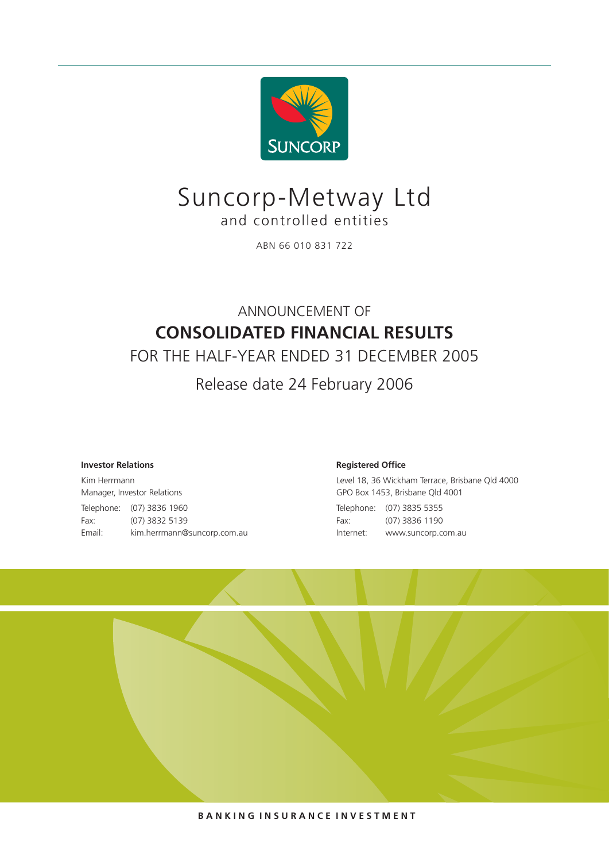

## Suncorp-Metway Ltd and controlled entities

ABN 66 010 831 722

## ANNOUNCEMENT OF **CONSOLIDATED FINANCIAL RESULTS**

FOR THE HALF-YEAR ENDED 31 DECEMBER 2005

Release date 24 February 2006

### **Investor Relations**

Kim Herrmann Manager, Investor Relations Telephone: (07) 3836 1960 Fax: (07) 3832 5139 Email: kim.herrmann@suncorp.com.au

#### **Registered Office**

Level 18, 36 Wickham Terrace, Brisbane Qld 4000 GPO Box 1453, Brisbane Qld 4001 Telephone: (07) 3835 5355 Fax: (07) 3836 1190 Internet: www.suncorp.com.au



**B A N K I N G I N S U R A N C E I N V E S T M E N T**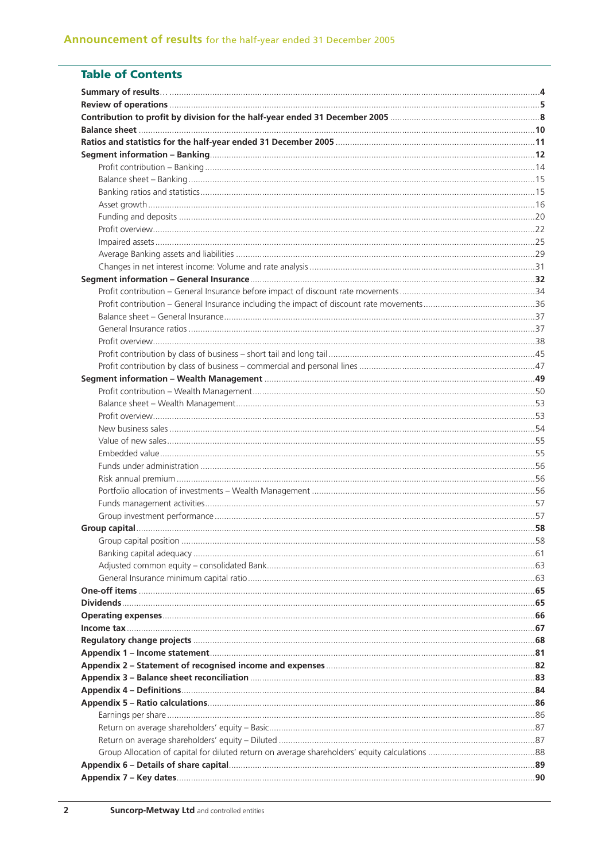## **Table of Contents**

| Group capital position | 58 |
|------------------------|----|
|                        |    |
|                        |    |
|                        |    |
|                        |    |
|                        |    |
|                        |    |
|                        |    |
|                        |    |
|                        |    |
|                        |    |
|                        |    |
|                        |    |
|                        |    |
|                        |    |
|                        |    |
|                        |    |
|                        |    |
|                        |    |
|                        |    |
|                        |    |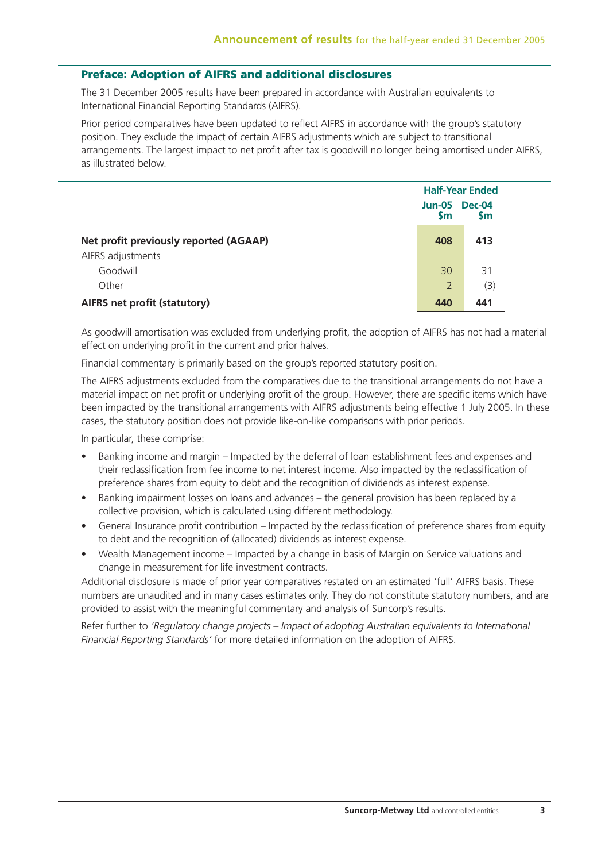## **Preface: Adoption of AIFRS and additional disclosures**

The 31 December 2005 results have been prepared in accordance with Australian equivalents to International Financial Reporting Standards (AIFRS).

Prior period comparatives have been updated to reflect AIFRS in accordance with the group's statutory position. They exclude the impact of certain AIFRS adjustments which are subject to transitional arrangements. The largest impact to net profit after tax is goodwill no longer being amortised under AIFRS, as illustrated below.

|                                        | Sm  | <b>Half-Year Ended</b><br><b>Jun-05 Dec-04</b><br><b>Sm</b> |
|----------------------------------------|-----|-------------------------------------------------------------|
| Net profit previously reported (AGAAP) | 408 | 413                                                         |
| AIFRS adjustments                      |     |                                                             |
| Goodwill                               | 30  | 31                                                          |
| Other                                  | 2   | (3)                                                         |
| <b>AIFRS net profit (statutory)</b>    | 440 | 441                                                         |

As goodwill amortisation was excluded from underlying profit, the adoption of AIFRS has not had a material effect on underlying profit in the current and prior halves.

Financial commentary is primarily based on the group's reported statutory position.

The AIFRS adjustments excluded from the comparatives due to the transitional arrangements do not have a material impact on net profit or underlying profit of the group. However, there are specific items which have been impacted by the transitional arrangements with AIFRS adjustments being effective 1 July 2005. In these cases, the statutory position does not provide like-on-like comparisons with prior periods.

In particular, these comprise:

- Banking income and margin Impacted by the deferral of loan establishment fees and expenses and their reclassification from fee income to net interest income. Also impacted by the reclassification of preference shares from equity to debt and the recognition of dividends as interest expense.
- Banking impairment losses on loans and advances the general provision has been replaced by a collective provision, which is calculated using different methodology.
- General Insurance profit contribution Impacted by the reclassification of preference shares from equity to debt and the recognition of (allocated) dividends as interest expense.
- Wealth Management income Impacted by a change in basis of Margin on Service valuations and change in measurement for life investment contracts.

Additional disclosure is made of prior year comparatives restated on an estimated 'full' AIFRS basis. These numbers are unaudited and in many cases estimates only. They do not constitute statutory numbers, and are provided to assist with the meaningful commentary and analysis of Suncorp's results.

Refer further to *'Regulatory change projects – Impact of adopting Australian equivalents to International Financial Reporting Standards'* for more detailed information on the adoption of AIFRS.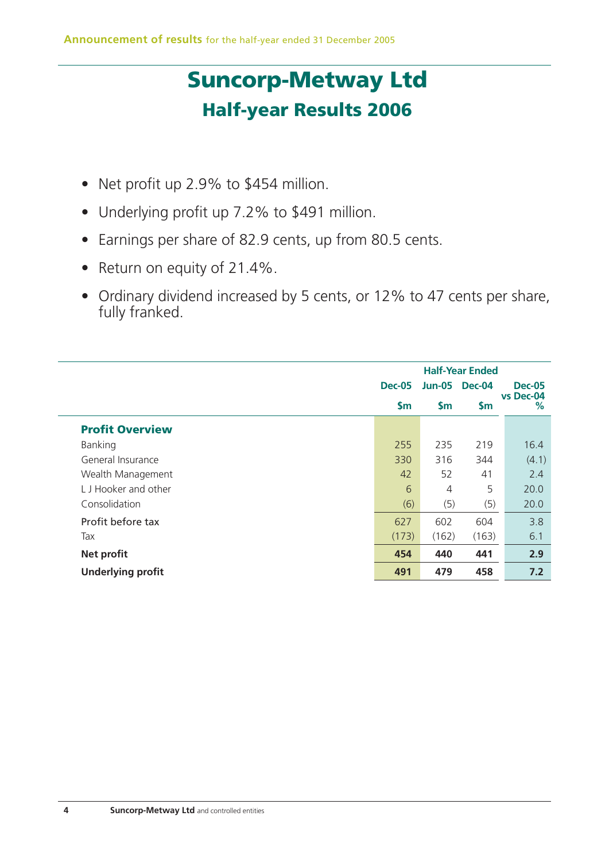# **Suncorp-Metway Ltd Half-year Results 2006**

- Net profit up 2.9% to \$454 million.
- Underlying profit up 7.2% to \$491 million.
- Earnings per share of 82.9 cents, up from 80.5 cents.
- Return on equity of 21.4%.
- Ordinary dividend increased by 5 cents, or 12% to 47 cents per share, fully franked.

|                          | <b>Half-Year Ended</b> |               |               |                |
|--------------------------|------------------------|---------------|---------------|----------------|
|                          | <b>Dec-05</b>          | <b>Jun-05</b> | <b>Dec-04</b> | <b>Dec-05</b>  |
|                          | $\mathsf{S}$ m         | $\mathsf{Sm}$ | <b>Sm</b>     | vs Dec-04<br>% |
| <b>Profit Overview</b>   |                        |               |               |                |
| Banking                  | 255                    | 235           | 219           | 16.4           |
| General Insurance        | 330                    | 316           | 344           | (4.1)          |
| Wealth Management        | 42                     | 52            | 41            | 2.4            |
| L. J. Hooker and other   | 6                      | 4             | 5             | 20.0           |
| Consolidation            | (6)                    | (5)           | (5)           | 20.0           |
| Profit before tax        | 627                    | 602           | 604           | 3.8            |
| Tax                      | (173)                  | (162)         | (163)         | 6.1            |
| <b>Net profit</b>        | 454                    | 440           | 441           | 2.9            |
| <b>Underlying profit</b> | 491                    | 479           | 458           | 7.2            |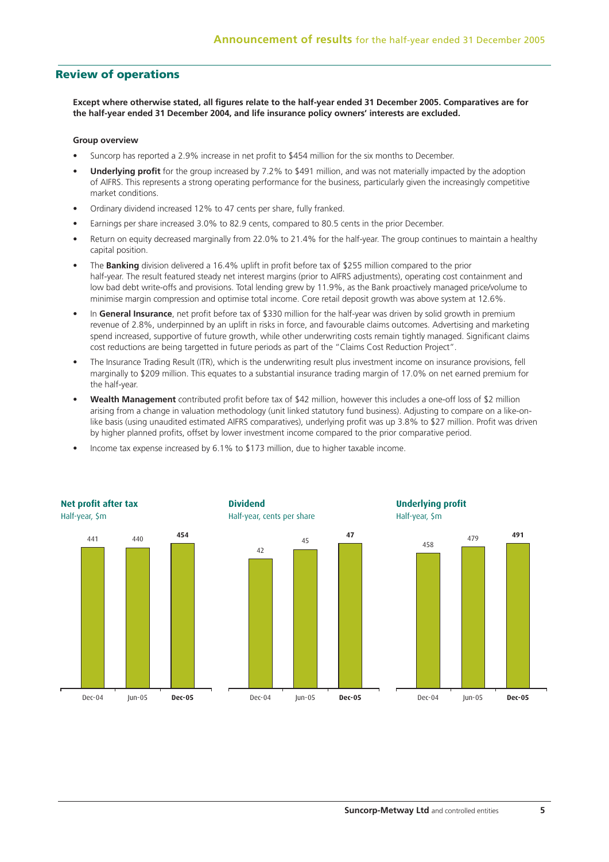## **Review of operations**

**Except where otherwise stated, all figures relate to the half-year ended 31 December 2005. Comparatives are for the half-year ended 31 December 2004, and life insurance policy owners' interests are excluded.**

#### **Group overview**

- Suncorp has reported a 2.9% increase in net profit to \$454 million for the six months to December.
- **Underlying profit** for the group increased by 7.2% to \$491 million, and was not materially impacted by the adoption of AIFRS. This represents a strong operating performance for the business, particularly given the increasingly competitive market conditions.
- Ordinary dividend increased 12% to 47 cents per share, fully franked.
- Earnings per share increased 3.0% to 82.9 cents, compared to 80.5 cents in the prior December.
- Return on equity decreased marginally from 22.0% to 21.4% for the half-year. The group continues to maintain a healthy capital position.
- The **Banking** division delivered a 16.4% uplift in profit before tax of \$255 million compared to the prior half-year. The result featured steady net interest margins (prior to AIFRS adjustments), operating cost containment and low bad debt write-offs and provisions. Total lending grew by 11.9%, as the Bank proactively managed price/volume to minimise margin compression and optimise total income. Core retail deposit growth was above system at 12.6%.
- In **General Insurance**, net profit before tax of \$330 million for the half-year was driven by solid growth in premium revenue of 2.8%, underpinned by an uplift in risks in force, and favourable claims outcomes. Advertising and marketing spend increased, supportive of future growth, while other underwriting costs remain tightly managed. Significant claims cost reductions are being targetted in future periods as part of the "Claims Cost Reduction Project".
- The Insurance Trading Result (ITR), which is the underwriting result plus investment income on insurance provisions, fell marginally to \$209 million. This equates to a substantial insurance trading margin of 17.0% on net earned premium for the half-year.
- **Wealth Management** contributed profit before tax of \$42 million, however this includes a one-off loss of \$2 million arising from a change in valuation methodology (unit linked statutory fund business). Adjusting to compare on a like-onlike basis (using unaudited estimated AIFRS comparatives), underlying profit was up 3.8% to \$27 million. Profit was driven by higher planned profits, offset by lower investment income compared to the prior comparative period.
- Income tax expense increased by 6.1% to \$173 million, due to higher taxable income.

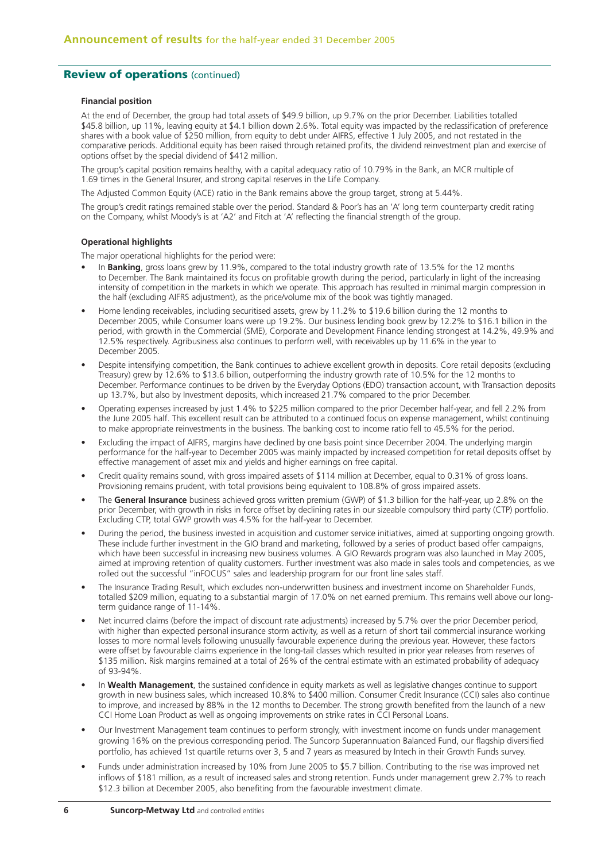## **Review of operations (continued)**

#### **Financial position**

At the end of December, the group had total assets of \$49.9 billion, up 9.7% on the prior December. Liabilities totalled \$45.8 billion, up 11%, leaving equity at \$4.1 billion down 2.6%. Total equity was impacted by the reclassification of preference shares with a book value of \$250 million, from equity to debt under AIFRS, effective 1 July 2005, and not restated in the comparative periods. Additional equity has been raised through retained profits, the dividend reinvestment plan and exercise of options offset by the special dividend of \$412 million.

The group's capital position remains healthy, with a capital adequacy ratio of 10.79% in the Bank, an MCR multiple of 1.69 times in the General Insurer, and strong capital reserves in the Life Company.

The Adjusted Common Equity (ACE) ratio in the Bank remains above the group target, strong at 5.44%.

The group's credit ratings remained stable over the period. Standard & Poor's has an 'A' long term counterparty credit rating on the Company, whilst Moody's is at 'A2' and Fitch at 'A' reflecting the financial strength of the group.

#### **Operational highlights**

The major operational highlights for the period were:

- In **Banking**, gross loans grew by 11.9%, compared to the total industry growth rate of 13.5% for the 12 months to December. The Bank maintained its focus on profitable growth during the period, particularly in light of the increasing intensity of competition in the markets in which we operate. This approach has resulted in minimal margin compression in the half (excluding AIFRS adjustment), as the price/volume mix of the book was tightly managed.
- Home lending receivables, including securitised assets, grew by 11.2% to \$19.6 billion during the 12 months to December 2005, while Consumer loans were up 19.2%. Our business lending book grew by 12.2% to \$16.1 billion in the period, with growth in the Commercial (SME), Corporate and Development Finance lending strongest at 14.2%, 49.9% and 12.5% respectively. Agribusiness also continues to perform well, with receivables up by 11.6% in the year to December 2005.
- Despite intensifying competition, the Bank continues to achieve excellent growth in deposits. Core retail deposits (excluding Treasury) grew by 12.6% to \$13.6 billion, outperforming the industry growth rate of 10.5% for the 12 months to December. Performance continues to be driven by the Everyday Options (EDO) transaction account, with Transaction deposits up 13.7%, but also by Investment deposits, which increased 21.7% compared to the prior December.
- Operating expenses increased by just 1.4% to \$225 million compared to the prior December half-year, and fell 2.2% from the June 2005 half. This excellent result can be attributed to a continued focus on expense management, whilst continuing to make appropriate reinvestments in the business. The banking cost to income ratio fell to 45.5% for the period.
- Excluding the impact of AIFRS, margins have declined by one basis point since December 2004. The underlying margin performance for the half-year to December 2005 was mainly impacted by increased competition for retail deposits offset by effective management of asset mix and yields and higher earnings on free capital.
- Credit quality remains sound, with gross impaired assets of \$114 million at December, equal to 0.31% of gross loans. Provisioning remains prudent, with total provisions being equivalent to 108.8% of gross impaired assets.
- The **General Insurance** business achieved gross written premium (GWP) of \$1.3 billion for the half-year, up 2.8% on the prior December, with growth in risks in force offset by declining rates in our sizeable compulsory third party (CTP) portfolio. Excluding CTP, total GWP growth was 4.5% for the half-year to December.
- During the period, the business invested in acquisition and customer service initiatives, aimed at supporting ongoing growth. These include further investment in the GIO brand and marketing, followed by a series of product based offer campaigns, which have been successful in increasing new business volumes. A GIO Rewards program was also launched in May 2005, aimed at improving retention of quality customers. Further investment was also made in sales tools and competencies, as we rolled out the successful "inFOCUS" sales and leadership program for our front line sales staff.
- The Insurance Trading Result, which excludes non-underwritten business and investment income on Shareholder Funds, totalled \$209 million, equating to a substantial margin of 17.0% on net earned premium. This remains well above our longterm guidance range of 11-14%.
- Net incurred claims (before the impact of discount rate adjustments) increased by 5.7% over the prior December period, with higher than expected personal insurance storm activity, as well as a return of short tail commercial insurance working losses to more normal levels following unusually favourable experience during the previous year. However, these factors were offset by favourable claims experience in the long-tail classes which resulted in prior year releases from reserves of \$135 million. Risk margins remained at a total of 26% of the central estimate with an estimated probability of adequacy of 93-94%.
- In **Wealth Management**, the sustained confidence in equity markets as well as legislative changes continue to support growth in new business sales, which increased 10.8% to \$400 million. Consumer Credit Insurance (CCI) sales also continue to improve, and increased by 88% in the 12 months to December. The strong growth benefited from the launch of a new CCI Home Loan Product as well as ongoing improvements on strike rates in CCI Personal Loans.
- Our Investment Management team continues to perform strongly, with investment income on funds under management growing 16% on the previous corresponding period. The Suncorp Superannuation Balanced Fund, our flagship diversified portfolio, has achieved 1st quartile returns over 3, 5 and 7 years as measured by Intech in their Growth Funds survey.
- Funds under administration increased by 10% from June 2005 to \$5.7 billion. Contributing to the rise was improved net inflows of \$181 million, as a result of increased sales and strong retention. Funds under management grew 2.7% to reach \$12.3 billion at December 2005, also benefiting from the favourable investment climate.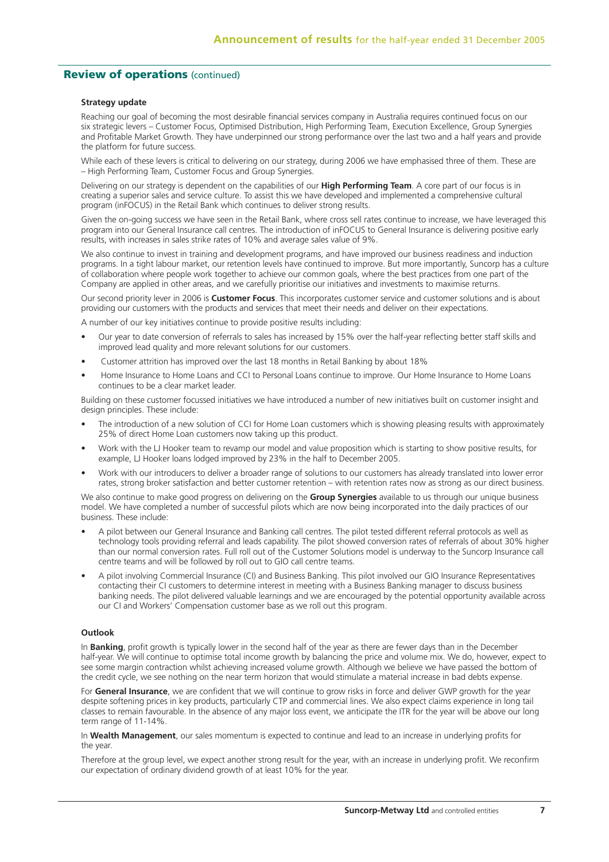## **Review of operations** (continued)

#### **Strategy update**

Reaching our goal of becoming the most desirable financial services company in Australia requires continued focus on our six strategic levers – Customer Focus, Optimised Distribution, High Performing Team, Execution Excellence, Group Synergies and Profitable Market Growth. They have underpinned our strong performance over the last two and a half years and provide the platform for future success.

While each of these levers is critical to delivering on our strategy, during 2006 we have emphasised three of them. These are – High Performing Team, Customer Focus and Group Synergies.

Delivering on our strategy is dependent on the capabilities of our **High Performing Team**. A core part of our focus is in creating a superior sales and service culture. To assist this we have developed and implemented a comprehensive cultural program (inFOCUS) in the Retail Bank which continues to deliver strong results.

Given the on-going success we have seen in the Retail Bank, where cross sell rates continue to increase, we have leveraged this program into our General Insurance call centres. The introduction of inFOCUS to General Insurance is delivering positive early results, with increases in sales strike rates of 10% and average sales value of 9%.

We also continue to invest in training and development programs, and have improved our business readiness and induction programs. In a tight labour market, our retention levels have continued to improve. But more importantly, Suncorp has a culture of collaboration where people work together to achieve our common goals, where the best practices from one part of the Company are applied in other areas, and we carefully prioritise our initiatives and investments to maximise returns.

Our second priority lever in 2006 is **Customer Focus**. This incorporates customer service and customer solutions and is about providing our customers with the products and services that meet their needs and deliver on their expectations.

A number of our key initiatives continue to provide positive results including:

- Our year to date conversion of referrals to sales has increased by 15% over the half-year reflecting better staff skills and improved lead quality and more relevant solutions for our customers.
- Customer attrition has improved over the last 18 months in Retail Banking by about 18%
- Home Insurance to Home Loans and CCI to Personal Loans continue to improve. Our Home Insurance to Home Loans continues to be a clear market leader.

Building on these customer focussed initiatives we have introduced a number of new initiatives built on customer insight and design principles. These include:

- The introduction of a new solution of CCI for Home Loan customers which is showing pleasing results with approximately 25% of direct Home Loan customers now taking up this product.
- Work with the LJ Hooker team to revamp our model and value proposition which is starting to show positive results, for example, LJ Hooker loans lodged improved by 23% in the half to December 2005.
- Work with our introducers to deliver a broader range of solutions to our customers has already translated into lower error rates, strong broker satisfaction and better customer retention – with retention rates now as strong as our direct business.

We also continue to make good progress on delivering on the **Group Synergies** available to us through our unique business model. We have completed a number of successful pilots which are now being incorporated into the daily practices of our business. These include:

- A pilot between our General Insurance and Banking call centres. The pilot tested different referral protocols as well as technology tools providing referral and leads capability. The pilot showed conversion rates of referrals of about 30% higher than our normal conversion rates. Full roll out of the Customer Solutions model is underway to the Suncorp Insurance call centre teams and will be followed by roll out to GIO call centre teams.
- A pilot involving Commercial Insurance (CI) and Business Banking. This pilot involved our GIO Insurance Representatives contacting their CI customers to determine interest in meeting with a Business Banking manager to discuss business banking needs. The pilot delivered valuable learnings and we are encouraged by the potential opportunity available across our CI and Workers' Compensation customer base as we roll out this program.

#### **Outlook**

In **Banking**, profit growth is typically lower in the second half of the year as there are fewer days than in the December half-year. We will continue to optimise total income growth by balancing the price and volume mix. We do, however, expect to see some margin contraction whilst achieving increased volume growth. Although we believe we have passed the bottom of the credit cycle, we see nothing on the near term horizon that would stimulate a material increase in bad debts expense.

For **General Insurance**, we are confident that we will continue to grow risks in force and deliver GWP growth for the year despite softening prices in key products, particularly CTP and commercial lines. We also expect claims experience in long tail classes to remain favourable. In the absence of any major loss event, we anticipate the ITR for the year will be above our long term range of 11-14%.

In **Wealth Management**, our sales momentum is expected to continue and lead to an increase in underlying profits for the year.

Therefore at the group level, we expect another strong result for the year, with an increase in underlying profit. We reconfirm our expectation of ordinary dividend growth of at least 10% for the year.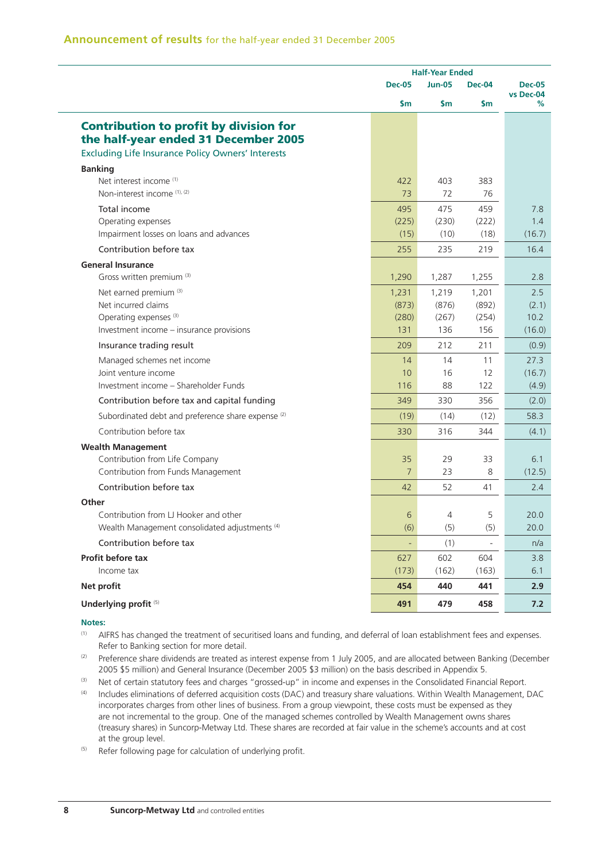|                                                               | <b>Half-Year Ended</b> |               |               |                            |
|---------------------------------------------------------------|------------------------|---------------|---------------|----------------------------|
|                                                               | <b>Dec-05</b>          | <b>Jun-05</b> | <b>Dec-04</b> | <b>Dec-05</b><br>vs Dec-04 |
|                                                               | \$m                    | $\mathsf{Sm}$ | \$m           | %                          |
| <b>Contribution to profit by division for</b>                 |                        |               |               |                            |
| the half-year ended 31 December 2005                          |                        |               |               |                            |
| <b>Excluding Life Insurance Policy Owners' Interests</b>      |                        |               |               |                            |
| <b>Banking</b>                                                |                        |               |               |                            |
| Net interest income <sup>(1)</sup>                            | 422                    | 403           | 383           |                            |
| Non-interest income (1), (2)                                  | 73                     | 72            | 76            |                            |
| Total income                                                  | 495                    | 475           | 459           | 7.8                        |
| Operating expenses                                            | (225)                  | (230)         | (222)         | 1.4                        |
| Impairment losses on loans and advances                       | (15)                   | (10)          | (18)          | (16.7)                     |
| Contribution before tax                                       | 255                    | 235           | 219           | 16.4                       |
| <b>General Insurance</b>                                      |                        |               |               |                            |
| Gross written premium (3)                                     | 1,290                  | 1,287         | 1,255         | 2.8                        |
| Net earned premium <sup>(3)</sup>                             | 1,231                  | 1,219         | 1,201         | 2.5                        |
| Net incurred claims                                           | (873)                  | (876)         | (892)         | (2.1)                      |
| Operating expenses <sup>(3)</sup>                             | (280)                  | (267)         | (254)         | 10.2                       |
| Investment income - insurance provisions                      | 131                    | 136           | 156           | (16.0)                     |
| Insurance trading result                                      | 209                    | 212           | 211           | (0.9)                      |
| Managed schemes net income                                    | 14                     | 14            | 11            | 27.3                       |
| Joint venture income                                          | 10                     | 16            | 12            | (16.7)                     |
| Investment income - Shareholder Funds                         | 116                    | 88            | 122           | (4.9)                      |
| Contribution before tax and capital funding                   | 349                    | 330           | 356           | (2.0)                      |
| Subordinated debt and preference share expense <sup>(2)</sup> | (19)                   | (14)          | (12)          | 58.3                       |
| Contribution before tax                                       | 330                    | 316           | 344           | (4.1)                      |
| <b>Wealth Management</b>                                      |                        |               |               |                            |
| Contribution from Life Company                                | 35                     | 29            | 33            | 6.1                        |
| Contribution from Funds Management                            | $\overline{7}$         | 23            | 8             | (12.5)                     |
| Contribution before tax                                       | 42                     | 52            | 41            | $2.4^{\circ}$              |
| Other                                                         |                        |               |               |                            |
| Contribution from LJ Hooker and other                         | 6                      | 4             | 5             | 20.0                       |
| Wealth Management consolidated adjustments <sup>(4)</sup>     | (6)                    | (5)           | (5)           | 20.0                       |
| Contribution before tax                                       |                        | (1)           |               | n/a                        |
| Profit before tax                                             | 627                    | 602           | 604           | 3.8                        |
| Income tax                                                    | (173)                  | (162)         | (163)         | 6.1                        |
| Net profit                                                    | 454                    | 440           | 441           | 2.9                        |
| Underlying profit <sup>(5)</sup>                              | 491                    | 479           | 458           | 7.2                        |

#### **Notes:**

(1) AIFRS has changed the treatment of securitised loans and funding, and deferral of loan establishment fees and expenses. Refer to Banking section for more detail.

<sup>(2)</sup> Preference share dividends are treated as interest expense from 1 July 2005, and are allocated between Banking (December 2005 \$5 million) and General Insurance (December 2005 \$3 million) on the basis described in Appendix 5.

(3) Net of certain statutory fees and charges "grossed-up" in income and expenses in the Consolidated Financial Report.

(4) Includes eliminations of deferred acquisition costs (DAC) and treasury share valuations. Within Wealth Management, DAC incorporates charges from other lines of business. From a group viewpoint, these costs must be expensed as they are not incremental to the group. One of the managed schemes controlled by Wealth Management owns shares (treasury shares) in Suncorp-Metway Ltd. These shares are recorded at fair value in the scheme's accounts and at cost at the group level.

(5) Refer following page for calculation of underlying profit.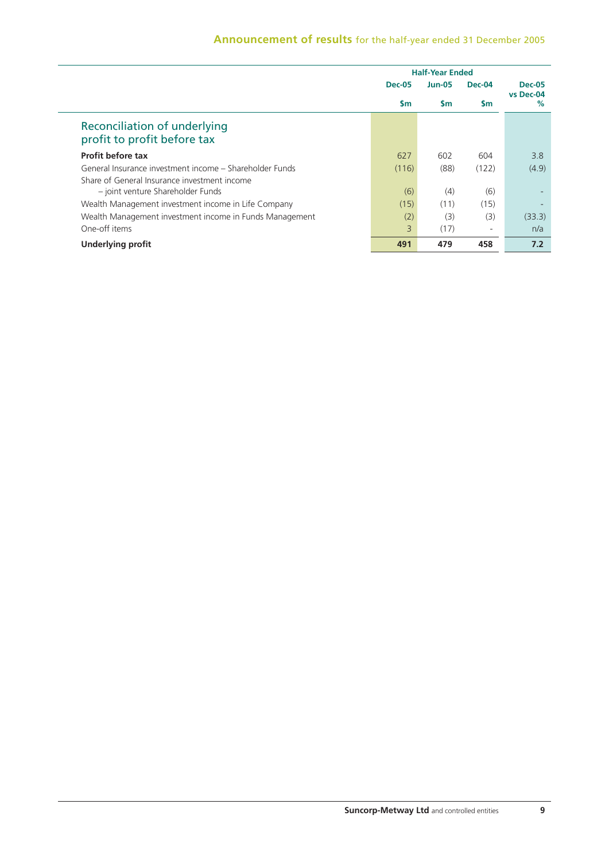|                                                             |               | <b>Half-Year Ended</b> |               |                            |  |
|-------------------------------------------------------------|---------------|------------------------|---------------|----------------------------|--|
|                                                             | <b>Dec-05</b> | <b>Jun-05</b>          | <b>Dec-04</b> | <b>Dec-05</b><br>vs Dec-04 |  |
|                                                             | $\mathsf{sm}$ | <b>Sm</b>              | <b>Sm</b>     | $\%$                       |  |
| Reconciliation of underlying<br>profit to profit before tax |               |                        |               |                            |  |
| Profit before tax                                           | 627           | 602                    | 604           | 3.8                        |  |
| General Insurance investment income – Shareholder Funds     | (116)         | (88)                   | (122)         | (4.9)                      |  |
| Share of General Insurance investment income                |               |                        |               |                            |  |
| - joint venture Shareholder Funds                           | (6)           | (4)                    | (6)           |                            |  |
| Wealth Management investment income in Life Company         | (15)          | (11)                   | (15)          |                            |  |
| Wealth Management investment income in Funds Management     | (2)           | (3)                    | (3)           | (33.3)                     |  |
| One-off items                                               | 3             | (17)                   | ۰             | n/a                        |  |
| <b>Underlying profit</b>                                    | 491           | 479                    | 458           | 7.2                        |  |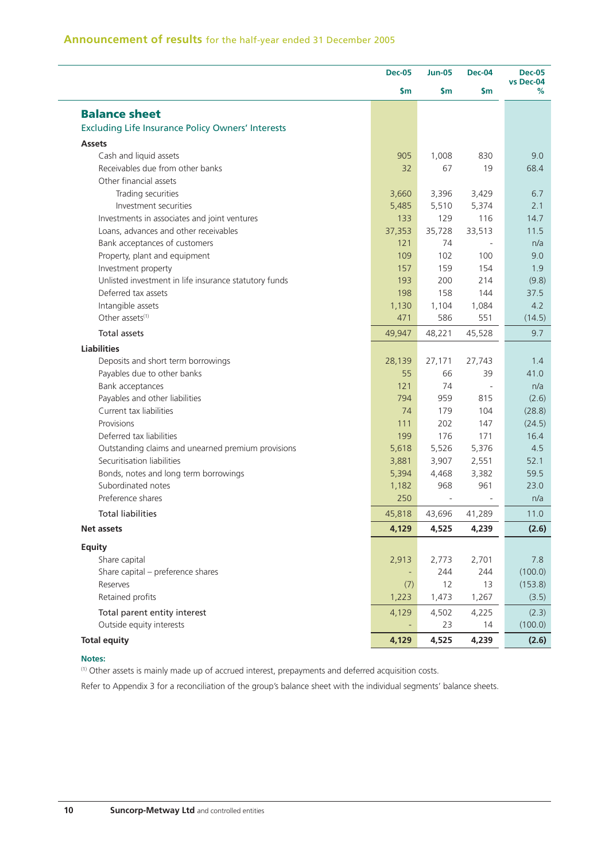|                                                          | <b>Dec-05</b> | <b>Jun-05</b>  | <b>Dec-04</b> | <b>Dec-05</b><br>vs Dec-04 |
|----------------------------------------------------------|---------------|----------------|---------------|----------------------------|
|                                                          | \$m\$         | \$m            | \$m           | %                          |
| <b>Balance sheet</b>                                     |               |                |               |                            |
| <b>Excluding Life Insurance Policy Owners' Interests</b> |               |                |               |                            |
| <b>Assets</b>                                            |               |                |               |                            |
| Cash and liquid assets                                   | 905           | 1,008          | 830           | 9.0                        |
| Receivables due from other banks                         | 32            | 67             | 19            | 68.4                       |
| Other financial assets                                   |               |                |               |                            |
| Trading securities                                       | 3,660         | 3,396          | 3,429         | 6.7                        |
| Investment securities                                    | 5,485         | 5,510          | 5,374         | 2.1                        |
| Investments in associates and joint ventures             | 133           | 129            | 116           | 14.7                       |
| Loans, advances and other receivables                    | 37,353        | 35,728         | 33,513        | 11.5                       |
| Bank acceptances of customers                            | 121           | 74             |               | n/a                        |
| Property, plant and equipment                            | 109           | 102            | 100           | 9.0                        |
| Investment property                                      | 157           | 159            | 154           | 1.9                        |
| Unlisted investment in life insurance statutory funds    | 193           | 200            | 214           | (9.8)                      |
| Deferred tax assets                                      | 198           | 158            | 144           | 37.5                       |
| Intangible assets                                        | 1,130         | 1,104          | 1,084         | 4.2                        |
| Other assets <sup>(1)</sup>                              | 471           | 586            | 551           | (14.5)                     |
| Total assets                                             | 49,947        | 48,221         | 45,528        | 9.7                        |
| <b>Liabilities</b>                                       |               |                |               |                            |
| Deposits and short term borrowings                       | 28,139        | 27,171         | 27,743        | 1.4                        |
| Payables due to other banks                              | 55            | 66             | 39            | 41.0                       |
| Bank acceptances                                         | 121           | 74             |               | n/a                        |
| Payables and other liabilities                           | 794           | 959            | 815           | (2.6)                      |
| Current tax liabilities                                  | 74            | 179            | 104           | (28.8)                     |
| Provisions                                               | 111           | 202            | 147           | (24.5)                     |
| Deferred tax liabilities                                 | 199           | 176            | 171           | 16.4                       |
| Outstanding claims and unearned premium provisions       | 5,618         | 5,526          | 5,376         | 4.5                        |
| Securitisation liabilities                               | 3,881         |                | 2,551         | 52.1                       |
| Bonds, notes and long term borrowings                    | 5,394         | 3,907<br>4,468 | 3,382         | 59.5                       |
| Subordinated notes                                       | 1,182         | 968            | 961           | 23.0                       |
| Preference shares                                        | 250           |                |               | n/a                        |
| <b>Total liabilities</b>                                 | 45,818        | 43,696         | 41,289        | 11.0                       |
| <b>Net assets</b>                                        | 4,129         | 4,525          |               |                            |
|                                                          |               |                | 4,239         | (2.6)                      |
| <b>Equity</b>                                            |               |                |               |                            |
| Share capital                                            | 2,913         | 2,773          | 2,701         | 7.8                        |
| Share capital - preference shares                        |               | 244            | 244           | (100.0)                    |
| Reserves                                                 | (7)           | 12             | 13            | (153.8)                    |
| Retained profits                                         | 1,223         | 1,473          | 1,267         | (3.5)                      |
| Total parent entity interest                             | 4,129         | 4,502          | 4,225         | (2.3)                      |
| Outside equity interests                                 |               | 23             | 14            | (100.0)                    |
|                                                          |               |                |               |                            |

#### **Notes:**

(1) Other assets is mainly made up of accrued interest, prepayments and deferred acquisition costs.

Refer to Appendix 3 for a reconciliation of the group's balance sheet with the individual segments' balance sheets.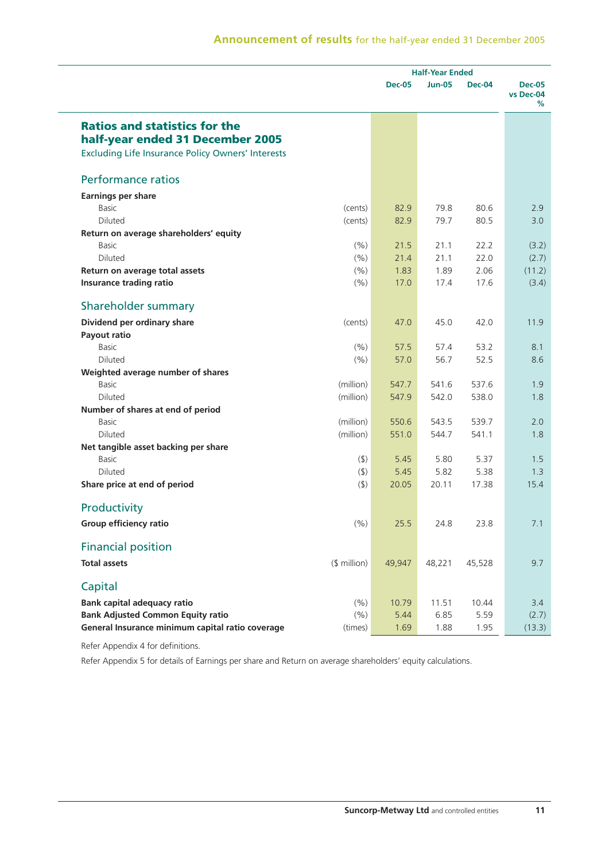|                                                          |              | <b>Half-Year Ended</b> |               |               |                                 |
|----------------------------------------------------------|--------------|------------------------|---------------|---------------|---------------------------------|
|                                                          |              | <b>Dec-05</b>          | <b>Jun-05</b> | <b>Dec-04</b> | <b>Dec-05</b><br>vs Dec-04<br>℅ |
| <b>Ratios and statistics for the</b>                     |              |                        |               |               |                                 |
| half-year ended 31 December 2005                         |              |                        |               |               |                                 |
| <b>Excluding Life Insurance Policy Owners' Interests</b> |              |                        |               |               |                                 |
| <b>Performance ratios</b>                                |              |                        |               |               |                                 |
| <b>Earnings per share</b>                                |              |                        |               |               |                                 |
| <b>Basic</b>                                             | (cents)      | 82.9                   | 79.8          | 80.6          | 2.9                             |
| <b>Diluted</b>                                           | (cents)      | 82.9                   | 79.7          | 80.5          | 3.0                             |
| Return on average shareholders' equity                   |              |                        |               |               |                                 |
| <b>Basic</b>                                             | (% )         | 21.5                   | 21.1          | 22.2          | (3.2)                           |
| <b>Diluted</b>                                           | (% )         | 21.4                   | 21.1          | 22.0          | (2.7)                           |
| Return on average total assets                           | (% )         | 1.83                   | 1.89          | 2.06          | (11.2)                          |
| Insurance trading ratio                                  | (% )         | 17.0                   | 17.4          | 17.6          | (3.4)                           |
| Shareholder summary                                      |              |                        |               |               |                                 |
| Dividend per ordinary share                              | (cents)      | 47.0                   | 45.0          | 42.0          | 11.9                            |
| Payout ratio                                             |              |                        |               |               |                                 |
| <b>Basic</b>                                             | (% )         | 57.5                   | 57.4          | 53.2          | 8.1                             |
| <b>Diluted</b>                                           | (% )         | 57.0                   | 56.7          | 52.5          | 8.6                             |
| Weighted average number of shares                        |              |                        |               |               |                                 |
| Basic                                                    | (million)    | 547.7                  | 541.6         | 537.6         | 1.9                             |
| Diluted                                                  | (million)    | 547.9                  | 542.0         | 538.0         | 1.8                             |
| Number of shares at end of period                        |              |                        |               |               |                                 |
| <b>Basic</b>                                             | (million)    | 550.6                  | 543.5         | 539.7         | 2.0                             |
| Diluted                                                  | (million)    | 551.0                  | 544.7         | 541.1         | 1.8                             |
| Net tangible asset backing per share                     |              |                        |               |               |                                 |
| <b>Basic</b>                                             | (5)          | 5.45                   | 5.80          | 5.37          | 1.5                             |
| <b>Diluted</b>                                           | $($ \$)      | 5.45                   | 5.82          | 5.38          | 1.3                             |
| Share price at end of period                             | (5)          | 20.05                  | 20.11         | 17.38         | 15.4                            |
| Productivity                                             |              |                        |               |               |                                 |
| <b>Group efficiency ratio</b>                            | (% )         | 25.5                   | 24.8          | 23.8          | 7.1                             |
| <b>Financial position</b>                                |              |                        |               |               |                                 |
| <b>Total assets</b>                                      | $$$ million) | 49,947                 | 48,221        | 45,528        | 9.7                             |
| Capital                                                  |              |                        |               |               |                                 |
| <b>Bank capital adequacy ratio</b>                       | (%)          | 10.79                  | 11.51         | 10.44         | 3.4                             |
| <b>Bank Adjusted Common Equity ratio</b>                 | (%)          | 5.44                   | 6.85          | 5.59          | (2.7)                           |
| General Insurance minimum capital ratio coverage         | (times)      | 1.69                   | 1.88          | 1.95          | (13.3)                          |

Refer Appendix 4 for definitions.

Refer Appendix 5 for details of Earnings per share and Return on average shareholders' equity calculations.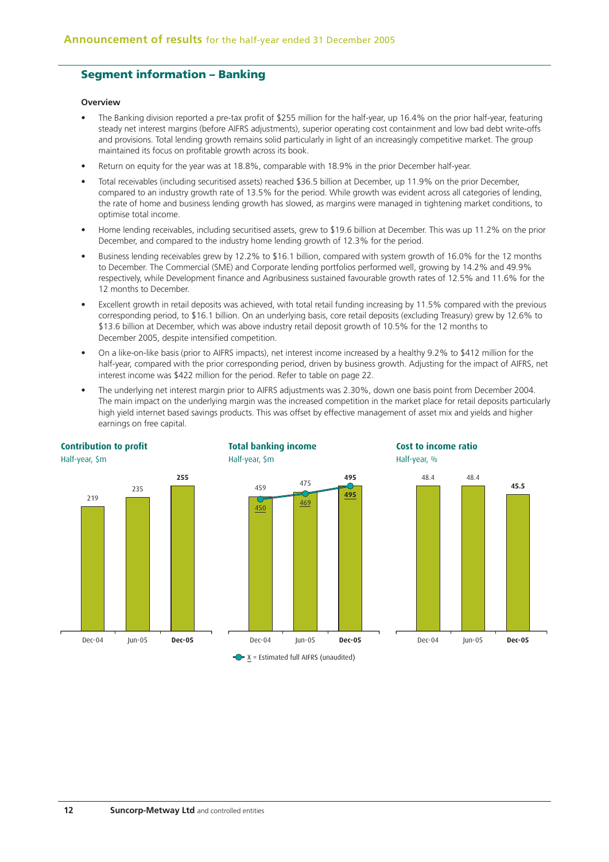## **Segment information – Banking**

#### **Overview**

- The Banking division reported a pre-tax profit of \$255 million for the half-year, up 16.4% on the prior half-year, featuring steady net interest margins (before AIFRS adjustments), superior operating cost containment and low bad debt write-offs and provisions. Total lending growth remains solid particularly in light of an increasingly competitive market. The group maintained its focus on profitable growth across its book.
- Return on equity for the year was at 18.8%, comparable with 18.9% in the prior December half-year.
- Total receivables (including securitised assets) reached \$36.5 billion at December, up 11.9% on the prior December, compared to an industry growth rate of 13.5% for the period. While growth was evident across all categories of lending, the rate of home and business lending growth has slowed, as margins were managed in tightening market conditions, to optimise total income.
- Home lending receivables, including securitised assets, grew to \$19.6 billion at December. This was up 11.2% on the prior December, and compared to the industry home lending growth of 12.3% for the period.
- Business lending receivables grew by 12.2% to \$16.1 billion, compared with system growth of 16.0% for the 12 months to December. The Commercial (SME) and Corporate lending portfolios performed well, growing by 14.2% and 49.9% respectively, while Development finance and Agribusiness sustained favourable growth rates of 12.5% and 11.6% for the 12 months to December.
- Excellent growth in retail deposits was achieved, with total retail funding increasing by 11.5% compared with the previous corresponding period, to \$16.1 billion. On an underlying basis, core retail deposits (excluding Treasury) grew by 12.6% to \$13.6 billion at December, which was above industry retail deposit growth of 10.5% for the 12 months to December 2005, despite intensified competition.
- On a like-on-like basis (prior to AIFRS impacts), net interest income increased by a healthy 9.2% to \$412 million for the half-year, compared with the prior corresponding period, driven by business growth. Adjusting for the impact of AIFRS, net interest income was \$422 million for the period. Refer to table on page 22.
- The underlying net interest margin prior to AIFRS adjustments was 2.30%, down one basis point from December 2004. The main impact on the underlying margin was the increased competition in the market place for retail deposits particularly high yield internet based savings products. This was offset by effective management of asset mix and yields and higher earnings on free capital.





**Total banking income**

Half-year, \$m



**Cost to income ratio**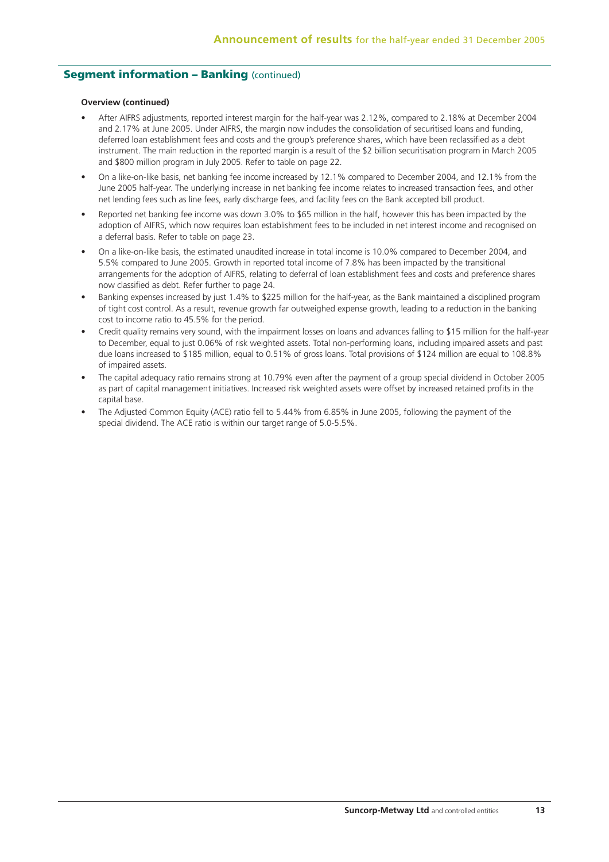## **Seament information - Banking (continued)**

#### **Overview (continued)**

- After AIFRS adjustments, reported interest margin for the half-year was 2.12%, compared to 2.18% at December 2004 and 2.17% at June 2005. Under AIFRS, the margin now includes the consolidation of securitised loans and funding, deferred loan establishment fees and costs and the group's preference shares, which have been reclassified as a debt instrument. The main reduction in the reported margin is a result of the \$2 billion securitisation program in March 2005 and \$800 million program in July 2005. Refer to table on page 22.
- On a like-on-like basis, net banking fee income increased by 12.1% compared to December 2004, and 12.1% from the June 2005 half-year. The underlying increase in net banking fee income relates to increased transaction fees, and other net lending fees such as line fees, early discharge fees, and facility fees on the Bank accepted bill product.
- Reported net banking fee income was down 3.0% to \$65 million in the half, however this has been impacted by the adoption of AIFRS, which now requires loan establishment fees to be included in net interest income and recognised on a deferral basis. Refer to table on page 23.
- On a like-on-like basis, the estimated unaudited increase in total income is 10.0% compared to December 2004, and 5.5% compared to June 2005. Growth in reported total income of 7.8% has been impacted by the transitional arrangements for the adoption of AIFRS, relating to deferral of loan establishment fees and costs and preference shares now classified as debt. Refer further to page 24.
- Banking expenses increased by just 1.4% to \$225 million for the half-year, as the Bank maintained a disciplined program of tight cost control. As a result, revenue growth far outweighed expense growth, leading to a reduction in the banking cost to income ratio to 45.5% for the period.
- Credit quality remains very sound, with the impairment losses on loans and advances falling to \$15 million for the half-year to December, equal to just 0.06% of risk weighted assets. Total non-performing loans, including impaired assets and past due loans increased to \$185 million, equal to 0.51% of gross loans. Total provisions of \$124 million are equal to 108.8% of impaired assets.
- The capital adequacy ratio remains strong at 10.79% even after the payment of a group special dividend in October 2005 as part of capital management initiatives. Increased risk weighted assets were offset by increased retained profits in the capital base.
- The Adjusted Common Equity (ACE) ratio fell to 5.44% from 6.85% in June 2005, following the payment of the special dividend. The ACE ratio is within our target range of 5.0-5.5%.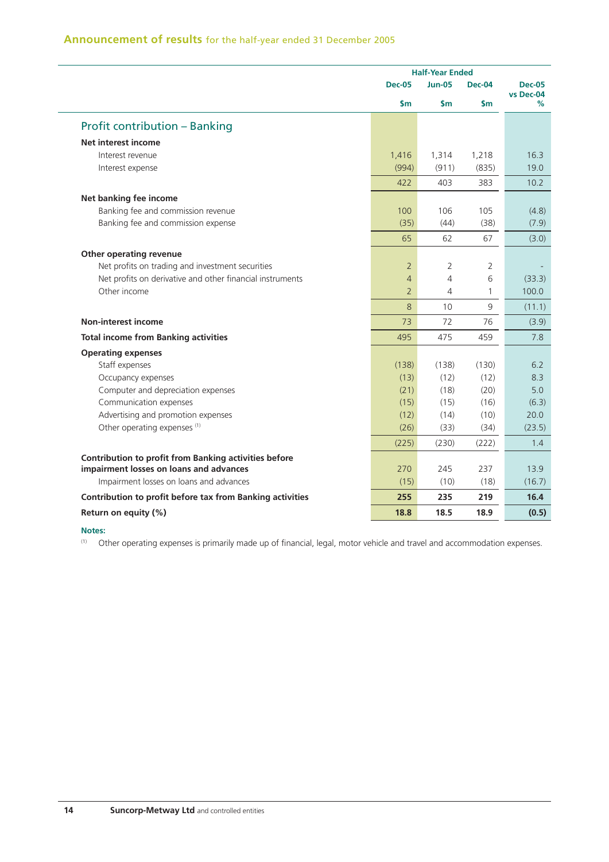|                                                              |                | <b>Half-Year Ended</b> |               |                |
|--------------------------------------------------------------|----------------|------------------------|---------------|----------------|
|                                                              | <b>Dec-05</b>  | <b>Jun-05</b>          | <b>Dec-04</b> | <b>Dec-05</b>  |
|                                                              | \$m            | \$m                    | \$m           | vs Dec-04<br>% |
| <b>Profit contribution - Banking</b>                         |                |                        |               |                |
| <b>Net interest income</b>                                   |                |                        |               |                |
| Interest revenue                                             | 1,416          | 1,314                  | 1,218         | 16.3           |
| Interest expense                                             | (994)          | (911)                  | (835)         | 19.0           |
|                                                              | 422            | 403                    | 383           | 10.2           |
| Net banking fee income                                       |                |                        |               |                |
| Banking fee and commission revenue                           | 100            | 106                    | 105           | (4.8)          |
| Banking fee and commission expense                           | (35)           | (44)                   | (38)          | (7.9)          |
|                                                              | 65             | 62                     | 67            | (3.0)          |
| Other operating revenue                                      |                |                        |               |                |
| Net profits on trading and investment securities             | $\overline{2}$ | 2                      | 2             |                |
| Net profits on derivative and other financial instruments    | $\overline{4}$ | 4                      | 6             | (33.3)         |
| Other income                                                 | $\overline{2}$ | 4                      | 1             | 100.0          |
|                                                              | 8              | 10 <sup>1</sup>        | 9             | (11.1)         |
| <b>Non-interest income</b>                                   | 73             | 72                     | 76            | (3.9)          |
| <b>Total income from Banking activities</b>                  | 495            | 475                    | 459           | 7.8            |
| <b>Operating expenses</b>                                    |                |                        |               |                |
| Staff expenses                                               | (138)          | (138)                  | (130)         | 6.2            |
| Occupancy expenses                                           | (13)           | (12)                   | (12)          | 8.3            |
| Computer and depreciation expenses                           | (21)           | (18)                   | (20)          | 5.0            |
| Communication expenses                                       | (15)           | (15)                   | (16)          | (6.3)          |
| Advertising and promotion expenses                           | (12)           | (14)                   | (10)          | 20.0           |
| Other operating expenses (1)                                 | (26)           | (33)                   | (34)          | (23.5)         |
|                                                              | (225)          | (230)                  | (222)         | 1.4            |
| <b>Contribution to profit from Banking activities before</b> |                |                        |               |                |
| impairment losses on loans and advances                      | 270            | 245                    | 237           | 13.9           |
| Impairment losses on loans and advances                      | (15)           | (10)                   | (18)          | (16.7)         |
| Contribution to profit before tax from Banking activities    | 255            | 235                    | 219           | 16.4           |
| Return on equity (%)                                         | 18.8           | 18.5                   | 18.9          | (0.5)          |

#### **Notes:**

(1) Other operating expenses is primarily made up of financial, legal, motor vehicle and travel and accommodation expenses.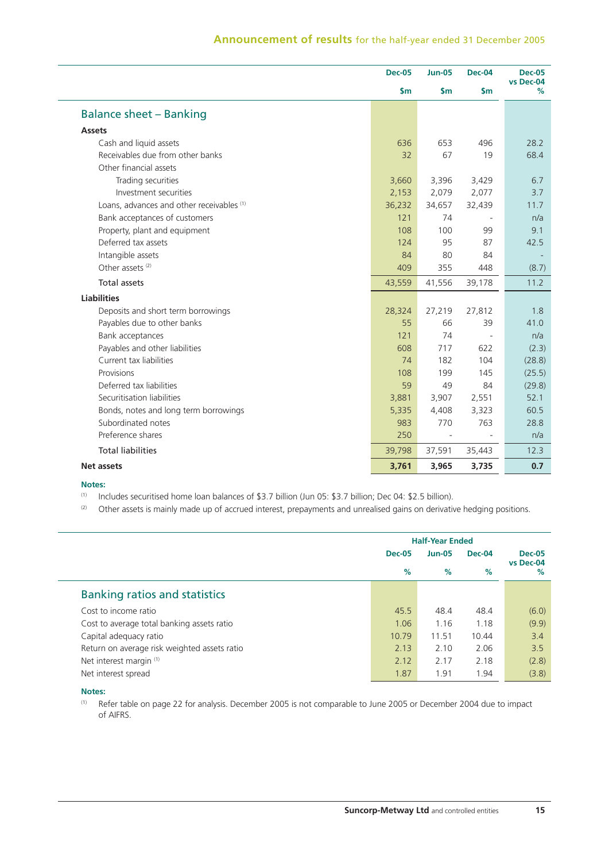|                                           | <b>Dec-05</b> | <b>Jun-05</b>            | <b>Dec-04</b> | <b>Dec-05</b>     |
|-------------------------------------------|---------------|--------------------------|---------------|-------------------|
|                                           | \$m\$         | $\mathsf{Sm}$            | $\mathsf{Sm}$ | vs Dec-04<br>$\%$ |
| <b>Balance sheet - Banking</b>            |               |                          |               |                   |
| <b>Assets</b>                             |               |                          |               |                   |
| Cash and liquid assets                    | 636           | 653                      | 496           | 28.2              |
| Receivables due from other banks          | 32            | 67                       | 19            | 68.4              |
| Other financial assets                    |               |                          |               |                   |
| Trading securities                        | 3,660         | 3,396                    | 3,429         | 6.7               |
| Investment securities                     | 2,153         | 2,079                    | 2,077         | 3.7               |
| Loans, advances and other receivables (1) | 36,232        | 34,657                   | 32,439        | 11.7              |
| Bank acceptances of customers             | 121           | 74                       |               | n/a               |
| Property, plant and equipment             | 108           | 100                      | 99            | 9.1               |
| Deferred tax assets                       | 124           | 95                       | 87            | 42.5              |
| Intangible assets                         | 84            | 80                       | 84            |                   |
| Other assets <sup>(2)</sup>               | 409           | 355                      | 448           | (8.7)             |
| <b>Total assets</b>                       | 43,559        | 41,556                   | 39,178        | 11.2              |
| <b>Liabilities</b>                        |               |                          |               |                   |
| Deposits and short term borrowings        | 28,324        | 27,219                   | 27,812        | 1.8               |
| Payables due to other banks               | 55            | 66                       | 39            | 41.0              |
| Bank acceptances                          | 121           | 74                       |               | n/a               |
| Payables and other liabilities            | 608           | 717                      | 622           | (2.3)             |
| Current tax liabilities                   | 74            | 182                      | 104           | (28.8)            |
| Provisions                                | 108           | 199                      | 145           | (25.5)            |
| Deferred tax liabilities                  | 59            | 49                       | 84            | (29.8)            |
| Securitisation liabilities                | 3,881         | 3,907                    | 2,551         | 52.1              |
| Bonds, notes and long term borrowings     | 5,335         | 4,408                    | 3,323         | 60.5              |
| Subordinated notes                        | 983           | 770                      | 763           | 28.8              |
| Preference shares                         | 250           | $\overline{\phantom{a}}$ |               | n/a               |
| <b>Total liabilities</b>                  | 39,798        | 37,591                   | 35,443        | 12.3              |
| <b>Net assets</b>                         | 3,761         | 3,965                    | 3,735         | 0.7               |

#### **Notes:**

(1) Includes securitised home loan balances of \$3.7 billion (Jun 05: \$3.7 billion; Dec 04: \$2.5 billion).

(2) Other assets is mainly made up of accrued interest, prepayments and unrealised gains on derivative hedging positions.

|                                              |               | <b>Half-Year Ended</b> |               |               |                            |
|----------------------------------------------|---------------|------------------------|---------------|---------------|----------------------------|
|                                              | <b>Dec-05</b> |                        | <b>Jun-05</b> | <b>Dec-04</b> | <b>Dec-05</b><br>vs Dec-04 |
|                                              | %             | %                      | %             | $\%$          |                            |
| <b>Banking ratios and statistics</b>         |               |                        |               |               |                            |
| Cost to income ratio                         | 45.5          | 48.4                   | 48.4          | (6.0)         |                            |
| Cost to average total banking assets ratio   | 1.06          | 1.16                   | 1.18          | (9.9)         |                            |
| Capital adequacy ratio                       | 10.79         | 11.51                  | 10.44         | 3.4           |                            |
| Return on average risk weighted assets ratio | 2.13          | 2.10                   | 2.06          | 3.5           |                            |
| Net interest margin (1)                      | 2.12          | 2.17                   | 2.18          | (2.8)         |                            |
| Net interest spread                          | 1.87          | 1.91                   | 1.94          | (3.8)         |                            |

#### **Notes:**

(1) Refer table on page 22 for analysis. December 2005 is not comparable to June 2005 or December 2004 due to impact of AIFRS.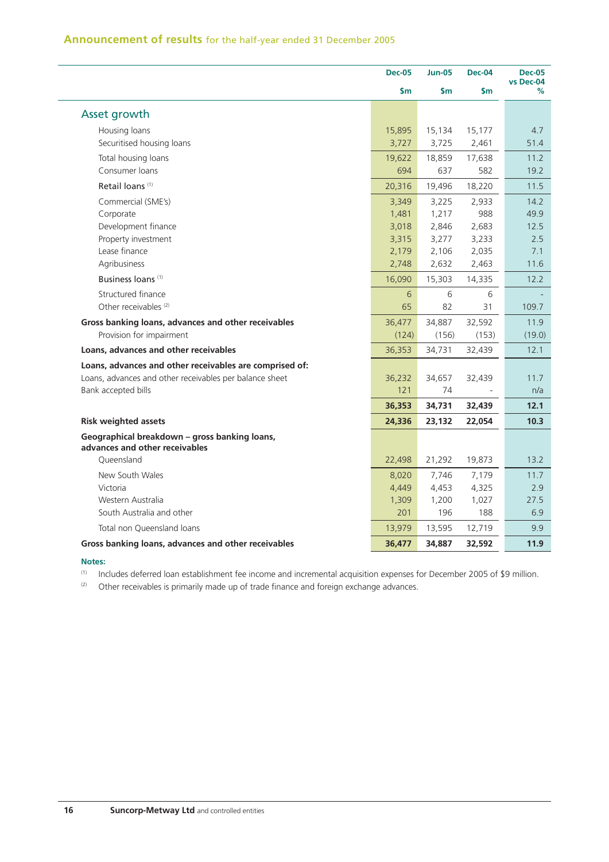|                                                                                 | <b>Dec-05</b> | <b>Jun-05</b> | <b>Dec-04</b> | <b>Dec-05</b><br>vs Dec-04 |
|---------------------------------------------------------------------------------|---------------|---------------|---------------|----------------------------|
|                                                                                 | \$m           | \$m           | \$m           | %                          |
| Asset growth                                                                    |               |               |               |                            |
| Housing loans                                                                   | 15,895        | 15,134        | 15,177        | 4.7                        |
| Securitised housing loans                                                       | 3,727         | 3,725         | 2,461         | 51.4                       |
| Total housing loans                                                             | 19,622        | 18,859        | 17,638        | 11.2                       |
| Consumer loans                                                                  | 694           | 637           | 582           | 19.2                       |
| Retail loans <sup>(1)</sup>                                                     | 20,316        | 19,496        | 18,220        | 11.5                       |
| Commercial (SME's)                                                              | 3,349         | 3,225         | 2,933         | 14.2                       |
| Corporate                                                                       | 1,481         | 1,217         | 988           | 49.9                       |
| Development finance                                                             | 3,018         | 2,846         | 2,683         | 12.5                       |
| Property investment                                                             | 3,315         | 3,277         | 3,233         | 2.5                        |
| Lease finance                                                                   | 2,179         | 2,106         | 2,035         | 7.1                        |
| Agribusiness                                                                    | 2,748         | 2,632         | 2,463         | 11.6                       |
| Business loans <sup>(1)</sup>                                                   | 16,090        | 15,303        | 14,335        | 12.2                       |
| Structured finance                                                              | 6             | 6             | 6             |                            |
| Other receivables <sup>(2)</sup>                                                | 65            | 82            | 31            | 109.7                      |
| Gross banking loans, advances and other receivables                             | 36,477        | 34,887        | 32,592        | 11.9                       |
| Provision for impairment                                                        | (124)         | (156)         | (153)         | (19.0)                     |
| Loans, advances and other receivables                                           | 36,353        | 34,731        | 32,439        | 12.1                       |
| Loans, advances and other receivables are comprised of:                         |               |               |               |                            |
| Loans, advances and other receivables per balance sheet                         | 36,232        | 34,657        | 32,439        | 11.7                       |
| Bank accepted bills                                                             | 121           | 74            |               | n/a                        |
|                                                                                 | 36,353        | 34,731        | 32,439        | 12.1                       |
| <b>Risk weighted assets</b>                                                     | 24,336        | 23,132        | 22,054        | 10.3                       |
| Geographical breakdown - gross banking loans,<br>advances and other receivables |               |               |               |                            |
| Oueensland                                                                      | 22,498        | 21,292        | 19,873        | 13.2                       |
| New South Wales                                                                 | 8,020         | 7,746         | 7,179         | 11.7                       |
| Victoria                                                                        | 4,449         | 4,453         | 4,325         | 2.9                        |
| Western Australia                                                               | 1,309         | 1,200         | 1,027         | 27.5                       |
| South Australia and other                                                       | 201           | 196           | 188           | 6.9                        |
| Total non Queensland loans                                                      | 13,979        | 13,595        | 12,719        | 9.9                        |
| Gross banking loans, advances and other receivables                             | 36,477        | 34,887        | 32,592        | 11.9                       |

#### **Notes:**

(1) Includes deferred loan establishment fee income and incremental acquisition expenses for December 2005 of \$9 million.

 $(2)$  Other receivables is primarily made up of trade finance and foreign exchange advances.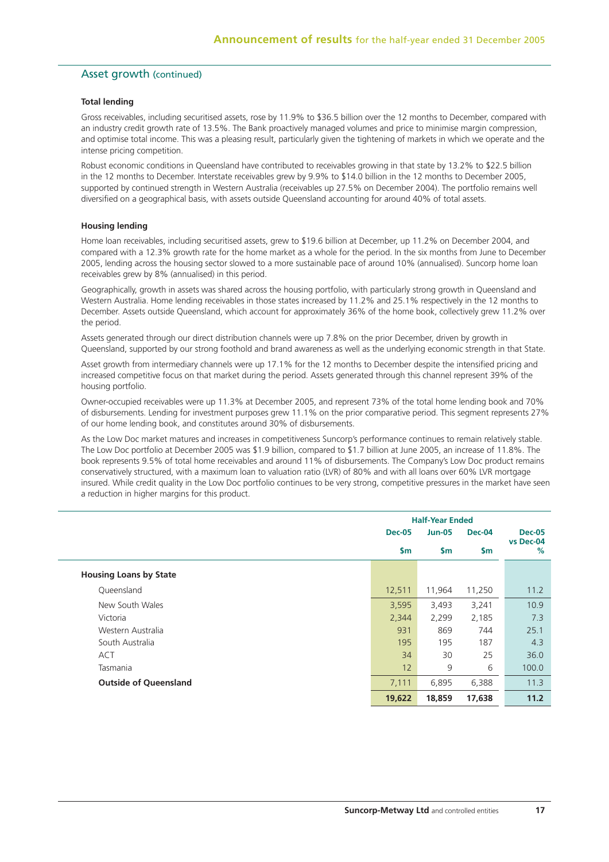## Asset growth (continued)

#### **Total lending**

Gross receivables, including securitised assets, rose by 11.9% to \$36.5 billion over the 12 months to December, compared with an industry credit growth rate of 13.5%. The Bank proactively managed volumes and price to minimise margin compression, and optimise total income. This was a pleasing result, particularly given the tightening of markets in which we operate and the intense pricing competition.

Robust economic conditions in Queensland have contributed to receivables growing in that state by 13.2% to \$22.5 billion in the 12 months to December. Interstate receivables grew by 9.9% to \$14.0 billion in the 12 months to December 2005, supported by continued strength in Western Australia (receivables up 27.5% on December 2004). The portfolio remains well diversified on a geographical basis, with assets outside Queensland accounting for around 40% of total assets.

#### **Housing lending**

Home loan receivables, including securitised assets, grew to \$19.6 billion at December, up 11.2% on December 2004, and compared with a 12.3% growth rate for the home market as a whole for the period. In the six months from June to December 2005, lending across the housing sector slowed to a more sustainable pace of around 10% (annualised). Suncorp home loan receivables grew by 8% (annualised) in this period.

Geographically, growth in assets was shared across the housing portfolio, with particularly strong growth in Queensland and Western Australia. Home lending receivables in those states increased by 11.2% and 25.1% respectively in the 12 months to December. Assets outside Queensland, which account for approximately 36% of the home book, collectively grew 11.2% over the period.

Assets generated through our direct distribution channels were up 7.8% on the prior December, driven by growth in Queensland, supported by our strong foothold and brand awareness as well as the underlying economic strength in that State.

Asset growth from intermediary channels were up 17.1% for the 12 months to December despite the intensified pricing and increased competitive focus on that market during the period. Assets generated through this channel represent 39% of the housing portfolio.

Owner-occupied receivables were up 11.3% at December 2005, and represent 73% of the total home lending book and 70% of disbursements. Lending for investment purposes grew 11.1% on the prior comparative period. This segment represents 27% of our home lending book, and constitutes around 30% of disbursements.

As the Low Doc market matures and increases in competitiveness Suncorp's performance continues to remain relatively stable. The Low Doc portfolio at December 2005 was \$1.9 billion, compared to \$1.7 billion at June 2005, an increase of 11.8%. The book represents 9.5% of total home receivables and around 11% of disbursements. The Company's Low Doc product remains conservatively structured, with a maximum loan to valuation ratio (LVR) of 80% and with all loans over 60% LVR mortgage insured. While credit quality in the Low Doc portfolio continues to be very strong, competitive pressures in the market have seen a reduction in higher margins for this product.

|                               |               | <b>Half-Year Ended</b> |               |                |
|-------------------------------|---------------|------------------------|---------------|----------------|
|                               | <b>Dec-05</b> | <b>Jun-05</b>          | <b>Dec-04</b> | <b>Dec-05</b>  |
|                               | $\mathsf{Sm}$ | $\mathsf{Sm}$          | $\mathsf{Sm}$ | vs Dec-04<br>% |
| <b>Housing Loans by State</b> |               |                        |               |                |
| Queensland                    | 12,511        | 11,964                 | 11,250        | 11.2           |
| New South Wales               | 3,595         | 3,493                  | 3,241         | 10.9           |
| Victoria                      | 2,344         | 2,299                  | 2,185         | 7.3            |
| Western Australia             | 931           | 869                    | 744           | 25.1           |
| South Australia               | 195           | 195                    | 187           | 4.3            |
| <b>ACT</b>                    | 34            | 30                     | 25            | 36.0           |
| Tasmania                      | 12            | 9                      | 6             | 100.0          |
| <b>Outside of Queensland</b>  | 7,111         | 6,895                  | 6,388         | 11.3           |
|                               | 19,622        | 18,859                 | 17,638        | 11.2           |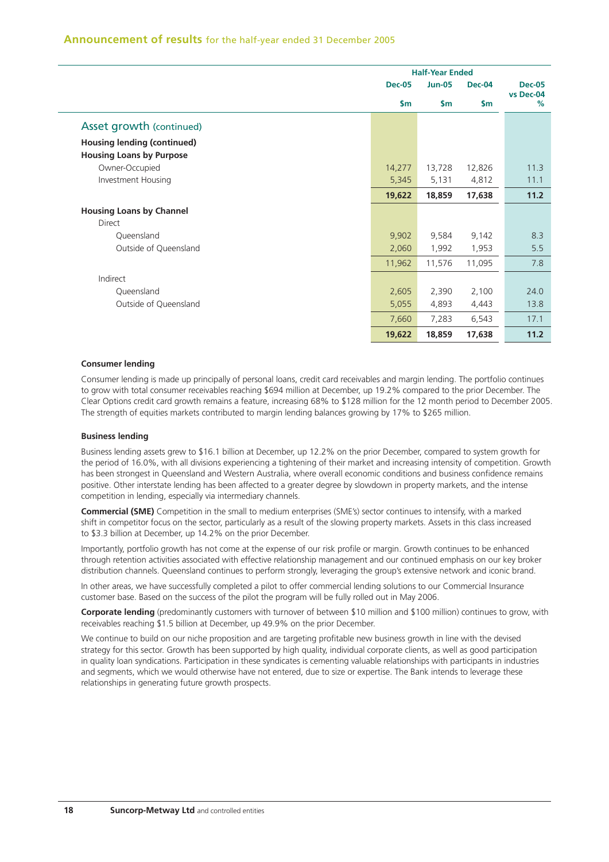|                                    | <b>Half-Year Ended</b> |               |               |                |
|------------------------------------|------------------------|---------------|---------------|----------------|
|                                    | <b>Dec-05</b>          | <b>Jun-05</b> | <b>Dec-04</b> | <b>Dec-05</b>  |
|                                    | $\mathsf{Sm}$          | $\mathsf{Sm}$ | $\mathsf{sm}$ | vs Dec-04<br>% |
| Asset growth (continued)           |                        |               |               |                |
| <b>Housing lending (continued)</b> |                        |               |               |                |
| <b>Housing Loans by Purpose</b>    |                        |               |               |                |
| Owner-Occupied                     | 14,277                 | 13,728        | 12,826        | 11.3           |
| Investment Housing                 | 5,345                  | 5,131         | 4,812         | 11.1           |
|                                    | 19,622                 | 18,859        | 17,638        | 11.2           |
| <b>Housing Loans by Channel</b>    |                        |               |               |                |
| Direct                             |                        |               |               |                |
| Queensland                         | 9,902                  | 9,584         | 9,142         | 8.3            |
| Outside of Queensland              | 2,060                  | 1,992         | 1,953         | 5.5            |
|                                    | 11,962                 | 11,576        | 11,095        | 7.8            |
| Indirect                           |                        |               |               |                |
| Queensland                         | 2,605                  | 2,390         | 2,100         | 24.0           |
| Outside of Queensland              | 5,055                  | 4,893         | 4,443         | 13.8           |
|                                    | 7,660                  | 7,283         | 6,543         | 17.1           |
|                                    | 19,622                 | 18,859        | 17,638        | 11.2           |

#### **Consumer lending**

Consumer lending is made up principally of personal loans, credit card receivables and margin lending. The portfolio continues to grow with total consumer receivables reaching \$694 million at December, up 19.2% compared to the prior December. The Clear Options credit card growth remains a feature, increasing 68% to \$128 million for the 12 month period to December 2005. The strength of equities markets contributed to margin lending balances growing by 17% to \$265 million.

#### **Business lending**

Business lending assets grew to \$16.1 billion at December, up 12.2% on the prior December, compared to system growth for the period of 16.0%, with all divisions experiencing a tightening of their market and increasing intensity of competition. Growth has been strongest in Queensland and Western Australia, where overall economic conditions and business confidence remains positive. Other interstate lending has been affected to a greater degree by slowdown in property markets, and the intense competition in lending, especially via intermediary channels.

**Commercial (SME)** Competition in the small to medium enterprises (SME's) sector continues to intensify, with a marked shift in competitor focus on the sector, particularly as a result of the slowing property markets. Assets in this class increased to \$3.3 billion at December, up 14.2% on the prior December.

Importantly, portfolio growth has not come at the expense of our risk profile or margin. Growth continues to be enhanced through retention activities associated with effective relationship management and our continued emphasis on our key broker distribution channels. Queensland continues to perform strongly, leveraging the group's extensive network and iconic brand.

In other areas, we have successfully completed a pilot to offer commercial lending solutions to our Commercial Insurance customer base. Based on the success of the pilot the program will be fully rolled out in May 2006.

**Corporate lending** (predominantly customers with turnover of between \$10 million and \$100 million) continues to grow, with receivables reaching \$1.5 billion at December, up 49.9% on the prior December.

We continue to build on our niche proposition and are targeting profitable new business growth in line with the devised strategy for this sector. Growth has been supported by high quality, individual corporate clients, as well as good participation in quality loan syndications. Participation in these syndicates is cementing valuable relationships with participants in industries and segments, which we would otherwise have not entered, due to size or expertise. The Bank intends to leverage these relationships in generating future growth prospects.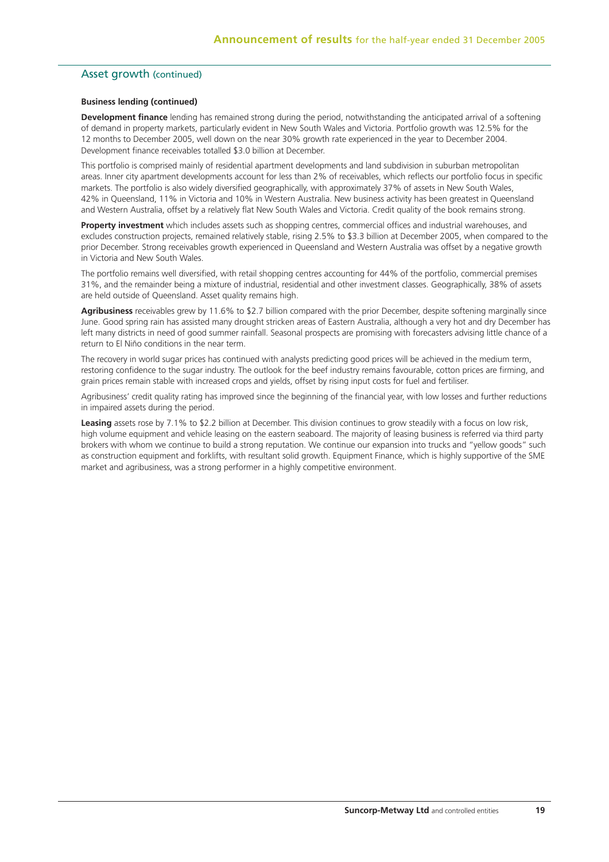## Asset growth (continued)

## **Business lending (continued)**

**Development finance** lending has remained strong during the period, notwithstanding the anticipated arrival of a softening of demand in property markets, particularly evident in New South Wales and Victoria. Portfolio growth was 12.5% for the 12 months to December 2005, well down on the near 30% growth rate experienced in the year to December 2004. Development finance receivables totalled \$3.0 billion at December.

This portfolio is comprised mainly of residential apartment developments and land subdivision in suburban metropolitan areas. Inner city apartment developments account for less than 2% of receivables, which reflects our portfolio focus in specific markets. The portfolio is also widely diversified geographically, with approximately 37% of assets in New South Wales, 42% in Queensland, 11% in Victoria and 10% in Western Australia. New business activity has been greatest in Queensland and Western Australia, offset by a relatively flat New South Wales and Victoria. Credit quality of the book remains strong.

**Property investment** which includes assets such as shopping centres, commercial offices and industrial warehouses, and excludes construction projects, remained relatively stable, rising 2.5% to \$3.3 billion at December 2005, when compared to the prior December. Strong receivables growth experienced in Queensland and Western Australia was offset by a negative growth in Victoria and New South Wales.

The portfolio remains well diversified, with retail shopping centres accounting for 44% of the portfolio, commercial premises 31%, and the remainder being a mixture of industrial, residential and other investment classes. Geographically, 38% of assets are held outside of Queensland. Asset quality remains high.

**Agribusiness** receivables grew by 11.6% to \$2.7 billion compared with the prior December, despite softening marginally since June. Good spring rain has assisted many drought stricken areas of Eastern Australia, although a very hot and dry December has left many districts in need of good summer rainfall. Seasonal prospects are promising with forecasters advising little chance of a return to El Niño conditions in the near term.

The recovery in world sugar prices has continued with analysts predicting good prices will be achieved in the medium term, restoring confidence to the sugar industry. The outlook for the beef industry remains favourable, cotton prices are firming, and grain prices remain stable with increased crops and yields, offset by rising input costs for fuel and fertiliser.

Agribusiness' credit quality rating has improved since the beginning of the financial year, with low losses and further reductions in impaired assets during the period.

**Leasing** assets rose by 7.1% to \$2.2 billion at December. This division continues to grow steadily with a focus on low risk, high volume equipment and vehicle leasing on the eastern seaboard. The majority of leasing business is referred via third party brokers with whom we continue to build a strong reputation. We continue our expansion into trucks and "yellow goods" such as construction equipment and forklifts, with resultant solid growth. Equipment Finance, which is highly supportive of the SME market and agribusiness, was a strong performer in a highly competitive environment.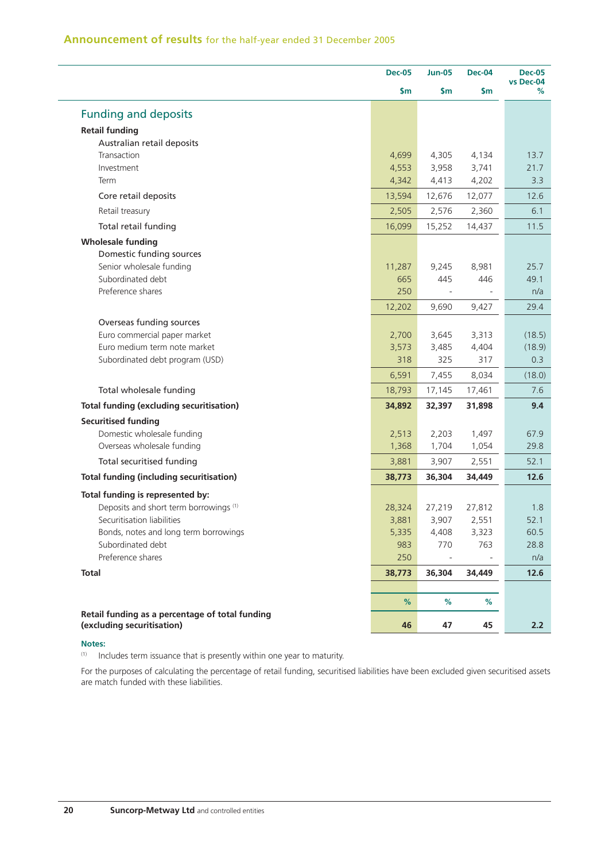|                                                            | <b>Dec-05</b>   | <b>Jun-05</b>   | <b>Dec-04</b>   | <b>Dec-05</b>  |
|------------------------------------------------------------|-----------------|-----------------|-----------------|----------------|
|                                                            | \$m             | \$m\$           | \$m             | vs Dec-04<br>℅ |
| <b>Funding and deposits</b>                                |                 |                 |                 |                |
| <b>Retail funding</b>                                      |                 |                 |                 |                |
| Australian retail deposits                                 |                 |                 |                 |                |
| Transaction                                                | 4,699           | 4,305           | 4,134           | 13.7           |
| Investment                                                 | 4,553           | 3,958           | 3,741           | 21.7           |
| Term                                                       | 4,342           | 4,413           | 4,202           | 3.3            |
| Core retail deposits                                       | 13,594          | 12,676          | 12,077          | 12.6           |
| Retail treasury                                            | 2,505           | 2,576           | 2,360           | 6.1            |
| Total retail funding                                       | 16,099          | 15,252          | 14,437          | 11.5           |
| <b>Wholesale funding</b>                                   |                 |                 |                 |                |
| Domestic funding sources                                   |                 |                 |                 |                |
| Senior wholesale funding                                   | 11,287          | 9,245           | 8,981           | 25.7           |
| Subordinated debt                                          | 665             | 445             | 446             | 49.1           |
| Preference shares                                          | 250             |                 |                 | n/a            |
|                                                            | 12,202          | 9,690           | 9,427           | 29.4           |
| Overseas funding sources                                   |                 |                 |                 |                |
| Euro commercial paper market                               | 2,700           | 3,645           | 3,313           | (18.5)         |
| Euro medium term note market                               | 3,573           | 3,485           | 4,404           | (18.9)         |
| Subordinated debt program (USD)                            | 318             | 325             | 317             | 0.3            |
|                                                            | 6,591           | 7,455           | 8,034           | (18.0)         |
| Total wholesale funding                                    | 18,793          | 17,145          | 17,461          | 7.6            |
| <b>Total funding (excluding securitisation)</b>            | 34,892          | 32,397          | 31,898          | 9.4            |
| <b>Securitised funding</b>                                 |                 |                 |                 |                |
| Domestic wholesale funding<br>Overseas wholesale funding   | 2,513<br>1,368  | 2,203<br>1,704  | 1,497<br>1,054  | 67.9<br>29.8   |
| Total securitised funding                                  |                 |                 |                 | 52.1           |
| <b>Total funding (including securitisation)</b>            | 3,881<br>38,773 | 3,907<br>36,304 | 2,551<br>34,449 | 12.6           |
|                                                            |                 |                 |                 |                |
| Total funding is represented by:                           |                 |                 |                 |                |
| Deposits and short term borrowings <sup>(1)</sup>          | 28,324          | 27,219          | 27,812          | 1.8            |
| Securitisation liabilities                                 | 3,881           | 3,907           | 2,551           | 52.1<br>60.5   |
| Bonds, notes and long term borrowings<br>Subordinated debt | 5,335<br>983    | 4,408<br>770    | 3,323<br>763    | 28.8           |
| Preference shares                                          | 250             |                 |                 | n/a            |
| <b>Total</b>                                               | 38,773          | 36,304          | 34,449          | 12.6           |
|                                                            |                 |                 |                 |                |
|                                                            | %               | %               | %               |                |
| Retail funding as a percentage of total funding            |                 |                 |                 |                |
| (excluding securitisation)                                 | 46              | 47              | 45              | 2.2            |

#### **Notes:**

L,

L.

 $(1)$  Includes term issuance that is presently within one year to maturity.

For the purposes of calculating the percentage of retail funding, securitised liabilities have been excluded given securitised assets are match funded with these liabilities.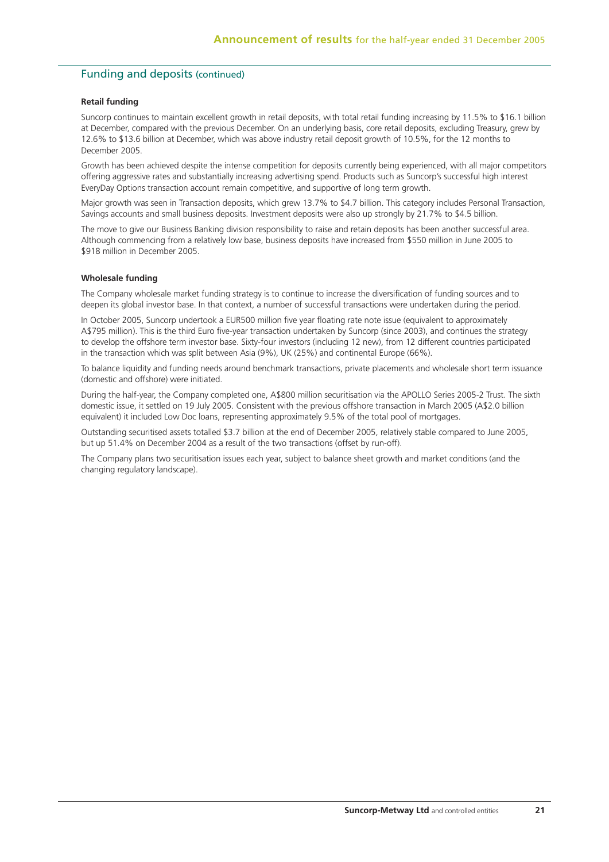## Funding and deposits (continued)

#### **Retail funding**

Suncorp continues to maintain excellent growth in retail deposits, with total retail funding increasing by 11.5% to \$16.1 billion at December, compared with the previous December. On an underlying basis, core retail deposits, excluding Treasury, grew by 12.6% to \$13.6 billion at December, which was above industry retail deposit growth of 10.5%, for the 12 months to December 2005.

Growth has been achieved despite the intense competition for deposits currently being experienced, with all major competitors offering aggressive rates and substantially increasing advertising spend. Products such as Suncorp's successful high interest EveryDay Options transaction account remain competitive, and supportive of long term growth.

Major growth was seen in Transaction deposits, which grew 13.7% to \$4.7 billion. This category includes Personal Transaction, Savings accounts and small business deposits. Investment deposits were also up strongly by 21.7% to \$4.5 billion.

The move to give our Business Banking division responsibility to raise and retain deposits has been another successful area. Although commencing from a relatively low base, business deposits have increased from \$550 million in June 2005 to \$918 million in December 2005.

#### **Wholesale funding**

The Company wholesale market funding strategy is to continue to increase the diversification of funding sources and to deepen its global investor base. In that context, a number of successful transactions were undertaken during the period.

In October 2005, Suncorp undertook a EUR500 million five year floating rate note issue (equivalent to approximately A\$795 million). This is the third Euro five-year transaction undertaken by Suncorp (since 2003), and continues the strategy to develop the offshore term investor base. Sixty-four investors (including 12 new), from 12 different countries participated in the transaction which was split between Asia (9%), UK (25%) and continental Europe (66%).

To balance liquidity and funding needs around benchmark transactions, private placements and wholesale short term issuance (domestic and offshore) were initiated.

During the half-year, the Company completed one, A\$800 million securitisation via the APOLLO Series 2005-2 Trust. The sixth domestic issue, it settled on 19 July 2005. Consistent with the previous offshore transaction in March 2005 (A\$2.0 billion equivalent) it included Low Doc loans, representing approximately 9.5% of the total pool of mortgages.

Outstanding securitised assets totalled \$3.7 billion at the end of December 2005, relatively stable compared to June 2005, but up 51.4% on December 2004 as a result of the two transactions (offset by run-off).

The Company plans two securitisation issues each year, subject to balance sheet growth and market conditions (and the changing regulatory landscape).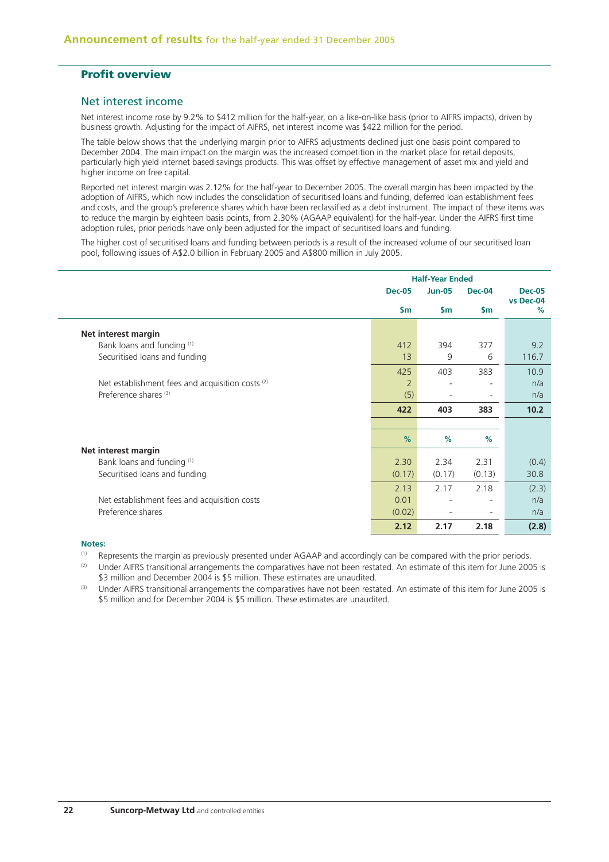## **Profit overview**

## Net interest income

Net interest income rose by 9.2% to \$412 million for the half-year, on a like-on-like basis (prior to AIFRS impacts), driven by business growth. Adjusting for the impact of AIFRS, net interest income was \$422 million for the period.

The table below shows that the underlying margin prior to AIFRS adjustments declined just one basis point compared to December 2004. The main impact on the margin was the increased competition in the market place for retail deposits, particularly high yield internet based savings products. This was offset by effective management of asset mix and yield and higher income on free capital.

Reported net interest margin was 2.12% for the half-year to December 2005. The overall margin has been impacted by the adoption of AIFRS, which now includes the consolidation of securitised loans and funding, deferred loan establishment fees and costs, and the group's preference shares which have been reclassified as a debt instrument. The impact of these items was to reduce the margin by eighteen basis points, from 2.30% (AGAAP equivalent) for the half-year. Under the AIFRS first time adoption rules, prior periods have only been adjusted for the impact of securitised loans and funding.

The higher cost of securitised loans and funding between periods is a result of the increased volume of our securitised loan pool, following issues of A\$2.0 billion in February 2005 and A\$800 million in July 2005.

|                                                             |                | <b>Half-Year Ended</b> |                          |                |
|-------------------------------------------------------------|----------------|------------------------|--------------------------|----------------|
|                                                             | <b>Dec-05</b>  | <b>Jun-05</b>          | <b>Dec-04</b>            | <b>Dec-05</b>  |
|                                                             | $\mathsf{sm}$  | \$m                    | $\mathsf{Sm}$            | vs Dec-04<br>% |
| Net interest margin                                         |                |                        |                          |                |
| Bank loans and funding (1)                                  | 412            | 394                    | 377                      | 9.2            |
| Securitised loans and funding                               | 13             | 9                      | 6                        | 116.7          |
|                                                             | 425            | 403                    | 383                      | 10.9           |
| Net establishment fees and acquisition costs <sup>(2)</sup> | $\overline{2}$ |                        |                          | n/a            |
| Preference shares <sup>(3)</sup>                            | (5)            |                        | $\overline{\phantom{a}}$ | n/a            |
|                                                             | 422            | 403                    | 383                      | 10.2           |
|                                                             |                |                        |                          |                |
|                                                             | $\frac{9}{6}$  | %                      | $\%$                     |                |
| Net interest margin                                         |                |                        |                          |                |
| Bank loans and funding (1)                                  | 2.30           | 2.34                   | 2.31                     | (0.4)          |
| Securitised loans and funding                               | (0.17)         | (0.17)                 | (0.13)                   | 30.8           |
|                                                             | 2.13           | 2.17                   | 2.18                     | (2.3)          |
| Net establishment fees and acquisition costs                | 0.01           |                        | ٠                        | n/a            |
| Preference shares                                           | (0.02)         |                        | $\overline{\phantom{a}}$ | n/a            |
|                                                             | 2.12           | 2.17                   | 2.18                     | (2.8)          |

#### **Notes:**

(1) Represents the margin as previously presented under AGAAP and accordingly can be compared with the prior periods.

<sup>(2)</sup> Under AIFRS transitional arrangements the comparatives have not been restated. An estimate of this item for June 2005 is \$3 million and December 2004 is \$5 million. These estimates are unaudited.

<sup>(3)</sup> Under AIFRS transitional arrangements the comparatives have not been restated. An estimate of this item for June 2005 is \$5 million and for December 2004 is \$5 million. These estimates are unaudited.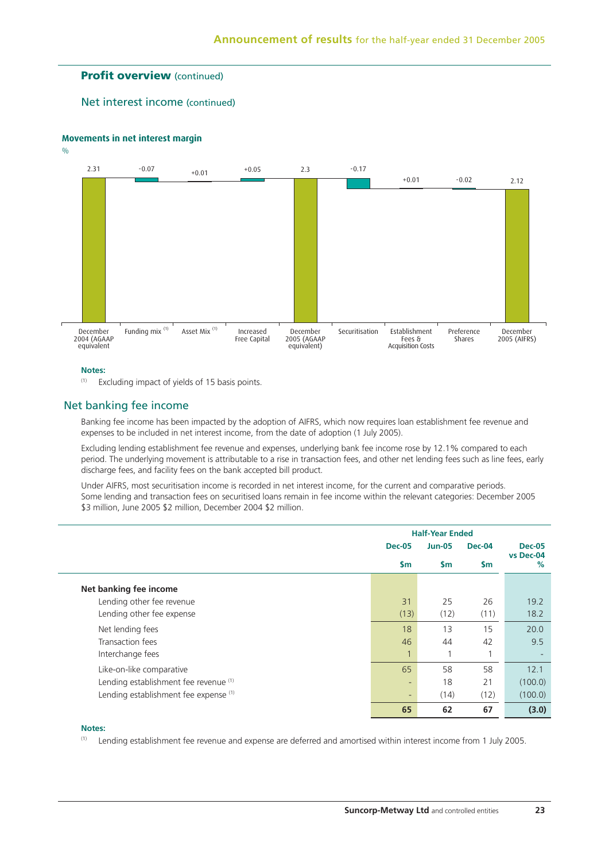## **Profit overview** (continued)

Net interest income (continued)

#### **Movements in net interest margin**

 $0/6$ 



#### **Notes:**

 $(1)$  Excluding impact of yields of 15 basis points.

## Net banking fee income

Banking fee income has been impacted by the adoption of AIFRS, which now requires loan establishment fee revenue and expenses to be included in net interest income, from the date of adoption (1 July 2005).

Excluding lending establishment fee revenue and expenses, underlying bank fee income rose by 12.1% compared to each period. The underlying movement is attributable to a rise in transaction fees, and other net lending fees such as line fees, early discharge fees, and facility fees on the bank accepted bill product.

Under AIFRS, most securitisation income is recorded in net interest income, for the current and comparative periods. Some lending and transaction fees on securitised loans remain in fee income within the relevant categories: December 2005 \$3 million, June 2005 \$2 million, December 2004 \$2 million.

|                                       | <b>Half-Year Ended</b> |               |                |                   |
|---------------------------------------|------------------------|---------------|----------------|-------------------|
|                                       | <b>Dec-05</b>          | <b>Jun-05</b> | <b>Dec-04</b>  | <b>Dec-05</b>     |
|                                       | <b>Sm</b>              | <b>Sm</b>     | $\mathsf{sm}$  | vs Dec-04<br>$\%$ |
| Net banking fee income                |                        |               |                |                   |
| Lending other fee revenue             | 31                     | 25            | 26             | 19.2              |
| Lending other fee expense             | (13)                   | (12)          | (11)           | 18.2              |
| Net lending fees                      | 18                     | 13            | 15             | 20.0              |
| Transaction fees                      | 46                     | 44            | 42             | 9.5               |
| Interchange fees                      | $\overline{1}$         | 1             | $\overline{ }$ |                   |
| Like-on-like comparative              | 65                     | 58            | 58             | 12.1              |
| Lending establishment fee revenue (1) | ۰.                     | 18            | 21             | (100.0)           |
| Lending establishment fee expense (1) | ٠                      | (14)          | (12)           | (100.0)           |
|                                       | 65                     | 62            | 67             | (3.0)             |

#### **Notes:**

(1) Lending establishment fee revenue and expense are deferred and amortised within interest income from 1 July 2005.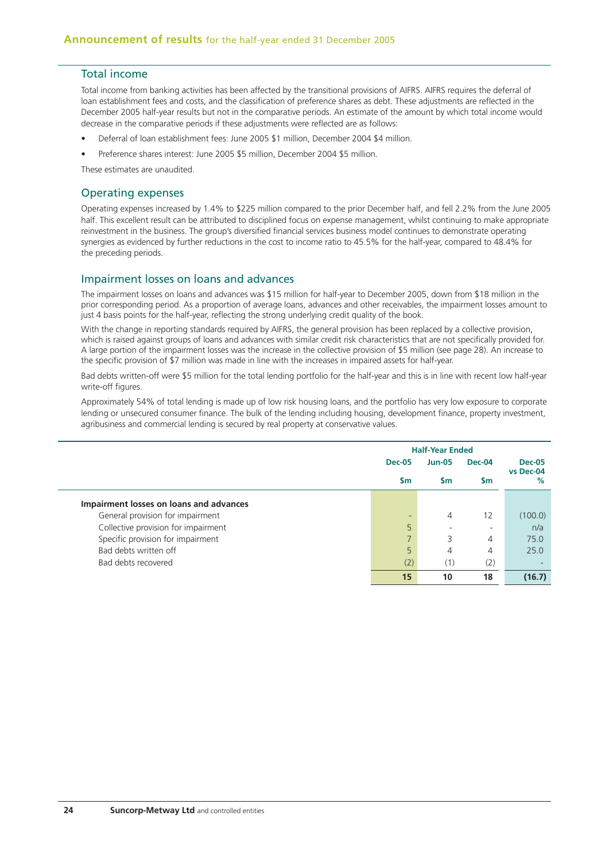## Total income

Total income from banking activities has been affected by the transitional provisions of AIFRS. AIFRS requires the deferral of loan establishment fees and costs, and the classification of preference shares as debt. These adjustments are reflected in the December 2005 half-year results but not in the comparative periods. An estimate of the amount by which total income would decrease in the comparative periods if these adjustments were reflected are as follows:

- Deferral of loan establishment fees: June 2005 \$1 million, December 2004 \$4 million.
- Preference shares interest: June 2005 \$5 million, December 2004 \$5 million.

These estimates are unaudited.

### Operating expenses

Operating expenses increased by 1.4% to \$225 million compared to the prior December half, and fell 2.2% from the June 2005 half. This excellent result can be attributed to disciplined focus on expense management, whilst continuing to make appropriate reinvestment in the business. The group's diversified financial services business model continues to demonstrate operating synergies as evidenced by further reductions in the cost to income ratio to 45.5% for the half-year, compared to 48.4% for the preceding periods.

## Impairment losses on loans and advances

The impairment losses on loans and advances was \$15 million for half-year to December 2005, down from \$18 million in the prior corresponding period. As a proportion of average loans, advances and other receivables, the impairment losses amount to just 4 basis points for the half-year, reflecting the strong underlying credit quality of the book.

With the change in reporting standards required by AIFRS, the general provision has been replaced by a collective provision, which is raised against groups of loans and advances with similar credit risk characteristics that are not specifically provided for. A large portion of the impairment losses was the increase in the collective provision of \$5 million (see page 28). An increase to the specific provision of \$7 million was made in line with the increases in impaired assets for half-year.

Bad debts written-off were \$5 million for the total lending portfolio for the half-year and this is in line with recent low half-year write-off figures.

Approximately 54% of total lending is made up of low risk housing loans, and the portfolio has very low exposure to corporate lending or unsecured consumer finance. The bulk of the lending including housing, development finance, property investment, agribusiness and commercial lending is secured by real property at conservative values.

|                                         | <b>Half-Year Ended</b>   |                          |                          |                |
|-----------------------------------------|--------------------------|--------------------------|--------------------------|----------------|
|                                         | <b>Dec-05</b>            | <b>Jun-05</b>            | Dec-04                   | <b>Dec-05</b>  |
|                                         | <b>Sm</b>                | <b>S</b> m               | Sm                       | vs Dec-04<br>% |
| Impairment losses on loans and advances |                          |                          |                          |                |
| General provision for impairment        | $\overline{\phantom{0}}$ | 4                        | 12                       | (100.0)        |
| Collective provision for impairment     | 5                        | $\overline{\phantom{0}}$ | $\overline{\phantom{a}}$ | n/a            |
| Specific provision for impairment       |                          | 3                        | 4                        | 75.0           |
| Bad debts written off                   | 5                        | 4                        | 4                        | 25.0           |
| Bad debts recovered                     | (2)                      | (1)                      | (2)                      |                |
|                                         | 15                       | 10                       | 18                       | (16.7)         |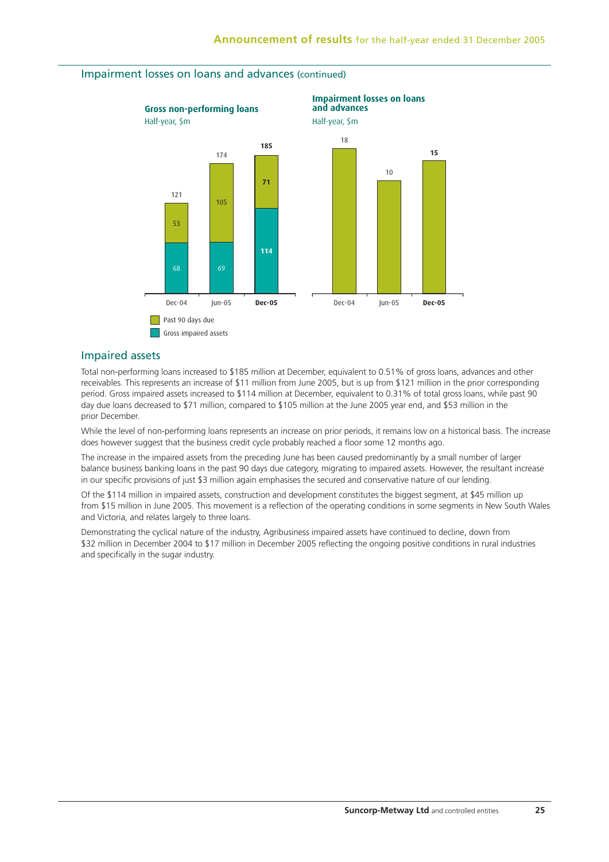

## Impairment losses on loans and advances (continued)

#### Impaired assets

Total non-performing loans increased to \$185 million at December, equivalent to 0.51% of gross loans, advances and other receivables. This represents an increase of \$11 million from June 2005, but is up from \$121 million in the prior corresponding period. Gross impaired assets increased to \$114 million at December, equivalent to 0.31% of total gross loans, while past 90 day due loans decreased to \$71 million, compared to \$105 million at the June 2005 year end, and \$53 million in the prior December.

While the level of non-performing loans represents an increase on prior periods, it remains low on a historical basis. The increase does however suggest that the business credit cycle probably reached a floor some 12 months ago.

The increase in the impaired assets from the preceding June has been caused predominantly by a small number of larger balance business banking loans in the past 90 days due category, migrating to impaired assets. However, the resultant increase in our specific provisions of just \$3 million again emphasises the secured and conservative nature of our lending.

Of the \$114 million in impaired assets, construction and development constitutes the biggest segment, at \$45 million up from \$15 million in June 2005. This movement is a reflection of the operating conditions in some segments in New South Wales and Victoria, and relates largely to three loans.

Demonstrating the cyclical nature of the industry, Agribusiness impaired assets have continued to decline, down from \$32 million in December 2004 to \$17 million in December 2005 reflecting the ongoing positive conditions in rural industries and specifically in the sugar industry.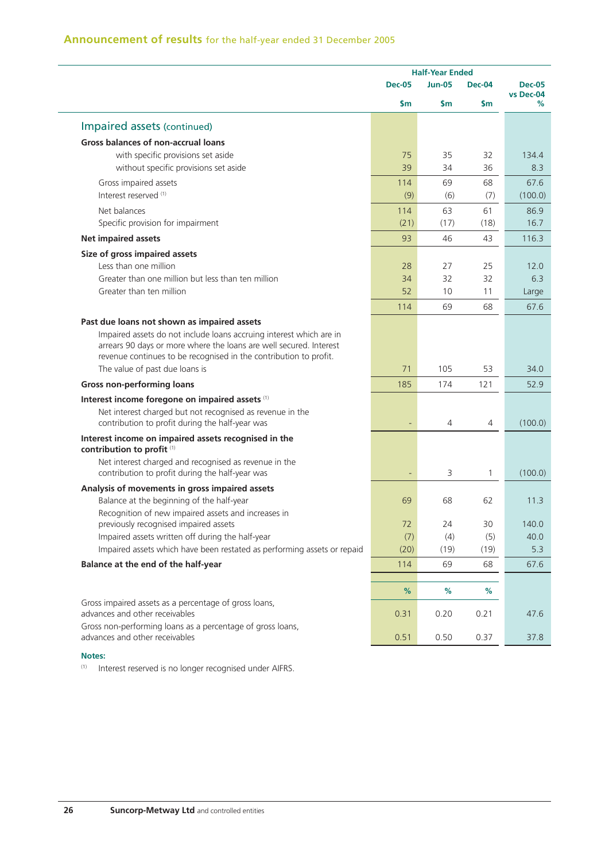|                                                                                                              | <b>Half-Year Ended</b> |                |                |                            |
|--------------------------------------------------------------------------------------------------------------|------------------------|----------------|----------------|----------------------------|
|                                                                                                              | <b>Dec-05</b>          | <b>Jun-05</b>  | <b>Dec-04</b>  | <b>Dec-05</b><br>vs Dec-04 |
|                                                                                                              | \$m                    | \$m            | \$m            | %                          |
| Impaired assets (continued)                                                                                  |                        |                |                |                            |
| <b>Gross balances of non-accrual loans</b>                                                                   |                        |                |                |                            |
| with specific provisions set aside                                                                           | 75                     | 35             | 32             | 134.4                      |
| without specific provisions set aside                                                                        | 39                     | 34             | 36             | 8.3                        |
| Gross impaired assets                                                                                        | 114                    | 69             | 68             | 67.6                       |
| Interest reserved (1)                                                                                        | (9)                    | (6)            | (7)            | (100.0)                    |
| Net balances                                                                                                 | 114                    | 63             | 61             | 86.9                       |
| Specific provision for impairment                                                                            | (21)                   | (17)           | (18)           | 16.7                       |
| <b>Net impaired assets</b>                                                                                   | 93                     | 46             | 43             | 116.3                      |
| Size of gross impaired assets                                                                                |                        |                |                |                            |
| Less than one million                                                                                        | 28                     | 27             | 25             | 12.0                       |
| Greater than one million but less than ten million                                                           | 34                     | 32             | 32             | 6.3                        |
| Greater than ten million                                                                                     | 52                     | 10             | 11             | Large                      |
|                                                                                                              | 114                    | 69             | 68             | 67.6                       |
| Past due loans not shown as impaired assets                                                                  |                        |                |                |                            |
| Impaired assets do not include loans accruing interest which are in                                          |                        |                |                |                            |
| arrears 90 days or more where the loans are well secured. Interest                                           |                        |                |                |                            |
| revenue continues to be recognised in the contribution to profit.<br>The value of past due loans is          | 71                     | 105            | 53             | 34.0                       |
|                                                                                                              | 185                    | 174            | 121            | 52.9                       |
| <b>Gross non-performing loans</b>                                                                            |                        |                |                |                            |
| Interest income foregone on impaired assets (1)<br>Net interest charged but not recognised as revenue in the |                        |                |                |                            |
| contribution to profit during the half-year was                                                              |                        | $\overline{4}$ | $\overline{4}$ | (100.0)                    |
| Interest income on impaired assets recognised in the                                                         |                        |                |                |                            |
| contribution to profit (1)                                                                                   |                        |                |                |                            |
| Net interest charged and recognised as revenue in the                                                        |                        |                |                |                            |
| contribution to profit during the half-year was                                                              |                        | 3              | 1              | (100.0)                    |
| Analysis of movements in gross impaired assets                                                               |                        |                |                |                            |
| Balance at the beginning of the half-year                                                                    | 69                     | 68             | 62             | 11.3                       |
| Recognition of new impaired assets and increases in<br>previously recognised impaired assets                 | 72                     | 24             | 30             | 140.0                      |
| Impaired assets written off during the half-year                                                             | (7)                    | (4)            | (5)            | 40.0                       |
| Impaired assets which have been restated as performing assets or repaid                                      | (20)                   | (19)           | (19)           | 5.3                        |
| Balance at the end of the half-year                                                                          | 114                    | 69             | 68             | 67.6                       |
|                                                                                                              |                        |                |                |                            |
|                                                                                                              | %                      | %              | %              |                            |
| Gross impaired assets as a percentage of gross loans,                                                        |                        |                |                |                            |
| advances and other receivables                                                                               | 0.31                   | 0.20           | 0.21           | 47.6                       |
| Gross non-performing loans as a percentage of gross loans,<br>advances and other receivables                 | 0.51                   | 0.50           | 0.37           | 37.8                       |
|                                                                                                              |                        |                |                |                            |

**Notes:**

(1) Interest reserved is no longer recognised under AIFRS.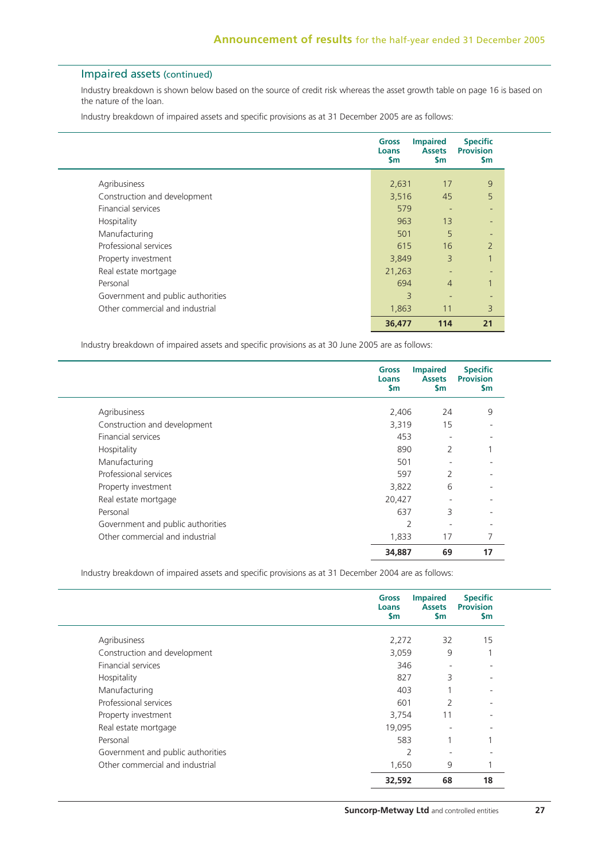## Impaired assets (continued)

Industry breakdown is shown below based on the source of credit risk whereas the asset growth table on page 16 is based on the nature of the loan.

Industry breakdown of impaired assets and specific provisions as at 31 December 2005 are as follows:

|                                   | Gross<br>Loans<br>\$m   | <b>Impaired</b><br><b>Assets</b><br><b>Sm</b> | <b>Specific</b><br><b>Provision</b><br><b>Sm</b> |
|-----------------------------------|-------------------------|-----------------------------------------------|--------------------------------------------------|
| Agribusiness                      | 2,631                   | 17                                            | 9                                                |
| Construction and development      | 3,516                   | 45                                            | 5                                                |
| <b>Financial services</b>         | 579                     |                                               | ٠                                                |
| Hospitality                       | 963                     | 13                                            | -                                                |
| Manufacturing                     | 501                     | 5                                             | -                                                |
| Professional services             | 615                     | 16                                            | $\overline{2}$                                   |
| Property investment               | 3,849                   | 3                                             |                                                  |
| Real estate mortgage              | 21,263                  |                                               | $\overline{\phantom{a}}$                         |
| Personal                          | 694                     | $\overline{4}$                                |                                                  |
| Government and public authorities | $\overline{\mathsf{B}}$ | ٠                                             | ٠                                                |
| Other commercial and industrial   | 1,863                   | 11                                            | 3                                                |
|                                   | 36,477                  | 114                                           | 21                                               |

Industry breakdown of impaired assets and specific provisions as at 30 June 2005 are as follows:

|                                   | <b>Gross</b><br><b>Loans</b><br><b>Sm</b> | <b>Impaired</b><br><b>Assets</b><br>\$m | <b>Specific</b><br><b>Provision</b><br><b>Sm</b> |
|-----------------------------------|-------------------------------------------|-----------------------------------------|--------------------------------------------------|
| Agribusiness                      | 2,406                                     | 24                                      | 9                                                |
| Construction and development      | 3,319                                     | 15                                      |                                                  |
| <b>Financial services</b>         | 453                                       | $\overline{\phantom{0}}$                | -                                                |
| Hospitality                       | 890                                       | 2                                       | 1                                                |
| Manufacturing                     | 501                                       |                                         |                                                  |
| Professional services             | 597                                       | $\overline{2}$                          |                                                  |
| Property investment               | 3,822                                     | 6                                       |                                                  |
| Real estate mortgage              | 20,427                                    |                                         |                                                  |
| Personal                          | 637                                       | 3                                       |                                                  |
| Government and public authorities | 2                                         | ٠                                       | ۰                                                |
| Other commercial and industrial   | 1,833                                     | 17                                      | 7                                                |
|                                   | 34,887                                    | 69                                      | 17                                               |

Industry breakdown of impaired assets and specific provisions as at 31 December 2004 are as follows:

|                                   | <b>Gross</b><br>Loans<br>$\mathsf{Sm}$ | <b>Impaired</b><br><b>Assets</b><br>\$m | <b>Specific</b><br><b>Provision</b><br>$\mathsf{Sm}$ |
|-----------------------------------|----------------------------------------|-----------------------------------------|------------------------------------------------------|
| Agribusiness                      | 2,272                                  | 32                                      | 15                                                   |
| Construction and development      | 3,059                                  | 9                                       |                                                      |
| <b>Financial services</b>         | 346                                    | ٠                                       | $\overline{\phantom{0}}$                             |
| Hospitality                       | 827                                    | 3                                       |                                                      |
| Manufacturing                     | 403                                    |                                         | $\overline{\phantom{0}}$                             |
| Professional services             | 601                                    | $\overline{2}$                          | $\overline{\phantom{0}}$                             |
| Property investment               | 3,754                                  | 11                                      |                                                      |
| Real estate mortgage              | 19,095                                 | $\overline{\phantom{a}}$                |                                                      |
| Personal                          | 583                                    | $\overline{ }$                          |                                                      |
| Government and public authorities | $\overline{2}$                         |                                         |                                                      |
| Other commercial and industrial   | 1,650                                  | 9                                       |                                                      |
|                                   | 32,592                                 | 68                                      | 18                                                   |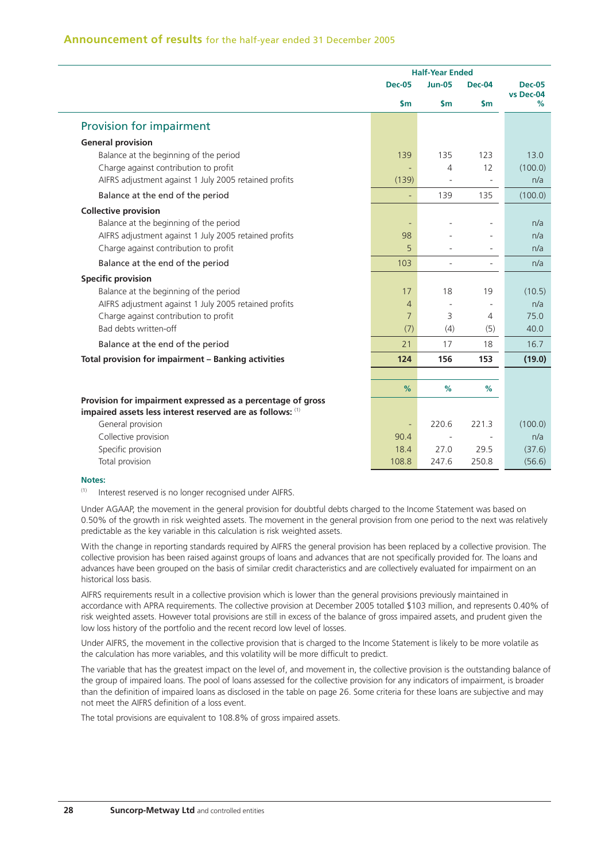|                                                             |                | <b>Half-Year Ended</b>   |                          |                            |
|-------------------------------------------------------------|----------------|--------------------------|--------------------------|----------------------------|
|                                                             | <b>Dec-05</b>  | <b>Jun-05</b>            | <b>Dec-04</b>            | <b>Dec-05</b><br>vs Dec-04 |
|                                                             | $\mathsf{sm}$  | $\mathsf{Sm}$            | $\mathsf{Sm}$            | ℅                          |
| Provision for impairment                                    |                |                          |                          |                            |
| <b>General provision</b>                                    |                |                          |                          |                            |
| Balance at the beginning of the period                      | 139            | 135                      | 123                      | 13.0                       |
| Charge against contribution to profit                       |                | $\overline{4}$           | 12                       | (100.0)                    |
| AIFRS adjustment against 1 July 2005 retained profits       | (139)          | $\overline{\phantom{a}}$ | $\overline{\phantom{a}}$ | n/a                        |
| Balance at the end of the period                            | ÷              | 139                      | 135                      | (100.0)                    |
| <b>Collective provision</b>                                 |                |                          |                          |                            |
| Balance at the beginning of the period                      |                |                          |                          | n/a                        |
| AIFRS adjustment against 1 July 2005 retained profits       | 98             |                          |                          | n/a                        |
| Charge against contribution to profit                       | 5              |                          |                          | n/a                        |
| Balance at the end of the period                            | 103            |                          | $\overline{\phantom{m}}$ | n/a                        |
| <b>Specific provision</b>                                   |                |                          |                          |                            |
| Balance at the beginning of the period                      | 17             | 18                       | 19                       | (10.5)                     |
| AIFRS adjustment against 1 July 2005 retained profits       | $\overline{4}$ |                          |                          | n/a                        |
| Charge against contribution to profit                       | $\overline{7}$ | 3                        | 4                        | 75.0                       |
| Bad debts written-off                                       | (7)            | (4)                      | (5)                      | 40.0                       |
| Balance at the end of the period                            | 21             | 17                       | 18                       | 16.7                       |
| Total provision for impairment - Banking activities         | 124            | 156                      | 153                      | (19.0)                     |
|                                                             |                |                          |                          |                            |
|                                                             | $\%$           | %                        | %                        |                            |
| Provision for impairment expressed as a percentage of gross |                |                          |                          |                            |
| impaired assets less interest reserved are as follows: (1)  |                |                          |                          |                            |
| General provision                                           |                | 220.6                    | 221.3                    | (100.0)                    |
| Collective provision                                        | 90.4           |                          |                          | n/a                        |
| Specific provision                                          | 18.4           | 27.0                     | 29.5                     | (37.6)                     |
| Total provision                                             | 108.8          | 247.6                    | 250.8                    | (56.6)                     |

#### **Notes:**

(1) Interest reserved is no longer recognised under AIFRS.

Under AGAAP, the movement in the general provision for doubtful debts charged to the Income Statement was based on 0.50% of the growth in risk weighted assets. The movement in the general provision from one period to the next was relatively predictable as the key variable in this calculation is risk weighted assets.

With the change in reporting standards required by AIFRS the general provision has been replaced by a collective provision. The collective provision has been raised against groups of loans and advances that are not specifically provided for. The loans and advances have been grouped on the basis of similar credit characteristics and are collectively evaluated for impairment on an historical loss basis.

AIFRS requirements result in a collective provision which is lower than the general provisions previously maintained in accordance with APRA requirements. The collective provision at December 2005 totalled \$103 million, and represents 0.40% of risk weighted assets. However total provisions are still in excess of the balance of gross impaired assets, and prudent given the low loss history of the portfolio and the recent record low level of losses.

Under AIFRS, the movement in the collective provision that is charged to the Income Statement is likely to be more volatile as the calculation has more variables, and this volatility will be more difficult to predict.

The variable that has the greatest impact on the level of, and movement in, the collective provision is the outstanding balance of the group of impaired loans. The pool of loans assessed for the collective provision for any indicators of impairment, is broader than the definition of impaired loans as disclosed in the table on page 26. Some criteria for these loans are subjective and may not meet the AIFRS definition of a loss event.

The total provisions are equivalent to 108.8% of gross impaired assets.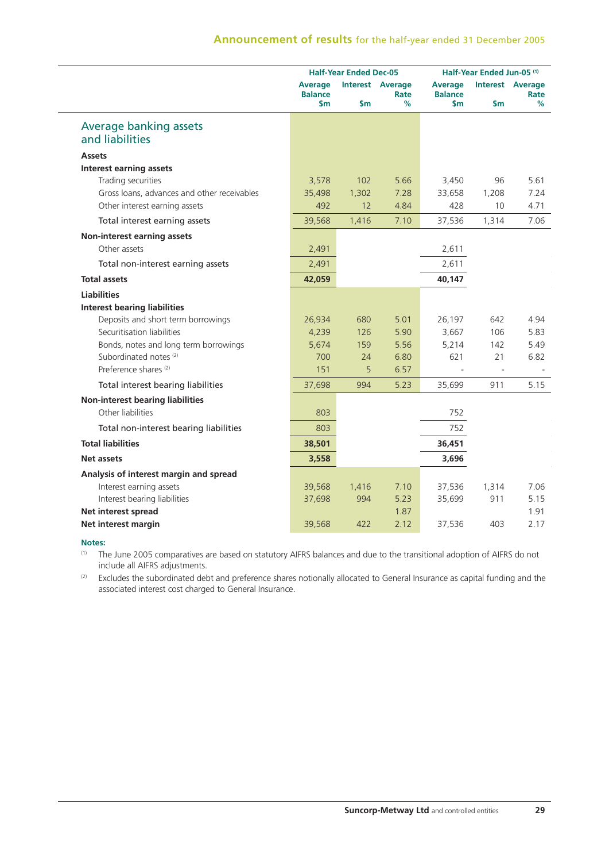|                                                  |                                         | <b>Half-Year Ended Dec-05</b> |                                      |                                         | Half-Year Ended Jun-05 <sup>(1)</sup> |                                      |  |
|--------------------------------------------------|-----------------------------------------|-------------------------------|--------------------------------------|-----------------------------------------|---------------------------------------|--------------------------------------|--|
|                                                  | <b>Average</b><br><b>Balance</b><br>\$m | <b>Sm</b>                     | <b>Interest Average</b><br>Rate<br>% | <b>Average</b><br><b>Balance</b><br>\$m | <b>Sm</b>                             | <b>Interest Average</b><br>Rate<br>% |  |
| <b>Average banking assets</b><br>and liabilities |                                         |                               |                                      |                                         |                                       |                                      |  |
| <b>Assets</b>                                    |                                         |                               |                                      |                                         |                                       |                                      |  |
| <b>Interest earning assets</b>                   |                                         |                               |                                      |                                         |                                       |                                      |  |
| Trading securities                               | 3,578                                   | 102                           | 5.66                                 | 3,450                                   | 96                                    | 5.61                                 |  |
| Gross loans, advances and other receivables      | 35,498                                  | 1,302                         | 7.28                                 | 33,658                                  | 1,208                                 | 7.24                                 |  |
| Other interest earning assets                    | 492                                     | 12                            | 4.84                                 | 428                                     | 10                                    | 4.71                                 |  |
| Total interest earning assets                    | 39,568                                  | 1,416                         | 7.10                                 | 37,536                                  | 1,314                                 | 7.06                                 |  |
| Non-interest earning assets                      |                                         |                               |                                      |                                         |                                       |                                      |  |
| Other assets                                     | 2,491                                   |                               |                                      | 2,611                                   |                                       |                                      |  |
| Total non-interest earning assets                | 2,491                                   |                               |                                      | 2,611                                   |                                       |                                      |  |
| <b>Total assets</b>                              | 42,059                                  |                               |                                      | 40,147                                  |                                       |                                      |  |
| <b>Liabilities</b>                               |                                         |                               |                                      |                                         |                                       |                                      |  |
| <b>Interest bearing liabilities</b>              |                                         |                               |                                      |                                         |                                       |                                      |  |
| Deposits and short term borrowings               | 26,934                                  | 680                           | 5.01                                 | 26,197                                  | 642                                   | 4.94                                 |  |
| Securitisation liabilities                       | 4,239                                   | 126                           | 5.90                                 | 3,667                                   | 106                                   | 5.83                                 |  |
| Bonds, notes and long term borrowings            | 5,674                                   | 159                           | 5.56                                 | 5,214                                   | 142                                   | 5.49                                 |  |
| Subordinated notes <sup>(2)</sup>                | 700                                     | 24                            | 6.80                                 | 621                                     | 21                                    | 6.82                                 |  |
| Preference shares <sup>(2)</sup>                 | 151                                     | 5                             | 6.57                                 |                                         | $\overline{\phantom{a}}$              |                                      |  |
| Total interest bearing liabilities               | 37,698                                  | 994                           | 5.23                                 | 35,699                                  | 911                                   | 5.15                                 |  |
| <b>Non-interest bearing liabilities</b>          |                                         |                               |                                      |                                         |                                       |                                      |  |
| Other liabilities                                | 803                                     |                               |                                      | 752                                     |                                       |                                      |  |
| Total non-interest bearing liabilities           | 803                                     |                               |                                      | 752                                     |                                       |                                      |  |
| <b>Total liabilities</b>                         | 38,501                                  |                               |                                      | 36,451                                  |                                       |                                      |  |
| <b>Net assets</b>                                | 3,558                                   |                               |                                      | 3,696                                   |                                       |                                      |  |
| Analysis of interest margin and spread           |                                         |                               |                                      |                                         |                                       |                                      |  |
| Interest earning assets                          | 39,568                                  | 1,416                         | 7.10                                 | 37,536                                  | 1,314                                 | 7.06                                 |  |
| Interest bearing liabilities                     | 37,698                                  | 994                           | 5.23                                 | 35,699                                  | 911                                   | 5.15                                 |  |
| Net interest spread                              |                                         |                               | 1.87                                 |                                         |                                       | 1.91                                 |  |
| Net interest margin                              | 39,568                                  | 422                           | 2.12                                 | 37,536                                  | 403                                   | 2.17                                 |  |

#### **Notes:**

(1) The June 2005 comparatives are based on statutory AIFRS balances and due to the transitional adoption of AIFRS do not include all AIFRS adjustments.

(2) Excludes the subordinated debt and preference shares notionally allocated to General Insurance as capital funding and the associated interest cost charged to General Insurance.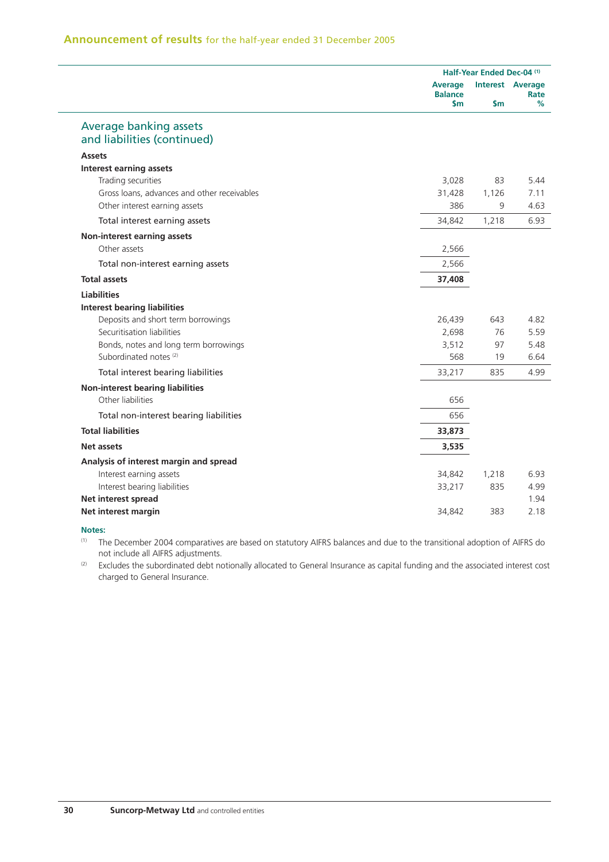|                                                       |                                          | Half-Year Ended Dec-04 (1) |                                      |  |  |
|-------------------------------------------------------|------------------------------------------|----------------------------|--------------------------------------|--|--|
|                                                       | <b>Average</b><br><b>Balance</b><br>\$m. | $\mathsf{sm}$              | <b>Interest Average</b><br>Rate<br>% |  |  |
| Average banking assets<br>and liabilities (continued) |                                          |                            |                                      |  |  |
| <b>Assets</b>                                         |                                          |                            |                                      |  |  |
| <b>Interest earning assets</b>                        |                                          |                            |                                      |  |  |
| Trading securities                                    | 3,028                                    | 83                         | 5.44                                 |  |  |
| Gross loans, advances and other receivables           | 31,428                                   | 1,126                      | 7.11                                 |  |  |
| Other interest earning assets                         | 386                                      | 9                          | 4.63                                 |  |  |
| Total interest earning assets                         | 34,842                                   | 1,218                      | 6.93                                 |  |  |
| Non-interest earning assets                           |                                          |                            |                                      |  |  |
| Other assets                                          | 2,566                                    |                            |                                      |  |  |
| Total non-interest earning assets                     | 2,566                                    |                            |                                      |  |  |
| <b>Total assets</b>                                   | 37,408                                   |                            |                                      |  |  |
| <b>Liabilities</b>                                    |                                          |                            |                                      |  |  |
| <b>Interest bearing liabilities</b>                   |                                          |                            |                                      |  |  |
| Deposits and short term borrowings                    | 26,439                                   | 643                        | 4.82                                 |  |  |
| Securitisation liabilities                            | 2,698                                    | 76                         | 5.59                                 |  |  |
| Bonds, notes and long term borrowings                 | 3,512                                    | 97                         | 5.48                                 |  |  |
| Subordinated notes <sup>(2)</sup>                     | 568                                      | 19                         | 6.64                                 |  |  |
| Total interest bearing liabilities                    | 33,217                                   | 835                        | 4.99                                 |  |  |
| <b>Non-interest bearing liabilities</b>               |                                          |                            |                                      |  |  |
| Other liabilities                                     | 656                                      |                            |                                      |  |  |
| Total non-interest bearing liabilities                | 656                                      |                            |                                      |  |  |
| <b>Total liabilities</b>                              | 33,873                                   |                            |                                      |  |  |
| Net assets                                            | 3,535                                    |                            |                                      |  |  |
| Analysis of interest margin and spread                |                                          |                            |                                      |  |  |
| Interest earning assets                               | 34,842                                   | 1,218                      | 6.93                                 |  |  |
| Interest bearing liabilities                          | 33,217                                   | 835                        | 4.99                                 |  |  |
| Net interest spread                                   |                                          |                            | 1.94                                 |  |  |
| Net interest margin                                   | 34,842                                   | 383                        | 2.18                                 |  |  |

#### **Notes:**

(1) The December 2004 comparatives are based on statutory AIFRS balances and due to the transitional adoption of AIFRS do not include all AIFRS adjustments.

(2) Excludes the subordinated debt notionally allocated to General Insurance as capital funding and the associated interest cost charged to General Insurance.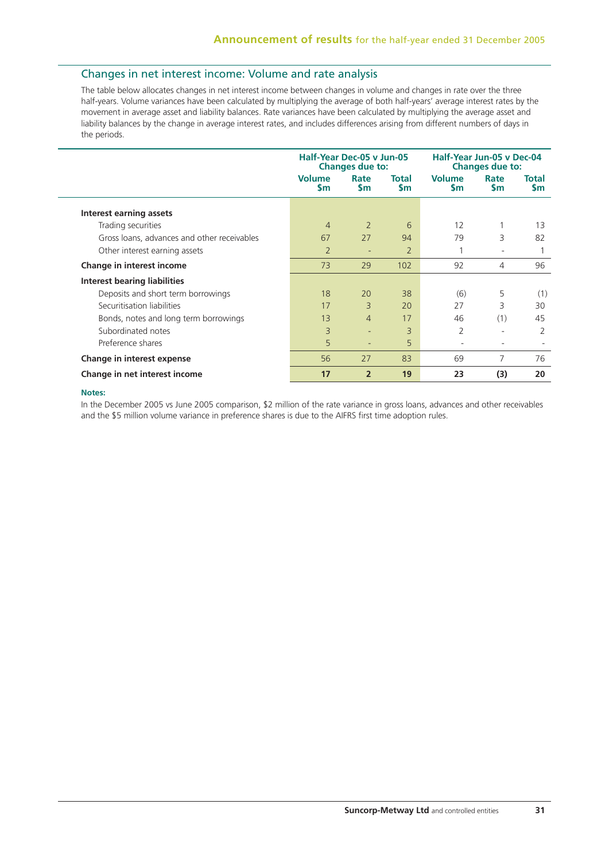## Changes in net interest income: Volume and rate analysis

The table below allocates changes in net interest income between changes in volume and changes in rate over the three half-years. Volume variances have been calculated by multiplying the average of both half-years' average interest rates by the movement in average asset and liability balances. Rate variances have been calculated by multiplying the average asset and liability balances by the change in average interest rates, and includes differences arising from different numbers of days in the periods.

|                                             | Half-Year Dec-05 v Jun-05  | <b>Changes due to:</b> |                           | Half-Year Jun-05 v Dec-04  | <b>Changes due to:</b>   |                           |
|---------------------------------------------|----------------------------|------------------------|---------------------------|----------------------------|--------------------------|---------------------------|
|                                             | <b>Volume</b><br><b>Sm</b> | Rate<br><b>Sm</b>      | <b>Total</b><br><b>Sm</b> | <b>Volume</b><br><b>Sm</b> | Rate<br>Sm               | <b>Total</b><br><b>Sm</b> |
| Interest earning assets                     |                            |                        |                           |                            |                          |                           |
| Trading securities                          | $\overline{4}$             | $\overline{2}$         | 6                         | 12                         |                          | 13                        |
| Gross loans, advances and other receivables | 67                         | 27                     | 94                        | 79                         | 3                        | 82                        |
| Other interest earning assets               | $\overline{2}$             |                        | $\overline{2}$            |                            | ٠                        |                           |
| Change in interest income                   | 73                         | 29                     | 102                       | 92                         | 4                        | 96                        |
| Interest bearing liabilities                |                            |                        |                           |                            |                          |                           |
| Deposits and short term borrowings          | 18                         | 20                     | 38                        | (6)                        | 5                        | (1)                       |
| Securitisation liabilities                  | 17                         | 3                      | 20                        | 27                         | 3                        | 30                        |
| Bonds, notes and long term borrowings       | 13                         | $\overline{4}$         | 17                        | 46                         | (1)                      | 45                        |
| Subordinated notes                          | 3                          | ٠                      | 3                         | 2                          | ٠                        | $\overline{2}$            |
| Preference shares                           | 5                          | ٠                      | 5                         | $\overline{\phantom{a}}$   | $\overline{\phantom{0}}$ |                           |
| Change in interest expense                  | 56                         | 27                     | 83                        | 69                         | 7                        | 76                        |
| Change in net interest income               | 17                         | $\overline{2}$         | 19                        | 23                         | (3)                      | 20                        |

#### **Notes:**

In the December 2005 vs June 2005 comparison, \$2 million of the rate variance in gross loans, advances and other receivables and the \$5 million volume variance in preference shares is due to the AIFRS first time adoption rules.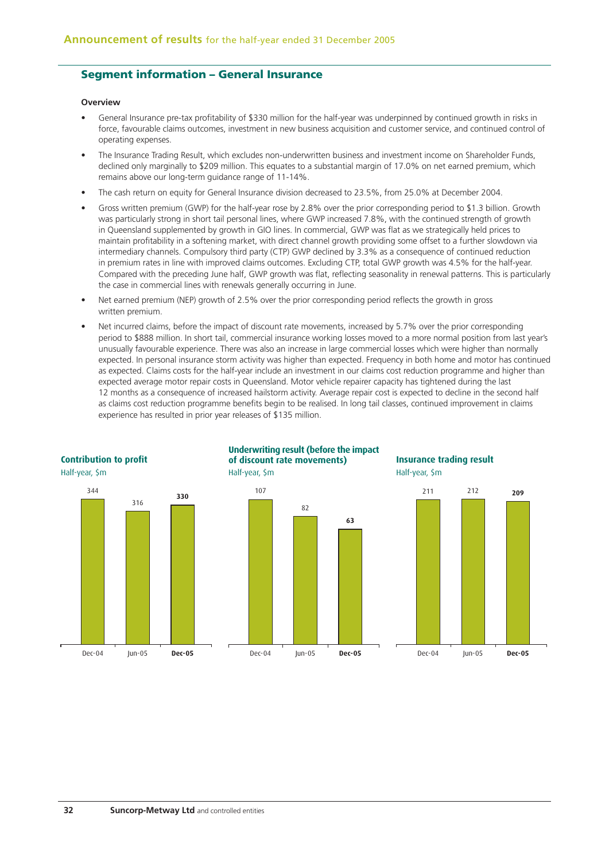## **Segment information – General Insurance**

#### **Overview**

- General Insurance pre-tax profitability of \$330 million for the half-year was underpinned by continued growth in risks in force, favourable claims outcomes, investment in new business acquisition and customer service, and continued control of operating expenses.
- The Insurance Trading Result, which excludes non-underwritten business and investment income on Shareholder Funds, declined only marginally to \$209 million. This equates to a substantial margin of 17.0% on net earned premium, which remains above our long-term guidance range of 11-14%.
- The cash return on equity for General Insurance division decreased to 23.5%, from 25.0% at December 2004.
- Gross written premium (GWP) for the half-year rose by 2.8% over the prior corresponding period to \$1.3 billion. Growth was particularly strong in short tail personal lines, where GWP increased 7.8%, with the continued strength of growth in Queensland supplemented by growth in GIO lines. In commercial, GWP was flat as we strategically held prices to maintain profitability in a softening market, with direct channel growth providing some offset to a further slowdown via intermediary channels. Compulsory third party (CTP) GWP declined by 3.3% as a consequence of continued reduction in premium rates in line with improved claims outcomes. Excluding CTP, total GWP growth was 4.5% for the half-year. Compared with the preceding June half, GWP growth was flat, reflecting seasonality in renewal patterns. This is particularly the case in commercial lines with renewals generally occurring in June.
- Net earned premium (NEP) growth of 2.5% over the prior corresponding period reflects the growth in gross written premium.
- Net incurred claims, before the impact of discount rate movements, increased by 5.7% over the prior corresponding period to \$888 million. In short tail, commercial insurance working losses moved to a more normal position from last year's unusually favourable experience. There was also an increase in large commercial losses which were higher than normally expected. In personal insurance storm activity was higher than expected. Frequency in both home and motor has continued as expected. Claims costs for the half-year include an investment in our claims cost reduction programme and higher than expected average motor repair costs in Queensland. Motor vehicle repairer capacity has tightened during the last 12 months as a consequence of increased hailstorm activity. Average repair cost is expected to decline in the second half as claims cost reduction programme benefits begin to be realised. In long tail classes, continued improvement in claims experience has resulted in prior year releases of \$135 million.

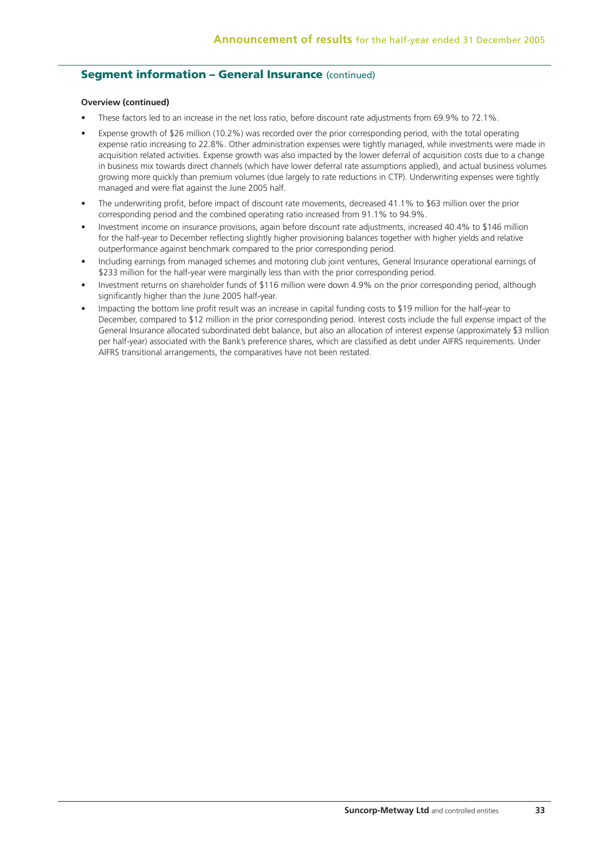## **Seament information - General Insurance (continued)**

#### **Overview (continued)**

- These factors led to an increase in the net loss ratio, before discount rate adjustments from 69.9% to 72.1%.
- Expense growth of \$26 million (10.2%) was recorded over the prior corresponding period, with the total operating expense ratio increasing to 22.8%. Other administration expenses were tightly managed, while investments were made in acquisition related activities. Expense growth was also impacted by the lower deferral of acquisition costs due to a change in business mix towards direct channels (which have lower deferral rate assumptions applied), and actual business volumes growing more quickly than premium volumes (due largely to rate reductions in CTP). Underwriting expenses were tightly managed and were flat against the June 2005 half.
- The underwriting profit, before impact of discount rate movements, decreased 41.1% to \$63 million over the prior corresponding period and the combined operating ratio increased from 91.1% to 94.9%.
- Investment income on insurance provisions, again before discount rate adjustments, increased 40.4% to \$146 million for the half-year to December reflecting slightly higher provisioning balances together with higher yields and relative outperformance against benchmark compared to the prior corresponding period.
- Including earnings from managed schemes and motoring club joint ventures, General Insurance operational earnings of \$233 million for the half-year were marginally less than with the prior corresponding period.
- Investment returns on shareholder funds of \$116 million were down 4.9% on the prior corresponding period, although significantly higher than the June 2005 half-year.
- Impacting the bottom line profit result was an increase in capital funding costs to \$19 million for the half-year to December, compared to \$12 million in the prior corresponding period. Interest costs include the full expense impact of the General Insurance allocated subordinated debt balance, but also an allocation of interest expense (approximately \$3 million per half-year) associated with the Bank's preference shares, which are classified as debt under AIFRS requirements. Under AIFRS transitional arrangements, the comparatives have not been restated.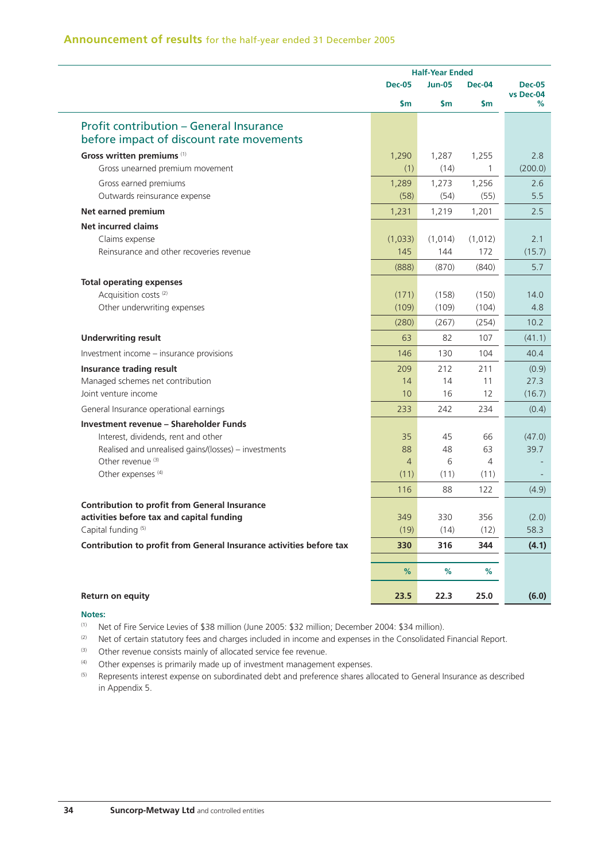|                                                                                                                                                                                                        | <b>Half-Year Ended</b>                    |                             |                              |                            |
|--------------------------------------------------------------------------------------------------------------------------------------------------------------------------------------------------------|-------------------------------------------|-----------------------------|------------------------------|----------------------------|
|                                                                                                                                                                                                        | <b>Dec-05</b>                             | <b>Jun-05</b>               | <b>Dec-04</b>                | <b>Dec-05</b><br>vs Dec-04 |
|                                                                                                                                                                                                        | \$m                                       | \$m                         | \$m                          | %                          |
| <b>Profit contribution - General Insurance</b><br>before impact of discount rate movements                                                                                                             |                                           |                             |                              |                            |
| Gross written premiums (1)<br>Gross unearned premium movement                                                                                                                                          | 1,290<br>(1)                              | 1,287<br>(14)               | 1,255<br>$\mathbf{1}$        | 2.8<br>(200.0)             |
| Gross earned premiums<br>Outwards reinsurance expense                                                                                                                                                  | 1,289<br>(58)                             | 1,273<br>(54)               | 1,256<br>(55)                | 2.6<br>5.5                 |
| Net earned premium                                                                                                                                                                                     | 1,231                                     | 1,219                       | 1,201                        | 2.5                        |
| <b>Net incurred claims</b><br>Claims expense<br>Reinsurance and other recoveries revenue                                                                                                               | (1,033)<br>145<br>(888)                   | (1,014)<br>144<br>(870)     | (1,012)<br>172<br>(840)      | 2.1<br>(15.7)<br>5.7       |
| <b>Total operating expenses</b><br>Acquisition costs <sup>(2)</sup><br>Other underwriting expenses                                                                                                     | (171)<br>(109)<br>(280)                   | (158)<br>(109)<br>(267)     | (150)<br>(104)<br>(254)      | 14.0<br>4.8<br>10.2        |
| <b>Underwriting result</b>                                                                                                                                                                             | 63                                        | 82                          | 107                          | (41.1)                     |
| Investment income - insurance provisions                                                                                                                                                               | 146                                       | 130                         | 104                          | 40.4                       |
| Insurance trading result<br>Managed schemes net contribution<br>Joint venture income                                                                                                                   | 209<br>14<br>10                           | 212<br>14<br>16             | 211<br>11<br>12              | (0.9)<br>27.3<br>(16.7)    |
| General Insurance operational earnings                                                                                                                                                                 | 233                                       | 242                         | 234                          | (0.4)                      |
| Investment revenue - Shareholder Funds<br>Interest, dividends, rent and other<br>Realised and unrealised gains/(losses) - investments<br>Other revenue <sup>(3)</sup><br>Other expenses <sup>(4)</sup> | 35<br>88<br>$\overline{4}$<br>(11)<br>116 | 45<br>48<br>6<br>(11)<br>88 | 66<br>63<br>4<br>(11)<br>122 | (47.0)<br>39.7<br>(4.9)    |
| <b>Contribution to profit from General Insurance</b><br>activities before tax and capital funding<br>Capital funding <sup>(5)</sup>                                                                    | 349<br>(19)                               | 330<br>(14)                 | 356<br>(12)                  | (2.0)<br>58.3              |
| Contribution to profit from General Insurance activities before tax                                                                                                                                    | 330                                       | 316                         | 344                          | (4.1)                      |
|                                                                                                                                                                                                        | %                                         | %                           | %                            |                            |
| Return on equity                                                                                                                                                                                       | 23.5                                      | 22.3                        | 25.0                         | (6.0)                      |

#### **Notes:**

(1) Net of Fire Service Levies of \$38 million (June 2005: \$32 million; December 2004: \$34 million).

(2) Net of certain statutory fees and charges included in income and expenses in the Consolidated Financial Report.

(3) Other revenue consists mainly of allocated service fee revenue.

(4) Other expenses is primarily made up of investment management expenses.

(5) Represents interest expense on subordinated debt and preference shares allocated to General Insurance as described in Appendix 5.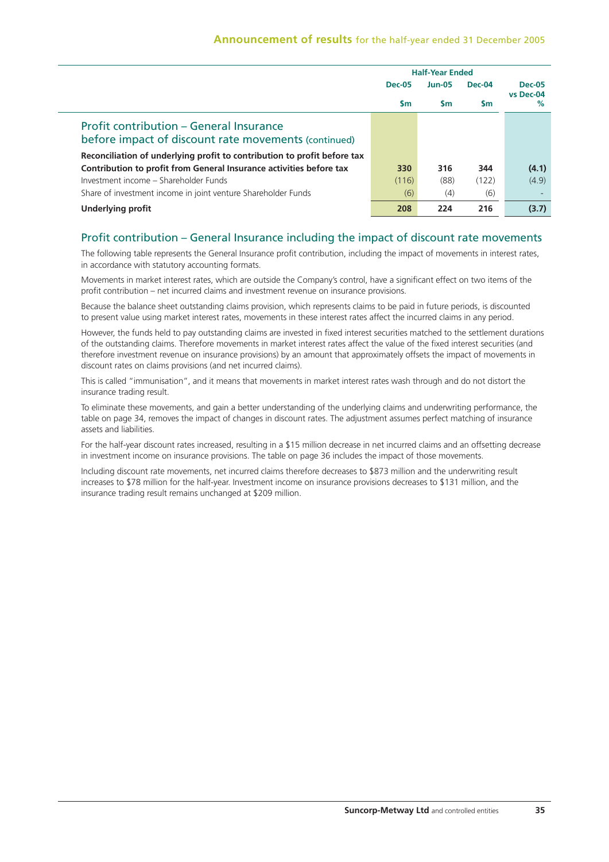|                                                                                                 | <b>Half-Year Ended</b> |               |        |                |
|-------------------------------------------------------------------------------------------------|------------------------|---------------|--------|----------------|
|                                                                                                 | <b>Dec-05</b>          | <b>Jun-05</b> | Dec-04 | <b>Dec-05</b>  |
|                                                                                                 | <b>Sm</b>              | <b>Sm</b>     | Sm     | vs Dec-04<br>% |
| Profit contribution – General Insurance<br>before impact of discount rate movements (continued) |                        |               |        |                |
| Reconciliation of underlying profit to contribution to profit before tax                        |                        |               |        |                |
| Contribution to profit from General Insurance activities before tax                             | 330                    | 316           | 344    | (4.1)          |
| Investment income - Shareholder Funds                                                           | (116)                  | (88)          | (122)  | (4.9)          |
| Share of investment income in joint venture Shareholder Funds                                   | (6)                    | (4)           | (6)    |                |
| <b>Underlying profit</b>                                                                        | 208                    | 224           | 216    | (3.7)          |

## Profit contribution – General Insurance including the impact of discount rate movements

The following table represents the General Insurance profit contribution, including the impact of movements in interest rates, in accordance with statutory accounting formats.

Movements in market interest rates, which are outside the Company's control, have a significant effect on two items of the profit contribution – net incurred claims and investment revenue on insurance provisions.

Because the balance sheet outstanding claims provision, which represents claims to be paid in future periods, is discounted to present value using market interest rates, movements in these interest rates affect the incurred claims in any period.

However, the funds held to pay outstanding claims are invested in fixed interest securities matched to the settlement durations of the outstanding claims. Therefore movements in market interest rates affect the value of the fixed interest securities (and therefore investment revenue on insurance provisions) by an amount that approximately offsets the impact of movements in discount rates on claims provisions (and net incurred claims).

This is called "immunisation", and it means that movements in market interest rates wash through and do not distort the insurance trading result.

To eliminate these movements, and gain a better understanding of the underlying claims and underwriting performance, the table on page 34, removes the impact of changes in discount rates. The adjustment assumes perfect matching of insurance assets and liabilities.

For the half-year discount rates increased, resulting in a \$15 million decrease in net incurred claims and an offsetting decrease in investment income on insurance provisions. The table on page 36 includes the impact of those movements.

Including discount rate movements, net incurred claims therefore decreases to \$873 million and the underwriting result increases to \$78 million for the half-year. Investment income on insurance provisions decreases to \$131 million, and the insurance trading result remains unchanged at \$209 million.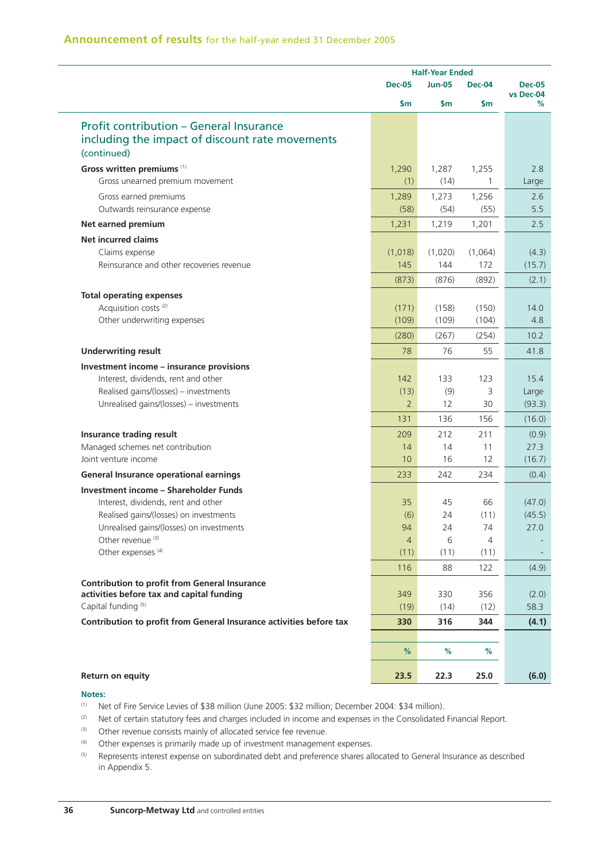|                                                                     |                | <b>Half-Year Ended</b> |               |                            |
|---------------------------------------------------------------------|----------------|------------------------|---------------|----------------------------|
|                                                                     | <b>Dec-05</b>  | <b>Jun-05</b>          | <b>Dec-04</b> | <b>Dec-05</b><br>vs Dec-04 |
|                                                                     | \$m            | $\mathsf{S}$ m         | \$m           | ℅                          |
| <b>Profit contribution - General Insurance</b>                      |                |                        |               |                            |
| including the impact of discount rate movements                     |                |                        |               |                            |
| (continued)                                                         |                |                        |               |                            |
| Gross written premiums (1)                                          | 1,290          | 1,287                  | 1,255         | 2.8                        |
| Gross unearned premium movement                                     | (1)            | (14)                   | 1             | Large                      |
| Gross earned premiums                                               | 1,289          | 1,273                  | 1,256         | 2.6                        |
| Outwards reinsurance expense                                        | (58)           | (54)                   | (55)          | 5.5                        |
| Net earned premium                                                  | 1,231          | 1,219                  | 1,201         | 2.5                        |
| <b>Net incurred claims</b>                                          |                |                        |               |                            |
| Claims expense                                                      | (1,018)        | (1,020)                | (1,064)       | (4.3)                      |
| Reinsurance and other recoveries revenue                            | 145            | 144                    | 172           | (15.7)                     |
|                                                                     | (873)          | (876)                  | (892)         | (2.1)                      |
| <b>Total operating expenses</b>                                     |                |                        |               |                            |
| Acquisition costs <sup>(2)</sup>                                    | (171)          | (158)                  | (150)         | 14.0                       |
| Other underwriting expenses                                         | (109)          | (109)                  | (104)         | 4.8                        |
|                                                                     | (280)          | (267)                  | (254)         | 10.2                       |
| <b>Underwriting result</b>                                          | 78             | 76                     | 55            | 41.8                       |
| Investment income - insurance provisions                            |                |                        |               |                            |
| Interest, dividends, rent and other                                 | 142            | 133                    | 123           | 15.4                       |
| Realised gains/(losses) - investments                               | (13)           | (9)                    | 3             | Large                      |
| Unrealised gains/(losses) - investments                             | $\overline{2}$ | 12                     | 30            | (93.3)                     |
|                                                                     | 131            | 136                    | 156           | (16.0)                     |
| Insurance trading result                                            | 209            | 212                    | 211           | (0.9)                      |
| Managed schemes net contribution                                    | 14             | 14                     | 11            | 27.3                       |
| Joint venture income                                                | 10             | 16                     | 12            | (16.7)                     |
| <b>General Insurance operational earnings</b>                       | 233            | 242                    | 234           | (0.4)                      |
| <b>Investment income - Shareholder Funds</b>                        |                |                        |               |                            |
| Interest, dividends, rent and other                                 | 35             | 45                     | 66            | (47.0)                     |
| Realised gains/(losses) on investments                              | (6)            | 24                     | (11)          | (45.5)                     |
| Unrealised gains/(losses) on investments                            | 94             | 24                     | 74            | 27.0                       |
| Other revenue <sup>(3)</sup>                                        | $\overline{4}$ | 6                      | 4             |                            |
| Other expenses <sup>(4)</sup>                                       | (11)           | (11)                   | (11)          |                            |
|                                                                     | 116            | 88                     | 122           | (4.9)                      |
| <b>Contribution to profit from General Insurance</b>                |                |                        |               |                            |
| activities before tax and capital funding                           | 349            | 330                    | 356           | (2.0)                      |
| Capital funding <sup>(5)</sup>                                      | (19)           | (14)                   | (12)          | 58.3                       |
| Contribution to profit from General Insurance activities before tax | 330            | 316                    | 344           | (4.1)                      |
|                                                                     | %              | %                      | %             |                            |
|                                                                     |                |                        |               |                            |
| Return on equity                                                    | 23.5           | 22.3                   | 25.0          | (6.0)                      |

#### **Notes:**

- (1) Net of Fire Service Levies of \$38 million (June 2005: \$32 million; December 2004: \$34 million).
- (2) Net of certain statutory fees and charges included in income and expenses in the Consolidated Financial Report.
- (3) Other revenue consists mainly of allocated service fee revenue.
- $(4)$  Other expenses is primarily made up of investment management expenses.
- <sup>(5)</sup> Represents interest expense on subordinated debt and preference shares allocated to General Insurance as described in Appendix 5.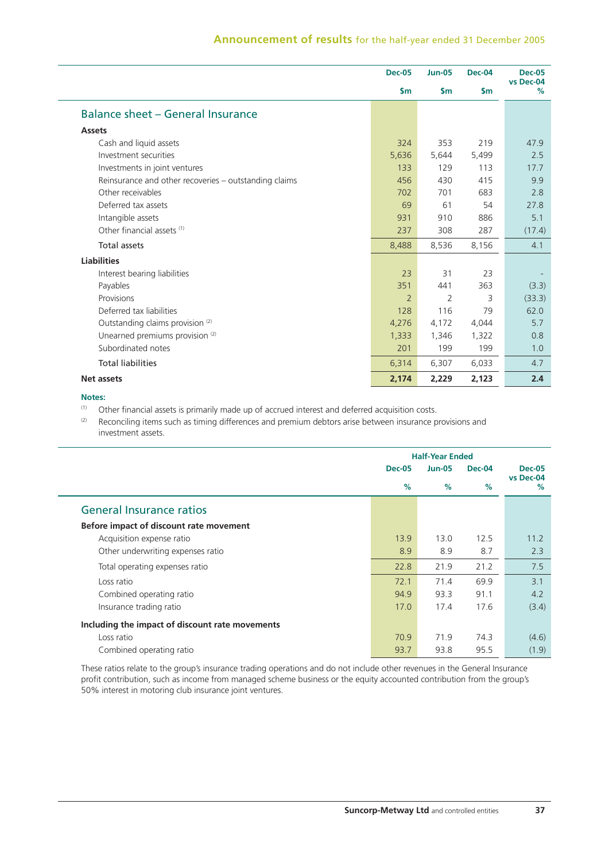# **Announcement of results** for the half-year ended 31 December 2005

|                                                       | <b>Dec-05</b>  | <b>Jun-05</b>  | <b>Dec-04</b> | <b>Dec-05</b><br>vs Dec-04 |
|-------------------------------------------------------|----------------|----------------|---------------|----------------------------|
|                                                       | $\mathsf{S}$ m | $\mathsf{S}$ m | $\mathsf{Sm}$ | %                          |
| <b>Balance sheet - General Insurance</b>              |                |                |               |                            |
| <b>Assets</b>                                         |                |                |               |                            |
| Cash and liquid assets                                | 324            | 353            | 219           | 47.9                       |
| Investment securities                                 | 5,636          | 5,644          | 5,499         | 2.5                        |
| Investments in joint ventures                         | 133            | 129            | 113           | 17.7                       |
| Reinsurance and other recoveries - outstanding claims | 456            | 430            | 415           | 9.9                        |
| Other receivables                                     | 702            | 701            | 683           | 2.8                        |
| Deferred tax assets                                   | 69             | 61             | 54            | 27.8                       |
| Intangible assets                                     | 931            | 910            | 886           | 5.1                        |
| Other financial assets <sup>(1)</sup>                 | 237            | 308            | 287           | (17.4)                     |
| <b>Total assets</b>                                   | 8,488          | 8,536          | 8,156         | 4.1                        |
| <b>Liabilities</b>                                    |                |                |               |                            |
| Interest bearing liabilities                          | 23             | 31             | 23            |                            |
| Payables                                              | 351            | 441            | 363           | (3.3)                      |
| Provisions                                            | $\overline{2}$ | 2              | 3             | (33.3)                     |
| Deferred tax liabilities                              | 128            | 116            | 79            | 62.0                       |
| Outstanding claims provision <sup>(2)</sup>           | 4,276          | 4,172          | 4,044         | 5.7                        |
| Unearned premiums provision <sup>(2)</sup>            | 1,333          | 1,346          | 1,322         | 0.8                        |
| Subordinated notes                                    | 201            | 199            | 199           | 1.0                        |
| <b>Total liabilities</b>                              | 6,314          | 6,307          | 6,033         | 4.7                        |
| <b>Net assets</b>                                     | 2,174          | 2,229          | 2,123         | 2.4                        |

#### **Notes:**

(1) Other financial assets is primarily made up of accrued interest and deferred acquisition costs.<br>(2) Beconciling items such as timing differences and premium debtors arise between insurance n

Reconciling items such as timing differences and premium debtors arise between insurance provisions and investment assets.

|                                                 |               | <b>Half-Year Ended</b> |               |                |  |
|-------------------------------------------------|---------------|------------------------|---------------|----------------|--|
|                                                 | <b>Dec-05</b> | <b>Jun-05</b>          | <b>Dec-04</b> | <b>Dec-05</b>  |  |
|                                                 | $\%$          | $\%$                   | $\%$          | vs Dec-04<br>% |  |
| <b>General Insurance ratios</b>                 |               |                        |               |                |  |
| Before impact of discount rate movement         |               |                        |               |                |  |
| Acquisition expense ratio                       | 13.9          | 13.0                   | 12.5          | 11.2           |  |
| Other underwriting expenses ratio               | 8.9           | 8.9                    | 8.7           | 2.3            |  |
| Total operating expenses ratio                  | 22.8          | 21.9                   | 21.2          | 7.5            |  |
| Loss ratio                                      | 72.1          | 71.4                   | 69.9          | 3.1            |  |
| Combined operating ratio                        | 94.9          | 93.3                   | 91.1          | 4.2            |  |
| Insurance trading ratio                         | 17.0          | 17.4                   | 17.6          | (3.4)          |  |
| Including the impact of discount rate movements |               |                        |               |                |  |
| Loss ratio                                      | 70.9          | 71.9                   | 74.3          | (4.6)          |  |
| Combined operating ratio                        | 93.7          | 93.8                   | 95.5          | (1.9)          |  |

These ratios relate to the group's insurance trading operations and do not include other revenues in the General Insurance profit contribution, such as income from managed scheme business or the equity accounted contribution from the group's 50% interest in motoring club insurance joint ventures.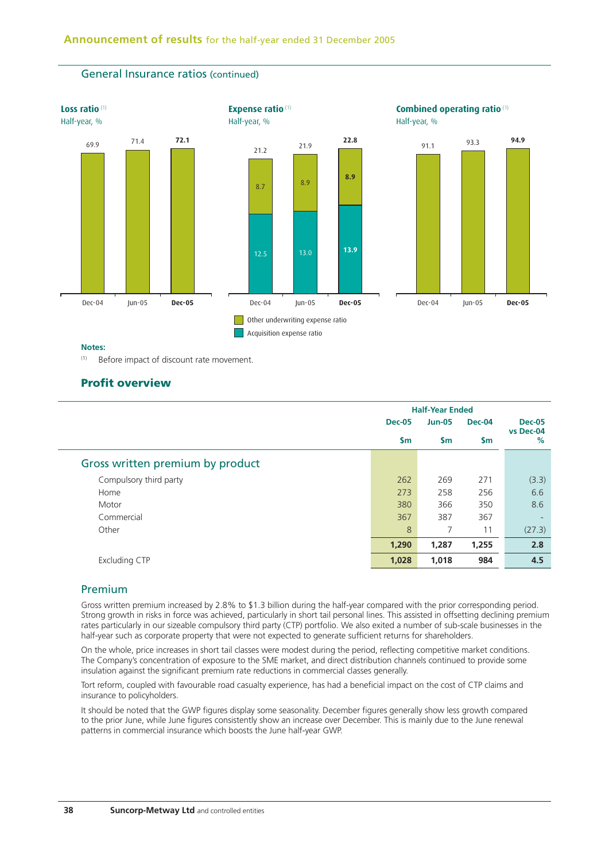

#### **Notes:**

(1) Before impact of discount rate movement.

General Insurance ratios (continued)

# **Profit overview**

|                                  | <b>Half-Year Ended</b> |               |               |                            |
|----------------------------------|------------------------|---------------|---------------|----------------------------|
|                                  | <b>Dec-05</b>          | <b>Jun-05</b> | <b>Dec-04</b> | <b>Dec-05</b><br>vs Dec-04 |
|                                  | $\mathsf{Sm}$          | $\mathsf{sm}$ | $\mathsf{Sm}$ | %                          |
| Gross written premium by product |                        |               |               |                            |
| Compulsory third party           | 262                    | 269           | 271           | (3.3)                      |
| Home                             | 273                    | 258           | 256           | 6.6                        |
| Motor                            | 380                    | 366           | 350           | 8.6                        |
| Commercial                       | 367                    | 387           | 367           | $\overline{\phantom{a}}$   |
| Other                            | 8                      | 7             | 11            | (27.3)                     |
|                                  | 1,290                  | 1,287         | 1,255         | 2.8                        |
| <b>Excluding CTP</b>             | 1,028                  | 1,018         | 984           | 4.5                        |

## Premium

Gross written premium increased by 2.8% to \$1.3 billion during the half-year compared with the prior corresponding period. Strong growth in risks in force was achieved, particularly in short tail personal lines. This assisted in offsetting declining premium rates particularly in our sizeable compulsory third party (CTP) portfolio. We also exited a number of sub-scale businesses in the half-year such as corporate property that were not expected to generate sufficient returns for shareholders.

On the whole, price increases in short tail classes were modest during the period, reflecting competitive market conditions. The Company's concentration of exposure to the SME market, and direct distribution channels continued to provide some insulation against the significant premium rate reductions in commercial classes generally.

Tort reform, coupled with favourable road casualty experience, has had a beneficial impact on the cost of CTP claims and insurance to policyholders.

It should be noted that the GWP figures display some seasonality. December figures generally show less growth compared to the prior June, while June figures consistently show an increase over December. This is mainly due to the June renewal patterns in commercial insurance which boosts the June half-year GWP.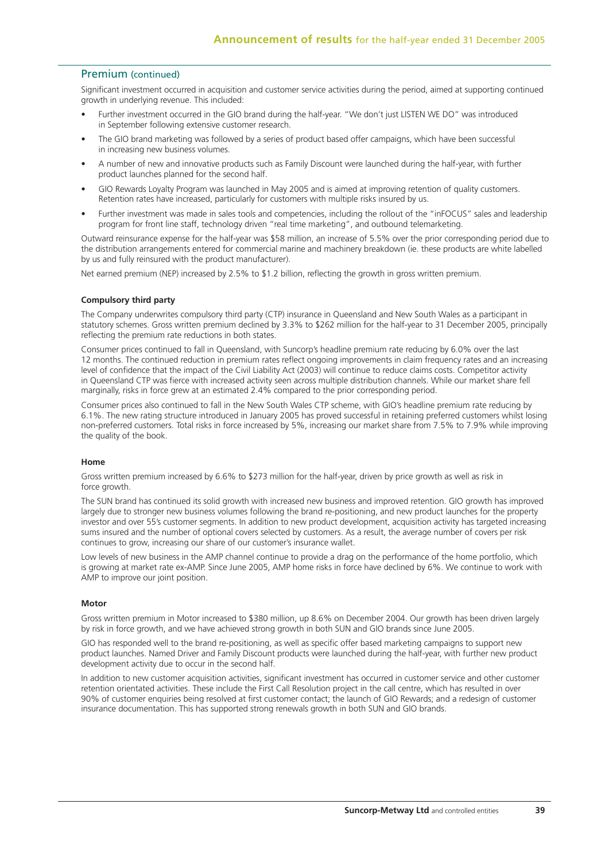### Premium (continued)

Significant investment occurred in acquisition and customer service activities during the period, aimed at supporting continued growth in underlying revenue. This included:

- Further investment occurred in the GIO brand during the half-year. "We don't just LISTEN WE DO" was introduced in September following extensive customer research.
- The GIO brand marketing was followed by a series of product based offer campaigns, which have been successful in increasing new business volumes.
- A number of new and innovative products such as Family Discount were launched during the half-year, with further product launches planned for the second half.
- GIO Rewards Loyalty Program was launched in May 2005 and is aimed at improving retention of quality customers. Retention rates have increased, particularly for customers with multiple risks insured by us.
- Further investment was made in sales tools and competencies, including the rollout of the "inFOCUS" sales and leadership program for front line staff, technology driven "real time marketing", and outbound telemarketing.

Outward reinsurance expense for the half-year was \$58 million, an increase of 5.5% over the prior corresponding period due to the distribution arrangements entered for commercial marine and machinery breakdown (ie. these products are white labelled by us and fully reinsured with the product manufacturer).

Net earned premium (NEP) increased by 2.5% to \$1.2 billion, reflecting the growth in gross written premium.

### **Compulsory third party**

The Company underwrites compulsory third party (CTP) insurance in Queensland and New South Wales as a participant in statutory schemes. Gross written premium declined by 3.3% to \$262 million for the half-year to 31 December 2005, principally reflecting the premium rate reductions in both states.

Consumer prices continued to fall in Queensland, with Suncorp's headline premium rate reducing by 6.0% over the last 12 months. The continued reduction in premium rates reflect ongoing improvements in claim frequency rates and an increasing level of confidence that the impact of the Civil Liability Act (2003) will continue to reduce claims costs. Competitor activity in Queensland CTP was fierce with increased activity seen across multiple distribution channels. While our market share fell marginally, risks in force grew at an estimated 2.4% compared to the prior corresponding period.

Consumer prices also continued to fall in the New South Wales CTP scheme, with GIO's headline premium rate reducing by 6.1%. The new rating structure introduced in January 2005 has proved successful in retaining preferred customers whilst losing non-preferred customers. Total risks in force increased by 5%, increasing our market share from 7.5% to 7.9% while improving the quality of the book.

#### **Home**

Gross written premium increased by 6.6% to \$273 million for the half-year, driven by price growth as well as risk in force growth

The SUN brand has continued its solid growth with increased new business and improved retention. GIO growth has improved largely due to stronger new business volumes following the brand re-positioning, and new product launches for the property investor and over 55's customer segments. In addition to new product development, acquisition activity has targeted increasing sums insured and the number of optional covers selected by customers. As a result, the average number of covers per risk continues to grow, increasing our share of our customer's insurance wallet.

Low levels of new business in the AMP channel continue to provide a drag on the performance of the home portfolio, which is growing at market rate ex-AMP. Since June 2005, AMP home risks in force have declined by 6%. We continue to work with AMP to improve our joint position.

#### **Motor**

Gross written premium in Motor increased to \$380 million, up 8.6% on December 2004. Our growth has been driven largely by risk in force growth, and we have achieved strong growth in both SUN and GIO brands since June 2005.

GIO has responded well to the brand re-positioning, as well as specific offer based marketing campaigns to support new product launches. Named Driver and Family Discount products were launched during the half-year, with further new product development activity due to occur in the second half.

In addition to new customer acquisition activities, significant investment has occurred in customer service and other customer retention orientated activities. These include the First Call Resolution project in the call centre, which has resulted in over 90% of customer enquiries being resolved at first customer contact; the launch of GIO Rewards; and a redesign of customer insurance documentation. This has supported strong renewals growth in both SUN and GIO brands.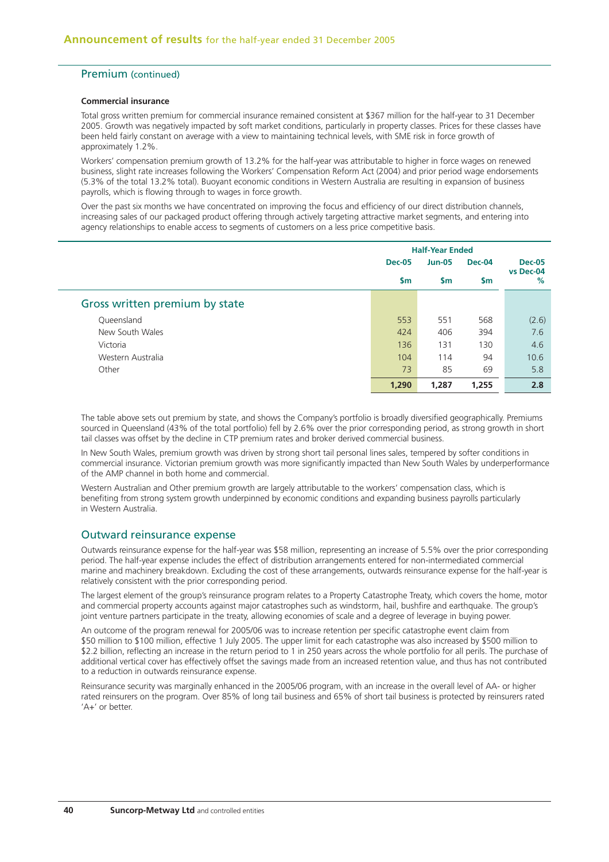### Premium (continued)

#### **Commercial insurance**

Total gross written premium for commercial insurance remained consistent at \$367 million for the half-year to 31 December 2005. Growth was negatively impacted by soft market conditions, particularly in property classes. Prices for these classes have been held fairly constant on average with a view to maintaining technical levels, with SME risk in force growth of approximately 1.2%.

Workers' compensation premium growth of 13.2% for the half-year was attributable to higher in force wages on renewed business, slight rate increases following the Workers' Compensation Reform Act (2004) and prior period wage endorsements (5.3% of the total 13.2% total). Buoyant economic conditions in Western Australia are resulting in expansion of business payrolls, which is flowing through to wages in force growth.

Over the past six months we have concentrated on improving the focus and efficiency of our direct distribution channels, increasing sales of our packaged product offering through actively targeting attractive market segments, and entering into agency relationships to enable access to segments of customers on a less price competitive basis.

|                                |               | <b>Half-Year Ended</b> |               |                |  |
|--------------------------------|---------------|------------------------|---------------|----------------|--|
|                                | <b>Dec-05</b> | <b>Jun-05</b>          | Dec-04        | <b>Dec-05</b>  |  |
|                                | \$m           | <b>Sm</b>              | $\mathsf{Sm}$ | vs Dec-04<br>% |  |
| Gross written premium by state |               |                        |               |                |  |
| Queensland                     | 553           | 551                    | 568           | (2.6)          |  |
| New South Wales                | 424           | 406                    | 394           | 7.6            |  |
| Victoria                       | 136           | 131                    | 130           | 4.6            |  |
| Western Australia              | 104           | 114                    | 94            | 10.6           |  |
| Other                          | 73            | 85                     | 69            | 5.8            |  |
|                                | 1,290         | 1,287                  | 1,255         | 2.8            |  |

The table above sets out premium by state, and shows the Company's portfolio is broadly diversified geographically. Premiums sourced in Queensland (43% of the total portfolio) fell by 2.6% over the prior corresponding period, as strong growth in short tail classes was offset by the decline in CTP premium rates and broker derived commercial business.

In New South Wales, premium growth was driven by strong short tail personal lines sales, tempered by softer conditions in commercial insurance. Victorian premium growth was more significantly impacted than New South Wales by underperformance of the AMP channel in both home and commercial.

Western Australian and Other premium growth are largely attributable to the workers' compensation class, which is benefiting from strong system growth underpinned by economic conditions and expanding business payrolls particularly in Western Australia.

### Outward reinsurance expense

Outwards reinsurance expense for the half-year was \$58 million, representing an increase of 5.5% over the prior corresponding period. The half-year expense includes the effect of distribution arrangements entered for non-intermediated commercial marine and machinery breakdown. Excluding the cost of these arrangements, outwards reinsurance expense for the half-year is relatively consistent with the prior corresponding period.

The largest element of the group's reinsurance program relates to a Property Catastrophe Treaty, which covers the home, motor and commercial property accounts against major catastrophes such as windstorm, hail, bushfire and earthquake. The group's joint venture partners participate in the treaty, allowing economies of scale and a degree of leverage in buying power.

An outcome of the program renewal for 2005/06 was to increase retention per specific catastrophe event claim from \$50 million to \$100 million, effective 1 July 2005. The upper limit for each catastrophe was also increased by \$500 million to \$2.2 billion, reflecting an increase in the return period to 1 in 250 years across the whole portfolio for all perils. The purchase of additional vertical cover has effectively offset the savings made from an increased retention value, and thus has not contributed to a reduction in outwards reinsurance expense.

Reinsurance security was marginally enhanced in the 2005/06 program, with an increase in the overall level of AA- or higher rated reinsurers on the program. Over 85% of long tail business and 65% of short tail business is protected by reinsurers rated 'A+' or better.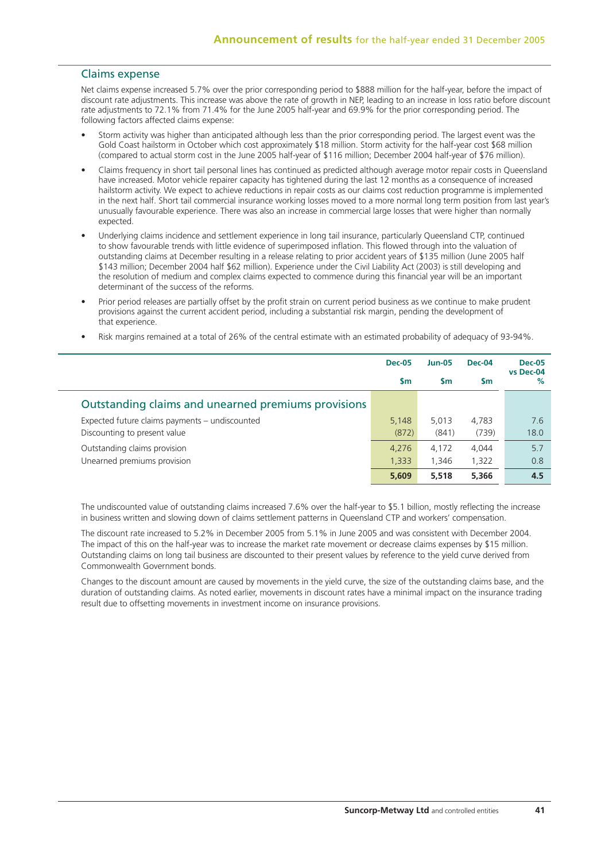### Claims expense

Net claims expense increased 5.7% over the prior corresponding period to \$888 million for the half-year, before the impact of discount rate adjustments. This increase was above the rate of growth in NEP, leading to an increase in loss ratio before discount rate adjustments to 72.1% from 71.4% for the June 2005 half-year and 69.9% for the prior corresponding period. The following factors affected claims expense:

- Storm activity was higher than anticipated although less than the prior corresponding period. The largest event was the Gold Coast hailstorm in October which cost approximately \$18 million. Storm activity for the half-year cost \$68 million (compared to actual storm cost in the June 2005 half-year of \$116 million; December 2004 half-year of \$76 million).
- Claims frequency in short tail personal lines has continued as predicted although average motor repair costs in Queensland have increased. Motor vehicle repairer capacity has tightened during the last 12 months as a consequence of increased hailstorm activity. We expect to achieve reductions in repair costs as our claims cost reduction programme is implemented in the next half. Short tail commercial insurance working losses moved to a more normal long term position from last year's unusually favourable experience. There was also an increase in commercial large losses that were higher than normally expected.
- Underlying claims incidence and settlement experience in long tail insurance, particularly Queensland CTP, continued to show favourable trends with little evidence of superimposed inflation. This flowed through into the valuation of outstanding claims at December resulting in a release relating to prior accident years of \$135 million (June 2005 half \$143 million; December 2004 half \$62 million). Experience under the Civil Liability Act (2003) is still developing and the resolution of medium and complex claims expected to commence during this financial year will be an important determinant of the success of the reforms.
- Prior period releases are partially offset by the profit strain on current period business as we continue to make prudent provisions against the current accident period, including a substantial risk margin, pending the development of that experience.
- Risk margins remained at a total of 26% of the central estimate with an estimated probability of adequacy of 93-94%.

|                                                     | <b>Dec-05</b> | <b>Jun-05</b> | Dec-04 | <b>Dec-05</b><br>vs Dec-04 |
|-----------------------------------------------------|---------------|---------------|--------|----------------------------|
|                                                     | Sm            | <b>Sm</b>     | Sm     | %                          |
| Outstanding claims and unearned premiums provisions |               |               |        |                            |
| Expected future claims payments - undiscounted      | 5,148         | 5,013         | 4,783  | 7.6                        |
| Discounting to present value                        | (872)         | (841)         | (739)  | 18.0                       |
| Outstanding claims provision                        | 4,276         | 4,172         | 4.044  | 5.7                        |
| Unearned premiums provision                         | 1,333         | 1,346         | 1,322  | 0.8                        |
|                                                     | 5.609         | 5,518         | 5,366  | 4.5                        |

The undiscounted value of outstanding claims increased 7.6% over the half-year to \$5.1 billion, mostly reflecting the increase in business written and slowing down of claims settlement patterns in Queensland CTP and workers' compensation.

The discount rate increased to 5.2% in December 2005 from 5.1% in June 2005 and was consistent with December 2004. The impact of this on the half-year was to increase the market rate movement or decrease claims expenses by \$15 million. Outstanding claims on long tail business are discounted to their present values by reference to the yield curve derived from Commonwealth Government bonds.

Changes to the discount amount are caused by movements in the yield curve, the size of the outstanding claims base, and the duration of outstanding claims. As noted earlier, movements in discount rates have a minimal impact on the insurance trading result due to offsetting movements in investment income on insurance provisions.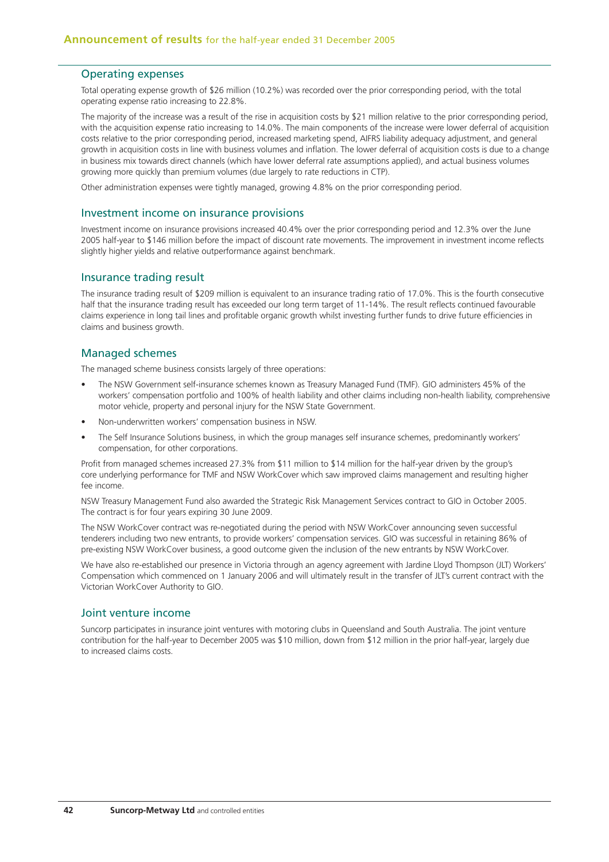### Operating expenses

Total operating expense growth of \$26 million (10.2%) was recorded over the prior corresponding period, with the total operating expense ratio increasing to 22.8%.

The majority of the increase was a result of the rise in acquisition costs by \$21 million relative to the prior corresponding period, with the acquisition expense ratio increasing to 14.0%. The main components of the increase were lower deferral of acquisition costs relative to the prior corresponding period, increased marketing spend, AIFRS liability adequacy adjustment, and general growth in acquisition costs in line with business volumes and inflation. The lower deferral of acquisition costs is due to a change in business mix towards direct channels (which have lower deferral rate assumptions applied), and actual business volumes growing more quickly than premium volumes (due largely to rate reductions in CTP).

Other administration expenses were tightly managed, growing 4.8% on the prior corresponding period.

### Investment income on insurance provisions

Investment income on insurance provisions increased 40.4% over the prior corresponding period and 12.3% over the June 2005 half-year to \$146 million before the impact of discount rate movements. The improvement in investment income reflects slightly higher yields and relative outperformance against benchmark.

### Insurance trading result

The insurance trading result of \$209 million is equivalent to an insurance trading ratio of 17.0%. This is the fourth consecutive half that the insurance trading result has exceeded our long term target of 11-14%. The result reflects continued favourable claims experience in long tail lines and profitable organic growth whilst investing further funds to drive future efficiencies in claims and business growth.

## Managed schemes

The managed scheme business consists largely of three operations:

- The NSW Government self-insurance schemes known as Treasury Managed Fund (TMF). GIO administers 45% of the workers' compensation portfolio and 100% of health liability and other claims including non-health liability, comprehensive motor vehicle, property and personal injury for the NSW State Government.
- Non-underwritten workers' compensation business in NSW.
- The Self Insurance Solutions business, in which the group manages self insurance schemes, predominantly workers' compensation, for other corporations.

Profit from managed schemes increased 27.3% from \$11 million to \$14 million for the half-year driven by the group's core underlying performance for TMF and NSW WorkCover which saw improved claims management and resulting higher fee income.

NSW Treasury Management Fund also awarded the Strategic Risk Management Services contract to GIO in October 2005. The contract is for four years expiring 30 June 2009.

The NSW WorkCover contract was re-negotiated during the period with NSW WorkCover announcing seven successful tenderers including two new entrants, to provide workers' compensation services. GIO was successful in retaining 86% of pre-existing NSW WorkCover business, a good outcome given the inclusion of the new entrants by NSW WorkCover.

We have also re-established our presence in Victoria through an agency agreement with Jardine Lloyd Thompson (JLT) Workers' Compensation which commenced on 1 January 2006 and will ultimately result in the transfer of JLT's current contract with the Victorian WorkCover Authority to GIO.

### Joint venture income

Suncorp participates in insurance joint ventures with motoring clubs in Queensland and South Australia. The joint venture contribution for the half-year to December 2005 was \$10 million, down from \$12 million in the prior half-year, largely due to increased claims costs.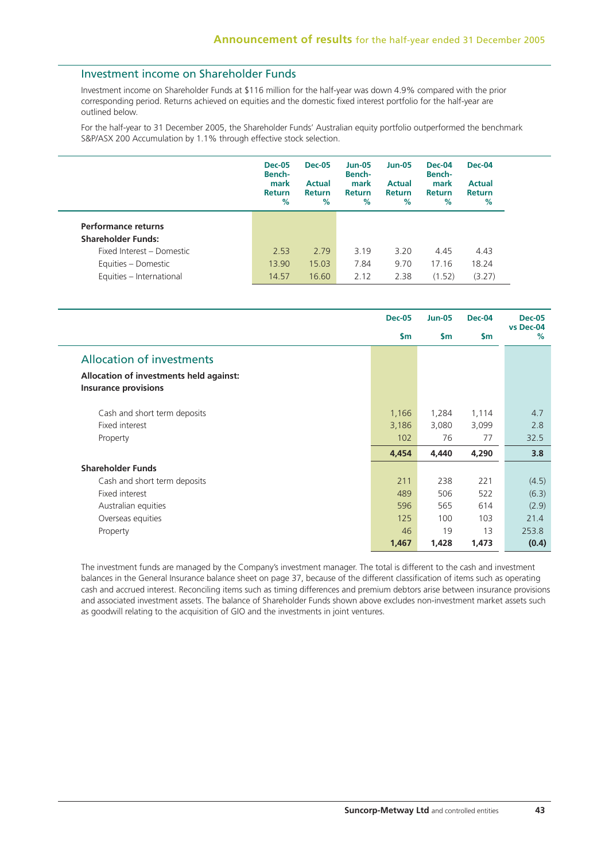# Investment income on Shareholder Funds

Investment income on Shareholder Funds at \$116 million for the half-year was down 4.9% compared with the prior corresponding period. Returns achieved on equities and the domestic fixed interest portfolio for the half-year are outlined below.

For the half-year to 31 December 2005, the Shareholder Funds' Australian equity portfolio outperformed the benchmark S&P/ASX 200 Accumulation by 1.1% through effective stock selection.

|                           | <b>Dec-05</b><br><b>Bench-</b><br>mark<br><b>Return</b><br>$\%$ | <b>Dec-05</b><br><b>Actual</b><br><b>Return</b><br>$\%$ | <b>Jun-05</b><br><b>Bench-</b><br>mark<br>Return<br>% | $Jun-05$<br><b>Actual</b><br><b>Return</b><br>$\%$ | Dec-04<br><b>Bench-</b><br>mark<br><b>Return</b><br>% | <b>Dec-04</b><br><b>Actual</b><br><b>Return</b><br>% |
|---------------------------|-----------------------------------------------------------------|---------------------------------------------------------|-------------------------------------------------------|----------------------------------------------------|-------------------------------------------------------|------------------------------------------------------|
| Performance returns       |                                                                 |                                                         |                                                       |                                                    |                                                       |                                                      |
| <b>Shareholder Funds:</b> |                                                                 |                                                         |                                                       |                                                    |                                                       |                                                      |
| Fixed Interest - Domestic | 2.53                                                            | 2.79                                                    | 3.19                                                  | 3.20                                               | 4.45                                                  | 4.43                                                 |
| Equities - Domestic       | 13.90                                                           | 15.03                                                   | 7.84                                                  | 9.70                                               | 17.16                                                 | 18.24                                                |
| Equities - International  | 14.57                                                           | 16.60                                                   | 2.12                                                  | 2.38                                               | (1.52)                                                | (3.27)                                               |

|                                                                        | <b>Dec-05</b> | <b>Jun-05</b> | <b>Dec-04</b> | <b>Dec-05</b>     |
|------------------------------------------------------------------------|---------------|---------------|---------------|-------------------|
|                                                                        | $\mathsf{Sm}$ | $\mathsf{Sm}$ | <b>Sm</b>     | vs Dec-04<br>$\%$ |
| <b>Allocation of investments</b>                                       |               |               |               |                   |
| Allocation of investments held against:<br><b>Insurance provisions</b> |               |               |               |                   |
| Cash and short term deposits                                           | 1,166         | 1,284         | 1,114         | 4.7               |
| Fixed interest                                                         | 3,186         | 3,080         | 3,099         | 2.8               |
| Property                                                               | 102           | 76            | 77            | 32.5              |
|                                                                        | 4,454         | 4,440         | 4,290         | 3.8               |
| <b>Shareholder Funds</b>                                               |               |               |               |                   |
| Cash and short term deposits                                           | 211           | 238           | 221           | (4.5)             |
| Fixed interest                                                         | 489           | 506           | 522           | (6.3)             |
| Australian equities                                                    | 596           | 565           | 614           | (2.9)             |
| Overseas equities                                                      | 125           | 100           | 103           | 21.4              |
| Property                                                               | 46            | 19            | 13            | 253.8             |
|                                                                        | 1,467         | 1,428         | 1,473         | (0.4)             |

The investment funds are managed by the Company's investment manager. The total is different to the cash and investment balances in the General Insurance balance sheet on page 37, because of the different classification of items such as operating cash and accrued interest. Reconciling items such as timing differences and premium debtors arise between insurance provisions and associated investment assets. The balance of Shareholder Funds shown above excludes non-investment market assets such as goodwill relating to the acquisition of GIO and the investments in joint ventures.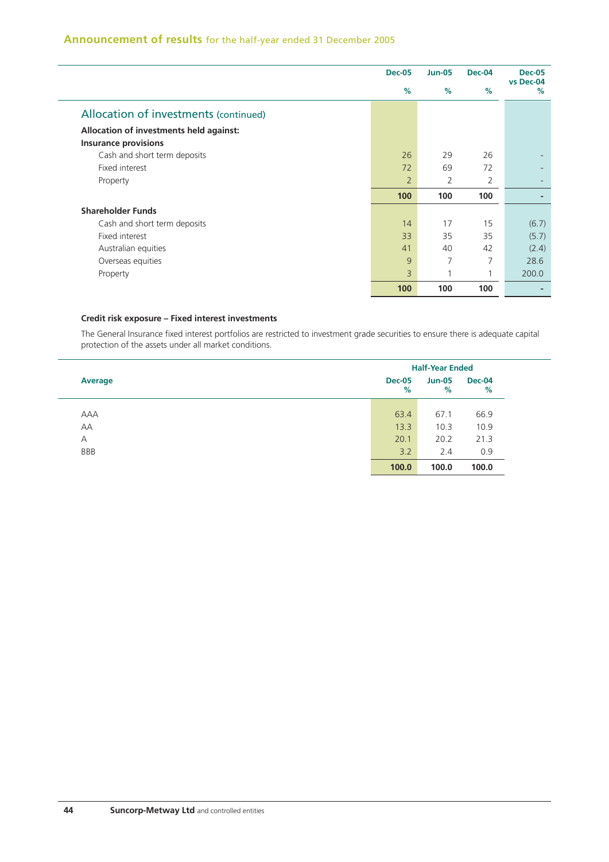# **Announcement of results** for the half-year ended 31 December 2005

|                                         | <b>Dec-05</b>  | <b>Jun-05</b> | <b>Dec-04</b>  | <b>Dec-05</b><br>vs Dec-04 |
|-----------------------------------------|----------------|---------------|----------------|----------------------------|
|                                         | $\%$           | %             | $\%$           | $\%$                       |
| Allocation of investments (continued)   |                |               |                |                            |
| Allocation of investments held against: |                |               |                |                            |
| <b>Insurance provisions</b>             |                |               |                |                            |
| Cash and short term deposits            | 26             | 29            | 26             |                            |
| Fixed interest                          | 72             | 69            | 72             |                            |
| Property                                | $\overline{2}$ | 2             | $\overline{2}$ |                            |
|                                         | 100            | 100           | 100            | $\blacksquare$             |
| <b>Shareholder Funds</b>                |                |               |                |                            |
| Cash and short term deposits            | 14             | 17            | 15             | (6.7)                      |
| Fixed interest                          | 33             | 35            | 35             | (5.7)                      |
| Australian equities                     | 41             | 40            | 42             | (2.4)                      |
| Overseas equities                       | 9              | 7             | 7              | 28.6                       |
| Property                                | 3              |               |                | 200.0                      |
|                                         | 100            | 100           | 100            |                            |

## **Credit risk exposure – Fixed interest investments**

The General Insurance fixed interest portfolios are restricted to investment grade securities to ensure there is adequate capital protection of the assets under all market conditions.

|                | <b>Half-Year Ended</b> |                    |       |  |  |
|----------------|------------------------|--------------------|-------|--|--|
| <b>Average</b> | <b>Dec-05</b><br>%     | <b>Jun-05</b><br>% |       |  |  |
|                |                        |                    |       |  |  |
| AAA            | 63.4                   | 67.1               | 66.9  |  |  |
| AA             | 13.3                   | 10.3               | 10.9  |  |  |
| $\overline{A}$ | 20.1                   | 20.2               | 21.3  |  |  |
| <b>BBB</b>     | 3.2                    | 2.4                | 0.9   |  |  |
|                | 100.0                  | 100.0              | 100.0 |  |  |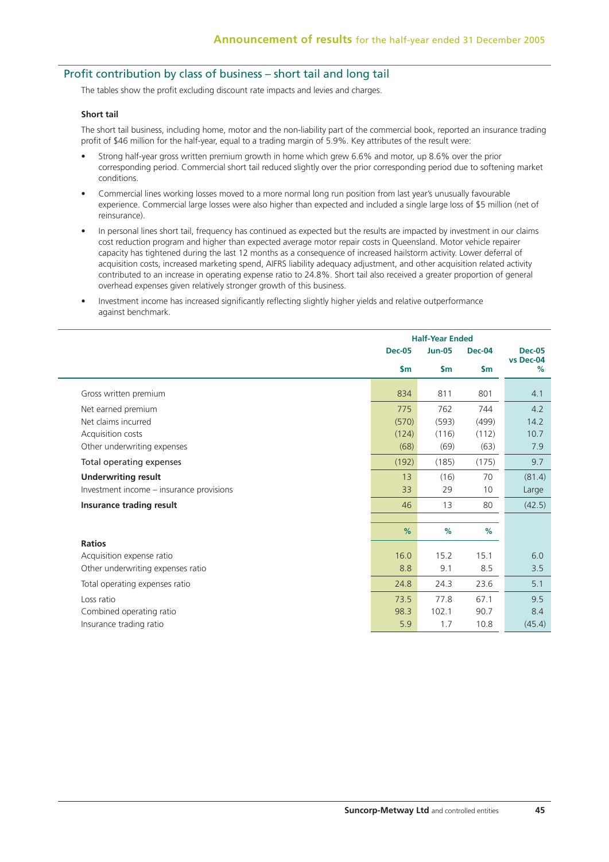# Profit contribution by class of business – short tail and long tail

The tables show the profit excluding discount rate impacts and levies and charges.

#### **Short tail**

The short tail business, including home, motor and the non-liability part of the commercial book, reported an insurance trading profit of \$46 million for the half-year, equal to a trading margin of 5.9%. Key attributes of the result were:

- Strong half-year gross written premium growth in home which grew 6.6% and motor, up 8.6% over the prior corresponding period. Commercial short tail reduced slightly over the prior corresponding period due to softening market conditions.
- Commercial lines working losses moved to a more normal long run position from last year's unusually favourable experience. Commercial large losses were also higher than expected and included a single large loss of \$5 million (net of reinsurance).
- In personal lines short tail, frequency has continued as expected but the results are impacted by investment in our claims cost reduction program and higher than expected average motor repair costs in Queensland. Motor vehicle repairer capacity has tightened during the last 12 months as a consequence of increased hailstorm activity. Lower deferral of acquisition costs, increased marketing spend, AIFRS liability adequacy adjustment, and other acquisition related activity contributed to an increase in operating expense ratio to 24.8%. Short tail also received a greater proportion of general overhead expenses given relatively stronger growth of this business.
- Investment income has increased significantly reflecting slightly higher yields and relative outperformance against benchmark.

|                                          |               | <b>Half-Year Ended</b> |               |                |
|------------------------------------------|---------------|------------------------|---------------|----------------|
|                                          | <b>Dec-05</b> | <b>Jun-05</b>          | <b>Dec-04</b> | <b>Dec-05</b>  |
|                                          | $\mathsf{Sm}$ | $\mathsf{sm}$          | $\mathsf{sm}$ | vs Dec-04<br>% |
| Gross written premium                    | 834           | 811                    | 801           | 4.1            |
| Net earned premium                       | 775           | 762                    | 744           | 4.2            |
| Net claims incurred                      | (570)         | (593)                  | (499)         | 14.2           |
| Acquisition costs                        | (124)         | (116)                  | (112)         | 10.7           |
| Other underwriting expenses              | (68)          | (69)                   | (63)          | 7.9            |
| Total operating expenses                 | (192)         | (185)                  | (175)         | 9.7            |
| <b>Underwriting result</b>               | 13            | (16)                   | 70            | (81.4)         |
| Investment income - insurance provisions | 33            | 29                     | 10            | Large          |
| Insurance trading result                 | 46            | 13                     | 80            | (42.5)         |
|                                          |               |                        |               |                |
|                                          | %             | %                      | %             |                |
| <b>Ratios</b>                            |               |                        |               |                |
| Acquisition expense ratio                | 16.0          | 15.2                   | 15.1          | 6.0            |
| Other underwriting expenses ratio        | 8.8           | 9.1                    | 8.5           | 3.5            |
| Total operating expenses ratio           | 24.8          | 24.3                   | 23.6          | 5.1            |
| Loss ratio                               | 73.5          | 77.8                   | 67.1          | 9.5            |
| Combined operating ratio                 | 98.3          | 102.1                  | 90.7          | 8.4            |
| Insurance trading ratio                  | 5.9           | 1.7                    | 10.8          | (45.4)         |
|                                          |               |                        |               |                |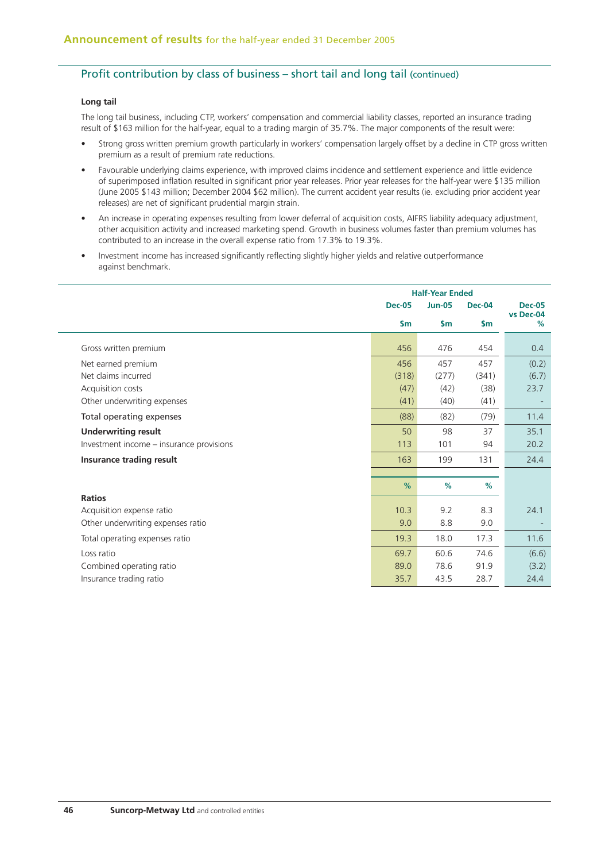## Profit contribution by class of business – short tail and long tail (continued)

### **Long tail**

The long tail business, including CTP, workers' compensation and commercial liability classes, reported an insurance trading result of \$163 million for the half-year, equal to a trading margin of 35.7%. The major components of the result were:

- Strong gross written premium growth particularly in workers' compensation largely offset by a decline in CTP gross written premium as a result of premium rate reductions.
- Favourable underlying claims experience, with improved claims incidence and settlement experience and little evidence of superimposed inflation resulted in significant prior year releases. Prior year releases for the half-year were \$135 million (June 2005 \$143 million; December 2004 \$62 million). The current accident year results (ie. excluding prior accident year releases) are net of significant prudential margin strain.
- An increase in operating expenses resulting from lower deferral of acquisition costs, AIFRS liability adequacy adjustment, other acquisition activity and increased marketing spend. Growth in business volumes faster than premium volumes has contributed to an increase in the overall expense ratio from 17.3% to 19.3%.
- Investment income has increased significantly reflecting slightly higher yields and relative outperformance against benchmark.

|                                          |               | <b>Half-Year Ended</b> |               |                |  |
|------------------------------------------|---------------|------------------------|---------------|----------------|--|
|                                          | <b>Dec-05</b> | <b>Jun-05</b>          | <b>Dec-04</b> | <b>Dec-05</b>  |  |
|                                          | $\mathsf{sm}$ | $\mathsf{Sm}$          | $\mathsf{sm}$ | vs Dec-04<br>% |  |
| Gross written premium                    | 456           | 476                    | 454           | 0.4            |  |
| Net earned premium                       | 456           | 457                    | 457           | (0.2)          |  |
| Net claims incurred                      | (318)         | (277)                  | (341)         | (6.7)          |  |
| Acquisition costs                        | (47)          | (42)                   | (38)          | 23.7           |  |
| Other underwriting expenses              | (41)          | (40)                   | (41)          |                |  |
| Total operating expenses                 | (88)          | (82)                   | (79)          | 11.4           |  |
| <b>Underwriting result</b>               | 50            | 98                     | 37            | 35.1           |  |
| Investment income - insurance provisions | 113           | 101                    | 94            | 20.2           |  |
| Insurance trading result                 | 163           | 199                    | 131           | 24.4           |  |
|                                          |               |                        |               |                |  |
|                                          | %             | %                      | %             |                |  |
| <b>Ratios</b>                            |               |                        |               |                |  |
| Acquisition expense ratio                | 10.3          | 9.2                    | 8.3           | 24.1           |  |
| Other underwriting expenses ratio        | 9.0           | 8.8                    | 9.0           |                |  |
| Total operating expenses ratio           | 19.3          | 18.0                   | 17.3          | 11.6           |  |
| Loss ratio                               | 69.7          | 60.6                   | 74.6          | (6.6)          |  |
| Combined operating ratio                 | 89.0          | 78.6                   | 91.9          | (3.2)          |  |
| Insurance trading ratio                  | 35.7          | 43.5                   | 28.7          | 24.4           |  |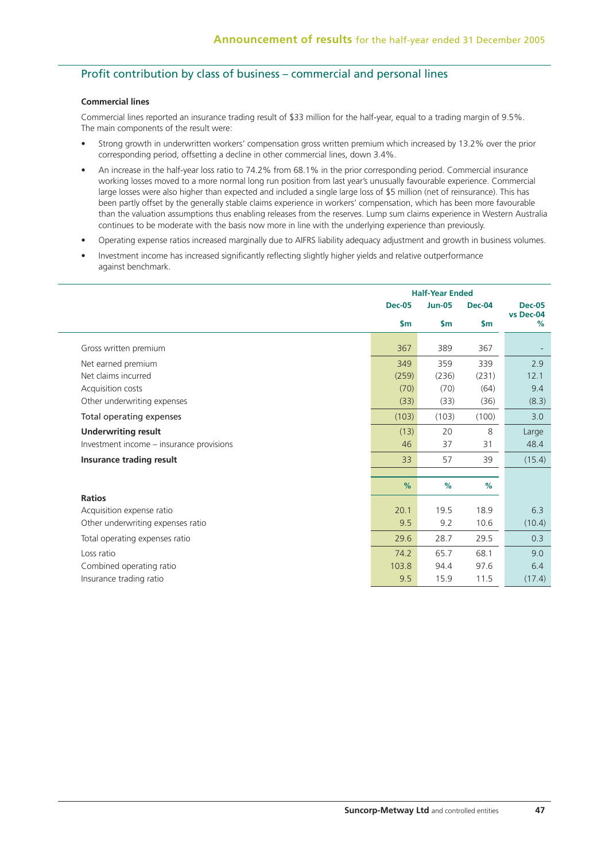# Profit contribution by class of business – commercial and personal lines

### **Commercial lines**

Commercial lines reported an insurance trading result of \$33 million for the half-year, equal to a trading margin of 9.5%. The main components of the result were:

- Strong growth in underwritten workers' compensation gross written premium which increased by 13.2% over the prior corresponding period, offsetting a decline in other commercial lines, down 3.4%.
- An increase in the half-year loss ratio to 74.2% from 68.1% in the prior corresponding period. Commercial insurance working losses moved to a more normal long run position from last year's unusually favourable experience. Commercial large losses were also higher than expected and included a single large loss of \$5 million (net of reinsurance). This has been partly offset by the generally stable claims experience in workers' compensation, which has been more favourable than the valuation assumptions thus enabling releases from the reserves. Lump sum claims experience in Western Australia continues to be moderate with the basis now more in line with the underlying experience than previously.
- Operating expense ratios increased marginally due to AIFRS liability adequacy adjustment and growth in business volumes.
- Investment income has increased significantly reflecting slightly higher yields and relative outperformance against benchmark.

|                                          | <b>Half-Year Ended</b> |               |               |                |
|------------------------------------------|------------------------|---------------|---------------|----------------|
|                                          | <b>Dec-05</b>          | <b>Jun-05</b> | <b>Dec-04</b> | <b>Dec-05</b>  |
|                                          | $\mathsf{sm}$          | $\mathsf{sm}$ | $\mathsf{sm}$ | vs Dec-04<br>% |
| Gross written premium                    | 367                    | 389           | 367           |                |
| Net earned premium                       | 349                    | 359           | 339           | 2.9            |
| Net claims incurred                      | (259)                  | (236)         | (231)         | 12.1           |
| Acquisition costs                        | (70)                   | (70)          | (64)          | 9.4            |
| Other underwriting expenses              | (33)                   | (33)          | (36)          | (8.3)          |
| Total operating expenses                 | (103)                  | (103)         | (100)         | 3.0            |
| <b>Underwriting result</b>               | (13)                   | 20            | 8             | Large          |
| Investment income - insurance provisions | 46                     | 37            | 31            | 48.4           |
| Insurance trading result                 | 33                     | 57            | 39            | (15.4)         |
|                                          |                        |               |               |                |
|                                          | %                      | %             | %             |                |
| <b>Ratios</b>                            |                        |               |               |                |
| Acquisition expense ratio                | 20.1                   | 19.5          | 18.9          | 6.3            |
| Other underwriting expenses ratio        | 9.5                    | 9.2           | 10.6          | (10.4)         |
| Total operating expenses ratio           | 29.6                   | 28.7          | 29.5          | 0.3            |
| Loss ratio                               | 74.2                   | 65.7          | 68.1          | 9.0            |
| Combined operating ratio                 | 103.8                  | 94.4          | 97.6          | 6.4            |
| Insurance trading ratio                  | 9.5                    | 15.9          | 11.5          | (17.4)         |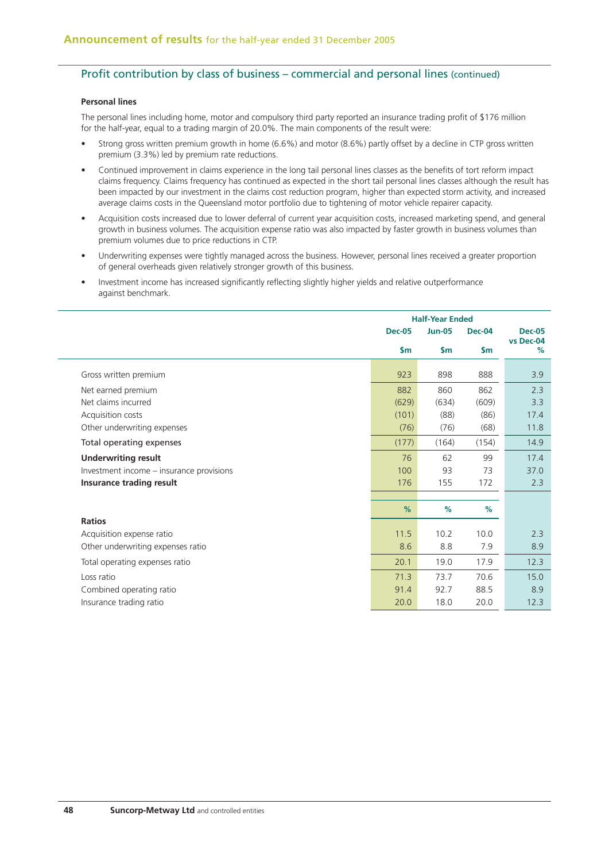# Profit contribution by class of business – commercial and personal lines (continued)

### **Personal lines**

The personal lines including home, motor and compulsory third party reported an insurance trading profit of \$176 million for the half-year, equal to a trading margin of 20.0%. The main components of the result were:

- Strong gross written premium growth in home (6.6%) and motor (8.6%) partly offset by a decline in CTP gross written premium (3.3%) led by premium rate reductions.
- Continued improvement in claims experience in the long tail personal lines classes as the benefits of tort reform impact claims frequency. Claims frequency has continued as expected in the short tail personal lines classes although the result has been impacted by our investment in the claims cost reduction program, higher than expected storm activity, and increased average claims costs in the Queensland motor portfolio due to tightening of motor vehicle repairer capacity.
- Acquisition costs increased due to lower deferral of current year acquisition costs, increased marketing spend, and general growth in business volumes. The acquisition expense ratio was also impacted by faster growth in business volumes than premium volumes due to price reductions in CTP.
- Underwriting expenses were tightly managed across the business. However, personal lines received a greater proportion of general overheads given relatively stronger growth of this business.
- Investment income has increased significantly reflecting slightly higher yields and relative outperformance against benchmark.

|                                          | <b>Half-Year Ended</b> |                                |               |                |
|------------------------------------------|------------------------|--------------------------------|---------------|----------------|
|                                          | <b>Dec-05</b>          | <b>Jun-05</b><br><b>Dec-04</b> |               | <b>Dec-05</b>  |
|                                          | $\mathsf{Sm}$          | $\mathsf{sm}$                  | $\mathsf{Sm}$ | vs Dec-04<br>% |
| Gross written premium                    | 923                    | 898                            | 888           | 3.9            |
| Net earned premium                       | 882                    | 860                            | 862           | 2.3            |
| Net claims incurred                      | (629)                  | (634)                          | (609)         | 3.3            |
| Acquisition costs                        | (101)                  | (88)                           | (86)          | 17.4           |
| Other underwriting expenses              | (76)                   | (76)                           | (68)          | 11.8           |
| Total operating expenses                 | (177)                  | (164)                          | (154)         | 14.9           |
| <b>Underwriting result</b>               | 76                     | 62                             | 99            | 17.4           |
| Investment income - insurance provisions | 100                    | 93                             | 73            | 37.0           |
| Insurance trading result                 | 176                    | 155                            | 172           | 2.3            |
|                                          |                        |                                |               |                |
|                                          | %                      | %                              | %             |                |
| <b>Ratios</b>                            |                        |                                |               |                |
| Acquisition expense ratio                | 11.5                   | 10.2                           | 10.0          | 2.3            |
| Other underwriting expenses ratio        | 8.6                    | 8.8                            | 7.9           | 8.9            |
| Total operating expenses ratio           | 20.1                   | 19.0                           | 17.9          | 12.3           |
| Loss ratio                               | 71.3                   | 73.7                           | 70.6          | 15.0           |
| Combined operating ratio                 | 91.4                   | 92.7                           | 88.5          | 8.9            |
| Insurance trading ratio                  | 20.0                   | 18.0                           | 20.0          | 12.3           |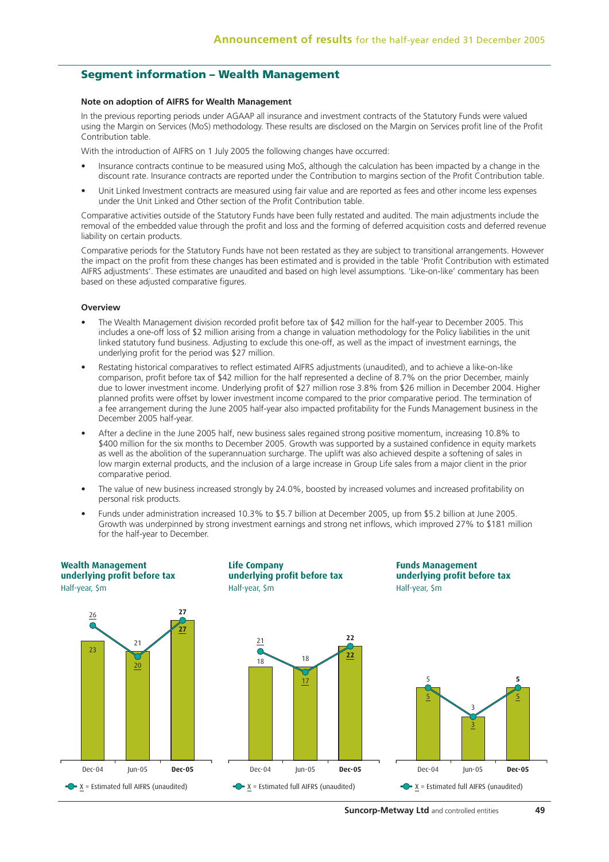## **Segment information – Wealth Management**

#### **Note on adoption of AIFRS for Wealth Management**

In the previous reporting periods under AGAAP all insurance and investment contracts of the Statutory Funds were valued using the Margin on Services (MoS) methodology. These results are disclosed on the Margin on Services profit line of the Profit Contribution table.

With the introduction of AIFRS on 1 July 2005 the following changes have occurred:

- Insurance contracts continue to be measured using MoS, although the calculation has been impacted by a change in the discount rate. Insurance contracts are reported under the Contribution to margins section of the Profit Contribution table.
- Unit Linked Investment contracts are measured using fair value and are reported as fees and other income less expenses under the Unit Linked and Other section of the Profit Contribution table.

Comparative activities outside of the Statutory Funds have been fully restated and audited. The main adjustments include the removal of the embedded value through the profit and loss and the forming of deferred acquisition costs and deferred revenue liability on certain products.

Comparative periods for the Statutory Funds have not been restated as they are subject to transitional arrangements. However the impact on the profit from these changes has been estimated and is provided in the table 'Profit Contribution with estimated AIFRS adjustments'. These estimates are unaudited and based on high level assumptions. 'Like-on-like' commentary has been based on these adjusted comparative figures.

#### **Overview**

- The Wealth Management division recorded profit before tax of \$42 million for the half-year to December 2005. This includes a one-off loss of \$2 million arising from a change in valuation methodology for the Policy liabilities in the unit linked statutory fund business. Adjusting to exclude this one-off, as well as the impact of investment earnings, the underlying profit for the period was \$27 million.
- Restating historical comparatives to reflect estimated AIFRS adjustments (unaudited), and to achieve a like-on-like comparison, profit before tax of \$42 million for the half represented a decline of 8.7% on the prior December, mainly due to lower investment income. Underlying profit of \$27 million rose 3.8% from \$26 million in December 2004. Higher planned profits were offset by lower investment income compared to the prior comparative period. The termination of a fee arrangement during the June 2005 half-year also impacted profitability for the Funds Management business in the December 2005 half-year.
- After a decline in the June 2005 half, new business sales regained strong positive momentum, increasing 10.8% to \$400 million for the six months to December 2005. Growth was supported by a sustained confidence in equity markets as well as the abolition of the superannuation surcharge. The uplift was also achieved despite a softening of sales in low margin external products, and the inclusion of a large increase in Group Life sales from a major client in the prior comparative period.
- The value of new business increased strongly by 24.0%, boosted by increased volumes and increased profitability on personal risk products.
- Funds under administration increased 10.3% to \$5.7 billion at December 2005, up from \$5.2 billion at June 2005. Growth was underpinned by strong investment earnings and strong net inflows, which improved 27% to \$181 million for the half-year to December.



**Suncorp-Metway Ltd** and controlled entities **49**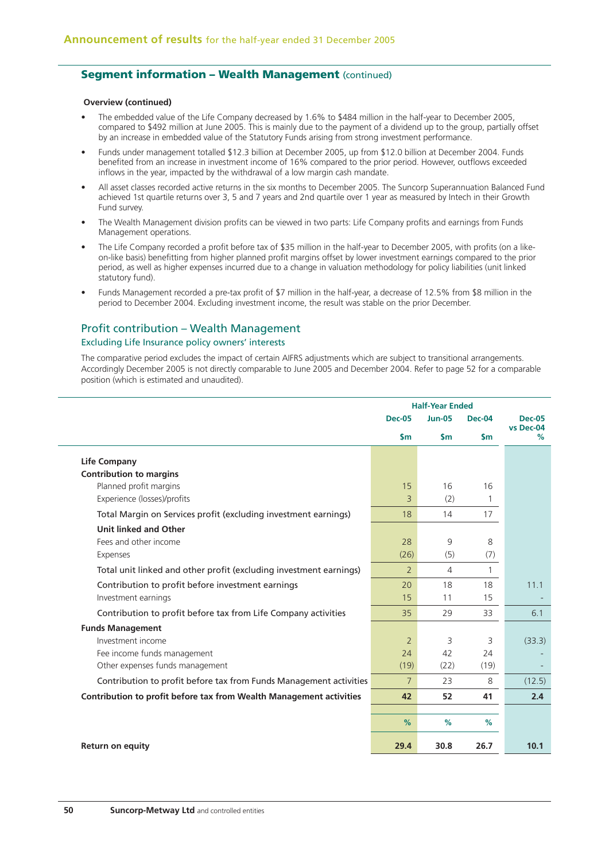## **Seament information - Wealth Management (continued)**

#### **Overview (continued)**

- The embedded value of the Life Company decreased by 1.6% to \$484 million in the half-year to December 2005, compared to \$492 million at June 2005. This is mainly due to the payment of a dividend up to the group, partially offset by an increase in embedded value of the Statutory Funds arising from strong investment performance.
- Funds under management totalled \$12.3 billion at December 2005, up from \$12.0 billion at December 2004. Funds benefited from an increase in investment income of 16% compared to the prior period. However, outflows exceeded inflows in the year, impacted by the withdrawal of a low margin cash mandate.
- All asset classes recorded active returns in the six months to December 2005. The Suncorp Superannuation Balanced Fund achieved 1st quartile returns over 3, 5 and 7 years and 2nd quartile over 1 year as measured by Intech in their Growth Fund survey.
- The Wealth Management division profits can be viewed in two parts: Life Company profits and earnings from Funds Management operations.
- The Life Company recorded a profit before tax of \$35 million in the half-year to December 2005, with profits (on a likeon-like basis) benefitting from higher planned profit margins offset by lower investment earnings compared to the prior period, as well as higher expenses incurred due to a change in valuation methodology for policy liabilities (unit linked statutory fund).
- Funds Management recorded a pre-tax profit of \$7 million in the half-year, a decrease of 12.5% from \$8 million in the period to December 2004. Excluding investment income, the result was stable on the prior December.

### Profit contribution – Wealth Management

### Excluding Life Insurance policy owners' interests

The comparative period excludes the impact of certain AIFRS adjustments which are subject to transitional arrangements. Accordingly December 2005 is not directly comparable to June 2005 and December 2004. Refer to page 52 for a comparable position (which is estimated and unaudited).

|                                                                     | <b>Half-Year Ended</b> |                |           |                            |
|---------------------------------------------------------------------|------------------------|----------------|-----------|----------------------------|
|                                                                     | <b>Dec-05</b>          | <b>Jun-05</b>  | Dec-04    | <b>Dec-05</b><br>vs Dec-04 |
|                                                                     | $\mathsf{Sm}$          | $\mathsf{Sm}$  | <b>Sm</b> | %                          |
| <b>Life Company</b>                                                 |                        |                |           |                            |
| <b>Contribution to margins</b>                                      |                        |                |           |                            |
| Planned profit margins                                              | 15                     | 16             | 16        |                            |
| Experience (losses)/profits                                         | 3                      | (2)            | 1         |                            |
| Total Margin on Services profit (excluding investment earnings)     | 18                     | 14             | 17        |                            |
| <b>Unit linked and Other</b>                                        |                        |                |           |                            |
| Fees and other income                                               | 28                     | 9              | 8         |                            |
| Expenses                                                            | (26)                   | (5)            | (7)       |                            |
| Total unit linked and other profit (excluding investment earnings)  | $\overline{2}$         | $\overline{4}$ | 1         |                            |
| Contribution to profit before investment earnings                   | 20                     | 18             | 18        | 11.1                       |
| Investment earnings                                                 | 15                     | 11             | 15        |                            |
| Contribution to profit before tax from Life Company activities      | 35                     | 29             | 33        | 6.1                        |
| <b>Funds Management</b>                                             |                        |                |           |                            |
| Investment income                                                   | $\overline{2}$         | 3              | 3         | (33.3)                     |
| Fee income funds management                                         | 24                     | 42             | 24        |                            |
| Other expenses funds management                                     | (19)                   | (22)           | (19)      |                            |
| Contribution to profit before tax from Funds Management activities  | $\overline{7}$         | 23             | 8         | (12.5)                     |
| Contribution to profit before tax from Wealth Management activities | 42                     | 52             | 41        | 2.4                        |
|                                                                     |                        |                |           |                            |
|                                                                     | %                      | %              | %         |                            |
| <b>Return on equity</b>                                             | 29.4                   | 30.8           | 26.7      | 10.1                       |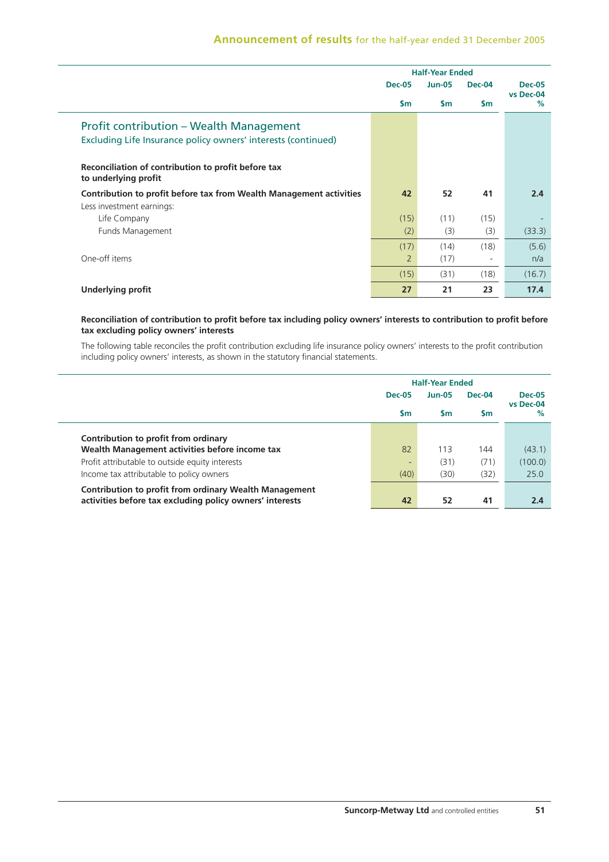|                                                                                                                 |                | <b>Half-Year Ended</b> |                          |                   |  |
|-----------------------------------------------------------------------------------------------------------------|----------------|------------------------|--------------------------|-------------------|--|
|                                                                                                                 | <b>Dec-05</b>  | <b>Jun-05</b>          | $Dec-04$                 | <b>Dec-05</b>     |  |
|                                                                                                                 | $\mathsf{Sm}$  | <b>Sm</b>              | <b>Sm</b>                | vs Dec-04<br>$\%$ |  |
| <b>Profit contribution – Wealth Management</b><br>Excluding Life Insurance policy owners' interests (continued) |                |                        |                          |                   |  |
| Reconciliation of contribution to profit before tax<br>to underlying profit                                     |                |                        |                          |                   |  |
| Contribution to profit before tax from Wealth Management activities                                             | 42             | 52                     | 41                       | 2.4               |  |
| Less investment earnings:                                                                                       |                |                        |                          |                   |  |
| Life Company                                                                                                    | (15)           | (11)                   | (15)                     |                   |  |
| Funds Management                                                                                                | (2)            | (3)                    | (3)                      | (33.3)            |  |
|                                                                                                                 | (17)           | (14)                   | (18)                     | (5.6)             |  |
| One-off items                                                                                                   | $\overline{2}$ | (17)                   | $\overline{\phantom{a}}$ | n/a               |  |
|                                                                                                                 | (15)           | (31)                   | (18)                     | (16.7)            |  |
| <b>Underlying profit</b>                                                                                        | 27             | 21                     | 23                       | 17.4              |  |

### **Reconciliation of contribution to profit before tax including policy owners' interests to contribution to profit before tax excluding policy owners' interests**

The following table reconciles the profit contribution excluding life insurance policy owners' interests to the profit contribution including policy owners' interests, as shown in the statutory financial statements.

|                                                               | <b>Half-Year Ended</b> |                                  |        |                |               |
|---------------------------------------------------------------|------------------------|----------------------------------|--------|----------------|---------------|
|                                                               | <b>Dec-05</b>          | <b>Jun-05</b><br><b>Sm</b><br>Sm | Dec-04 |                | <b>Dec-05</b> |
|                                                               |                        |                                  | Sm     | vs Dec-04<br>% |               |
| Contribution to profit from ordinary                          |                        |                                  |        |                |               |
| Wealth Management activities before income tax                | 82                     | 113                              | 144    | (43.1)         |               |
| Profit attributable to outside equity interests               |                        | (31)                             | (71)   | (100.0)        |               |
| Income tax attributable to policy owners                      | (40)                   | (30)                             | (32)   | 25.0           |               |
| <b>Contribution to profit from ordinary Wealth Management</b> |                        |                                  |        |                |               |
| activities before tax excluding policy owners' interests      | 42                     | 52                               | 41     | 2.4            |               |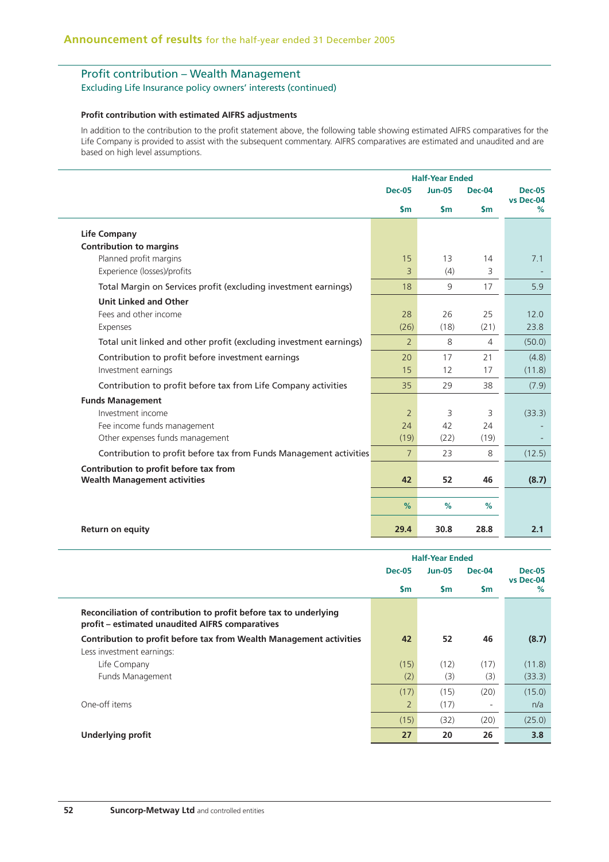# Profit contribution – Wealth Management

### Excluding Life Insurance policy owners' interests (continued)

#### **Profit contribution with estimated AIFRS adjustments**

In addition to the contribution to the profit statement above, the following table showing estimated AIFRS comparatives for the Life Company is provided to assist with the subsequent commentary. AIFRS comparatives are estimated and unaudited and are based on high level assumptions.

|                                                                    | <b>Half-Year Ended</b> |               |                |                            |
|--------------------------------------------------------------------|------------------------|---------------|----------------|----------------------------|
|                                                                    | <b>Dec-05</b>          | <b>Jun-05</b> | <b>Dec-04</b>  | <b>Dec-05</b><br>vs Dec-04 |
|                                                                    | $\mathsf{sm}$          | $\mathsf{sm}$ | $\mathsf{sm}$  | %                          |
| <b>Life Company</b>                                                |                        |               |                |                            |
| <b>Contribution to margins</b>                                     |                        |               |                |                            |
| Planned profit margins                                             | 15                     | 13            | 14             | 7.1                        |
| Experience (losses)/profits                                        | 3                      | (4)           | 3              |                            |
| Total Margin on Services profit (excluding investment earnings)    | 18                     | 9             | 17             | 5.9                        |
| <b>Unit Linked and Other</b>                                       |                        |               |                |                            |
| Fees and other income                                              | 28                     | 26            | 25             | 12.0                       |
| Expenses                                                           | (26)                   | (18)          | (21)           | 23.8                       |
| Total unit linked and other profit (excluding investment earnings) | $\overline{2}$         | 8             | $\overline{4}$ | (50.0)                     |
| Contribution to profit before investment earnings                  | 20                     | 17            | 21             | (4.8)                      |
| Investment earnings                                                | 15                     | 12            | 17             | (11.8)                     |
| Contribution to profit before tax from Life Company activities     | 35                     | 29            | 38             | (7.9)                      |
| <b>Funds Management</b>                                            |                        |               |                |                            |
| Investment income                                                  | $\overline{2}$         | 3             | 3              | (33.3)                     |
| Fee income funds management                                        | 24                     | 42            | 24             |                            |
| Other expenses funds management                                    | (19)                   | (22)          | (19)           |                            |
| Contribution to profit before tax from Funds Management activities | $\overline{7}$         | 23            | 8              | (12.5)                     |
| Contribution to profit before tax from                             |                        |               |                |                            |
| <b>Wealth Management activities</b>                                | 42                     | 52            | 46             | (8.7)                      |
|                                                                    | %                      | %             | %              |                            |
|                                                                    |                        |               |                |                            |
| <b>Return on equity</b>                                            | 29.4                   | 30.8          | 28.8           | 2.1                        |

|                                                                                                                      | <b>Half-Year Ended</b> |               |                          |                   |
|----------------------------------------------------------------------------------------------------------------------|------------------------|---------------|--------------------------|-------------------|
|                                                                                                                      | <b>Dec-05</b>          | <b>Jun-05</b> | Dec-04                   | <b>Dec-05</b>     |
|                                                                                                                      | $\mathsf{sm}$          | <b>Sm</b>     | <b>Sm</b>                | vs Dec-04<br>$\%$ |
| Reconciliation of contribution to profit before tax to underlying<br>profit - estimated unaudited AIFRS comparatives |                        |               |                          |                   |
| Contribution to profit before tax from Wealth Management activities                                                  | 42                     | 52            | 46                       | (8.7)             |
| Less investment earnings:                                                                                            |                        |               |                          |                   |
| Life Company                                                                                                         | (15)                   | (12)          | (17)                     | (11.8)            |
| Funds Management                                                                                                     | (2)                    | (3)           | (3)                      | (33.3)            |
|                                                                                                                      | (17)                   | (15)          | (20)                     | (15.0)            |
| One-off items                                                                                                        | $\overline{2}$         | (17)          | $\overline{\phantom{a}}$ | n/a               |
|                                                                                                                      | (15)                   | (32)          | (20)                     | (25.0)            |
| <b>Underlying profit</b>                                                                                             | 27                     | 20            | 26                       | 3.8               |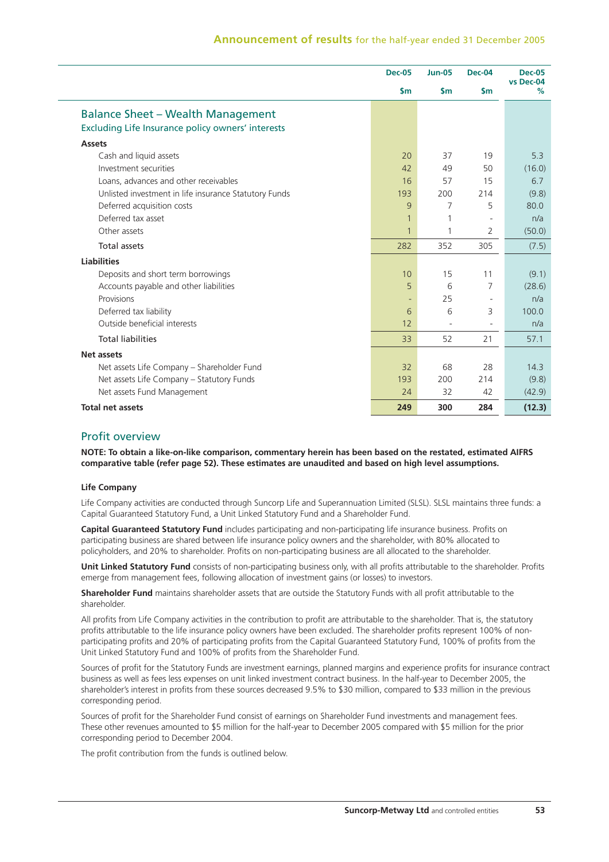|                                                       | <b>Dec-05</b> | <b>Jun-05</b> | <b>Dec-04</b> | <b>Dec-05</b><br>vs Dec-04 |
|-------------------------------------------------------|---------------|---------------|---------------|----------------------------|
|                                                       | $\mathsf{sm}$ | $\mathsf{Sm}$ | $\mathsf{Sm}$ | %                          |
| <b>Balance Sheet - Wealth Management</b>              |               |               |               |                            |
| Excluding Life Insurance policy owners' interests     |               |               |               |                            |
| <b>Assets</b>                                         |               |               |               |                            |
| Cash and liquid assets                                | 20            | 37            | 19            | 5.3                        |
| Investment securities                                 | 42            | 49            | 50            | (16.0)                     |
| Loans, advances and other receivables                 | 16            | 57            | 15            | 6.7                        |
| Unlisted investment in life insurance Statutory Funds | 193           | 200           | 214           | (9.8)                      |
| Deferred acquisition costs                            | 9             | 7             | 5             | 80.0                       |
| Deferred tax asset                                    | 1             |               |               | n/a                        |
| Other assets                                          | $\mathbf{1}$  | 1             | 2             | (50.0)                     |
| Total assets                                          | 282           | 352           | 305           | (7.5)                      |
| <b>Liabilities</b>                                    |               |               |               |                            |
| Deposits and short term borrowings                    | 10            | 15            | 11            | (9.1)                      |
| Accounts payable and other liabilities                | 5             | 6             | 7             | (28.6)                     |
| Provisions                                            |               | 25            |               | n/a                        |
| Deferred tax liability                                | 6             | 6             | 3             | 100.0                      |
| Outside beneficial interests                          | 12            |               |               | n/a                        |
| <b>Total liabilities</b>                              | 33            | 52            | 21            | 57.1                       |
| <b>Net assets</b>                                     |               |               |               |                            |
| Net assets Life Company - Shareholder Fund            | 32            | 68            | 28            | 14.3                       |
| Net assets Life Company - Statutory Funds             | 193           | 200           | 214           | (9.8)                      |
| Net assets Fund Management                            | 24            | 32            | 42            | (42.9)                     |
| <b>Total net assets</b>                               | 249           | 300           | 284           | (12.3)                     |

# Profit overview

**NOTE: To obtain a like-on-like comparison, commentary herein has been based on the restated, estimated AIFRS comparative table (refer page 52). These estimates are unaudited and based on high level assumptions.**

### **Life Company**

Life Company activities are conducted through Suncorp Life and Superannuation Limited (SLSL). SLSL maintains three funds: a Capital Guaranteed Statutory Fund, a Unit Linked Statutory Fund and a Shareholder Fund.

**Capital Guaranteed Statutory Fund** includes participating and non-participating life insurance business. Profits on participating business are shared between life insurance policy owners and the shareholder, with 80% allocated to policyholders, and 20% to shareholder. Profits on non-participating business are all allocated to the shareholder.

**Unit Linked Statutory Fund** consists of non-participating business only, with all profits attributable to the shareholder. Profits emerge from management fees, following allocation of investment gains (or losses) to investors.

**Shareholder Fund** maintains shareholder assets that are outside the Statutory Funds with all profit attributable to the shareholder.

All profits from Life Company activities in the contribution to profit are attributable to the shareholder. That is, the statutory profits attributable to the life insurance policy owners have been excluded. The shareholder profits represent 100% of nonparticipating profits and 20% of participating profits from the Capital Guaranteed Statutory Fund, 100% of profits from the Unit Linked Statutory Fund and 100% of profits from the Shareholder Fund.

Sources of profit for the Statutory Funds are investment earnings, planned margins and experience profits for insurance contract business as well as fees less expenses on unit linked investment contract business. In the half-year to December 2005, the shareholder's interest in profits from these sources decreased 9.5% to \$30 million, compared to \$33 million in the previous corresponding period.

Sources of profit for the Shareholder Fund consist of earnings on Shareholder Fund investments and management fees. These other revenues amounted to \$5 million for the half-year to December 2005 compared with \$5 million for the prior corresponding period to December 2004.

The profit contribution from the funds is outlined below.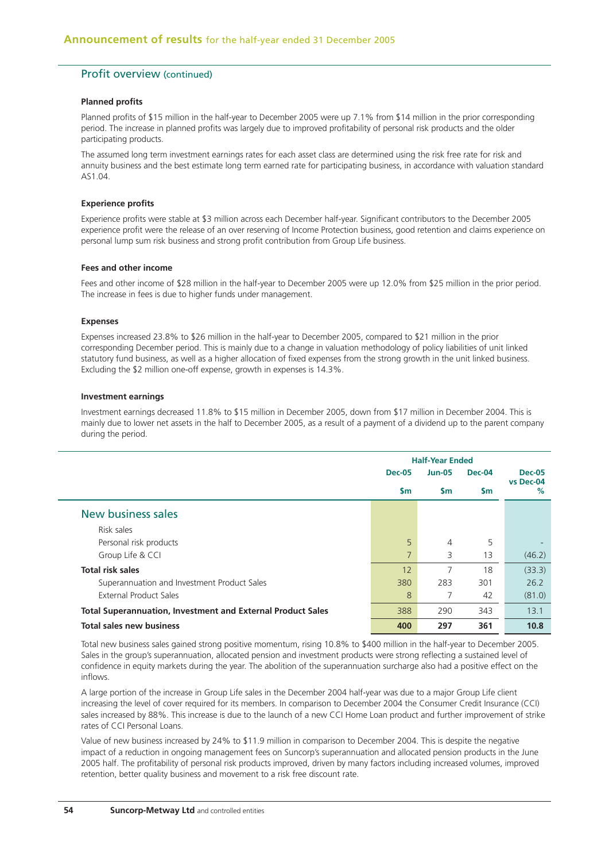## Profit overview (continued)

#### **Planned profits**

Planned profits of \$15 million in the half-year to December 2005 were up 7.1% from \$14 million in the prior corresponding period. The increase in planned profits was largely due to improved profitability of personal risk products and the older participating products.

The assumed long term investment earnings rates for each asset class are determined using the risk free rate for risk and annuity business and the best estimate long term earned rate for participating business, in accordance with valuation standard  $\triangle$ S1.04

#### **Experience profits**

Experience profits were stable at \$3 million across each December half-year. Significant contributors to the December 2005 experience profit were the release of an over reserving of Income Protection business, good retention and claims experience on personal lump sum risk business and strong profit contribution from Group Life business.

#### **Fees and other income**

Fees and other income of \$28 million in the half-year to December 2005 were up 12.0% from \$25 million in the prior period. The increase in fees is due to higher funds under management.

#### **Expenses**

Expenses increased 23.8% to \$26 million in the half-year to December 2005, compared to \$21 million in the prior corresponding December period. This is mainly due to a change in valuation methodology of policy liabilities of unit linked statutory fund business, as well as a higher allocation of fixed expenses from the strong growth in the unit linked business. Excluding the \$2 million one-off expense, growth in expenses is 14.3%.

#### **Investment earnings**

Investment earnings decreased 11.8% to \$15 million in December 2005, down from \$17 million in December 2004. This is mainly due to lower net assets in the half to December 2005, as a result of a payment of a dividend up to the parent company during the period.

|                                                                    | <b>Half-Year Ended</b> |                |               |                            |
|--------------------------------------------------------------------|------------------------|----------------|---------------|----------------------------|
|                                                                    | <b>Dec-05</b>          | <b>Jun-05</b>  | <b>Dec-04</b> | <b>Dec-05</b><br>vs Dec-04 |
|                                                                    | $\mathsf{sm}$          | $\mathsf{Sm}$  | $\mathsf{Sm}$ | $\%$                       |
| New business sales                                                 |                        |                |               |                            |
| Risk sales                                                         |                        |                |               |                            |
| Personal risk products                                             | 5                      | $\overline{4}$ | 5             |                            |
| Group Life & CCI                                                   | 7                      | 3              | 13            | (46.2)                     |
| <b>Total risk sales</b>                                            | 12                     | 7              | 18            | (33.3)                     |
| Superannuation and Investment Product Sales                        | 380                    | 283            | 301           | 26.2                       |
| <b>External Product Sales</b>                                      | 8                      | 7              | 42            | (81.0)                     |
| <b>Total Superannuation, Investment and External Product Sales</b> | 388                    | 290            | 343           | 13.1                       |
| <b>Total sales new business</b>                                    | 400                    | 297            | 361           | 10.8                       |

Total new business sales gained strong positive momentum, rising 10.8% to \$400 million in the half-year to December 2005. Sales in the group's superannuation, allocated pension and investment products were strong reflecting a sustained level of confidence in equity markets during the year. The abolition of the superannuation surcharge also had a positive effect on the inflows.

A large portion of the increase in Group Life sales in the December 2004 half-year was due to a major Group Life client increasing the level of cover required for its members. In comparison to December 2004 the Consumer Credit Insurance (CCI) sales increased by 88%. This increase is due to the launch of a new CCI Home Loan product and further improvement of strike rates of CCI Personal Loans.

Value of new business increased by 24% to \$11.9 million in comparison to December 2004. This is despite the negative impact of a reduction in ongoing management fees on Suncorp's superannuation and allocated pension products in the June 2005 half. The profitability of personal risk products improved, driven by many factors including increased volumes, improved retention, better quality business and movement to a risk free discount rate.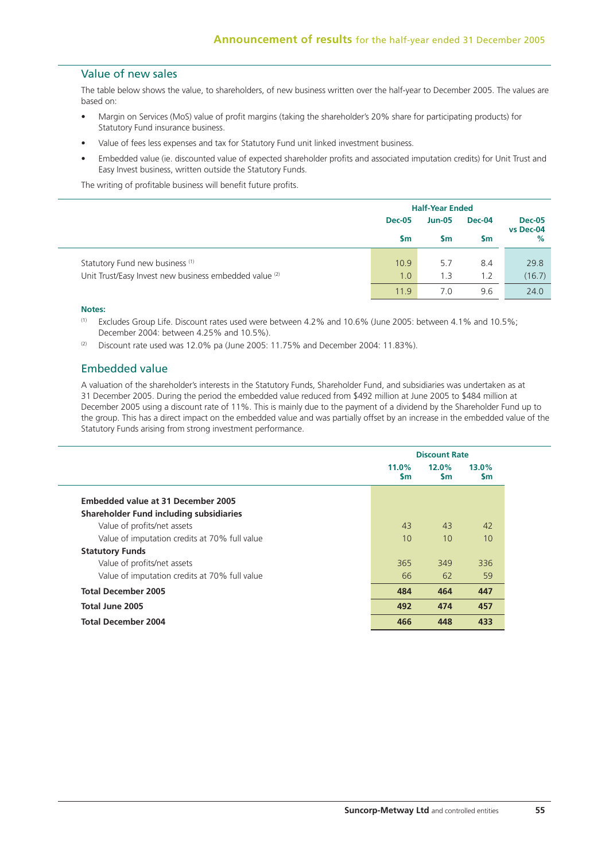# Value of new sales

The table below shows the value, to shareholders, of new business written over the half-year to December 2005. The values are based on:

- Margin on Services (MoS) value of profit margins (taking the shareholder's 20% share for participating products) for Statutory Fund insurance business.
- Value of fees less expenses and tax for Statutory Fund unit linked investment business.
- Embedded value (ie. discounted value of expected shareholder profits and associated imputation credits) for Unit Trust and Easy Invest business, written outside the Statutory Funds.

The writing of profitable business will benefit future profits.

|                                                                                                      | <b>Half-Year Ended</b> |               |            |                   |
|------------------------------------------------------------------------------------------------------|------------------------|---------------|------------|-------------------|
|                                                                                                      | <b>Dec-05</b>          | <b>Jun-05</b> | Dec-04     | <b>Dec-05</b>     |
|                                                                                                      | \$m                    | <b>Sm</b>     | Sm         | vs Dec-04<br>$\%$ |
| Statutory Fund new business <sup>(1)</sup><br>Unit Trust/Easy Invest new business embedded value (2) | 10.9<br>1.0            | 5.7<br>1.3    | 8.4<br>1.2 | 29.8<br>(16.7)    |
|                                                                                                      | 11.9                   | 7.0           | 9.6        | 24.0              |

#### **Notes:**

- (1) Excludes Group Life. Discount rates used were between 4.2% and 10.6% (June 2005: between 4.1% and 10.5%; December 2004: between 4.25% and 10.5%).
- $(2)$  Discount rate used was 12.0% pa (June 2005: 11.75% and December 2004: 11.83%).

# Embedded value

A valuation of the shareholder's interests in the Statutory Funds, Shareholder Fund, and subsidiaries was undertaken as at 31 December 2005. During the period the embedded value reduced from \$492 million at June 2005 to \$484 million at December 2005 using a discount rate of 11%. This is mainly due to the payment of a dividend by the Shareholder Fund up to the group. This has a direct impact on the embedded value and was partially offset by an increase in the embedded value of the Statutory Funds arising from strong investment performance.

|                                               |                       | <b>Discount Rate</b> |                    |  |  |  |
|-----------------------------------------------|-----------------------|----------------------|--------------------|--|--|--|
|                                               | $11.0\%$<br><b>Sm</b> | 12.0%<br><b>Sm</b>   | 13.0%<br><b>Sm</b> |  |  |  |
| <b>Embedded value at 31 December 2005</b>     |                       |                      |                    |  |  |  |
| Shareholder Fund including subsidiaries       |                       |                      |                    |  |  |  |
| Value of profits/net assets                   | 43                    | 43                   | 42                 |  |  |  |
| Value of imputation credits at 70% full value | 10                    | 10                   | 10                 |  |  |  |
| <b>Statutory Funds</b>                        |                       |                      |                    |  |  |  |
| Value of profits/net assets                   | 365                   | 349                  | 336                |  |  |  |
| Value of imputation credits at 70% full value | 66                    | 62                   | 59                 |  |  |  |
| <b>Total December 2005</b>                    | 484                   | 464                  | 447                |  |  |  |
| Total June 2005                               | 492                   | 474                  | 457                |  |  |  |
| <b>Total December 2004</b>                    | 466                   | 448                  | 433                |  |  |  |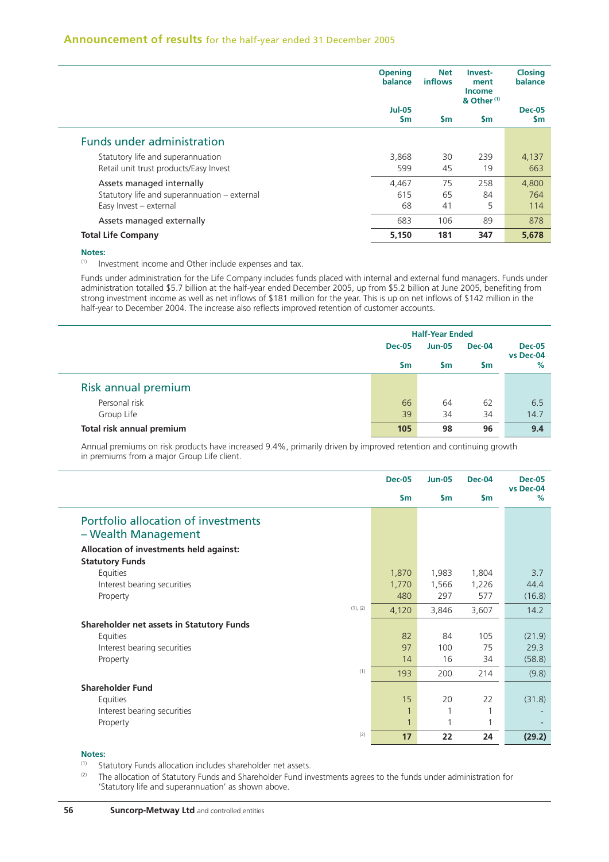|                                                                             | <b>Opening</b><br>balance      | <b>Net</b><br><b>inflows</b> | Invest-<br>ment<br><b>Income</b><br>& Other <sup>(1)</sup> | <b>Closing</b><br>balance  |
|-----------------------------------------------------------------------------|--------------------------------|------------------------------|------------------------------------------------------------|----------------------------|
|                                                                             | <b>Jul-05</b><br>$\mathsf{sm}$ | <b>Sm</b>                    | \$m                                                        | <b>Dec-05</b><br><b>Sm</b> |
| <b>Funds under administration</b>                                           |                                |                              |                                                            |                            |
| Statutory life and superannuation<br>Retail unit trust products/Easy Invest | 3,868<br>599                   | 30<br>45                     | 239<br>19                                                  | 4,137<br>663               |
| Assets managed internally                                                   | 4,467                          | 75                           | 258                                                        | 4,800                      |
| Statutory life and superannuation - external                                | 615                            | 65                           | 84                                                         | 764                        |
| Easy Invest - external                                                      | 68                             | 41                           | 5                                                          | 114                        |
| Assets managed externally                                                   | 683                            | 106                          | 89                                                         | 878                        |
| <b>Total Life Company</b>                                                   | 5,150                          | 181                          | 347                                                        | 5,678                      |

#### **Notes:**

(1) Investment income and Other include expenses and tax.

Funds under administration for the Life Company includes funds placed with internal and external fund managers. Funds under administration totalled \$5.7 billion at the half-year ended December 2005, up from \$5.2 billion at June 2005, benefiting from strong investment income as well as net inflows of \$181 million for the year. This is up on net inflows of \$142 million in the half-year to December 2004. The increase also reflects improved retention of customer accounts.

|                           |               | <b>Half-Year Ended</b> |               |                   |
|---------------------------|---------------|------------------------|---------------|-------------------|
|                           | <b>Dec-05</b> | <b>Jun-05</b>          | <b>Dec-04</b> | <b>Dec-05</b>     |
|                           | <b>Sm</b>     | <b>Sm</b>              | <b>Sm</b>     | vs Dec-04<br>$\%$ |
| Risk annual premium       |               |                        |               |                   |
| Personal risk             | 66            | 64                     | 62            | 6.5               |
| Group Life                | 39            | 34                     | 34            | 14.7              |
| Total risk annual premium | 105           | 98                     | 96            | 9.4               |

Annual premiums on risk products have increased 9.4%, primarily driven by improved retention and continuing growth in premiums from a major Group Life client.

|                                                                   | <b>Dec-05</b>  | <b>Jun-05</b>  | <b>Dec-04</b>  | <b>Dec-05</b><br>vs Dec-04 |
|-------------------------------------------------------------------|----------------|----------------|----------------|----------------------------|
|                                                                   | $\mathsf{Sm}$  | $\mathsf{Sm}$  | $\mathsf{Sm}$  | %                          |
| Portfolio allocation of investments<br>- Wealth Management        |                |                |                |                            |
| Allocation of investments held against:<br><b>Statutory Funds</b> |                |                |                |                            |
| Equities<br>Interest bearing securities                           | 1,870<br>1,770 | 1,983<br>1,566 | 1,804<br>1,226 | 3.7<br>44.4                |
| Property<br>(1), (2)                                              | 480<br>4,120   | 297<br>3,846   | 577<br>3,607   | (16.8)<br>14.2             |
| Shareholder net assets in Statutory Funds                         |                |                |                |                            |
| Equities                                                          | 82             | 84             | 105            | (21.9)                     |
| Interest bearing securities<br>Property                           | 97<br>14       | 100<br>16      | 75<br>34       | 29.3<br>(58.8)             |
| (1)                                                               | 193            | 200            | 214            | (9.8)                      |
| <b>Shareholder Fund</b>                                           |                |                |                |                            |
| Equities                                                          | 15             | 20             | 22             | (31.8)                     |
| Interest bearing securities                                       | 1              |                |                |                            |
| Property                                                          | $\overline{1}$ | 1              | 1              |                            |
| (2)                                                               | 17             | 22             | 24             | (29.2)                     |

### **Notes:**

- (1) Statutory Funds allocation includes shareholder net assets.
- <sup>(2)</sup> The allocation of Statutory Funds and Shareholder Fund investments agrees to the funds under administration for 'Statutory life and superannuation' as shown above.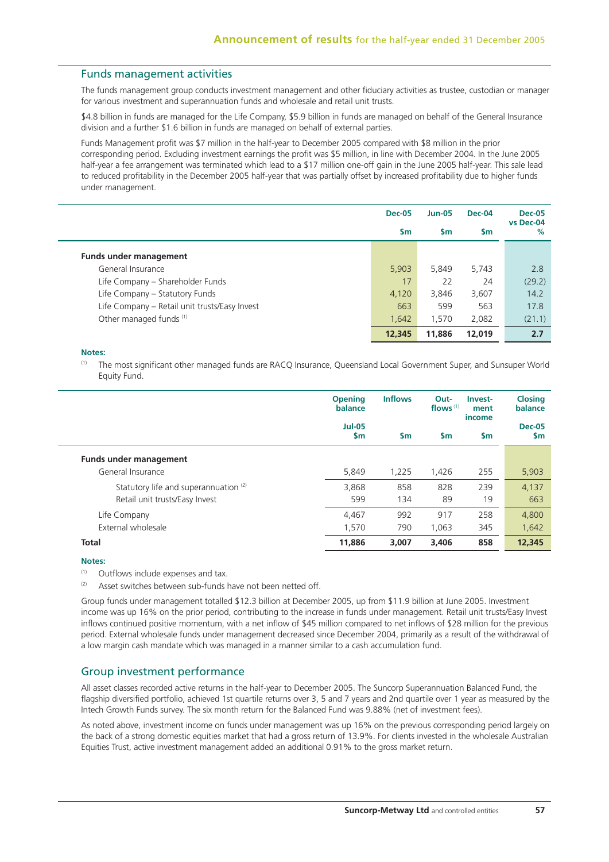### Funds management activities

The funds management group conducts investment management and other fiduciary activities as trustee, custodian or manager for various investment and superannuation funds and wholesale and retail unit trusts.

\$4.8 billion in funds are managed for the Life Company, \$5.9 billion in funds are managed on behalf of the General Insurance division and a further \$1.6 billion in funds are managed on behalf of external parties.

Funds Management profit was \$7 million in the half-year to December 2005 compared with \$8 million in the prior corresponding period. Excluding investment earnings the profit was \$5 million, in line with December 2004. In the June 2005 half-year a fee arrangement was terminated which lead to a \$17 million one-off gain in the June 2005 half-year. This sale lead to reduced profitability in the December 2005 half-year that was partially offset by increased profitability due to higher funds under management.

|                                               | <b>Dec-05</b> | <b>Jun-05</b> | <b>Dec-04</b> | <b>Dec-05</b>  |
|-----------------------------------------------|---------------|---------------|---------------|----------------|
|                                               | $\mathsf{sm}$ | <b>Sm</b>     | <b>Sm</b>     | vs Dec-04<br>% |
| <b>Funds under management</b>                 |               |               |               |                |
| General Insurance                             | 5,903         | 5.849         | 5.743         | 2.8            |
| Life Company - Shareholder Funds              | 17            | 22            | 24            | (29.2)         |
| Life Company - Statutory Funds                | 4,120         | 3,846         | 3,607         | 14.2           |
| Life Company - Retail unit trusts/Easy Invest | 663           | 599           | 563           | 17.8           |
| Other managed funds (1)                       | 1,642         | 1.570         | 2,082         | (21.1)         |
|                                               | 12,345        | 11,886        | 12,019        | 2.7            |

#### **Notes:**

(1) The most significant other managed funds are RACQ Insurance, Queensland Local Government Super, and Sunsuper World Equity Fund.

|                                       | <b>Opening</b><br>balance  | <b>Inflows</b> | Out-<br>flows $(1)$ | Invest-<br>ment<br>income | <b>Closing</b><br>balance |
|---------------------------------------|----------------------------|----------------|---------------------|---------------------------|---------------------------|
|                                       | <b>Jul-05</b><br><b>Sm</b> | $\mathsf{sm}$  | $\mathsf{sm}$       | <b>Sm</b>                 | <b>Dec-05</b><br>\$m      |
| <b>Funds under management</b>         |                            |                |                     |                           |                           |
| General Insurance                     | 5,849                      | 1,225          | 1,426               | 255                       | 5,903                     |
| Statutory life and superannuation (2) | 3.868                      | 858            | 828                 | 239                       | 4,137                     |
| Retail unit trusts/Easy Invest        | 599                        | 134            | 89                  | 19                        | 663                       |
| Life Company                          | 4.467                      | 992            | 917                 | 258                       | 4,800                     |
| External wholesale                    | 1.570                      | 790            | 1,063               | 345                       | 1,642                     |
| <b>Total</b>                          | 11,886                     | 3.007          | 3,406               | 858                       | 12,345                    |

#### **Notes:**

(1) Outflows include expenses and tax.

 $(2)$  Asset switches between sub-funds have not been netted off.

Group funds under management totalled \$12.3 billion at December 2005, up from \$11.9 billion at June 2005. Investment income was up 16% on the prior period, contributing to the increase in funds under management. Retail unit trusts/Easy Invest inflows continued positive momentum, with a net inflow of \$45 million compared to net inflows of \$28 million for the previous period. External wholesale funds under management decreased since December 2004, primarily as a result of the withdrawal of a low margin cash mandate which was managed in a manner similar to a cash accumulation fund.

### Group investment performance

All asset classes recorded active returns in the half-year to December 2005. The Suncorp Superannuation Balanced Fund, the flagship diversified portfolio, achieved 1st quartile returns over 3, 5 and 7 years and 2nd quartile over 1 year as measured by the Intech Growth Funds survey. The six month return for the Balanced Fund was 9.88% (net of investment fees).

As noted above, investment income on funds under management was up 16% on the previous corresponding period largely on the back of a strong domestic equities market that had a gross return of 13.9%. For clients invested in the wholesale Australian Equities Trust, active investment management added an additional 0.91% to the gross market return.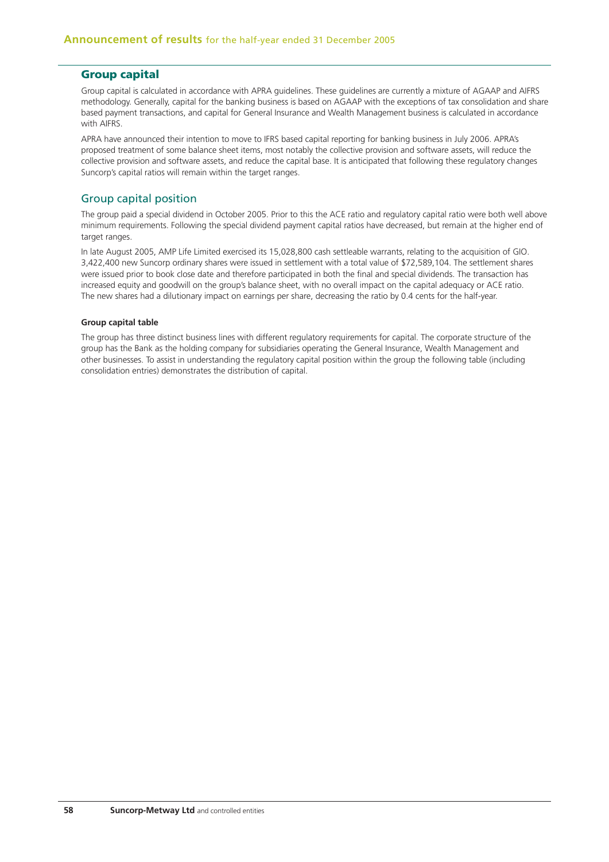## **Group capital**

Group capital is calculated in accordance with APRA guidelines. These guidelines are currently a mixture of AGAAP and AIFRS methodology. Generally, capital for the banking business is based on AGAAP with the exceptions of tax consolidation and share based payment transactions, and capital for General Insurance and Wealth Management business is calculated in accordance with AIFRS.

APRA have announced their intention to move to IFRS based capital reporting for banking business in July 2006. APRA's proposed treatment of some balance sheet items, most notably the collective provision and software assets, will reduce the collective provision and software assets, and reduce the capital base. It is anticipated that following these regulatory changes Suncorp's capital ratios will remain within the target ranges.

## Group capital position

The group paid a special dividend in October 2005. Prior to this the ACE ratio and regulatory capital ratio were both well above minimum requirements. Following the special dividend payment capital ratios have decreased, but remain at the higher end of target ranges.

In late August 2005, AMP Life Limited exercised its 15,028,800 cash settleable warrants, relating to the acquisition of GIO. 3,422,400 new Suncorp ordinary shares were issued in settlement with a total value of \$72,589,104. The settlement shares were issued prior to book close date and therefore participated in both the final and special dividends. The transaction has increased equity and goodwill on the group's balance sheet, with no overall impact on the capital adequacy or ACE ratio. The new shares had a dilutionary impact on earnings per share, decreasing the ratio by 0.4 cents for the half-year.

### **Group capital table**

The group has three distinct business lines with different regulatory requirements for capital. The corporate structure of the group has the Bank as the holding company for subsidiaries operating the General Insurance, Wealth Management and other businesses. To assist in understanding the regulatory capital position within the group the following table (including consolidation entries) demonstrates the distribution of capital.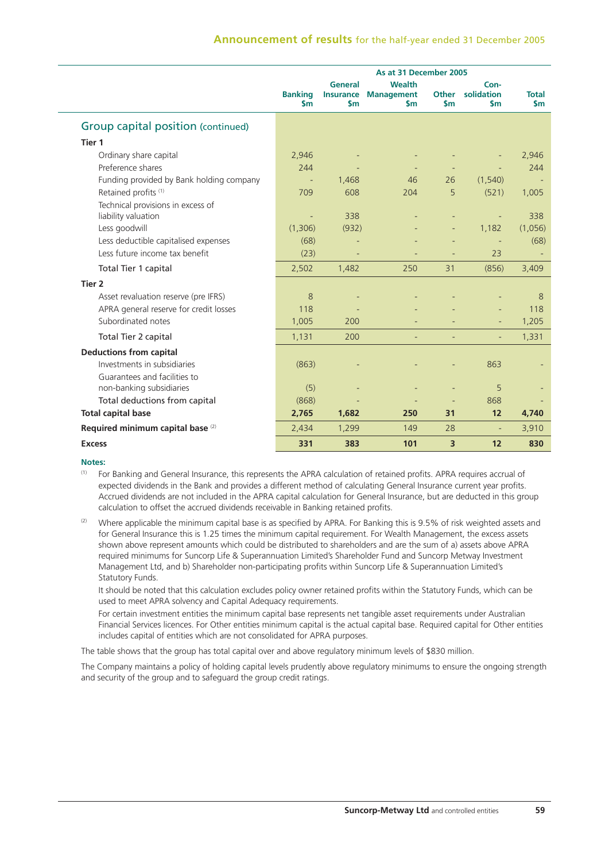|                                              | As at 31 December 2005          |                                              |                                              |                               |                                     |                               |
|----------------------------------------------|---------------------------------|----------------------------------------------|----------------------------------------------|-------------------------------|-------------------------------------|-------------------------------|
|                                              | <b>Banking</b><br>$\mathsf{sm}$ | General<br><b>Insurance</b><br>$\mathsf{sm}$ | Wealth<br><b>Management</b><br>$\mathsf{sm}$ | <b>Other</b><br>$\mathsf{sm}$ | Con-<br>solidation<br>$\mathsf{sm}$ | <b>Total</b><br>$\mathsf{Sm}$ |
| Group capital position (continued)           |                                 |                                              |                                              |                               |                                     |                               |
| Tier 1                                       |                                 |                                              |                                              |                               |                                     |                               |
| Ordinary share capital                       | 2,946                           |                                              |                                              |                               |                                     | 2,946                         |
| Preference shares                            | 244                             |                                              |                                              |                               |                                     | 244                           |
| Funding provided by Bank holding company     |                                 | 1,468                                        | 46                                           | 26                            | (1, 540)                            |                               |
| Retained profits <sup>(1)</sup>              | 709                             | 608                                          | 204                                          | 5                             | (521)                               | 1,005                         |
| Technical provisions in excess of            |                                 |                                              |                                              |                               |                                     |                               |
| liability valuation                          |                                 | 338                                          |                                              |                               | ÷,                                  | 338                           |
| Less goodwill                                | (1,306)                         | (932)                                        |                                              |                               | 1,182                               | (1,056)                       |
| Less deductible capitalised expenses         | (68)                            |                                              |                                              |                               | $\qquad \qquad \blacksquare$        | (68)                          |
| Less future income tax benefit               | (23)                            | $\equiv$                                     |                                              |                               | 23                                  |                               |
| Total Tier 1 capital                         | 2,502                           | 1,482                                        | 250                                          | 31                            | (856)                               | 3,409                         |
| Tier <sub>2</sub>                            |                                 |                                              |                                              |                               |                                     |                               |
| Asset revaluation reserve (pre IFRS)         | 8                               |                                              |                                              |                               |                                     | 8                             |
| APRA general reserve for credit losses       | 118                             |                                              |                                              |                               |                                     | 118                           |
| Subordinated notes                           | 1,005                           | 200                                          |                                              |                               |                                     | 1,205                         |
| Total Tier 2 capital                         | 1,131                           | 200                                          |                                              |                               |                                     | 1,331                         |
| <b>Deductions from capital</b>               |                                 |                                              |                                              |                               |                                     |                               |
| Investments in subsidiaries                  | (863)                           |                                              |                                              |                               | 863                                 |                               |
| Guarantees and facilities to                 |                                 |                                              |                                              |                               |                                     |                               |
| non-banking subsidiaries                     | (5)                             |                                              |                                              |                               | 5                                   |                               |
| Total deductions from capital                | (868)                           |                                              |                                              |                               | 868                                 |                               |
| <b>Total capital base</b>                    | 2,765                           | 1,682                                        | 250                                          | 31                            | 12                                  | 4,740                         |
| Required minimum capital base <sup>(2)</sup> | 2,434                           | 1,299                                        | 149                                          | 28                            | $\overline{\phantom{a}}$            | 3,910                         |
| <b>Excess</b>                                | 331                             | 383                                          | 101                                          | 3                             | 12                                  | 830                           |

## **Notes:**

- (1) For Banking and General Insurance, this represents the APRA calculation of retained profits. APRA requires accrual of expected dividends in the Bank and provides a different method of calculating General Insurance current year profits. Accrued dividends are not included in the APRA capital calculation for General Insurance, but are deducted in this group calculation to offset the accrued dividends receivable in Banking retained profits.
- (2) Where applicable the minimum capital base is as specified by APRA. For Banking this is 9.5% of risk weighted assets and for General Insurance this is 1.25 times the minimum capital requirement. For Wealth Management, the excess assets shown above represent amounts which could be distributed to shareholders and are the sum of a) assets above APRA required minimums for Suncorp Life & Superannuation Limited's Shareholder Fund and Suncorp Metway Investment Management Ltd, and b) Shareholder non-participating profits within Suncorp Life & Superannuation Limited's Statutory Funds.

 It should be noted that this calculation excludes policy owner retained profits within the Statutory Funds, which can be used to meet APRA solvency and Capital Adequacy requirements.

 For certain investment entities the minimum capital base represents net tangible asset requirements under Australian Financial Services licences. For Other entities minimum capital is the actual capital base. Required capital for Other entities includes capital of entities which are not consolidated for APRA purposes.

The table shows that the group has total capital over and above regulatory minimum levels of \$830 million.

The Company maintains a policy of holding capital levels prudently above regulatory minimums to ensure the ongoing strength and security of the group and to safeguard the group credit ratings.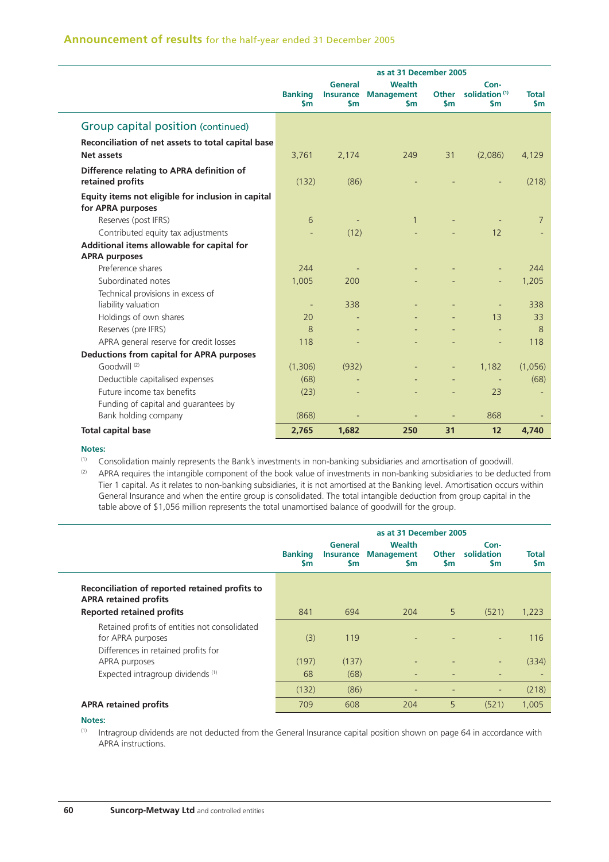# **Announcement of results** for the half-year ended 31 December 2005

|                                                                         | as at 31 December 2005          |                             |                                                               |                               |                                                    |                        |
|-------------------------------------------------------------------------|---------------------------------|-----------------------------|---------------------------------------------------------------|-------------------------------|----------------------------------------------------|------------------------|
|                                                                         | <b>Banking</b><br>$\mathsf{sm}$ | <b>General</b><br><b>Sm</b> | <b>Wealth</b><br><b>Insurance Management</b><br>$\mathsf{sm}$ | <b>Other</b><br>$\mathsf{sm}$ | Con-<br>solidation <sup>(1)</sup><br>$\mathsf{sm}$ | Total<br>$\mathsf{Sm}$ |
| Group capital position (continued)                                      |                                 |                             |                                                               |                               |                                                    |                        |
| Reconciliation of net assets to total capital base<br>Net assets        | 3,761                           | 2,174                       | 249                                                           | 31                            | (2,086)                                            | 4,129                  |
| Difference relating to APRA definition of<br>retained profits           | (132)                           | (86)                        |                                                               |                               |                                                    | (218)                  |
| Equity items not eligible for inclusion in capital<br>for APRA purposes |                                 |                             |                                                               |                               |                                                    |                        |
| Reserves (post IFRS)                                                    | 6                               |                             | $\mathbf{1}$                                                  |                               |                                                    | $7\overline{ }$        |
| Contributed equity tax adjustments                                      |                                 | (12)                        |                                                               |                               | 12                                                 |                        |
| Additional items allowable for capital for                              |                                 |                             |                                                               |                               |                                                    |                        |
| <b>APRA purposes</b>                                                    |                                 |                             |                                                               |                               |                                                    |                        |
| Preference shares                                                       | 244                             |                             |                                                               |                               |                                                    | 244                    |
| Subordinated notes                                                      | 1,005                           | 200                         |                                                               |                               |                                                    | 1,205                  |
| Technical provisions in excess of<br>liability valuation                | $\overline{\phantom{a}}$        | 338                         |                                                               |                               |                                                    | 338                    |
| Holdings of own shares                                                  | 20                              |                             |                                                               |                               | 13                                                 | 33                     |
| Reserves (pre IFRS)                                                     | 8                               |                             |                                                               |                               |                                                    | 8                      |
| APRA general reserve for credit losses                                  | 118                             |                             |                                                               |                               |                                                    | 118                    |
| <b>Deductions from capital for APRA purposes</b>                        |                                 |                             |                                                               |                               |                                                    |                        |
| Goodwill <sup>(2)</sup>                                                 | (1,306)                         | (932)                       |                                                               |                               | 1,182                                              | (1,056)                |
| Deductible capitalised expenses                                         | (68)                            |                             |                                                               |                               |                                                    | (68)                   |
| Future income tax benefits                                              | (23)                            |                             |                                                               |                               | 23                                                 |                        |
| Funding of capital and guarantees by                                    |                                 |                             |                                                               |                               |                                                    |                        |
| Bank holding company                                                    | (868)                           |                             |                                                               |                               | 868                                                |                        |
| <b>Total capital base</b>                                               | 2,765                           | 1,682                       | 250                                                           | 31                            | 12                                                 | 4,740                  |

### **Notes:**

(1) Consolidation mainly represents the Bank's investments in non-banking subsidiaries and amortisation of goodwill.

 $(2)$  APRA requires the intangible component of the book value of investments in non-banking subsidiaries to be deducted from Tier 1 capital. As it relates to non-banking subsidiaries, it is not amortised at the Banking level. Amortisation occurs within General Insurance and when the entire group is consolidated. The total intangible deduction from group capital in the table above of \$1,056 million represents the total unamortised balance of goodwill for the group.

|                                                                                                           | as at 31 December 2005       |                                              |                                                 |                           |                                 |                    |
|-----------------------------------------------------------------------------------------------------------|------------------------------|----------------------------------------------|-------------------------------------------------|---------------------------|---------------------------------|--------------------|
|                                                                                                           | <b>Banking</b><br><b>S</b> m | General<br><b>Insurance</b><br>$\mathsf{sm}$ | <b>Wealth</b><br><b>Management</b><br><b>Sm</b> | <b>Other</b><br><b>Sm</b> | Con-<br>solidation<br><b>Sm</b> | Total<br><b>Sm</b> |
| Reconciliation of reported retained profits to<br><b>APRA retained profits</b>                            |                              |                                              |                                                 |                           |                                 |                    |
| <b>Reported retained profits</b>                                                                          | 841                          | 694                                          | 204                                             | 5                         | (521)                           | 1,223              |
| Retained profits of entities not consolidated<br>for APRA purposes<br>Differences in retained profits for | (3)                          | 119                                          |                                                 |                           | ٠                               | 116                |
| APRA purposes                                                                                             | (197)                        | (137)                                        |                                                 |                           | ٠                               | (334)              |
| Expected intragroup dividends (1)                                                                         | 68                           | (68)                                         |                                                 |                           |                                 |                    |
|                                                                                                           | (132)                        | (86)                                         |                                                 |                           | ٠                               | (218)              |
| <b>APRA retained profits</b>                                                                              | 709                          | 608                                          | 204                                             | 5                         | (521)                           | 1.005              |

## **Notes:**

(1) Intragroup dividends are not deducted from the General Insurance capital position shown on page 64 in accordance with APRA instructions.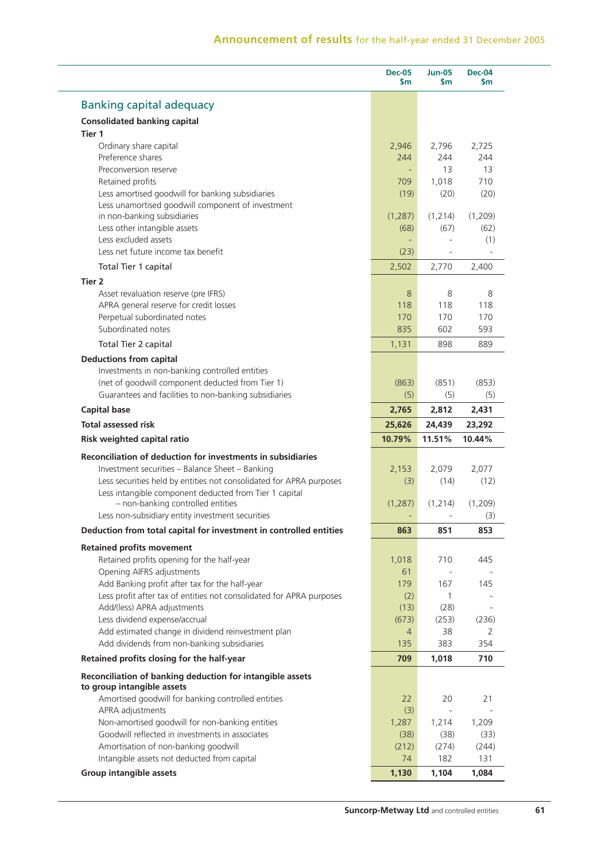|                                                                                                                                            | <b>Dec-05</b><br>\$m | <b>Jun-05</b><br>\$m | <b>Dec-04</b><br><b>Sm</b>          |
|--------------------------------------------------------------------------------------------------------------------------------------------|----------------------|----------------------|-------------------------------------|
| <b>Banking capital adequacy</b>                                                                                                            |                      |                      |                                     |
| <b>Consolidated banking capital</b>                                                                                                        |                      |                      |                                     |
| Tier 1                                                                                                                                     |                      |                      |                                     |
| Ordinary share capital                                                                                                                     | 2,946                | 2,796                | 2,725                               |
| Preference shares                                                                                                                          | 244                  | 244                  | 244                                 |
| Preconversion reserve                                                                                                                      |                      | 13                   | 13                                  |
| Retained profits                                                                                                                           | 709                  | 1,018                | 710                                 |
| Less amortised goodwill for banking subsidiaries                                                                                           | (19)                 | (20)                 | (20)                                |
| Less unamortised goodwill component of investment<br>in non-banking subsidiaries                                                           | (1, 287)             | (1, 214)             | (1,209)                             |
| Less other intangible assets                                                                                                               | (68)                 | (67)                 | (62)                                |
| Less excluded assets                                                                                                                       |                      |                      | (1)                                 |
| Less net future income tax benefit                                                                                                         | (23)                 |                      |                                     |
| Total Tier 1 capital                                                                                                                       | 2,502                | 2,770                | 2,400                               |
| Tier 2                                                                                                                                     |                      |                      |                                     |
| Asset revaluation reserve (pre IFRS)                                                                                                       | 8                    | 8                    | 8                                   |
| APRA general reserve for credit losses                                                                                                     | 118                  | 118                  | 118                                 |
| Perpetual subordinated notes                                                                                                               | 170                  | 170                  | 170                                 |
| Subordinated notes                                                                                                                         | 835                  | 602                  | 593                                 |
| Total Tier 2 capital                                                                                                                       | 1,131                | 898                  | 889                                 |
| <b>Deductions from capital</b>                                                                                                             |                      |                      |                                     |
| Investments in non-banking controlled entities                                                                                             |                      |                      |                                     |
| (net of goodwill component deducted from Tier 1)                                                                                           | (863)                | (851)                | (853)                               |
| Guarantees and facilities to non-banking subsidiaries                                                                                      | (5)                  | (5)                  | (5)                                 |
| <b>Capital base</b>                                                                                                                        | 2,765                | 2,812                | 2,431                               |
| <b>Total assessed risk</b>                                                                                                                 | 25,626               | 24,439               | 23,292                              |
| Risk weighted capital ratio                                                                                                                | 10.79%               | 11.51%               | 10.44%                              |
| Reconciliation of deduction for investments in subsidiaries                                                                                |                      |                      |                                     |
| Investment securities - Balance Sheet - Banking                                                                                            | 2,153                | 2,079                | 2,077                               |
| Less securities held by entities not consolidated for APRA purposes                                                                        | (3)                  | (14)                 | (12)                                |
| Less intangible component deducted from Tier 1 capital                                                                                     |                      |                      |                                     |
| - non-banking controlled entities                                                                                                          | (1, 287)             | (1, 214)             | (1,209)                             |
| Less non-subsidiary entity investment securities                                                                                           |                      |                      | (3)                                 |
| Deduction from total capital for investment in controlled entities                                                                         | 863                  | 851                  | 853                                 |
|                                                                                                                                            |                      |                      |                                     |
| <b>Retained profits movement</b>                                                                                                           |                      |                      |                                     |
| Retained profits opening for the half-year<br>Opening AIFRS adjustments                                                                    | 1,018<br>61          | 710<br>$\sim$        | 445                                 |
| Add Banking profit after tax for the half-year                                                                                             | 179                  | 167                  | 145                                 |
| Less profit after tax of entities not consolidated for APRA purposes                                                                       | (2)                  | $\mathbf{1}$         |                                     |
| Add/(less) APRA adjustments                                                                                                                | (13)                 | (28)                 |                                     |
| Less dividend expense/accrual                                                                                                              | (673)                | (253)                | (236)                               |
| Add estimated change in dividend reinvestment plan                                                                                         | $\overline{4}$       | 38                   | 2                                   |
| Add dividends from non-banking subsidiaries                                                                                                | 135                  | 383                  | 354                                 |
|                                                                                                                                            |                      |                      | 710                                 |
|                                                                                                                                            |                      |                      |                                     |
| Retained profits closing for the half-year                                                                                                 | 709                  | 1,018                |                                     |
|                                                                                                                                            |                      |                      |                                     |
| Amortised goodwill for banking controlled entities                                                                                         | 22                   | 20                   |                                     |
| APRA adjustments                                                                                                                           | (3)                  |                      |                                     |
| Non-amortised goodwill for non-banking entities                                                                                            | 1,287                | 1,214                |                                     |
| Reconciliation of banking deduction for intangible assets<br>to group intangible assets<br>Goodwill reflected in investments in associates | (38)                 | (38)                 |                                     |
| Amortisation of non-banking goodwill                                                                                                       | (212)                | (274)                |                                     |
| Intangible assets not deducted from capital<br><b>Group intangible assets</b>                                                              | 74<br>1,130          | 182                  | 21<br>1,209<br>(33)<br>(244)<br>131 |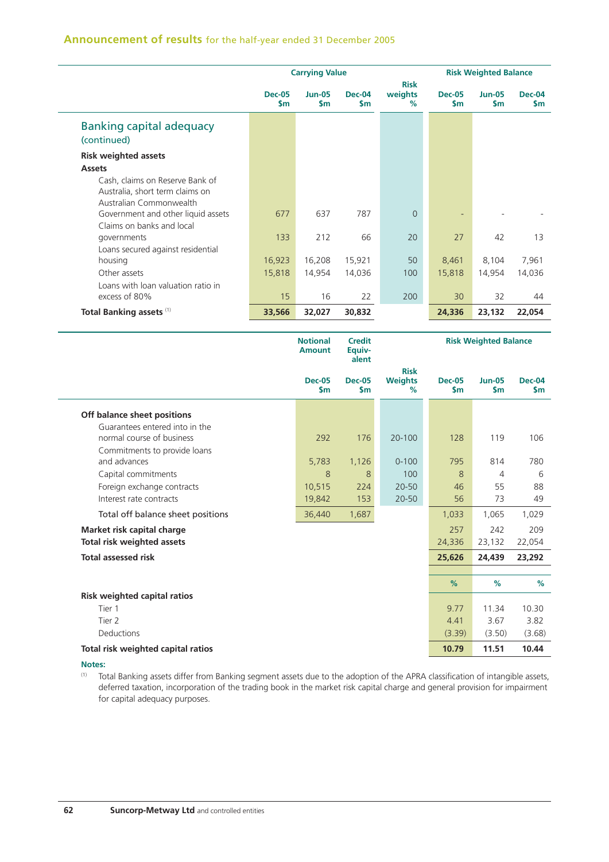# **Announcement of results** for the half-year ended 31 December 2005

|                                                                                               |                      | <b>Carrying Value</b>          |                            |                                | <b>Risk Weighted Balance</b> |                            |                      |  |
|-----------------------------------------------------------------------------------------------|----------------------|--------------------------------|----------------------------|--------------------------------|------------------------------|----------------------------|----------------------|--|
|                                                                                               | <b>Dec-05</b><br>\$m | <b>Jun-05</b><br>$\mathsf{Sm}$ | <b>Dec-04</b><br><b>Sm</b> | <b>Risk</b><br>weights<br>$\%$ | <b>Dec-05</b><br>\$m         | <b>Jun-05</b><br><b>Sm</b> | <b>Dec-04</b><br>\$m |  |
| <b>Banking capital adequacy</b><br>(continued)                                                |                      |                                |                            |                                |                              |                            |                      |  |
| <b>Risk weighted assets</b>                                                                   |                      |                                |                            |                                |                              |                            |                      |  |
| <b>Assets</b>                                                                                 |                      |                                |                            |                                |                              |                            |                      |  |
| Cash, claims on Reserve Bank of<br>Australia, short term claims on<br>Australian Commonwealth |                      |                                |                            |                                |                              |                            |                      |  |
| Government and other liquid assets<br>Claims on banks and local                               | 677                  | 637                            | 787                        | $\Omega$                       |                              |                            |                      |  |
| governments                                                                                   | 133                  | 212                            | 66                         | 20                             | 27                           | 42                         | 13                   |  |
| Loans secured against residential                                                             |                      |                                |                            |                                |                              |                            |                      |  |
| housing                                                                                       | 16,923               | 16,208                         | 15,921                     | 50                             | 8,461                        | 8,104                      | 7,961                |  |
| Other assets                                                                                  | 15,818               | 14,954                         | 14,036                     | 100                            | 15,818                       | 14,954                     | 14,036               |  |
| Loans with loan valuation ratio in<br>excess of 80%                                           | 15                   | 16                             | 22                         | 200                            | 30                           | 32                         | 44                   |  |
| <b>Total Banking assets (1)</b>                                                               | 33,566               | 32,027                         | 30,832                     |                                | 24,336                       | 23,132                     | 22,054               |  |

|                                     | <b>Notional</b><br><b>Amount</b> | <b>Credit</b><br>Equiv-<br>alent |                                    |                                | <b>Risk Weighted Balance</b> |                     |
|-------------------------------------|----------------------------------|----------------------------------|------------------------------------|--------------------------------|------------------------------|---------------------|
|                                     | <b>Dec-05</b><br>$\mathsf{sm}$   | <b>Dec-05</b><br><b>Sm</b>       | <b>Risk</b><br><b>Weights</b><br>% | <b>Dec-05</b><br>$\mathsf{sm}$ | $Jun-05$<br><b>Sm</b>        | Dec-04<br><b>Sm</b> |
| Off balance sheet positions         |                                  |                                  |                                    |                                |                              |                     |
| Guarantees entered into in the      |                                  |                                  |                                    |                                |                              |                     |
| normal course of business           | 292                              | 176                              | 20-100                             | 128                            | 119                          | 106                 |
| Commitments to provide loans        |                                  |                                  |                                    |                                |                              |                     |
| and advances                        | 5,783                            | 1,126                            | $0 - 100$                          | 795                            | 814                          | 780                 |
| Capital commitments                 | 8                                | 8                                | 100                                | 8                              | 4                            | 6                   |
| Foreign exchange contracts          | 10,515                           | 224                              | 20-50                              | 46                             | 55                           | 88                  |
| Interest rate contracts             | 19,842                           | 153                              | $20 - 50$                          | 56                             | 73                           | 49                  |
| Total off balance sheet positions   | 36,440                           | 1,687                            |                                    | 1,033                          | 1,065                        | 1,029               |
| Market risk capital charge          |                                  |                                  |                                    | 257                            | 242                          | 209                 |
| Total risk weighted assets          |                                  |                                  |                                    | 24,336                         | 23,132                       | 22,054              |
| <b>Total assessed risk</b>          |                                  |                                  |                                    | 25,626                         | 24,439                       | 23,292              |
|                                     |                                  |                                  |                                    |                                |                              |                     |
|                                     |                                  |                                  |                                    | %                              | %                            | %                   |
| <b>Risk weighted capital ratios</b> |                                  |                                  |                                    |                                |                              |                     |
| Tier 1                              |                                  |                                  |                                    | 9.77                           | 11.34                        | 10.30               |
| Tier <sub>2</sub>                   |                                  |                                  |                                    | 4.41                           | 3.67                         | 3.82                |
| Deductions                          |                                  |                                  |                                    | (3.39)                         | (3.50)                       | (3.68)              |
| Total risk weighted capital ratios  |                                  |                                  |                                    | 10.79                          | 11.51                        | 10.44               |

**Notes:**

(1) Total Banking assets differ from Banking segment assets due to the adoption of the APRA classification of intangible assets, deferred taxation, incorporation of the trading book in the market risk capital charge and general provision for impairment for capital adequacy purposes.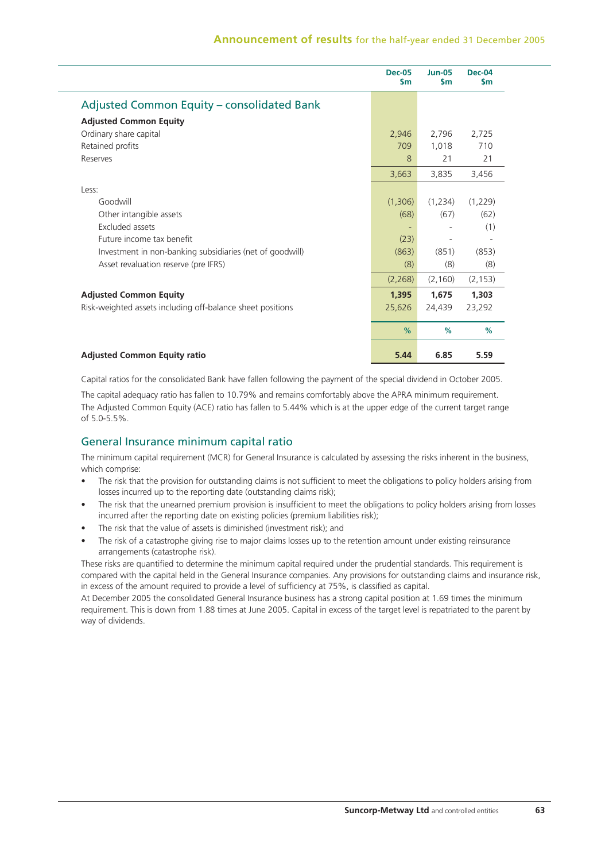|                                                            | <b>Dec-05</b><br>$\mathsf{sm}$ | <b>Jun-05</b><br>$\mathsf{sm}$ | <b>Dec-04</b><br>\$m |
|------------------------------------------------------------|--------------------------------|--------------------------------|----------------------|
| Adjusted Common Equity – consolidated Bank                 |                                |                                |                      |
| <b>Adjusted Common Equity</b>                              |                                |                                |                      |
| Ordinary share capital                                     | 2,946                          | 2,796                          | 2,725                |
| Retained profits                                           | 709                            | 1,018                          | 710                  |
| Reserves                                                   | 8                              | 21                             | 21                   |
|                                                            | 3,663                          | 3,835                          | 3,456                |
| Less:                                                      |                                |                                |                      |
| Goodwill                                                   | (1,306)                        | (1,234)                        | (1,229)              |
| Other intangible assets                                    | (68)                           | (67)                           | (62)                 |
| Excluded assets                                            |                                |                                | (1)                  |
| Future income tax benefit                                  | (23)                           |                                |                      |
| Investment in non-banking subsidiaries (net of goodwill)   | (863)                          | (851)                          | (853)                |
| Asset revaluation reserve (pre IFRS)                       | (8)                            | (8)                            | (8)                  |
|                                                            | (2,268)                        | (2, 160)                       | (2, 153)             |
| <b>Adjusted Common Equity</b>                              | 1,395                          | 1,675                          | 1,303                |
| Risk-weighted assets including off-balance sheet positions | 25,626                         | 24,439                         | 23,292               |
|                                                            | %                              | %                              | %                    |
| <b>Adjusted Common Equity ratio</b>                        | 5.44                           | 6.85                           | 5.59                 |

Capital ratios for the consolidated Bank have fallen following the payment of the special dividend in October 2005.

The capital adequacy ratio has fallen to 10.79% and remains comfortably above the APRA minimum requirement. The Adjusted Common Equity (ACE) ratio has fallen to 5.44% which is at the upper edge of the current target range of 5.0-5.5%.

# General Insurance minimum capital ratio

The minimum capital requirement (MCR) for General Insurance is calculated by assessing the risks inherent in the business, which comprise:

- The risk that the provision for outstanding claims is not sufficient to meet the obligations to policy holders arising from losses incurred up to the reporting date (outstanding claims risk);
- The risk that the unearned premium provision is insufficient to meet the obligations to policy holders arising from losses incurred after the reporting date on existing policies (premium liabilities risk);
- The risk that the value of assets is diminished (investment risk); and
- The risk of a catastrophe giving rise to major claims losses up to the retention amount under existing reinsurance arrangements (catastrophe risk).

These risks are quantified to determine the minimum capital required under the prudential standards. This requirement is compared with the capital held in the General Insurance companies. Any provisions for outstanding claims and insurance risk, in excess of the amount required to provide a level of sufficiency at 75%, is classified as capital.

At December 2005 the consolidated General Insurance business has a strong capital position at 1.69 times the minimum requirement. This is down from 1.88 times at June 2005. Capital in excess of the target level is repatriated to the parent by way of dividends.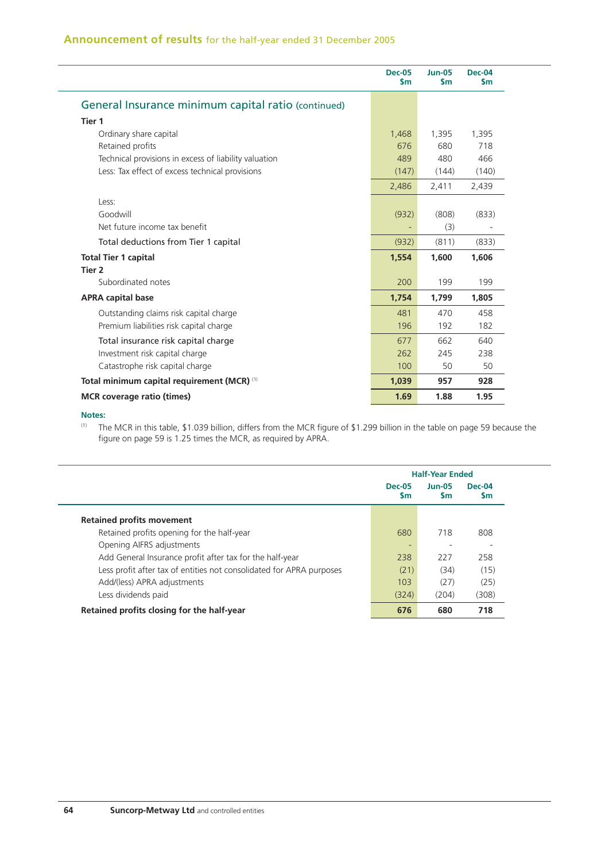|                                                       | <b>Dec-05</b><br>\$m | <b>Jun-05</b><br>$\mathsf{sm}$ | $Dec-04$<br>\$m |
|-------------------------------------------------------|----------------------|--------------------------------|-----------------|
| General Insurance minimum capital ratio (continued)   |                      |                                |                 |
| Tier 1                                                |                      |                                |                 |
| Ordinary share capital                                | 1,468                | 1,395                          | 1,395           |
| Retained profits                                      | 676                  | 680                            | 718             |
| Technical provisions in excess of liability valuation | 489                  | 480                            | 466             |
| Less: Tax effect of excess technical provisions       | (147)                | (144)                          | (140)           |
|                                                       | 2,486                | 2,411                          | 2,439           |
| Less:                                                 |                      |                                |                 |
| Goodwill                                              | (932)                | (808)                          | (833)           |
| Net future income tax benefit                         |                      | (3)                            |                 |
| Total deductions from Tier 1 capital                  | (932)                | (811)                          | (833)           |
| <b>Total Tier 1 capital</b>                           | 1,554                | 1,600                          | 1,606           |
| Tier <sub>2</sub>                                     |                      |                                |                 |
| Subordinated notes                                    | 200                  | 199                            | 199             |
| <b>APRA capital base</b>                              | 1,754                | 1,799                          | 1,805           |
| Outstanding claims risk capital charge                | 481                  | 470                            | 458             |
| Premium liabilities risk capital charge               | 196                  | 192                            | 182             |
| Total insurance risk capital charge                   | 677                  | 662                            | 640             |
| Investment risk capital charge                        | 262                  | 245                            | 238             |
| Catastrophe risk capital charge                       | 100                  | 50                             | 50              |
| Total minimum capital requirement (MCR) (1)           | 1,039                | 957                            | 928             |
| <b>MCR</b> coverage ratio (times)                     | 1.69                 | 1.88                           | 1.95            |

### **Notes:**

L,

 $\overline{\phantom{a}}$ 

<sup>(1)</sup> The MCR in this table, \$1.039 billion, differs from the MCR figure of \$1.299 billion in the table on page 59 because the figure on page 59 is 1.25 times the MCR, as required by APRA.

|                                                                      | <b>Half-Year Ended</b> |                |              |  |  |
|----------------------------------------------------------------------|------------------------|----------------|--------------|--|--|
|                                                                      | Dec-05<br><b>Sm</b>    | $Jun-05$<br>Sm | Dec-04<br>Sm |  |  |
| <b>Retained profits movement</b>                                     |                        |                |              |  |  |
| Retained profits opening for the half-year                           | 680                    | 718            | 808          |  |  |
| Opening AIFRS adjustments                                            |                        |                |              |  |  |
| Add General Insurance profit after tax for the half-year             | 238                    | 227            | 258          |  |  |
| Less profit after tax of entities not consolidated for APRA purposes | (21)                   | (34)           | (15)         |  |  |
| Add/(less) APRA adjustments                                          | 103                    | (27)           | (25)         |  |  |
| Less dividends paid                                                  | (324)                  | (204)          | (308)        |  |  |
| Retained profits closing for the half-year                           | 676                    | 680            | 718          |  |  |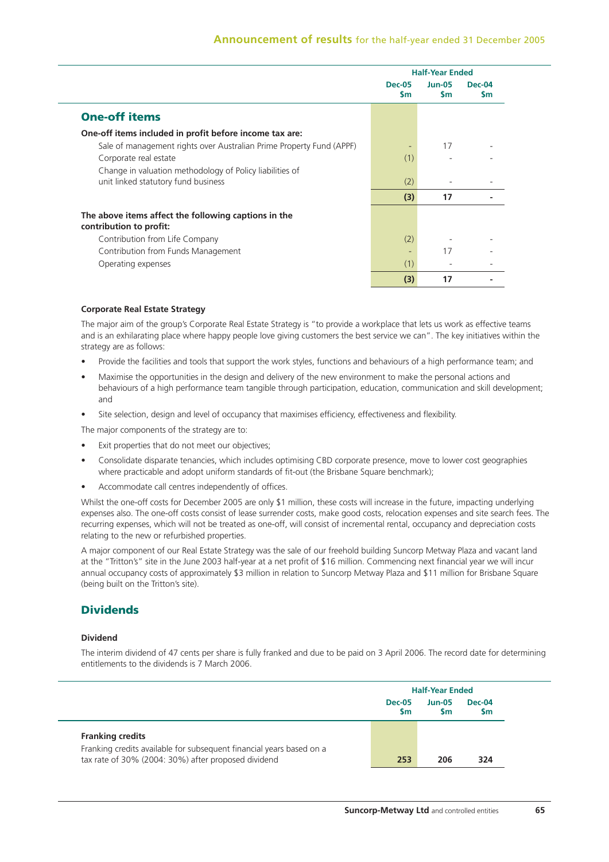|                                                                      |                             | <b>Half-Year Ended</b> |                |
|----------------------------------------------------------------------|-----------------------------|------------------------|----------------|
|                                                                      | <b>Dec-05</b><br><b>S</b> m | $Jun-05$<br><b>Sm</b>  | $Dec-04$<br>Sm |
| <b>One-off items</b>                                                 |                             |                        |                |
| One-off items included in profit before income tax are:              |                             |                        |                |
| Sale of management rights over Australian Prime Property Fund (APPF) |                             | 17                     |                |
| Corporate real estate                                                | (1)                         |                        |                |
| Change in valuation methodology of Policy liabilities of             |                             |                        |                |
| unit linked statutory fund business                                  | (2)                         |                        |                |
|                                                                      | (3)                         | 17                     |                |
| The above items affect the following captions in the                 |                             |                        |                |
| contribution to profit:                                              |                             |                        |                |
| Contribution from Life Company                                       | (2)                         |                        |                |
| Contribution from Funds Management                                   |                             | 17                     |                |
| Operating expenses                                                   | (1)                         |                        |                |
|                                                                      | (3)                         | 17                     |                |

#### **Corporate Real Estate Strategy**

The major aim of the group's Corporate Real Estate Strategy is "to provide a workplace that lets us work as effective teams and is an exhilarating place where happy people love giving customers the best service we can". The key initiatives within the strategy are as follows:

- Provide the facilities and tools that support the work styles, functions and behaviours of a high performance team; and
- Maximise the opportunities in the design and delivery of the new environment to make the personal actions and behaviours of a high performance team tangible through participation, education, communication and skill development; and
- Site selection, design and level of occupancy that maximises efficiency, effectiveness and flexibility.

The major components of the strategy are to:

- Exit properties that do not meet our objectives;
- Consolidate disparate tenancies, which includes optimising CBD corporate presence, move to lower cost geographies where practicable and adopt uniform standards of fit-out (the Brisbane Square benchmark);
- Accommodate call centres independently of offices.

Whilst the one-off costs for December 2005 are only \$1 million, these costs will increase in the future, impacting underlying expenses also. The one-off costs consist of lease surrender costs, make good costs, relocation expenses and site search fees. The recurring expenses, which will not be treated as one-off, will consist of incremental rental, occupancy and depreciation costs relating to the new or refurbished properties.

A major component of our Real Estate Strategy was the sale of our freehold building Suncorp Metway Plaza and vacant land at the "Tritton's" site in the June 2003 half-year at a net profit of \$16 million. Commencing next financial year we will incur annual occupancy costs of approximately \$3 million in relation to Suncorp Metway Plaza and \$11 million for Brisbane Square (being built on the Tritton's site).

# **Dividends**

#### **Dividend**

The interim dividend of 47 cents per share is fully franked and due to be paid on 3 April 2006. The record date for determining entitlements to the dividends is 7 March 2006.

|                                                                                                                             |                            | <b>Half-Year Ended</b>     |                            |  |  |
|-----------------------------------------------------------------------------------------------------------------------------|----------------------------|----------------------------|----------------------------|--|--|
|                                                                                                                             | <b>Dec-05</b><br><b>Sm</b> | <b>Jun-05</b><br><b>Sm</b> | <b>Dec-04</b><br><b>Sm</b> |  |  |
| <b>Franking credits</b>                                                                                                     |                            |                            |                            |  |  |
| Franking credits available for subsequent financial years based on a<br>tax rate of 30% (2004: 30%) after proposed dividend | 253                        | 206                        | 324                        |  |  |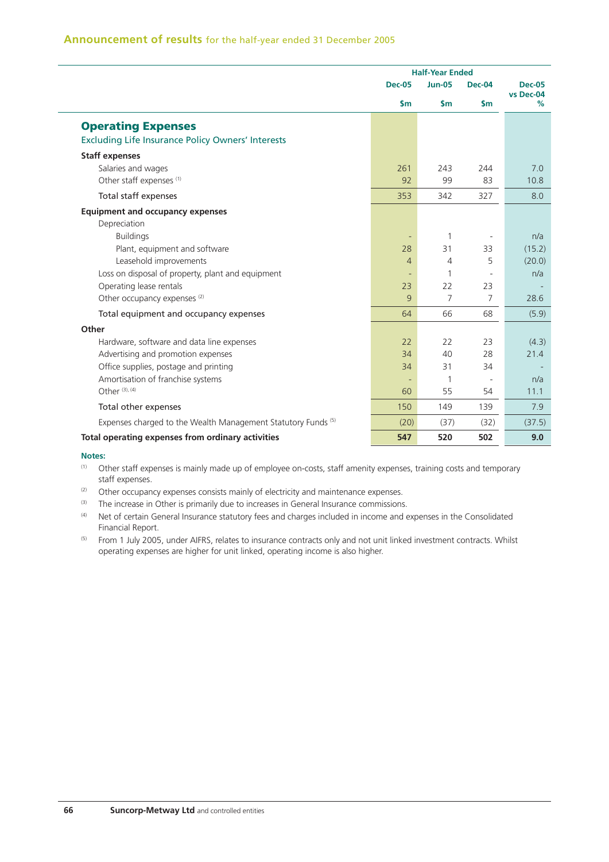|                                                               | <b>Half-Year Ended</b> |                |                          |                            |
|---------------------------------------------------------------|------------------------|----------------|--------------------------|----------------------------|
|                                                               | <b>Dec-05</b>          | <b>Jun-05</b>  | <b>Dec-04</b>            | <b>Dec-05</b><br>vs Dec-04 |
|                                                               | $\mathsf{sm}$          | $\mathsf{Sm}$  | $\mathsf{Sm}$            | $\%$                       |
| <b>Operating Expenses</b>                                     |                        |                |                          |                            |
| <b>Excluding Life Insurance Policy Owners' Interests</b>      |                        |                |                          |                            |
| <b>Staff expenses</b>                                         |                        |                |                          |                            |
| Salaries and wages                                            | 261                    | 243            | 244                      | 7.0                        |
| Other staff expenses <sup>(1)</sup>                           | 92                     | 99             | 83                       | 10.8                       |
| Total staff expenses                                          | 353                    | 342            | 327                      | 8.0                        |
| <b>Equipment and occupancy expenses</b>                       |                        |                |                          |                            |
| Depreciation                                                  |                        |                |                          |                            |
| <b>Buildings</b>                                              | ٠                      | 1              | $\overline{\phantom{a}}$ | n/a                        |
| Plant, equipment and software                                 | 28                     | 31             | 33                       | (15.2)                     |
| Leasehold improvements                                        | $\overline{4}$         | 4              | 5                        | (20.0)                     |
| Loss on disposal of property, plant and equipment             |                        | 1              | ÷,                       | n/a                        |
| Operating lease rentals                                       | 23                     | 22             | 23                       |                            |
| Other occupancy expenses <sup>(2)</sup>                       | 9                      | $\overline{7}$ | 7                        | 28.6                       |
| Total equipment and occupancy expenses                        | 64                     | 66             | 68                       | (5.9)                      |
| Other                                                         |                        |                |                          |                            |
| Hardware, software and data line expenses                     | 22                     | 22             | 23                       | (4.3)                      |
| Advertising and promotion expenses                            | 34                     | 40             | 28                       | 21.4                       |
| Office supplies, postage and printing                         | 34                     | 31             | 34                       |                            |
| Amortisation of franchise systems                             |                        | 1              |                          | n/a                        |
| Other (3), (4)                                                | 60                     | 55             | 54                       | 11.1                       |
| Total other expenses                                          | 150                    | 149            | 139                      | 7.9                        |
| Expenses charged to the Wealth Management Statutory Funds (5) | (20)                   | (37)           | (32)                     | (37.5)                     |
| Total operating expenses from ordinary activities             | 547                    | 520            | 502                      | 9.0                        |

#### **Notes:**

- (1) Other staff expenses is mainly made up of employee on-costs, staff amenity expenses, training costs and temporary staff expenses.
- (2) Other occupancy expenses consists mainly of electricity and maintenance expenses.
- (3) The increase in Other is primarily due to increases in General Insurance commissions.
- (4) Net of certain General Insurance statutory fees and charges included in income and expenses in the Consolidated Financial Report.
- <sup>(5)</sup> From 1 July 2005, under AIFRS, relates to insurance contracts only and not unit linked investment contracts. Whilst operating expenses are higher for unit linked, operating income is also higher.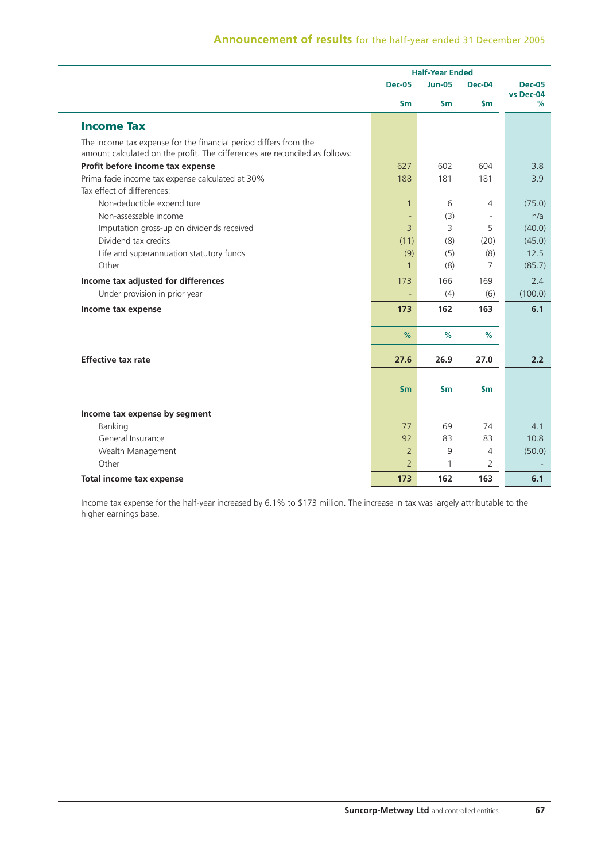# **Announcement of results** for the half-year ended 31 December 2005

|                                                                                                                                                 | <b>Half-Year Ended</b> |               |                |                            |
|-------------------------------------------------------------------------------------------------------------------------------------------------|------------------------|---------------|----------------|----------------------------|
|                                                                                                                                                 | <b>Dec-05</b>          | <b>Jun-05</b> | Dec-04         | <b>Dec-05</b><br>vs Dec-04 |
|                                                                                                                                                 | $\mathsf{sm}$          | $\mathsf{Sm}$ | $\mathsf{Sm}$  | %                          |
| <b>Income Tax</b>                                                                                                                               |                        |               |                |                            |
| The income tax expense for the financial period differs from the<br>amount calculated on the profit. The differences are reconciled as follows: |                        |               |                |                            |
| Profit before income tax expense                                                                                                                | 627                    | 602           | 604            | 3.8                        |
| Prima facie income tax expense calculated at 30%                                                                                                | 188                    | 181           | 181            | 3.9                        |
| Tax effect of differences:                                                                                                                      |                        |               |                |                            |
| Non-deductible expenditure                                                                                                                      | $\mathbf{1}$           | 6             | 4              | (75.0)                     |
| Non-assessable income                                                                                                                           |                        | (3)           |                | n/a                        |
| Imputation gross-up on dividends received                                                                                                       | $\overline{3}$         | 3             | 5              | (40.0)                     |
| Dividend tax credits                                                                                                                            | (11)                   | (8)           | (20)           | (45.0)                     |
| Life and superannuation statutory funds                                                                                                         | (9)                    | (5)           | (8)            | 12.5                       |
| Other                                                                                                                                           | $\mathbf{1}$           | (8)           | $\overline{7}$ | (85.7)                     |
| Income tax adjusted for differences                                                                                                             | 173                    | 166           | 169            | 2.4                        |
| Under provision in prior year                                                                                                                   |                        | (4)           | (6)            | (100.0)                    |
| Income tax expense                                                                                                                              | 173                    | 162           | 163            | 6.1                        |
|                                                                                                                                                 | %                      | $\%$          | %              |                            |
| <b>Effective tax rate</b>                                                                                                                       | 27.6                   | 26.9          | 27.0           | 2.2                        |
|                                                                                                                                                 |                        |               |                |                            |
|                                                                                                                                                 | \$m\$                  | $\mathsf{Sm}$ | $\mathsf{Sm}$  |                            |
| Income tax expense by segment                                                                                                                   |                        |               |                |                            |
| Banking                                                                                                                                         | 77                     | 69            | 74             | 4.1                        |
| General Insurance                                                                                                                               | 92                     | 83            | 83             | 10.8                       |
| Wealth Management                                                                                                                               | $\overline{2}$         | 9             | $\overline{4}$ | (50.0)                     |
| Other                                                                                                                                           | $\overline{2}$         | 1             | 2              |                            |
| Total income tax expense                                                                                                                        | 173                    | 162           | 163            | 6.1                        |

Income tax expense for the half-year increased by 6.1% to \$173 million. The increase in tax was largely attributable to the higher earnings base.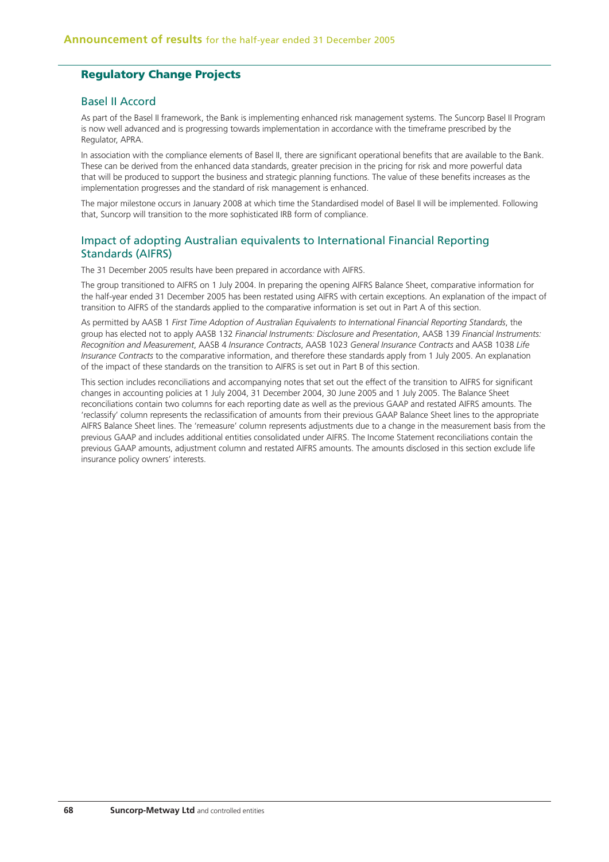# **Regulatory Change Projects**

### Basel II Accord

As part of the Basel II framework, the Bank is implementing enhanced risk management systems. The Suncorp Basel II Program is now well advanced and is progressing towards implementation in accordance with the timeframe prescribed by the Regulator, APRA.

In association with the compliance elements of Basel II, there are significant operational benefits that are available to the Bank. These can be derived from the enhanced data standards, greater precision in the pricing for risk and more powerful data that will be produced to support the business and strategic planning functions. The value of these benefits increases as the implementation progresses and the standard of risk management is enhanced.

The major milestone occurs in January 2008 at which time the Standardised model of Basel II will be implemented. Following that, Suncorp will transition to the more sophisticated IRB form of compliance.

# Impact of adopting Australian equivalents to International Financial Reporting Standards (AIFRS)

The 31 December 2005 results have been prepared in accordance with AIFRS.

The group transitioned to AIFRS on 1 July 2004. In preparing the opening AIFRS Balance Sheet, comparative information for the half-year ended 31 December 2005 has been restated using AIFRS with certain exceptions. An explanation of the impact of transition to AIFRS of the standards applied to the comparative information is set out in Part A of this section.

As permitted by AASB 1 *First Time Adoption of Australian Equivalents to International Financial Reporting Standards*, the group has elected not to apply AASB 132 *Financial Instruments: Disclosure and Presentation*, AASB 139 *Financial Instruments: Recognition and Measurement*, AASB 4 *Insurance Contracts*, AASB 1023 *General Insurance Contracts* and AASB 1038 *Life Insurance Contracts* to the comparative information, and therefore these standards apply from 1 July 2005. An explanation of the impact of these standards on the transition to AIFRS is set out in Part B of this section.

This section includes reconciliations and accompanying notes that set out the effect of the transition to AIFRS for significant changes in accounting policies at 1 July 2004, 31 December 2004, 30 June 2005 and 1 July 2005. The Balance Sheet reconciliations contain two columns for each reporting date as well as the previous GAAP and restated AIFRS amounts. The 'reclassify' column represents the reclassification of amounts from their previous GAAP Balance Sheet lines to the appropriate AIFRS Balance Sheet lines. The 'remeasure' column represents adjustments due to a change in the measurement basis from the previous GAAP and includes additional entities consolidated under AIFRS. The Income Statement reconciliations contain the previous GAAP amounts, adjustment column and restated AIFRS amounts. The amounts disclosed in this section exclude life insurance policy owners' interests.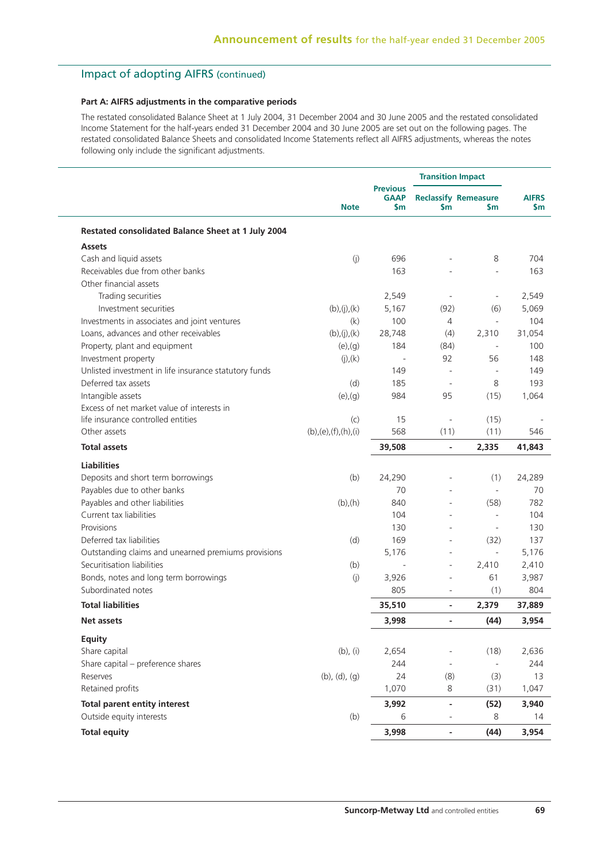# Impact of adopting AIFRS (continued)

### **Part A: AIFRS adjustments in the comparative periods**

The restated consolidated Balance Sheet at 1 July 2004, 31 December 2004 and 30 June 2005 and the restated consolidated Income Statement for the half-years ended 31 December 2004 and 30 June 2005 are set out on the following pages. The restated consolidated Balance Sheets and consolidated Income Statements reflect all AIFRS adjustments, whereas the notes following only include the significant adjustments.

|                                                       |                       |                                       |                              | <b>Transition Impact</b>           |                     |
|-------------------------------------------------------|-----------------------|---------------------------------------|------------------------------|------------------------------------|---------------------|
|                                                       | <b>Note</b>           | <b>Previous</b><br><b>GAAP</b><br>\$m | $\mathsf{sm}$                | <b>Reclassify Remeasure</b><br>\$m | <b>AIFRS</b><br>\$m |
| Restated consolidated Balance Sheet at 1 July 2004    |                       |                                       |                              |                                    |                     |
| <b>Assets</b>                                         |                       |                                       |                              |                                    |                     |
| Cash and liquid assets                                | (j)                   | 696                                   |                              | 8                                  | 704                 |
| Receivables due from other banks                      |                       | 163                                   |                              |                                    | 163                 |
| Other financial assets                                |                       |                                       |                              |                                    |                     |
| Trading securities                                    |                       | 2,549                                 | $\bar{a}$                    | $\blacksquare$                     | 2,549               |
| Investment securities                                 | (b), (j), (k)         | 5,167                                 | (92)                         | (6)                                | 5,069               |
| Investments in associates and joint ventures          | (k)                   | 100                                   | $\overline{4}$               | $\bar{a}$                          | 104                 |
| Loans, advances and other receivables                 | (b), (j), (k)         | 28,748                                | (4)                          | 2,310                              | 31,054              |
| Property, plant and equipment                         | $(e)$ , $(g)$         | 184                                   | (84)                         |                                    | 100                 |
| Investment property                                   | (j),(k)               | $\overline{a}$                        | 92                           | 56                                 | 148                 |
| Unlisted investment in life insurance statutory funds |                       | 149                                   | $\sim$                       | ÷.                                 | 149                 |
| Deferred tax assets                                   | (d)                   | 185                                   | $\overline{\phantom{a}}$     | 8                                  | 193                 |
| Intangible assets                                     | $(e)$ , $(g)$         | 984                                   | 95                           | (15)                               | 1,064               |
| Excess of net market value of interests in            |                       |                                       |                              |                                    |                     |
| life insurance controlled entities                    | (c)                   | 15                                    | $\overline{\phantom{a}}$     | (15)                               |                     |
| Other assets                                          | (b),(e),(f),(h),(i)   | 568                                   | (11)                         | (11)                               | 546                 |
| <b>Total assets</b>                                   |                       | 39,508                                | $\blacksquare$               | 2,335                              | 41,843              |
| <b>Liabilities</b>                                    |                       |                                       |                              |                                    |                     |
| Deposits and short term borrowings                    | (b)                   | 24,290                                | ÷,                           | (1)                                | 24,289              |
| Payables due to other banks                           |                       | 70                                    | ä,                           | $\bar{a}$                          | 70                  |
| Payables and other liabilities                        | (b),(h)               | 840                                   | $\overline{a}$               | (58)                               | 782                 |
| Current tax liabilities                               |                       | 104                                   | L,                           | $\bar{a}$                          | 104                 |
| Provisions                                            |                       | 130                                   | ÷,                           | $\sim$                             | 130                 |
| Deferred tax liabilities                              | (d)                   | 169                                   | ÷,                           | (32)                               | 137                 |
| Outstanding claims and unearned premiums provisions   |                       | 5,176                                 | ä,                           | $\bar{a}$                          | 5,176               |
| Securitisation liabilities                            | (b)                   | ÷,                                    | ä,                           | 2,410                              | 2,410               |
| Bonds, notes and long term borrowings                 | (j)                   | 3,926                                 | ä,                           | 61                                 | 3,987               |
| Subordinated notes                                    |                       | 805                                   | ÷,                           | (1)                                | 804                 |
| <b>Total liabilities</b>                              |                       | 35,510                                | $\overline{a}$               | 2,379                              | 37,889              |
| Net assets                                            |                       | 3,998                                 | $\overline{a}$               | (44)                               | 3,954               |
| <b>Equity</b>                                         |                       |                                       |                              |                                    |                     |
| Share capital                                         | $(b)$ , $(i)$         | 2,654                                 |                              | (18)                               | 2,636               |
| Share capital - preference shares                     |                       | 244                                   | $\blacksquare$               | $\Box$                             | 244                 |
| Reserves                                              | $(b)$ , $(d)$ , $(g)$ | 24                                    | (8)                          | (3)                                | 13                  |
| Retained profits                                      |                       | 1,070                                 | 8                            | (31)                               | 1,047               |
| <b>Total parent entity interest</b>                   |                       | 3,992                                 | $\overline{\phantom{a}}$     | (52)                               | 3,940               |
| Outside equity interests                              | (b)                   | 6                                     | $\qquad \qquad \blacksquare$ | 8                                  | 14                  |
| <b>Total equity</b>                                   |                       | 3,998                                 | $\overline{\phantom{a}}$     | (44)                               | 3,954               |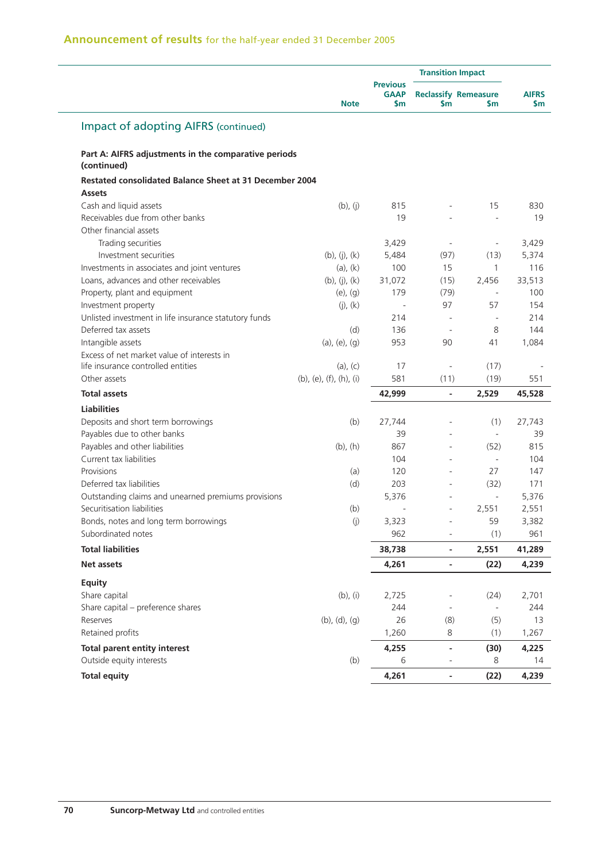# **Announcement of results** for the half-year ended 31 December 2005

|                                                                                 |                         |                                       | <b>Transition Impact</b> |                                    |                           |
|---------------------------------------------------------------------------------|-------------------------|---------------------------------------|--------------------------|------------------------------------|---------------------------|
|                                                                                 | <b>Note</b>             | <b>Previous</b><br><b>GAAP</b><br>\$m | \$m                      | <b>Reclassify Remeasure</b><br>\$m | <b>AIFRS</b><br><b>Sm</b> |
| <b>Impact of adopting AIFRS (continued)</b>                                     |                         |                                       |                          |                                    |                           |
| Part A: AIFRS adjustments in the comparative periods<br>(continued)             |                         |                                       |                          |                                    |                           |
| <b>Restated consolidated Balance Sheet at 31 December 2004</b><br><b>Assets</b> |                         |                                       |                          |                                    |                           |
| Cash and liquid assets                                                          | $(b)$ , $(j)$           | 815                                   |                          | 15                                 | 830                       |
| Receivables due from other banks                                                |                         | 19                                    |                          |                                    | 19                        |
| Other financial assets                                                          |                         |                                       |                          |                                    |                           |
| Trading securities                                                              |                         | 3,429                                 | $\overline{\phantom{a}}$ | $\overline{\phantom{a}}$           | 3,429                     |
| Investment securities                                                           | $(b)$ , $(j)$ , $(k)$   | 5,484                                 | (97)                     | (13)                               | 5,374                     |
| Investments in associates and joint ventures                                    | $(a)$ , $(k)$           | 100                                   | 15                       | 1                                  | 116                       |
| Loans, advances and other receivables                                           | $(b)$ , $(j)$ , $(k)$   | 31,072                                | (15)                     | 2,456                              | 33,513                    |
| Property, plant and equipment                                                   | $(e)$ , $(g)$           | 179                                   | (79)                     | $\overline{\phantom{a}}$           | 100                       |
| Investment property                                                             | $(j)$ , $(k)$           | $\overline{\phantom{a}}$              | 97                       | 57                                 | 154                       |
| Unlisted investment in life insurance statutory funds                           |                         | 214                                   |                          |                                    | 214                       |
| Deferred tax assets                                                             | (d)                     | 136                                   | $\sim$                   | 8                                  | 144                       |
| Intangible assets                                                               | $(a)$ , $(e)$ , $(g)$   | 953                                   | 90                       | 41                                 | 1,084                     |
| Excess of net market value of interests in                                      |                         |                                       |                          |                                    |                           |
| life insurance controlled entities                                              | $(a)$ , $(c)$           | 17                                    | $\overline{\phantom{a}}$ | (17)                               |                           |
| Other assets                                                                    | (b), (e), (f), (h), (i) | 581                                   | (11)                     | (19)                               | 551                       |
| <b>Total assets</b>                                                             |                         | 42,999                                | $\blacksquare$           | 2,529                              | 45,528                    |
| <b>Liabilities</b>                                                              |                         |                                       |                          |                                    |                           |
| Deposits and short term borrowings                                              | (b)                     | 27,744                                |                          | (1)                                | 27,743                    |
| Payables due to other banks                                                     |                         | 39                                    |                          | $\overline{\phantom{a}}$           | 39                        |
| Payables and other liabilities                                                  | $(b)$ , $(h)$           | 867                                   |                          | (52)                               | 815                       |
| Current tax liabilities                                                         |                         | 104                                   |                          | $\sim$                             | 104                       |
| Provisions                                                                      | (a)                     | 120                                   |                          | 27                                 | 147                       |
| Deferred tax liabilities                                                        | (d)                     | 203                                   |                          | (32)                               | 171                       |
| Outstanding claims and unearned premiums provisions                             |                         | 5,376                                 |                          | ÷,                                 | 5,376                     |
| Securitisation liabilities                                                      | (b)                     |                                       | $\bar{a}$                | 2,551                              | 2,551                     |
| Bonds, notes and long term borrowings                                           | $\left( j\right)$       | 3,323                                 |                          | 59                                 | 3,382                     |
| Subordinated notes                                                              |                         | 962                                   | -                        | (1)                                | 961                       |
| <b>Total liabilities</b>                                                        |                         | 38,738                                | $\overline{\phantom{a}}$ | 2,551                              | 41,289                    |
| Net assets                                                                      |                         | 4,261                                 | $\overline{\phantom{a}}$ | (22)                               | 4,239                     |
| Equity                                                                          |                         |                                       |                          |                                    |                           |
| Share capital                                                                   | $(b)$ , $(i)$           | 2,725                                 |                          | (24)                               | 2,701                     |
| Share capital - preference shares                                               |                         | 244                                   |                          | $\omega$                           | 244                       |
| Reserves                                                                        | $(b)$ , $(d)$ , $(g)$   | 26                                    | (8)                      | (5)                                | 13                        |
| Retained profits                                                                |                         | 1,260                                 | 8                        | (1)                                | 1,267                     |
| <b>Total parent entity interest</b>                                             |                         | 4,255                                 | $\blacksquare$           |                                    | 4,225                     |
| Outside equity interests                                                        | (b)                     | 6                                     |                          | (30)<br>8                          | 14                        |
|                                                                                 |                         |                                       |                          |                                    |                           |
| <b>Total equity</b>                                                             |                         | 4,261                                 | $\overline{\phantom{a}}$ | (22)                               | 4,239                     |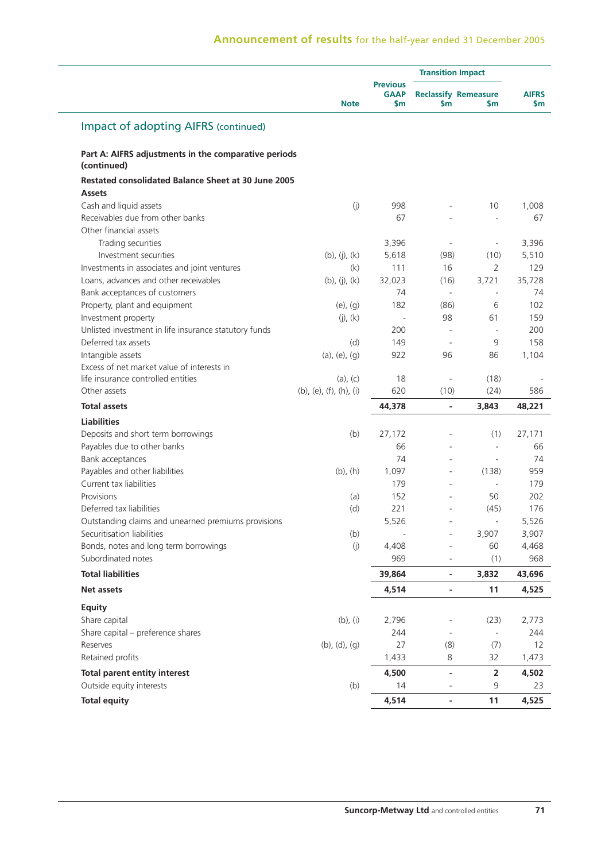|                                                                     |                         |                                       | <b>Transition Impact</b> |                                      |                     |
|---------------------------------------------------------------------|-------------------------|---------------------------------------|--------------------------|--------------------------------------|---------------------|
|                                                                     | <b>Note</b>             | <b>Previous</b><br><b>GAAP</b><br>\$m | \$m                      | <b>Reclassify Remeasure</b><br>\$m\$ | <b>AIFRS</b><br>\$m |
| <b>Impact of adopting AIFRS (continued)</b>                         |                         |                                       |                          |                                      |                     |
| Part A: AIFRS adjustments in the comparative periods<br>(continued) |                         |                                       |                          |                                      |                     |
| <b>Restated consolidated Balance Sheet at 30 June 2005</b>          |                         |                                       |                          |                                      |                     |
| <b>Assets</b>                                                       |                         |                                       |                          |                                      |                     |
| Cash and liquid assets                                              | (j)                     | 998                                   | ä,                       | 10                                   | 1,008               |
| Receivables due from other banks                                    |                         | 67                                    |                          | $\bar{a}$                            | 67                  |
| Other financial assets                                              |                         |                                       |                          |                                      |                     |
| Trading securities                                                  |                         | 3,396                                 |                          | $\overline{\phantom{a}}$             | 3,396               |
| Investment securities                                               | (b), (j), (k)           | 5,618                                 | (98)                     | (10)                                 | 5,510               |
| Investments in associates and joint ventures                        | (k)                     | 111                                   | 16                       | $\overline{2}$                       | 129                 |
| Loans, advances and other receivables                               | (b), (j), (k)           | 32,023                                | (16)                     | 3,721                                | 35,728              |
| Bank acceptances of customers                                       |                         | 74                                    | $\mathbf{r}$             |                                      | 74                  |
| Property, plant and equipment                                       | $(e)$ , $(g)$           | 182                                   | (86)                     | 6                                    | 102                 |
| Investment property                                                 | $(j)$ , $(k)$           | $\bar{a}$                             | 98                       | 61                                   | 159                 |
| Unlisted investment in life insurance statutory funds               |                         | 200                                   |                          |                                      | 200                 |
| Deferred tax assets                                                 | (d)                     | 149                                   |                          | 9                                    | 158                 |
| Intangible assets                                                   | $(a)$ , $(e)$ , $(q)$   | 922                                   | 96                       | 86                                   | 1,104               |
| Excess of net market value of interests in                          |                         |                                       |                          |                                      |                     |
| life insurance controlled entities                                  | $(a)$ , $(c)$           | 18                                    |                          | (18)                                 |                     |
| Other assets                                                        | (b), (e), (f), (h), (i) | 620                                   | (10)                     | (24)                                 | 586                 |
| <b>Total assets</b>                                                 |                         | 44,378                                | $\overline{\phantom{a}}$ | 3,843                                | 48,221              |
| <b>Liabilities</b>                                                  |                         |                                       |                          |                                      |                     |
| Deposits and short term borrowings                                  | (b)                     | 27,172                                |                          | (1)                                  | 27,171              |
| Payables due to other banks                                         |                         | 66                                    |                          |                                      | 66                  |
| Bank acceptances                                                    |                         | 74                                    |                          | $\overline{\phantom{a}}$             | 74                  |
| Payables and other liabilities                                      | $(b)$ , $(h)$           | 1,097                                 | $\bar{a}$                | (138)                                | 959                 |
| Current tax liabilities                                             |                         | 179                                   |                          | $\overline{\phantom{a}}$             | 179                 |
| Provisions                                                          | (a)                     | 152                                   | $\overline{a}$           | 50                                   | 202                 |
| Deferred tax liabilities                                            | (d)                     | 221                                   |                          | (45)                                 | 176                 |
| Outstanding claims and unearned premiums provisions                 |                         | 5,526                                 |                          | $\overline{\phantom{a}}$             | 5,526               |
| Securitisation liabilities                                          | (b)                     | ÷,                                    | ÷,                       | 3,907                                | 3,907               |
| Bonds, notes and long term borrowings                               | (j)                     | 4,408                                 |                          | 60                                   | 4,468               |
| Subordinated notes                                                  |                         | 969                                   |                          | (1)                                  | 968                 |
| <b>Total liabilities</b>                                            |                         | 39,864                                | $\overline{\phantom{a}}$ | 3,832                                | 43,696              |
| <b>Net assets</b>                                                   |                         | 4,514                                 | $\overline{\phantom{a}}$ | 11                                   | 4,525               |
|                                                                     |                         |                                       |                          |                                      |                     |
| <b>Equity</b>                                                       |                         |                                       |                          |                                      |                     |
| Share capital                                                       | $(b)$ , $(i)$           | 2,796                                 |                          | (23)                                 | 2,773               |
| Share capital - preference shares                                   |                         | 244                                   |                          | $\overline{\phantom{a}}$             | 244                 |
| Reserves                                                            | (b), (d), (g)           | 27                                    | (8)                      | (7)                                  | 12                  |
| Retained profits                                                    |                         | 1,433                                 | 8                        | 32                                   | 1,473               |
| <b>Total parent entity interest</b>                                 |                         | 4,500                                 | $\blacksquare$           | 2                                    | 4,502               |
| Outside equity interests                                            | (b)                     | 14                                    |                          | 9                                    | 23                  |
| <b>Total equity</b>                                                 |                         | 4,514                                 | $\overline{\phantom{a}}$ | 11                                   | 4,525               |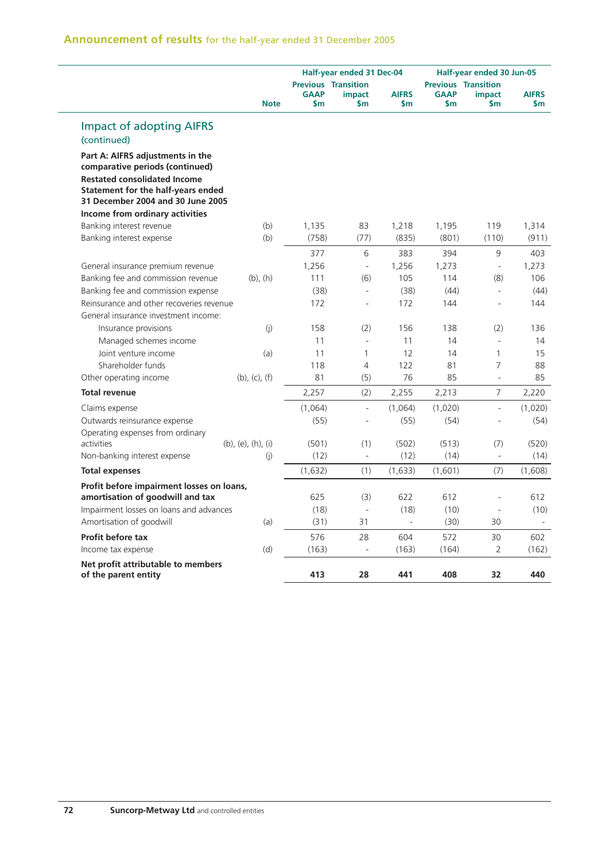| <b>Announcement of results</b> for the half-year ended 31 December 2005 |  |  |  |  |  |  |
|-------------------------------------------------------------------------|--|--|--|--|--|--|
|-------------------------------------------------------------------------|--|--|--|--|--|--|

| <b>Impact of adopting AIFRS</b><br>(continued)<br>Part A: AIFRS adjustments in the<br>comparative periods (continued)<br><b>Restated consolidated Income</b><br>Statement for the half-years ended<br>31 December 2004 and 30 June 2005<br>Income from ordinary activities | <b>Note</b>           | <b>GAAP</b><br>\$m | <b>Previous Transition</b><br>impact<br>$\mathsf{sm}$ | <b>AIFRS</b><br>\$m      | <b>GAAP</b><br>$\mathsf{sm}$ | <b>Previous Transition</b><br><i>impact</i><br>$\mathsf{sm}$ | <b>AIFRS</b><br>\$m |
|----------------------------------------------------------------------------------------------------------------------------------------------------------------------------------------------------------------------------------------------------------------------------|-----------------------|--------------------|-------------------------------------------------------|--------------------------|------------------------------|--------------------------------------------------------------|---------------------|
|                                                                                                                                                                                                                                                                            |                       |                    |                                                       |                          |                              |                                                              |                     |
|                                                                                                                                                                                                                                                                            |                       |                    |                                                       |                          |                              |                                                              |                     |
|                                                                                                                                                                                                                                                                            |                       |                    |                                                       |                          |                              |                                                              |                     |
|                                                                                                                                                                                                                                                                            |                       |                    |                                                       |                          |                              |                                                              |                     |
| Banking interest revenue                                                                                                                                                                                                                                                   | (b)                   | 1,135              | 83                                                    | 1,218                    | 1,195                        | 119                                                          | 1,314               |
| Banking interest expense                                                                                                                                                                                                                                                   | (b)                   | (758)              | (77)                                                  | (835)                    | (801)                        | (110)                                                        | (911)               |
|                                                                                                                                                                                                                                                                            |                       | 377                | 6                                                     | 383                      | 394                          | 9                                                            | 403                 |
| General insurance premium revenue                                                                                                                                                                                                                                          |                       | 1,256              | $\bar{\phantom{a}}$                                   | 1,256                    | 1,273                        | $\overline{\phantom{a}}$                                     | 1,273               |
| Banking fee and commission revenue                                                                                                                                                                                                                                         | $(b)$ , $(h)$         | 111                | (6)                                                   | 105                      | 114                          | (8)                                                          | 106                 |
| Banking fee and commission expense                                                                                                                                                                                                                                         |                       | (38)               | $\overline{\phantom{a}}$                              | (38)                     | (44)                         | $\overline{\phantom{a}}$                                     | (44)                |
| Reinsurance and other recoveries revenue                                                                                                                                                                                                                                   |                       | 172                | $\sim$                                                | 172                      | 144                          | ÷,                                                           | 144                 |
| General insurance investment income:                                                                                                                                                                                                                                       |                       |                    |                                                       |                          |                              |                                                              |                     |
| Insurance provisions                                                                                                                                                                                                                                                       | (j)                   | 158                | (2)                                                   | 156                      | 138                          | (2)                                                          | 136                 |
| Managed schemes income                                                                                                                                                                                                                                                     |                       | 11                 | $\overline{\phantom{a}}$                              | 11                       | 14                           | L.                                                           | 14                  |
| Joint venture income                                                                                                                                                                                                                                                       | (a)                   | 11                 | 1                                                     | 12                       | 14                           | $\mathbf{1}$                                                 | 15                  |
| Shareholder funds                                                                                                                                                                                                                                                          |                       | 118                | 4                                                     | 122                      | 81                           | 7                                                            | 88                  |
| Other operating income                                                                                                                                                                                                                                                     | $(b)$ , $(c)$ , $(f)$ | 81                 | (5)                                                   | 76                       | 85                           | $\overline{a}$                                               | 85                  |
| <b>Total revenue</b>                                                                                                                                                                                                                                                       |                       | 2,257              | (2)                                                   | 2,255                    | 2,213                        | 7                                                            | 2,220               |
| Claims expense                                                                                                                                                                                                                                                             |                       | (1,064)            | $\overline{\phantom{a}}$                              | (1,064)                  | (1,020)                      | $\blacksquare$                                               | (1,020)             |
| Outwards reinsurance expense                                                                                                                                                                                                                                               |                       | (55)               | $\overline{\phantom{a}}$                              | (55)                     | (54)                         | $\blacksquare$                                               | (54)                |
| Operating expenses from ordinary                                                                                                                                                                                                                                           |                       |                    |                                                       |                          |                              |                                                              |                     |
| activities                                                                                                                                                                                                                                                                 | (b), (e), (h), (i)    | (501)              | (1)                                                   | (502)                    | (513)                        | (7)                                                          | (520)               |
| Non-banking interest expense                                                                                                                                                                                                                                               | (i)                   | (12)               | ÷.                                                    | (12)                     | (14)                         | $\overline{\phantom{a}}$                                     | (14)                |
| <b>Total expenses</b>                                                                                                                                                                                                                                                      |                       | (1,632)            | (1)                                                   | (1,633)                  | (1,601)                      | (7)                                                          | (1,608)             |
| Profit before impairment losses on loans,                                                                                                                                                                                                                                  |                       |                    |                                                       |                          |                              |                                                              |                     |
| amortisation of goodwill and tax                                                                                                                                                                                                                                           |                       | 625                | (3)                                                   | 622                      | 612                          | $\overline{a}$                                               | 612                 |
| Impairment losses on loans and advances                                                                                                                                                                                                                                    |                       | (18)               | ÷,                                                    | (18)                     | (10)                         | $\overline{\phantom{a}}$                                     | (10)                |
| Amortisation of goodwill                                                                                                                                                                                                                                                   | (a)                   | (31)               | 31                                                    | $\overline{\phantom{a}}$ | (30)                         | 30                                                           |                     |
| Profit before tax                                                                                                                                                                                                                                                          |                       | 576                | 28                                                    | 604                      | 572                          | 30                                                           | 602                 |
| Income tax expense                                                                                                                                                                                                                                                         | (d)                   | (163)              | $\bar{ }$                                             | (163)                    | (164)                        | $\overline{2}$                                               | (162)               |
| Net profit attributable to members<br>of the parent entity                                                                                                                                                                                                                 |                       | 413                | 28                                                    | 441                      | 408                          | 32                                                           | 440                 |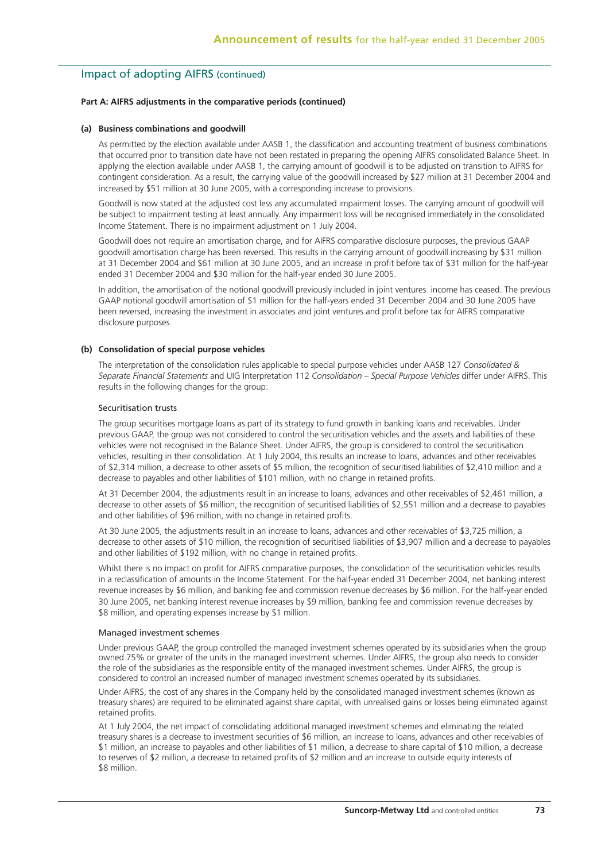#### **Part A: AIFRS adjustments in the comparative periods (continued)**

#### **(a) Business combinations and goodwill**

 As permitted by the election available under AASB 1, the classification and accounting treatment of business combinations that occurred prior to transition date have not been restated in preparing the opening AIFRS consolidated Balance Sheet. In applying the election available under AASB 1, the carrying amount of goodwill is to be adjusted on transition to AIFRS for contingent consideration. As a result, the carrying value of the goodwill increased by \$27 million at 31 December 2004 and increased by \$51 million at 30 June 2005, with a corresponding increase to provisions.

 Goodwill is now stated at the adjusted cost less any accumulated impairment losses. The carrying amount of goodwill will be subject to impairment testing at least annually. Any impairment loss will be recognised immediately in the consolidated Income Statement. There is no impairment adjustment on 1 July 2004.

 Goodwill does not require an amortisation charge, and for AIFRS comparative disclosure purposes, the previous GAAP goodwill amortisation charge has been reversed. This results in the carrying amount of goodwill increasing by \$31 million at 31 December 2004 and \$61 million at 30 June 2005, and an increase in profit before tax of \$31 million for the half-year ended 31 December 2004 and \$30 million for the half-year ended 30 June 2005.

 In addition, the amortisation of the notional goodwill previously included in joint ventures income has ceased. The previous GAAP notional goodwill amortisation of \$1 million for the half-years ended 31 December 2004 and 30 June 2005 have been reversed, increasing the investment in associates and joint ventures and profit before tax for AIFRS comparative disclosure purposes.

#### **(b) Consolidation of special purpose vehicles**

 The interpretation of the consolidation rules applicable to special purpose vehicles under AASB 127 *Consolidated & Separate Financial Statements* and UIG Interpretation 112 *Consolidation – Special Purpose Vehicles* differ under AIFRS. This results in the following changes for the group:

#### Securitisation trusts

 The group securitises mortgage loans as part of its strategy to fund growth in banking loans and receivables. Under previous GAAP, the group was not considered to control the securitisation vehicles and the assets and liabilities of these vehicles were not recognised in the Balance Sheet. Under AIFRS, the group is considered to control the securitisation vehicles, resulting in their consolidation. At 1 July 2004, this results an increase to loans, advances and other receivables of \$2,314 million, a decrease to other assets of \$5 million, the recognition of securitised liabilities of \$2,410 million and a decrease to payables and other liabilities of \$101 million, with no change in retained profits.

 At 31 December 2004, the adjustments result in an increase to loans, advances and other receivables of \$2,461 million, a decrease to other assets of \$6 million, the recognition of securitised liabilities of \$2,551 million and a decrease to payables and other liabilities of \$96 million, with no change in retained profits.

 At 30 June 2005, the adjustments result in an increase to loans, advances and other receivables of \$3,725 million, a decrease to other assets of \$10 million, the recognition of securitised liabilities of \$3,907 million and a decrease to payables and other liabilities of \$192 million, with no change in retained profits.

 Whilst there is no impact on profit for AIFRS comparative purposes, the consolidation of the securitisation vehicles results in a reclassification of amounts in the Income Statement. For the half-year ended 31 December 2004, net banking interest revenue increases by \$6 million, and banking fee and commission revenue decreases by \$6 million. For the half-year ended 30 June 2005, net banking interest revenue increases by \$9 million, banking fee and commission revenue decreases by \$8 million, and operating expenses increase by \$1 million.

#### Managed investment schemes

 Under previous GAAP, the group controlled the managed investment schemes operated by its subsidiaries when the group owned 75% or greater of the units in the managed investment schemes. Under AIFRS, the group also needs to consider the role of the subsidiaries as the responsible entity of the managed investment schemes. Under AIFRS, the group is considered to control an increased number of managed investment schemes operated by its subsidiaries.

 Under AIFRS, the cost of any shares in the Company held by the consolidated managed investment schemes (known as treasury shares) are required to be eliminated against share capital, with unrealised gains or losses being eliminated against retained profits.

 At 1 July 2004, the net impact of consolidating additional managed investment schemes and eliminating the related treasury shares is a decrease to investment securities of \$6 million, an increase to loans, advances and other receivables of \$1 million, an increase to payables and other liabilities of \$1 million, a decrease to share capital of \$10 million, a decrease to reserves of \$2 million, a decrease to retained profits of \$2 million and an increase to outside equity interests of \$8 million.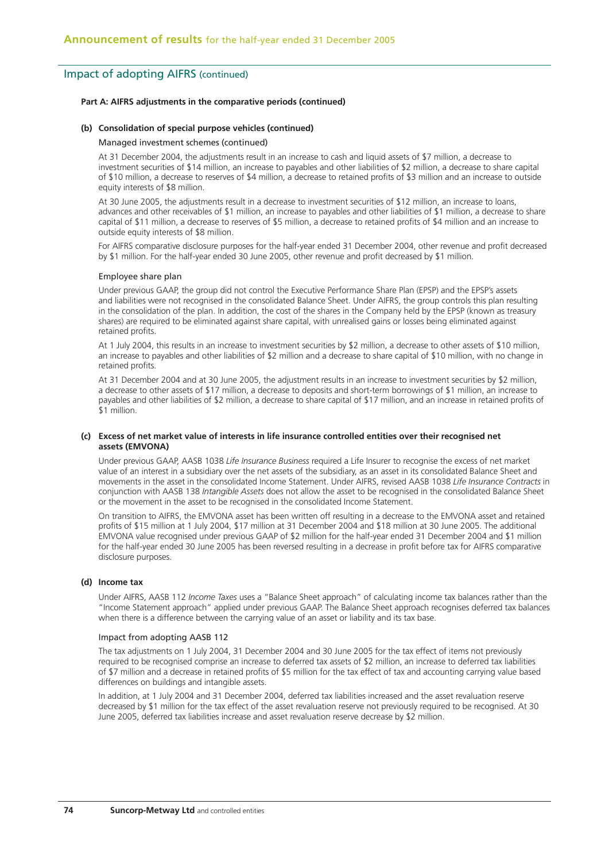#### **Part A: AIFRS adjustments in the comparative periods (continued)**

#### **(b) Consolidation of special purpose vehicles (continued)**

#### Managed investment schemes (continued)

 At 31 December 2004, the adjustments result in an increase to cash and liquid assets of \$7 million, a decrease to investment securities of \$14 million, an increase to payables and other liabilities of \$2 million, a decrease to share capital of \$10 million, a decrease to reserves of \$4 million, a decrease to retained profits of \$3 million and an increase to outside equity interests of \$8 million.

 At 30 June 2005, the adjustments result in a decrease to investment securities of \$12 million, an increase to loans, advances and other receivables of \$1 million, an increase to payables and other liabilities of \$1 million, a decrease to share capital of \$11 million, a decrease to reserves of \$5 million, a decrease to retained profits of \$4 million and an increase to outside equity interests of \$8 million.

 For AIFRS comparative disclosure purposes for the half-year ended 31 December 2004, other revenue and profit decreased by \$1 million. For the half-year ended 30 June 2005, other revenue and profit decreased by \$1 million.

#### Employee share plan

 Under previous GAAP, the group did not control the Executive Performance Share Plan (EPSP) and the EPSP's assets and liabilities were not recognised in the consolidated Balance Sheet. Under AIFRS, the group controls this plan resulting in the consolidation of the plan. In addition, the cost of the shares in the Company held by the EPSP (known as treasury shares) are required to be eliminated against share capital, with unrealised gains or losses being eliminated against retained profits.

 At 1 July 2004, this results in an increase to investment securities by \$2 million, a decrease to other assets of \$10 million, an increase to payables and other liabilities of \$2 million and a decrease to share capital of \$10 million, with no change in retained profits.

 At 31 December 2004 and at 30 June 2005, the adjustment results in an increase to investment securities by \$2 million, a decrease to other assets of \$17 million, a decrease to deposits and short-term borrowings of \$1 million, an increase to payables and other liabilities of \$2 million, a decrease to share capital of \$17 million, and an increase in retained profits of \$1 million.

#### **(c) Excess of net market value of interests in life insurance controlled entities over their recognised net assets (EMVONA)**

 Under previous GAAP, AASB 1038 *Life Insurance Business* required a Life Insurer to recognise the excess of net market value of an interest in a subsidiary over the net assets of the subsidiary, as an asset in its consolidated Balance Sheet and movements in the asset in the consolidated Income Statement. Under AIFRS, revised AASB 1038 *Life Insurance Contracts* in conjunction with AASB 138 *Intangible Assets* does not allow the asset to be recognised in the consolidated Balance Sheet or the movement in the asset to be recognised in the consolidated Income Statement.

 On transition to AIFRS, the EMVONA asset has been written off resulting in a decrease to the EMVONA asset and retained profits of \$15 million at 1 July 2004, \$17 million at 31 December 2004 and \$18 million at 30 June 2005. The additional EMVONA value recognised under previous GAAP of \$2 million for the half-year ended 31 December 2004 and \$1 million for the half-year ended 30 June 2005 has been reversed resulting in a decrease in profit before tax for AIFRS comparative disclosure purposes.

#### **(d) Income tax**

 Under AIFRS, AASB 112 *Income Taxes* uses a "Balance Sheet approach" of calculating income tax balances rather than the "Income Statement approach" applied under previous GAAP. The Balance Sheet approach recognises deferred tax balances when there is a difference between the carrying value of an asset or liability and its tax base.

#### Impact from adopting AASB 112

 The tax adjustments on 1 July 2004, 31 December 2004 and 30 June 2005 for the tax effect of items not previously required to be recognised comprise an increase to deferred tax assets of \$2 million, an increase to deferred tax liabilities of \$7 million and a decrease in retained profits of \$5 million for the tax effect of tax and accounting carrying value based differences on buildings and intangible assets.

 In addition, at 1 July 2004 and 31 December 2004, deferred tax liabilities increased and the asset revaluation reserve decreased by \$1 million for the tax effect of the asset revaluation reserve not previously required to be recognised. At 30 June 2005, deferred tax liabilities increase and asset revaluation reserve decrease by \$2 million.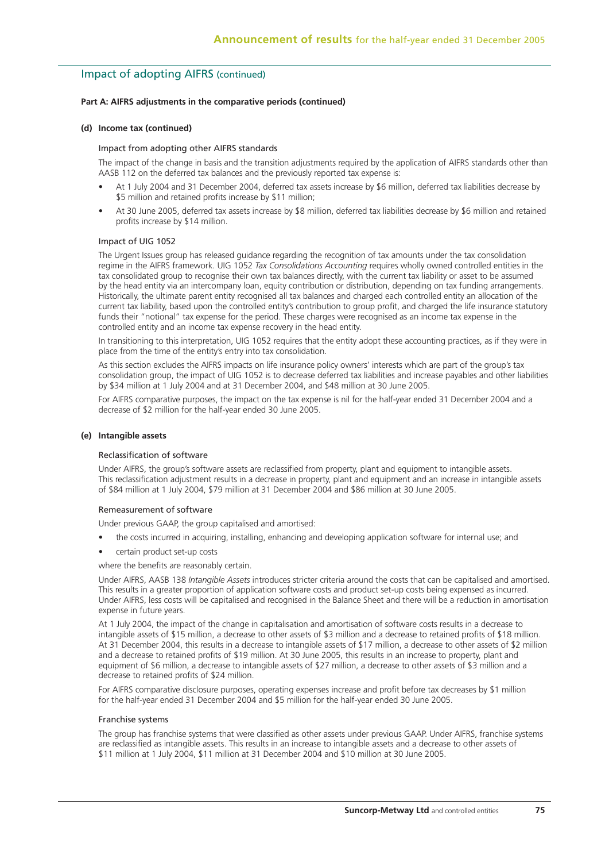#### **Part A: AIFRS adjustments in the comparative periods (continued)**

#### **(d) Income tax (continued)**

#### Impact from adopting other AIFRS standards

 The impact of the change in basis and the transition adjustments required by the application of AIFRS standards other than AASB 112 on the deferred tax balances and the previously reported tax expense is:

- At 1 July 2004 and 31 December 2004, deferred tax assets increase by \$6 million, deferred tax liabilities decrease by \$5 million and retained profits increase by \$11 million;
- At 30 June 2005, deferred tax assets increase by \$8 million, deferred tax liabilities decrease by \$6 million and retained profits increase by \$14 million.

#### Impact of UIG 1052

 The Urgent Issues group has released guidance regarding the recognition of tax amounts under the tax consolidation regime in the AIFRS framework. UIG 1052 *Tax Consolidations Accounting* requires wholly owned controlled entities in the tax consolidated group to recognise their own tax balances directly, with the current tax liability or asset to be assumed by the head entity via an intercompany loan, equity contribution or distribution, depending on tax funding arrangements. Historically, the ultimate parent entity recognised all tax balances and charged each controlled entity an allocation of the current tax liability, based upon the controlled entity's contribution to group profit, and charged the life insurance statutory funds their "notional" tax expense for the period. These charges were recognised as an income tax expense in the controlled entity and an income tax expense recovery in the head entity.

In transitioning to this interpretation, UIG 1052 requires that the entity adopt these accounting practices, as if they were in place from the time of the entity's entry into tax consolidation.

 As this section excludes the AIFRS impacts on life insurance policy owners' interests which are part of the group's tax consolidation group, the impact of UIG 1052 is to decrease deferred tax liabilities and increase payables and other liabilities by \$34 million at 1 July 2004 and at 31 December 2004, and \$48 million at 30 June 2005.

 For AIFRS comparative purposes, the impact on the tax expense is nil for the half-year ended 31 December 2004 and a decrease of \$2 million for the half-year ended 30 June 2005.

#### **(e) Intangible assets**

#### Reclassification of software

 Under AIFRS, the group's software assets are reclassified from property, plant and equipment to intangible assets. This reclassification adjustment results in a decrease in property, plant and equipment and an increase in intangible assets of \$84 million at 1 July 2004, \$79 million at 31 December 2004 and \$86 million at 30 June 2005.

### Remeasurement of software

Under previous GAAP, the group capitalised and amortised:

- the costs incurred in acquiring, installing, enhancing and developing application software for internal use; and
- certain product set-up costs

where the benefits are reasonably certain.

 Under AIFRS, AASB 138 *Intangible Assets* introduces stricter criteria around the costs that can be capitalised and amortised. This results in a greater proportion of application software costs and product set-up costs being expensed as incurred. Under AIFRS, less costs will be capitalised and recognised in the Balance Sheet and there will be a reduction in amortisation expense in future years.

 At 1 July 2004, the impact of the change in capitalisation and amortisation of software costs results in a decrease to intangible assets of \$15 million, a decrease to other assets of \$3 million and a decrease to retained profits of \$18 million. At 31 December 2004, this results in a decrease to intangible assets of \$17 million, a decrease to other assets of \$2 million and a decrease to retained profits of \$19 million. At 30 June 2005, this results in an increase to property, plant and equipment of \$6 million, a decrease to intangible assets of \$27 million, a decrease to other assets of \$3 million and a decrease to retained profits of \$24 million.

 For AIFRS comparative disclosure purposes, operating expenses increase and profit before tax decreases by \$1 million for the half-year ended 31 December 2004 and \$5 million for the half-year ended 30 June 2005.

#### Franchise systems

 The group has franchise systems that were classified as other assets under previous GAAP. Under AIFRS, franchise systems are reclassified as intangible assets. This results in an increase to intangible assets and a decrease to other assets of \$11 million at 1 July 2004, \$11 million at 31 December 2004 and \$10 million at 30 June 2005.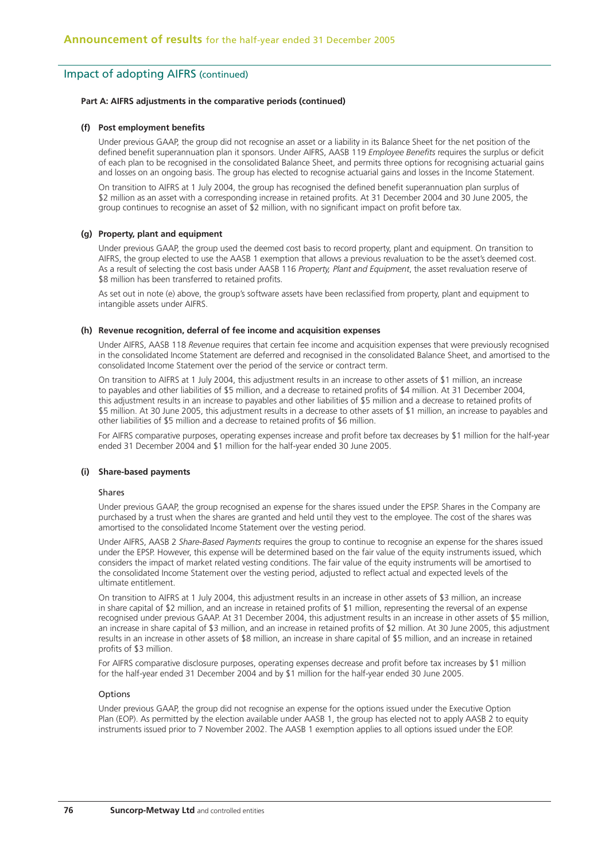#### **Part A: AIFRS adjustments in the comparative periods (continued)**

#### **(f) Post employment benefits**

 Under previous GAAP, the group did not recognise an asset or a liability in its Balance Sheet for the net position of the defined benefit superannuation plan it sponsors. Under AIFRS, AASB 119 *Employee Benefits* requires the surplus or deficit of each plan to be recognised in the consolidated Balance Sheet, and permits three options for recognising actuarial gains and losses on an ongoing basis. The group has elected to recognise actuarial gains and losses in the Income Statement.

 On transition to AIFRS at 1 July 2004, the group has recognised the defined benefit superannuation plan surplus of \$2 million as an asset with a corresponding increase in retained profits. At 31 December 2004 and 30 June 2005, the group continues to recognise an asset of \$2 million, with no significant impact on profit before tax.

#### **(g) Property, plant and equipment**

 Under previous GAAP, the group used the deemed cost basis to record property, plant and equipment. On transition to AIFRS, the group elected to use the AASB 1 exemption that allows a previous revaluation to be the asset's deemed cost. As a result of selecting the cost basis under AASB 116 *Property, Plant and Equipment*, the asset revaluation reserve of \$8 million has been transferred to retained profits.

 As set out in note (e) above, the group's software assets have been reclassified from property, plant and equipment to intangible assets under AIFRS.

#### **(h) Revenue recognition, deferral of fee income and acquisition expenses**

 Under AIFRS, AASB 118 *Revenue* requires that certain fee income and acquisition expenses that were previously recognised in the consolidated Income Statement are deferred and recognised in the consolidated Balance Sheet, and amortised to the consolidated Income Statement over the period of the service or contract term.

 On transition to AIFRS at 1 July 2004, this adjustment results in an increase to other assets of \$1 million, an increase to payables and other liabilities of \$5 million, and a decrease to retained profits of \$4 million. At 31 December 2004, this adjustment results in an increase to payables and other liabilities of \$5 million and a decrease to retained profits of \$5 million. At 30 June 2005, this adjustment results in a decrease to other assets of \$1 million, an increase to payables and other liabilities of \$5 million and a decrease to retained profits of \$6 million.

 For AIFRS comparative purposes, operating expenses increase and profit before tax decreases by \$1 million for the half-year ended 31 December 2004 and \$1 million for the half-year ended 30 June 2005.

#### **(i) Share-based payments**

#### Shares

 Under previous GAAP, the group recognised an expense for the shares issued under the EPSP. Shares in the Company are purchased by a trust when the shares are granted and held until they vest to the employee. The cost of the shares was amortised to the consolidated Income Statement over the vesting period.

 Under AIFRS, AASB 2 *Share-Based Payments* requires the group to continue to recognise an expense for the shares issued under the EPSP. However, this expense will be determined based on the fair value of the equity instruments issued, which considers the impact of market related vesting conditions. The fair value of the equity instruments will be amortised to the consolidated Income Statement over the vesting period, adjusted to reflect actual and expected levels of the ultimate entitlement.

 On transition to AIFRS at 1 July 2004, this adjustment results in an increase in other assets of \$3 million, an increase in share capital of \$2 million, and an increase in retained profits of \$1 million, representing the reversal of an expense recognised under previous GAAP. At 31 December 2004, this adjustment results in an increase in other assets of \$5 million. an increase in share capital of \$3 million, and an increase in retained profits of \$2 million. At 30 June 2005, this adjustment results in an increase in other assets of \$8 million, an increase in share capital of \$5 million, and an increase in retained profits of \$3 million.

 For AIFRS comparative disclosure purposes, operating expenses decrease and profit before tax increases by \$1 million for the half-year ended 31 December 2004 and by \$1 million for the half-year ended 30 June 2005.

#### Options

 Under previous GAAP, the group did not recognise an expense for the options issued under the Executive Option Plan (EOP). As permitted by the election available under AASB 1, the group has elected not to apply AASB 2 to equity instruments issued prior to 7 November 2002. The AASB 1 exemption applies to all options issued under the EOP.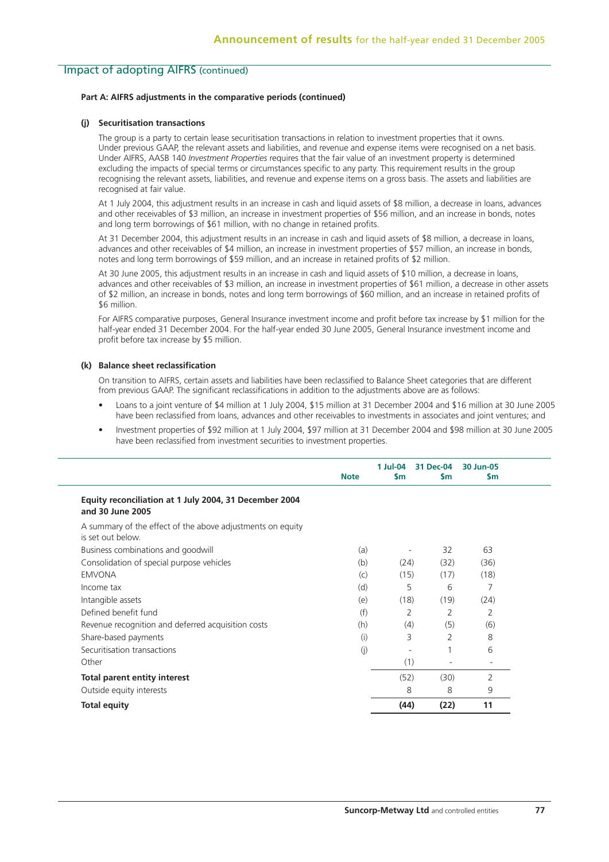### **Part A: AIFRS adjustments in the comparative periods (continued)**

#### **(j) Securitisation transactions**

 The group is a party to certain lease securitisation transactions in relation to investment properties that it owns. Under previous GAAP, the relevant assets and liabilities, and revenue and expense items were recognised on a net basis. Under AIFRS, AASB 140 *Investment Properties* requires that the fair value of an investment property is determined excluding the impacts of special terms or circumstances specific to any party. This requirement results in the group recognising the relevant assets, liabilities, and revenue and expense items on a gross basis. The assets and liabilities are recognised at fair value.

 At 1 July 2004, this adjustment results in an increase in cash and liquid assets of \$8 million, a decrease in loans, advances and other receivables of \$3 million, an increase in investment properties of \$56 million, and an increase in bonds, notes and long term borrowings of \$61 million, with no change in retained profits.

 At 31 December 2004, this adjustment results in an increase in cash and liquid assets of \$8 million, a decrease in loans, advances and other receivables of \$4 million, an increase in investment properties of \$57 million, an increase in bonds, notes and long term borrowings of \$59 million, and an increase in retained profits of \$2 million.

 At 30 June 2005, this adjustment results in an increase in cash and liquid assets of \$10 million, a decrease in loans, advances and other receivables of \$3 million, an increase in investment properties of \$61 million, a decrease in other assets of \$2 million, an increase in bonds, notes and long term borrowings of \$60 million, and an increase in retained profits of \$6 million.

 For AIFRS comparative purposes, General Insurance investment income and profit before tax increase by \$1 million for the half-year ended 31 December 2004. For the half-year ended 30 June 2005, General Insurance investment income and profit before tax increase by \$5 million.

### **(k) Balance sheet reclassification**

 On transition to AIFRS, certain assets and liabilities have been reclassified to Balance Sheet categories that are different from previous GAAP. The significant reclassifications in addition to the adjustments above are as follows:

- Loans to a joint venture of \$4 million at 1 July 2004, \$15 million at 31 December 2004 and \$16 million at 30 June 2005 have been reclassified from loans, advances and other receivables to investments in associates and joint ventures; and
- Investment properties of \$92 million at 1 July 2004, \$97 million at 31 December 2004 and \$98 million at 30 June 2005 have been reclassified from investment securities to investment properties.

|                                                                                 | <b>Note</b> | 1 Jul-04<br>$\mathsf{Sm}$ | 31 Dec-04<br><b>Sm</b> | 30 Jun-05<br><b>Sm</b> |
|---------------------------------------------------------------------------------|-------------|---------------------------|------------------------|------------------------|
| Equity reconciliation at 1 July 2004, 31 December 2004<br>and 30 June 2005      |             |                           |                        |                        |
| A summary of the effect of the above adjustments on equity<br>is set out below. |             |                           |                        |                        |
| Business combinations and goodwill                                              | (a)         |                           | 32                     | 63                     |
| Consolidation of special purpose vehicles                                       | (b)         | (24)                      | (32)                   | (36)                   |
| <b>EMVONA</b>                                                                   | (c)         | (15)                      | (17)                   | (18)                   |
| Income tax                                                                      | (d)         | 5                         | 6                      | 7                      |
| Intangible assets                                                               | (e)         | (18)                      | (19)                   | (24)                   |
| Defined benefit fund                                                            | (f)         | 2                         | 2                      | $\overline{2}$         |
| Revenue recognition and deferred acquisition costs                              | (h)         | (4)                       | (5)                    | (6)                    |
| Share-based payments                                                            | (i)         | 3                         | 2                      | 8                      |
| Securitisation transactions                                                     | (j)         |                           |                        | 6                      |
| Other                                                                           |             | (1)                       |                        |                        |
| <b>Total parent entity interest</b>                                             |             | (52)                      | (30)                   | 2                      |
| Outside equity interests                                                        |             | 8                         | 8                      | 9                      |
| <b>Total equity</b>                                                             |             | (44)                      | (22)                   | 11                     |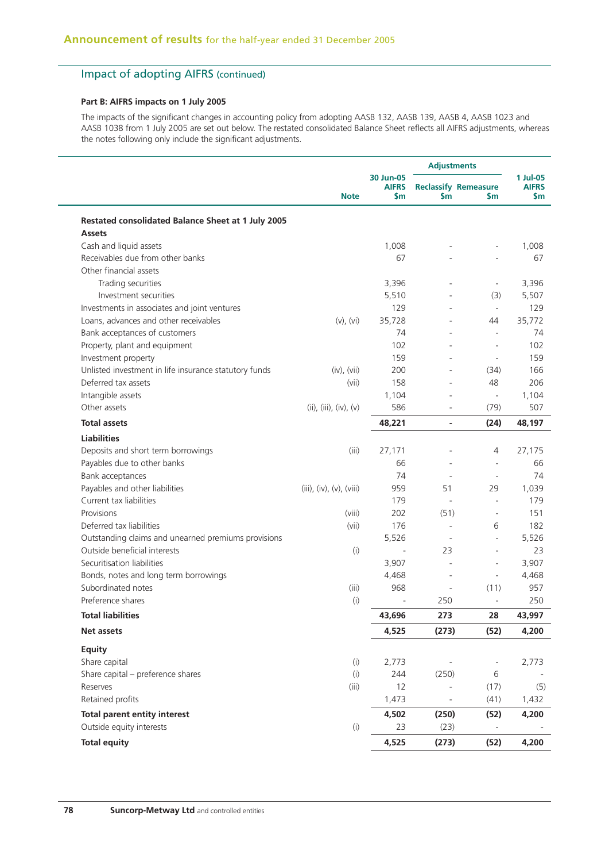### **Part B: AIFRS impacts on 1 July 2005**

The impacts of the significant changes in accounting policy from adopting AASB 132, AASB 139, AASB 4, AASB 1023 and AASB 1038 from 1 July 2005 are set out below. The restated consolidated Balance Sheet reflects all AIFRS adjustments, whereas the notes following only include the significant adjustments.

|                                                                     |                          |                                            | <b>Adjustments</b>       |                                          |                                 |
|---------------------------------------------------------------------|--------------------------|--------------------------------------------|--------------------------|------------------------------------------|---------------------------------|
|                                                                     | <b>Note</b>              | 30 Jun-05<br><b>AIFRS</b><br>$\mathsf{Sm}$ | \$m                      | <b>Reclassify Remeasure</b><br><b>Sm</b> | 1 Jul-05<br><b>AIFRS</b><br>\$m |
| Restated consolidated Balance Sheet at 1 July 2005<br><b>Assets</b> |                          |                                            |                          |                                          |                                 |
| Cash and liquid assets                                              |                          | 1,008                                      |                          |                                          | 1,008                           |
| Receivables due from other banks                                    |                          | 67                                         |                          |                                          | 67                              |
| Other financial assets                                              |                          |                                            |                          |                                          |                                 |
| Trading securities                                                  |                          | 3,396                                      | ÷,                       | $\overline{\phantom{a}}$                 | 3,396                           |
| Investment securities                                               |                          | 5,510                                      |                          | (3)                                      | 5,507                           |
| Investments in associates and joint ventures                        |                          | 129                                        | ÷,                       | $\blacksquare$                           | 129                             |
| Loans, advances and other receivables                               | $(v)$ , $(vi)$           | 35,728                                     | ÷,                       | 44                                       | 35,772                          |
| Bank acceptances of customers                                       |                          | 74                                         |                          | $\overline{\phantom{a}}$                 | 74                              |
| Property, plant and equipment                                       |                          | 102                                        |                          | ä,                                       | 102                             |
| Investment property                                                 |                          | 159                                        |                          | $\overline{\phantom{a}}$                 | 159                             |
| Unlisted investment in life insurance statutory funds               | (iv), (vii)              | 200                                        |                          | (34)                                     | 166                             |
| Deferred tax assets                                                 | (vii)                    | 158                                        |                          | 48                                       | 206                             |
| Intangible assets                                                   |                          | 1,104                                      |                          | $\overline{\phantom{a}}$                 | 1,104                           |
| Other assets                                                        | (ii), (iii), (iv), (v)   | 586                                        |                          | (79)                                     | 507                             |
| <b>Total assets</b>                                                 |                          | 48,221                                     | $\overline{\phantom{0}}$ | (24)                                     | 48,197                          |
| <b>Liabilities</b>                                                  |                          |                                            |                          |                                          |                                 |
| Deposits and short term borrowings                                  | (iii)                    | 27,171                                     |                          | 4                                        | 27,175                          |
| Payables due to other banks                                         |                          | 66                                         |                          | $\overline{\phantom{a}}$                 | 66                              |
| Bank acceptances                                                    |                          | 74                                         |                          |                                          | 74                              |
| Payables and other liabilities                                      | (iii), (iv), (v), (viii) | 959                                        | 51                       | 29                                       | 1,039                           |
| Current tax liabilities                                             |                          | 179                                        | $\overline{\phantom{a}}$ | $\bar{a}$                                | 179                             |
| Provisions                                                          | (viii)                   | 202                                        | (51)                     | $\sim$                                   | 151                             |
| Deferred tax liabilities                                            | (vii)                    | 176                                        | $\overline{\phantom{a}}$ | 6                                        | 182                             |
| Outstanding claims and unearned premiums provisions                 |                          | 5,526                                      | $\overline{\phantom{a}}$ | $\bar{a}$                                | 5,526                           |
| Outside beneficial interests                                        | (i)                      |                                            | 23                       | $\sim$                                   | 23                              |
| Securitisation liabilities                                          |                          | 3,907                                      | ÷,                       | $\overline{\phantom{a}}$                 | 3,907                           |
| Bonds, notes and long term borrowings                               |                          | 4,468                                      | ÷,                       | $\overline{\phantom{a}}$                 | 4,468                           |
| Subordinated notes                                                  | (iii)                    | 968                                        | ä,                       | (11)                                     | 957                             |
| Preference shares                                                   | (i)                      |                                            | 250                      |                                          | 250                             |
| <b>Total liabilities</b>                                            |                          | 43,696                                     | 273                      | 28                                       | 43,997                          |
| Net assets                                                          |                          | 4,525                                      | (273)                    | (52)                                     | 4,200                           |
| <b>Equity</b>                                                       |                          |                                            |                          |                                          |                                 |
| Share capital                                                       | (i)                      | 2,773                                      |                          |                                          | 2,773                           |
| Share capital - preference shares                                   | (i)                      | 244                                        | (250)                    | 6                                        |                                 |
| Reserves                                                            | (iii)                    | 12                                         |                          | (17)                                     | (5)                             |
| Retained profits                                                    |                          | 1,473                                      |                          | (41)                                     | 1,432                           |
| <b>Total parent entity interest</b>                                 |                          | 4,502                                      | (250)                    | (52)                                     | 4,200                           |
| Outside equity interests                                            | (i)                      | 23                                         | (23)                     | $\bar{a}$                                |                                 |
| <b>Total equity</b>                                                 |                          | 4,525                                      | (273)                    | (52)                                     | 4,200                           |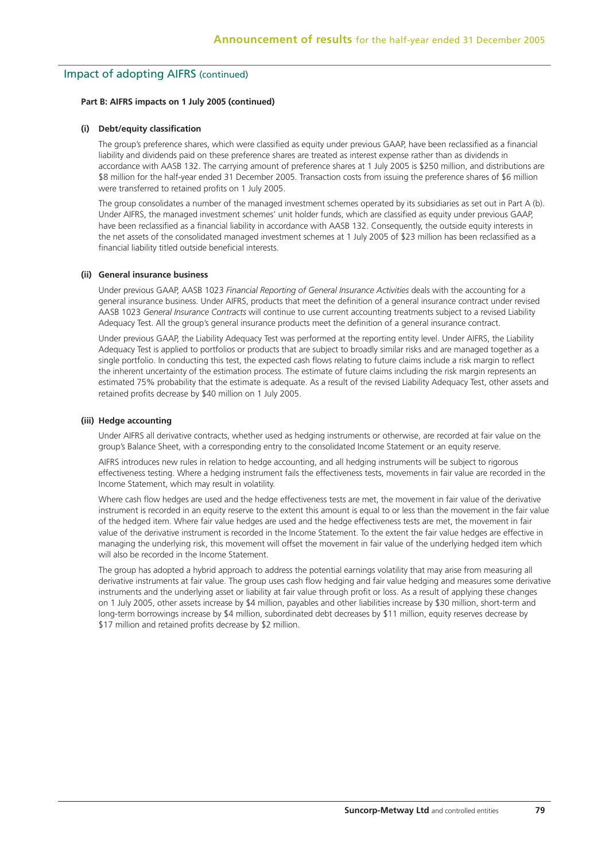#### **Part B: AIFRS impacts on 1 July 2005 (continued)**

#### **(i) Debt/equity classification**

 The group's preference shares, which were classified as equity under previous GAAP, have been reclassified as a financial liability and dividends paid on these preference shares are treated as interest expense rather than as dividends in accordance with AASB 132. The carrying amount of preference shares at 1 July 2005 is \$250 million, and distributions are \$8 million for the half-year ended 31 December 2005. Transaction costs from issuing the preference shares of \$6 million were transferred to retained profits on 1 July 2005.

 The group consolidates a number of the managed investment schemes operated by its subsidiaries as set out in Part A (b). Under AIFRS, the managed investment schemes' unit holder funds, which are classified as equity under previous GAAP, have been reclassified as a financial liability in accordance with AASB 132. Consequently, the outside equity interests in the net assets of the consolidated managed investment schemes at 1 July 2005 of \$23 million has been reclassified as a financial liability titled outside beneficial interests.

#### **(ii) General insurance business**

 Under previous GAAP, AASB 1023 *Financial Reporting of General Insurance Activities* deals with the accounting for a general insurance business. Under AIFRS, products that meet the definition of a general insurance contract under revised AASB 1023 *General Insurance Contracts* will continue to use current accounting treatments subject to a revised Liability Adequacy Test. All the group's general insurance products meet the definition of a general insurance contract.

 Under previous GAAP, the Liability Adequacy Test was performed at the reporting entity level. Under AIFRS, the Liability Adequacy Test is applied to portfolios or products that are subject to broadly similar risks and are managed together as a single portfolio. In conducting this test, the expected cash flows relating to future claims include a risk margin to reflect the inherent uncertainty of the estimation process. The estimate of future claims including the risk margin represents an estimated 75% probability that the estimate is adequate. As a result of the revised Liability Adequacy Test, other assets and retained profits decrease by \$40 million on 1 July 2005.

#### **(iii) Hedge accounting**

 Under AIFRS all derivative contracts, whether used as hedging instruments or otherwise, are recorded at fair value on the group's Balance Sheet, with a corresponding entry to the consolidated Income Statement or an equity reserve.

 AIFRS introduces new rules in relation to hedge accounting, and all hedging instruments will be subject to rigorous effectiveness testing. Where a hedging instrument fails the effectiveness tests, movements in fair value are recorded in the Income Statement, which may result in volatility.

 Where cash flow hedges are used and the hedge effectiveness tests are met, the movement in fair value of the derivative instrument is recorded in an equity reserve to the extent this amount is equal to or less than the movement in the fair value of the hedged item. Where fair value hedges are used and the hedge effectiveness tests are met, the movement in fair value of the derivative instrument is recorded in the Income Statement. To the extent the fair value hedges are effective in managing the underlying risk, this movement will offset the movement in fair value of the underlying hedged item which will also be recorded in the Income Statement.

 The group has adopted a hybrid approach to address the potential earnings volatility that may arise from measuring all derivative instruments at fair value. The group uses cash flow hedging and fair value hedging and measures some derivative instruments and the underlying asset or liability at fair value through profit or loss. As a result of applying these changes on 1 July 2005, other assets increase by \$4 million, payables and other liabilities increase by \$30 million, short-term and long-term borrowings increase by \$4 million, subordinated debt decreases by \$11 million, equity reserves decrease by \$17 million and retained profits decrease by \$2 million.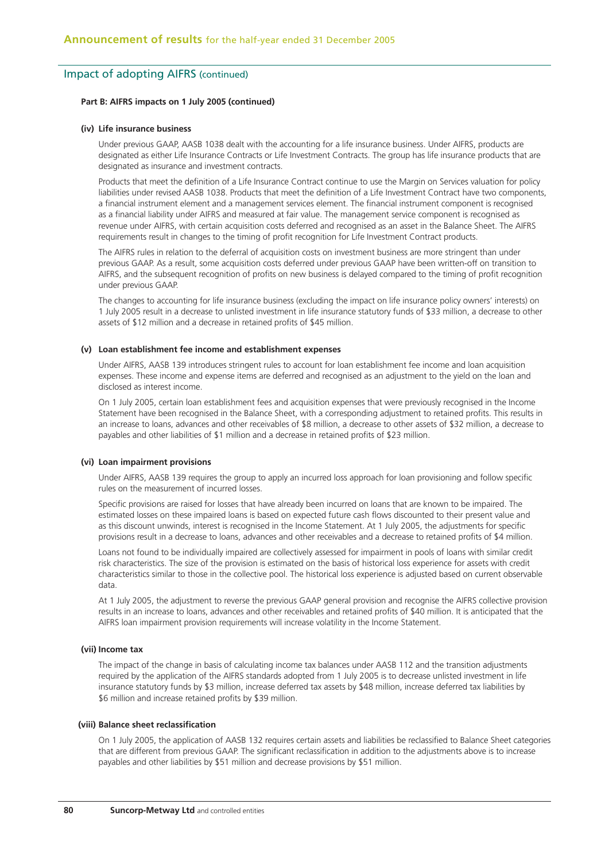#### **Part B: AIFRS impacts on 1 July 2005 (continued)**

#### **(iv) Life insurance business**

 Under previous GAAP, AASB 1038 dealt with the accounting for a life insurance business. Under AIFRS, products are designated as either Life Insurance Contracts or Life Investment Contracts. The group has life insurance products that are designated as insurance and investment contracts.

 Products that meet the definition of a Life Insurance Contract continue to use the Margin on Services valuation for policy liabilities under revised AASB 1038. Products that meet the definition of a Life Investment Contract have two components, a financial instrument element and a management services element. The financial instrument component is recognised as a financial liability under AIFRS and measured at fair value. The management service component is recognised as revenue under AIFRS, with certain acquisition costs deferred and recognised as an asset in the Balance Sheet. The AIFRS requirements result in changes to the timing of profit recognition for Life Investment Contract products.

 The AIFRS rules in relation to the deferral of acquisition costs on investment business are more stringent than under previous GAAP. As a result, some acquisition costs deferred under previous GAAP have been written-off on transition to AIFRS, and the subsequent recognition of profits on new business is delayed compared to the timing of profit recognition under previous GAAP.

 The changes to accounting for life insurance business (excluding the impact on life insurance policy owners' interests) on 1 July 2005 result in a decrease to unlisted investment in life insurance statutory funds of \$33 million, a decrease to other assets of \$12 million and a decrease in retained profits of \$45 million.

#### **(v) Loan establishment fee income and establishment expenses**

 Under AIFRS, AASB 139 introduces stringent rules to account for loan establishment fee income and loan acquisition expenses. These income and expense items are deferred and recognised as an adjustment to the yield on the loan and disclosed as interest income.

 On 1 July 2005, certain loan establishment fees and acquisition expenses that were previously recognised in the Income Statement have been recognised in the Balance Sheet, with a corresponding adjustment to retained profits. This results in an increase to loans, advances and other receivables of \$8 million, a decrease to other assets of \$32 million, a decrease to payables and other liabilities of \$1 million and a decrease in retained profits of \$23 million.

#### **(vi) Loan impairment provisions**

 Under AIFRS, AASB 139 requires the group to apply an incurred loss approach for loan provisioning and follow specific rules on the measurement of incurred losses.

 Specific provisions are raised for losses that have already been incurred on loans that are known to be impaired. The estimated losses on these impaired loans is based on expected future cash flows discounted to their present value and as this discount unwinds, interest is recognised in the Income Statement. At 1 July 2005, the adjustments for specific provisions result in a decrease to loans, advances and other receivables and a decrease to retained profits of \$4 million.

 Loans not found to be individually impaired are collectively assessed for impairment in pools of loans with similar credit risk characteristics. The size of the provision is estimated on the basis of historical loss experience for assets with credit characteristics similar to those in the collective pool. The historical loss experience is adjusted based on current observable data.

 At 1 July 2005, the adjustment to reverse the previous GAAP general provision and recognise the AIFRS collective provision results in an increase to loans, advances and other receivables and retained profits of \$40 million. It is anticipated that the AIFRS loan impairment provision requirements will increase volatility in the Income Statement.

#### **(vii) Income tax**

 The impact of the change in basis of calculating income tax balances under AASB 112 and the transition adjustments required by the application of the AIFRS standards adopted from 1 July 2005 is to decrease unlisted investment in life insurance statutory funds by \$3 million, increase deferred tax assets by \$48 million, increase deferred tax liabilities by \$6 million and increase retained profits by \$39 million.

#### **(viii) Balance sheet reclassification**

 On 1 July 2005, the application of AASB 132 requires certain assets and liabilities be reclassified to Balance Sheet categories that are different from previous GAAP. The significant reclassification in addition to the adjustments above is to increase payables and other liabilities by \$51 million and decrease provisions by \$51 million.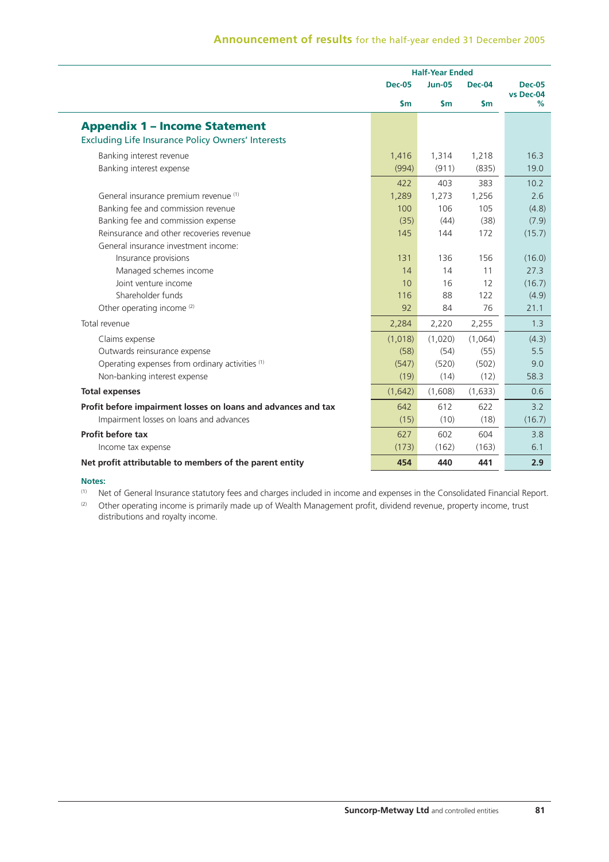# **Announcement of results** for the half-year ended 31 December 2005

|                                                                                                  |               | <b>Half-Year Ended</b> |               |                            |
|--------------------------------------------------------------------------------------------------|---------------|------------------------|---------------|----------------------------|
|                                                                                                  | <b>Dec-05</b> | <b>Jun-05</b>          | <b>Dec-04</b> | <b>Dec-05</b><br>vs Dec-04 |
|                                                                                                  | $\mathsf{Sm}$ | $\mathsf{Sm}$          | $\mathsf{sm}$ | %                          |
| <b>Appendix 1 - Income Statement</b><br><b>Excluding Life Insurance Policy Owners' Interests</b> |               |                        |               |                            |
| Banking interest revenue                                                                         | 1,416         | 1,314                  | 1,218         | 16.3                       |
| Banking interest expense                                                                         | (994)         | (911)                  | (835)         | 19.0                       |
| General insurance premium revenue (1)                                                            | 422           | 403                    | 383           | 10.2                       |
| Banking fee and commission revenue                                                               | 1,289         | 1,273                  | 1,256         | 2.6                        |
| Banking fee and commission expense                                                               | 100           | 106                    | 105           | (4.8)                      |
| Reinsurance and other recoveries revenue                                                         | (35)          | (44)                   | (38)          | (7.9)                      |
| General insurance investment income:                                                             | 145           | 144                    | 172           | (15.7)                     |
| Insurance provisions                                                                             | 131           | 136                    | 156           | (16.0)                     |
| Managed schemes income                                                                           | 14            | 14                     | 11            | 27.3                       |
| Joint venture income                                                                             | 10            | 16                     | 12            | (16.7)                     |
| Shareholder funds                                                                                | 116           | 88                     | 122           | (4.9)                      |
| Other operating income <sup>(2)</sup>                                                            | 92            | 84                     | 76            | 21.1                       |
| Total revenue                                                                                    | 2,284         | 2,220                  | 2,255         | 1.3                        |
| Claims expense                                                                                   | (1,018)       | (1,020)                | (1,064)       | (4.3)                      |
| Outwards reinsurance expense                                                                     | (58)          | (54)                   | (55)          | 5.5                        |
| Operating expenses from ordinary activities <sup>(1)</sup>                                       | (547)         | (520)                  | (502)         | 9.0                        |
| Non-banking interest expense                                                                     | (19)          | (14)                   | (12)          | 58.3                       |
| <b>Total expenses</b>                                                                            | (1,642)       | (1,608)                | (1,633)       | 0.6                        |
| Profit before impairment losses on loans and advances and tax                                    | 642           | 612                    | 622           | 3.2                        |
| Impairment losses on loans and advances                                                          | (15)          | (10)                   | (18)          | (16.7)                     |
| Profit before tax                                                                                | 627           | 602                    | 604           | 3.8                        |
| Income tax expense                                                                               | (173)         | (162)                  | (163)         | 6.1                        |
| Net profit attributable to members of the parent entity                                          | 454           | 440                    | 441           | 2.9                        |

### **Notes:**

(1) Net of General Insurance statutory fees and charges included in income and expenses in the Consolidated Financial Report.

(2) Other operating income is primarily made up of Wealth Management profit, dividend revenue, property income, trust distributions and royalty income.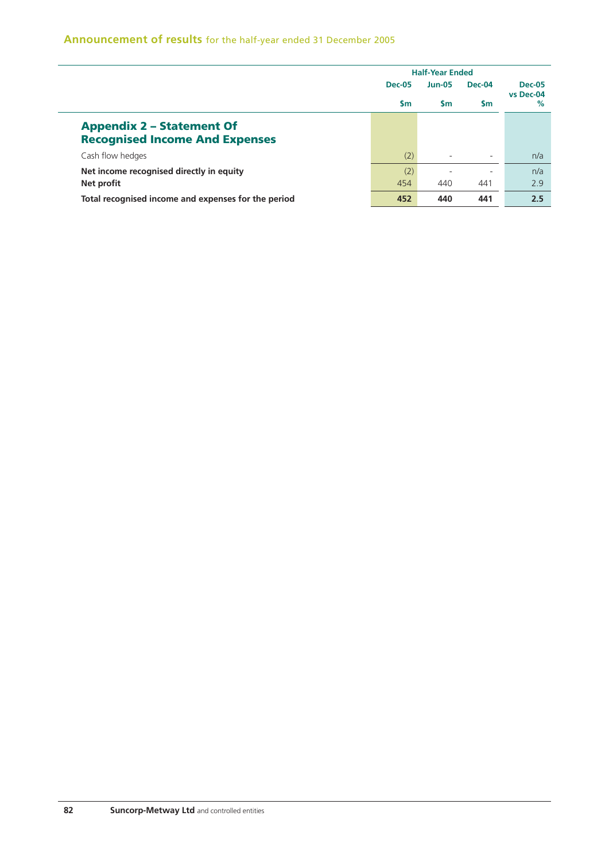# **Announcement of results** for the half-year ended 31 December 2005

|                                                     | <b>Half-Year Ended</b> |               |           |                            |  |
|-----------------------------------------------------|------------------------|---------------|-----------|----------------------------|--|
|                                                     | <b>Dec-05</b>          | <b>Jun-05</b> | Dec-04    | <b>Dec-05</b><br>vs Dec-04 |  |
|                                                     | $\mathsf{sm}$          | <b>Sm</b>     | <b>Sm</b> | $\%$                       |  |
| <b>Appendix 2 - Statement Of</b>                    |                        |               |           |                            |  |
| <b>Recognised Income And Expenses</b>               |                        |               |           |                            |  |
| Cash flow hedges                                    | (2)                    |               |           | n/a                        |  |
| Net income recognised directly in equity            | (2)                    |               |           | n/a                        |  |
| Net profit                                          | 454                    | 440           | 441       | 2.9                        |  |
| Total recognised income and expenses for the period | 452                    | 440           | 441       | 2.5                        |  |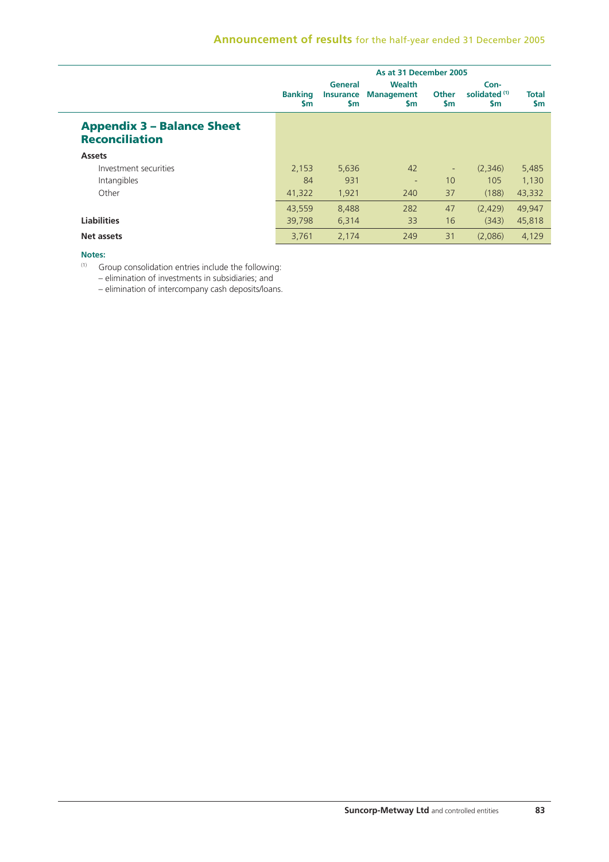|                                                            | As at 31 December 2005      |                                          |                                                 |                           |                                                   |                    |
|------------------------------------------------------------|-----------------------------|------------------------------------------|-------------------------------------------------|---------------------------|---------------------------------------------------|--------------------|
|                                                            | <b>Banking</b><br><b>Sm</b> | General<br><b>Insurance</b><br><b>Sm</b> | <b>Wealth</b><br><b>Management</b><br><b>Sm</b> | <b>Other</b><br><b>Sm</b> | Con-<br>solidated <sup>(1)</sup><br>$\mathsf{sm}$ | Total<br><b>Sm</b> |
| <b>Appendix 3 - Balance Sheet</b><br><b>Reconciliation</b> |                             |                                          |                                                 |                           |                                                   |                    |
| <b>Assets</b>                                              |                             |                                          |                                                 |                           |                                                   |                    |
| Investment securities                                      | 2,153                       | 5,636                                    | 42                                              | $\overline{\phantom{a}}$  | (2,346)                                           | 5,485              |
| Intangibles                                                | 84                          | 931                                      | ٠                                               | 10                        | 105                                               | 1.130              |
| Other                                                      | 41,322                      | 1,921                                    | 240                                             | 37                        | (188)                                             | 43,332             |
|                                                            | 43.559                      | 8.488                                    | 282                                             | 47                        | (2.429)                                           | 49.947             |
| <b>Liabilities</b>                                         | 39,798                      | 6,314                                    | 33                                              | 16                        | (343)                                             | 45,818             |
| Net assets                                                 | 3,761                       | 2,174                                    | 249                                             | 31                        | (2,086)                                           | 4,129              |

### **Notes:**

 $(1)$  Group consolidation entries include the following:

– elimination of investments in subsidiaries; and

– elimination of intercompany cash deposits/loans.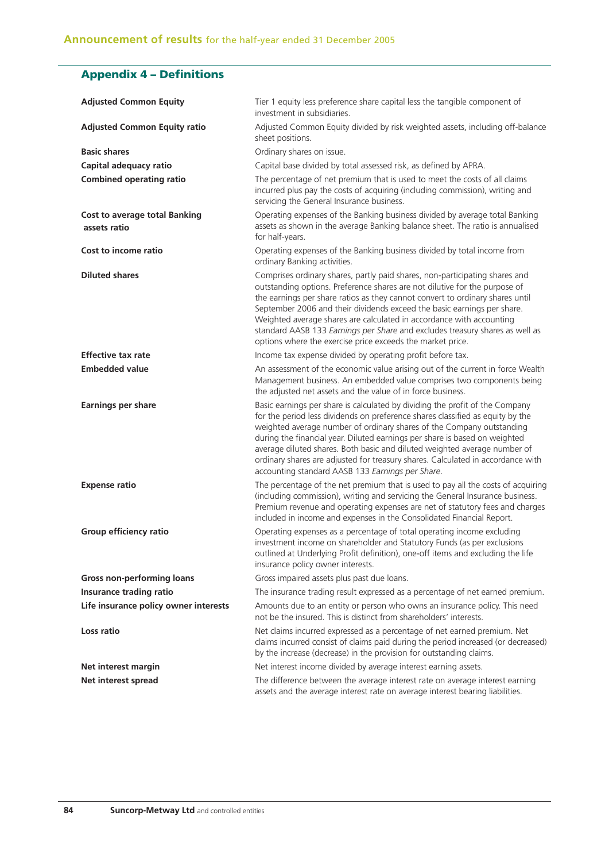# **Appendix 4 – Definitions**

| <b>Adjusted Common Equity</b>                        | Tier 1 equity less preference share capital less the tangible component of<br>investment in subsidiaries.                                                                                                                                                                                                                                                                                                                                                                                                                                   |
|------------------------------------------------------|---------------------------------------------------------------------------------------------------------------------------------------------------------------------------------------------------------------------------------------------------------------------------------------------------------------------------------------------------------------------------------------------------------------------------------------------------------------------------------------------------------------------------------------------|
| <b>Adjusted Common Equity ratio</b>                  | Adjusted Common Equity divided by risk weighted assets, including off-balance<br>sheet positions.                                                                                                                                                                                                                                                                                                                                                                                                                                           |
| <b>Basic shares</b>                                  | Ordinary shares on issue.                                                                                                                                                                                                                                                                                                                                                                                                                                                                                                                   |
| Capital adequacy ratio                               | Capital base divided by total assessed risk, as defined by APRA.                                                                                                                                                                                                                                                                                                                                                                                                                                                                            |
| <b>Combined operating ratio</b>                      | The percentage of net premium that is used to meet the costs of all claims<br>incurred plus pay the costs of acquiring (including commission), writing and<br>servicing the General Insurance business.                                                                                                                                                                                                                                                                                                                                     |
| <b>Cost to average total Banking</b><br>assets ratio | Operating expenses of the Banking business divided by average total Banking<br>assets as shown in the average Banking balance sheet. The ratio is annualised<br>for half-years.                                                                                                                                                                                                                                                                                                                                                             |
| Cost to income ratio                                 | Operating expenses of the Banking business divided by total income from<br>ordinary Banking activities.                                                                                                                                                                                                                                                                                                                                                                                                                                     |
| <b>Diluted shares</b>                                | Comprises ordinary shares, partly paid shares, non-participating shares and<br>outstanding options. Preference shares are not dilutive for the purpose of<br>the earnings per share ratios as they cannot convert to ordinary shares until<br>September 2006 and their dividends exceed the basic earnings per share.<br>Weighted average shares are calculated in accordance with accounting<br>standard AASB 133 Earnings per Share and excludes treasury shares as well as<br>options where the exercise price exceeds the market price. |
| <b>Effective tax rate</b>                            | Income tax expense divided by operating profit before tax.                                                                                                                                                                                                                                                                                                                                                                                                                                                                                  |
| <b>Embedded value</b>                                | An assessment of the economic value arising out of the current in force Wealth<br>Management business. An embedded value comprises two components being<br>the adjusted net assets and the value of in force business.                                                                                                                                                                                                                                                                                                                      |
| <b>Earnings per share</b>                            | Basic earnings per share is calculated by dividing the profit of the Company<br>for the period less dividends on preference shares classified as equity by the<br>weighted average number of ordinary shares of the Company outstanding<br>during the financial year. Diluted earnings per share is based on weighted<br>average diluted shares. Both basic and diluted weighted average number of<br>ordinary shares are adjusted for treasury shares. Calculated in accordance with<br>accounting standard AASB 133 Earnings per Share.   |
| <b>Expense ratio</b>                                 | The percentage of the net premium that is used to pay all the costs of acquiring<br>(including commission), writing and servicing the General Insurance business.<br>Premium revenue and operating expenses are net of statutory fees and charges<br>included in income and expenses in the Consolidated Financial Report.                                                                                                                                                                                                                  |
| Group efficiency ratio                               | Operating expenses as a percentage of total operating income excluding<br>investment income on shareholder and Statutory Funds (as per exclusions<br>outlined at Underlying Profit definition), one-off items and excluding the life<br>insurance policy owner interests.                                                                                                                                                                                                                                                                   |
| <b>Gross non-performing loans</b>                    | Gross impaired assets plus past due loans.                                                                                                                                                                                                                                                                                                                                                                                                                                                                                                  |
| Insurance trading ratio                              | The insurance trading result expressed as a percentage of net earned premium.                                                                                                                                                                                                                                                                                                                                                                                                                                                               |
| Life insurance policy owner interests                | Amounts due to an entity or person who owns an insurance policy. This need<br>not be the insured. This is distinct from shareholders' interests.                                                                                                                                                                                                                                                                                                                                                                                            |
| Loss ratio                                           | Net claims incurred expressed as a percentage of net earned premium. Net<br>claims incurred consist of claims paid during the period increased (or decreased)<br>by the increase (decrease) in the provision for outstanding claims.                                                                                                                                                                                                                                                                                                        |
| Net interest margin                                  | Net interest income divided by average interest earning assets.                                                                                                                                                                                                                                                                                                                                                                                                                                                                             |
| Net interest spread                                  | The difference between the average interest rate on average interest earning<br>assets and the average interest rate on average interest bearing liabilities.                                                                                                                                                                                                                                                                                                                                                                               |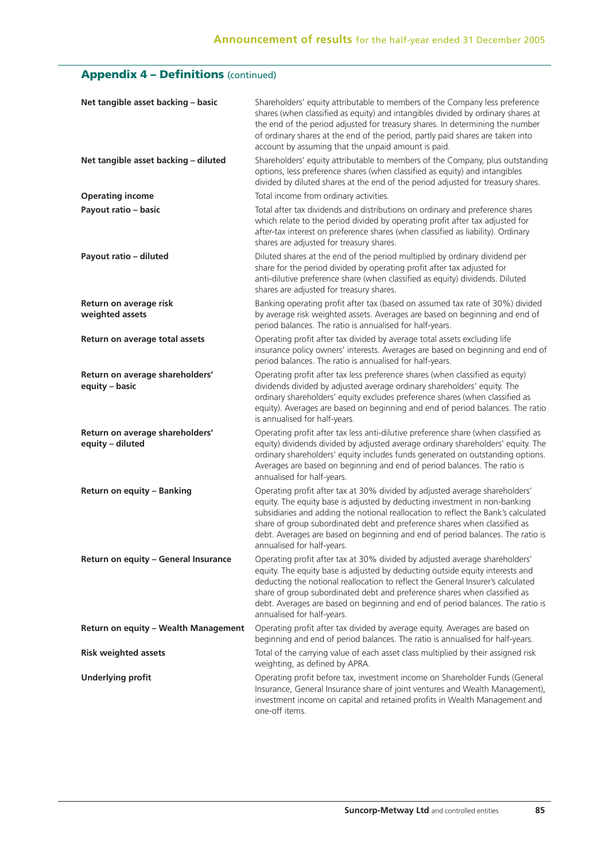# **Appendix 4 - Definitions (continued)**

| Net tangible asset backing - basic                  | Shareholders' equity attributable to members of the Company less preference<br>shares (when classified as equity) and intangibles divided by ordinary shares at<br>the end of the period adjusted for treasury shares. In determining the number<br>of ordinary shares at the end of the period, partly paid shares are taken into<br>account by assuming that the unpaid amount is paid.                                                    |
|-----------------------------------------------------|----------------------------------------------------------------------------------------------------------------------------------------------------------------------------------------------------------------------------------------------------------------------------------------------------------------------------------------------------------------------------------------------------------------------------------------------|
| Net tangible asset backing - diluted                | Shareholders' equity attributable to members of the Company, plus outstanding<br>options, less preference shares (when classified as equity) and intangibles<br>divided by diluted shares at the end of the period adjusted for treasury shares.                                                                                                                                                                                             |
| <b>Operating income</b>                             | Total income from ordinary activities.                                                                                                                                                                                                                                                                                                                                                                                                       |
| Payout ratio - basic                                | Total after tax dividends and distributions on ordinary and preference shares<br>which relate to the period divided by operating profit after tax adjusted for<br>after-tax interest on preference shares (when classified as liability). Ordinary<br>shares are adjusted for treasury shares.                                                                                                                                               |
| Payout ratio - diluted                              | Diluted shares at the end of the period multiplied by ordinary dividend per<br>share for the period divided by operating profit after tax adjusted for<br>anti-dilutive preference share (when classified as equity) dividends. Diluted<br>shares are adjusted for treasury shares.                                                                                                                                                          |
| Return on average risk<br>weighted assets           | Banking operating profit after tax (based on assumed tax rate of 30%) divided<br>by average risk weighted assets. Averages are based on beginning and end of<br>period balances. The ratio is annualised for half-years.                                                                                                                                                                                                                     |
| Return on average total assets                      | Operating profit after tax divided by average total assets excluding life<br>insurance policy owners' interests. Averages are based on beginning and end of<br>period balances. The ratio is annualised for half-years.                                                                                                                                                                                                                      |
| Return on average shareholders'<br>equity - basic   | Operating profit after tax less preference shares (when classified as equity)<br>dividends divided by adjusted average ordinary shareholders' equity. The<br>ordinary shareholders' equity excludes preference shares (when classified as<br>equity). Averages are based on beginning and end of period balances. The ratio<br>is annualised for half-years.                                                                                 |
| Return on average shareholders'<br>equity - diluted | Operating profit after tax less anti-dilutive preference share (when classified as<br>equity) dividends divided by adjusted average ordinary shareholders' equity. The<br>ordinary shareholders' equity includes funds generated on outstanding options.<br>Averages are based on beginning and end of period balances. The ratio is<br>annualised for half-years.                                                                           |
| Return on equity - Banking                          | Operating profit after tax at 30% divided by adjusted average shareholders'<br>equity. The equity base is adjusted by deducting investment in non-banking<br>subsidiaries and adding the notional reallocation to reflect the Bank's calculated<br>share of group subordinated debt and preference shares when classified as<br>debt. Averages are based on beginning and end of period balances. The ratio is<br>annualised for half-years. |
| Return on equity - General Insurance                | Operating profit after tax at 30% divided by adjusted average shareholders'<br>equity. The equity base is adjusted by deducting outside equity interests and<br>deducting the notional reallocation to reflect the General Insurer's calculated<br>share of group subordinated debt and preference shares when classified as<br>debt. Averages are based on beginning and end of period balances. The ratio is<br>annualised for half-years. |
| Return on equity - Wealth Management                | Operating profit after tax divided by average equity. Averages are based on<br>beginning and end of period balances. The ratio is annualised for half-years.                                                                                                                                                                                                                                                                                 |
| <b>Risk weighted assets</b>                         | Total of the carrying value of each asset class multiplied by their assigned risk<br>weighting, as defined by APRA.                                                                                                                                                                                                                                                                                                                          |
| <b>Underlying profit</b>                            | Operating profit before tax, investment income on Shareholder Funds (General<br>Insurance, General Insurance share of joint ventures and Wealth Management),<br>investment income on capital and retained profits in Wealth Management and<br>one-off items.                                                                                                                                                                                 |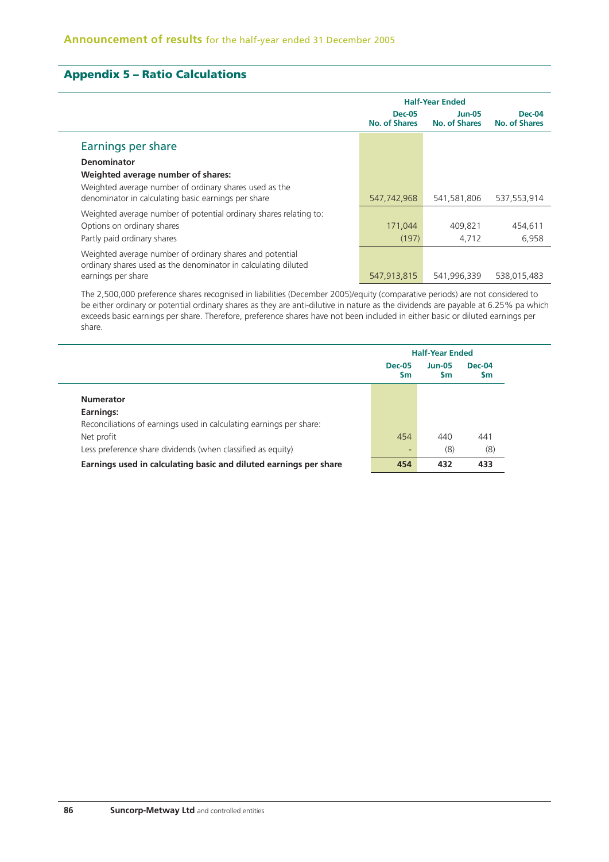# **Appendix 5 – Ratio Calculations**

|                                                                                                                                                                           |                                | <b>Half-Year Ended</b>  |                         |  |  |  |
|---------------------------------------------------------------------------------------------------------------------------------------------------------------------------|--------------------------------|-------------------------|-------------------------|--|--|--|
|                                                                                                                                                                           | <b>Dec-05</b><br>No. of Shares | Jun-05<br>No. of Shares | Dec-04<br>No. of Shares |  |  |  |
| Earnings per share                                                                                                                                                        |                                |                         |                         |  |  |  |
| <b>Denominator</b><br>Weighted average number of shares:<br>Weighted average number of ordinary shares used as the<br>denominator in calculating basic earnings per share | 547,742,968                    | 541.581.806             | 537.553.914             |  |  |  |
| Weighted average number of potential ordinary shares relating to:<br>Options on ordinary shares<br>Partly paid ordinary shares                                            | 171,044<br>(197)               | 409.821<br>4,712        | 454,611<br>6,958        |  |  |  |
| Weighted average number of ordinary shares and potential<br>ordinary shares used as the denominator in calculating diluted<br>earnings per share                          | 547,913,815                    | 541,996,339             | 538,015,483             |  |  |  |

The 2,500,000 preference shares recognised in liabilities (December 2005)/equity (comparative periods) are not considered to be either ordinary or potential ordinary shares as they are anti-dilutive in nature as the dividends are payable at 6.25% pa which exceeds basic earnings per share. Therefore, preference shares have not been included in either basic or diluted earnings per share.

|                                                                     | <b>Half-Year Ended</b>         |                            |                     |  |
|---------------------------------------------------------------------|--------------------------------|----------------------------|---------------------|--|
|                                                                     | <b>Dec-05</b><br>$\mathsf{Sm}$ | <b>Jun-05</b><br><b>Sm</b> | <b>Dec-04</b><br>Sm |  |
| <b>Numerator</b>                                                    |                                |                            |                     |  |
| Earnings:                                                           |                                |                            |                     |  |
| Reconciliations of earnings used in calculating earnings per share: |                                |                            |                     |  |
| Net profit                                                          | 454                            | 440                        | 441                 |  |
| Less preference share dividends (when classified as equity)         | -                              | (8)                        | (8)                 |  |
| Earnings used in calculating basic and diluted earnings per share   | 454                            | 432                        | 433                 |  |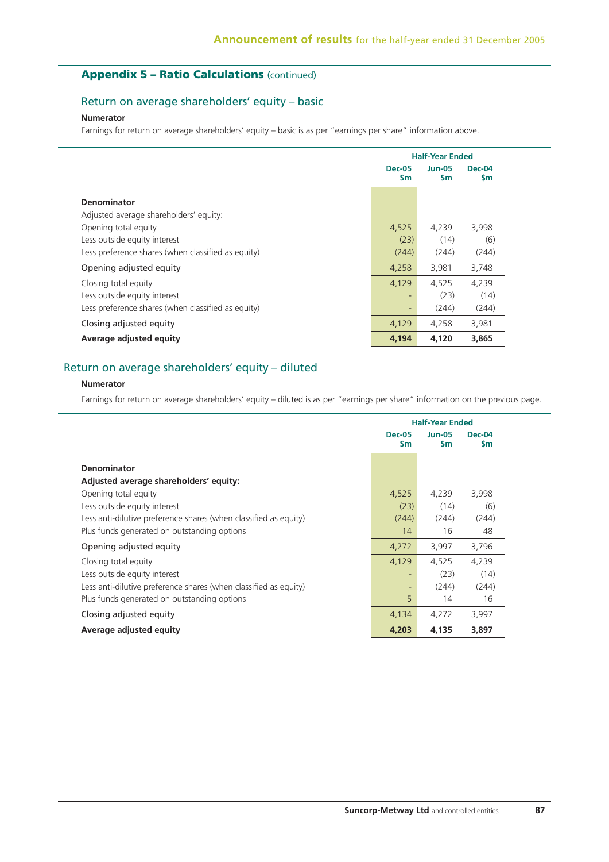# **Appendix 5 – Ratio Calculations** (continued)

# Return on average shareholders' equity – basic

### **Numerator**

Earnings for return on average shareholders' equity – basic is as per "earnings per share" information above.

|                                                    |                            | <b>Half-Year Ended</b>     |                      |  |  |
|----------------------------------------------------|----------------------------|----------------------------|----------------------|--|--|
|                                                    | <b>Dec-05</b><br><b>Sm</b> | <b>Jun-05</b><br><b>Sm</b> | <b>Dec-04</b><br>\$m |  |  |
| <b>Denominator</b>                                 |                            |                            |                      |  |  |
| Adjusted average shareholders' equity:             |                            |                            |                      |  |  |
| Opening total equity                               | 4,525                      | 4,239                      | 3,998                |  |  |
| Less outside equity interest                       | (23)                       | (14)                       | (6)                  |  |  |
| Less preference shares (when classified as equity) | (244)                      | (244)                      | (244)                |  |  |
| Opening adjusted equity                            | 4,258                      | 3,981                      | 3,748                |  |  |
| Closing total equity                               | 4,129                      | 4.525                      | 4,239                |  |  |
| Less outside equity interest                       |                            | (23)                       | (14)                 |  |  |
| Less preference shares (when classified as equity) | $\overline{\phantom{a}}$   | (244)                      | (244)                |  |  |
| Closing adjusted equity                            | 4,129                      | 4,258                      | 3,981                |  |  |
| Average adjusted equity                            | 4,194                      | 4,120                      | 3,865                |  |  |

# Return on average shareholders' equity – diluted

### **Numerator**

Earnings for return on average shareholders' equity – diluted is as per "earnings per share" information on the previous page.

|                                                                  |                            | <b>Half-Year Ended</b> |                |  |
|------------------------------------------------------------------|----------------------------|------------------------|----------------|--|
|                                                                  | <b>Dec-05</b><br><b>Sm</b> | $Jun-05$<br><b>Sm</b>  | $Dec-04$<br>Sm |  |
| <b>Denominator</b>                                               |                            |                        |                |  |
| Adjusted average shareholders' equity:                           |                            |                        |                |  |
| Opening total equity                                             | 4,525                      | 4,239                  | 3,998          |  |
| Less outside equity interest                                     | (23)                       | (14)                   | (6)            |  |
| Less anti-dilutive preference shares (when classified as equity) | (244)                      | (244)                  | (244)          |  |
| Plus funds generated on outstanding options                      | 14                         | 16                     | 48             |  |
| Opening adjusted equity                                          | 4,272                      | 3,997                  | 3,796          |  |
| Closing total equity                                             | 4,129                      | 4,525                  | 4.239          |  |
| Less outside equity interest                                     |                            | (23)                   | (14)           |  |
| Less anti-dilutive preference shares (when classified as equity) |                            | (244)                  | (244)          |  |
| Plus funds generated on outstanding options                      | 5                          | 14                     | 16             |  |
| Closing adjusted equity                                          | 4,134                      | 4,272                  | 3,997          |  |
| Average adjusted equity                                          | 4,203                      | 4,135                  | 3,897          |  |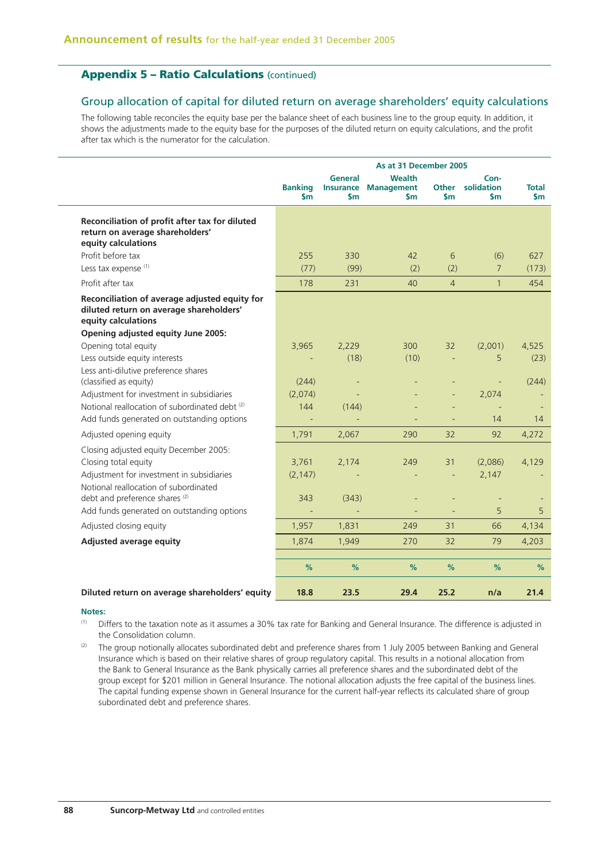# **Appendix 5 – Ratio Calculations** (continued)

### Group allocation of capital for diluted return on average shareholders' equity calculations

The following table reconciles the equity base per the balance sheet of each business line to the group equity. In addition, it shows the adjustments made to the equity base for the purposes of the diluted return on equity calculations, and the profit after tax which is the numerator for the calculation.

|                                                                                                                 |                                 |                                    | As at 31 December 2005                          |                     |                           |                     |
|-----------------------------------------------------------------------------------------------------------------|---------------------------------|------------------------------------|-------------------------------------------------|---------------------|---------------------------|---------------------|
|                                                                                                                 | <b>Banking</b><br>$\mathsf{sm}$ | General<br><b>Insurance</b><br>\$m | <b>Wealth</b><br><b>Management</b><br><b>Sm</b> | <b>Other</b><br>\$m | Con-<br>solidation<br>\$m | <b>Total</b><br>\$m |
| Reconciliation of profit after tax for diluted<br>return on average shareholders'<br>equity calculations        |                                 |                                    |                                                 |                     |                           |                     |
| Profit before tax                                                                                               | 255                             | 330                                | 42                                              | 6                   | (6)                       | 627                 |
| Less tax expense (1)                                                                                            | (77)                            | (99)                               | (2)                                             | (2)                 | $\overline{7}$            | (173)               |
| Profit after tax                                                                                                | 178                             | 231                                | 40                                              | $\overline{4}$      | $\mathbf{1}$              | 454                 |
| Reconciliation of average adjusted equity for<br>diluted return on average shareholders'<br>equity calculations |                                 |                                    |                                                 |                     |                           |                     |
| Opening adjusted equity June 2005:                                                                              |                                 |                                    |                                                 |                     |                           |                     |
| Opening total equity                                                                                            | 3,965                           | 2,229<br>(18)                      | 300<br>(10)                                     | 32<br>$\equiv$      | (2,001)<br>5              | 4,525               |
| Less outside equity interests<br>Less anti-dilutive preference shares                                           |                                 |                                    |                                                 |                     |                           | (23)                |
| (classified as equity)                                                                                          | (244)                           |                                    |                                                 |                     |                           | (244)               |
| Adjustment for investment in subsidiaries                                                                       | (2,074)                         |                                    |                                                 |                     | 2,074                     |                     |
| Notional reallocation of subordinated debt (2)                                                                  | 144                             | (144)                              |                                                 |                     | ÷,                        |                     |
| Add funds generated on outstanding options                                                                      |                                 |                                    |                                                 |                     | 14                        | 14                  |
| Adjusted opening equity                                                                                         | 1,791                           | 2,067                              | 290                                             | 32                  | 92                        | 4,272               |
| Closing adjusted equity December 2005:                                                                          |                                 |                                    |                                                 |                     |                           |                     |
| Closing total equity                                                                                            | 3,761                           | 2,174                              | 249                                             | 31                  | (2,086)                   | 4,129               |
| Adjustment for investment in subsidiaries                                                                       | (2, 147)                        |                                    |                                                 |                     | 2,147                     |                     |
| Notional reallocation of subordinated<br>debt and preference shares <sup>(2)</sup>                              | 343                             | (343)                              |                                                 |                     |                           |                     |
| Add funds generated on outstanding options                                                                      |                                 |                                    |                                                 |                     | 5                         | 5                   |
| Adjusted closing equity                                                                                         | 1,957                           | 1,831                              | 249                                             | 31                  | 66                        | 4,134               |
| Adjusted average equity                                                                                         | 1,874                           | 1,949                              | 270                                             | 32                  | 79                        | 4,203               |
|                                                                                                                 |                                 |                                    |                                                 |                     |                           |                     |
|                                                                                                                 | %                               | %                                  | %                                               | %                   | %                         | %                   |
| Diluted return on average shareholders' equity                                                                  | 18.8                            | 23.5                               | 29.4                                            | 25.2                | n/a                       | 21.4                |

### **Notes:**

(1) Differs to the taxation note as it assumes a 30% tax rate for Banking and General Insurance. The difference is adjusted in the Consolidation column.

<sup>(2)</sup> The group notionally allocates subordinated debt and preference shares from 1 July 2005 between Banking and General Insurance which is based on their relative shares of group regulatory capital. This results in a notional allocation from the Bank to General Insurance as the Bank physically carries all preference shares and the subordinated debt of the group except for \$201 million in General Insurance. The notional allocation adjusts the free capital of the business lines. The capital funding expense shown in General Insurance for the current half-year reflects its calculated share of group subordinated debt and preference shares.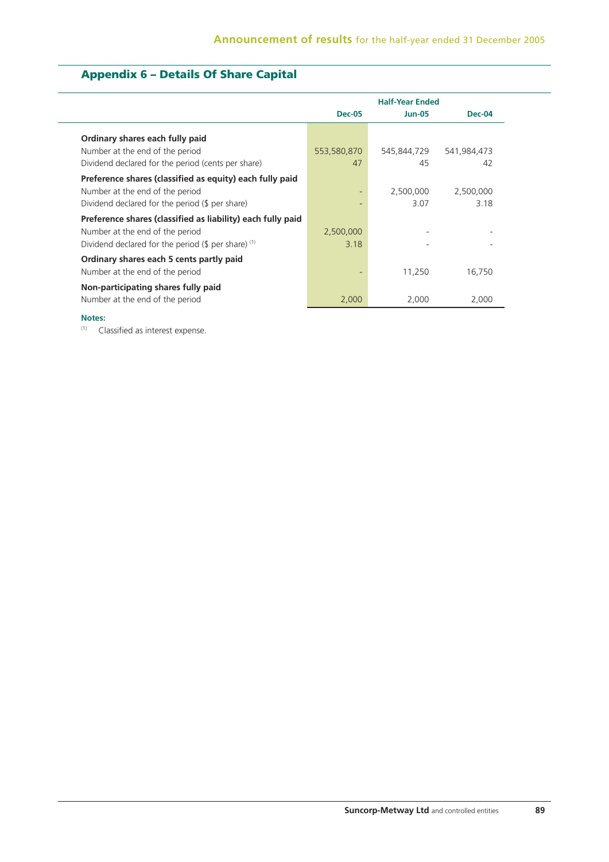# **Appendix 6 – Details Of Share Capital**

|                                                                                                                                                            | <b>Half-Year Ended</b> |                   |                   |
|------------------------------------------------------------------------------------------------------------------------------------------------------------|------------------------|-------------------|-------------------|
|                                                                                                                                                            | <b>Dec-05</b>          | $Jun-05$          | <b>Dec-04</b>     |
| Ordinary shares each fully paid<br>Number at the end of the period<br>Dividend declared for the period (cents per share)                                   | 553,580,870<br>47      | 545,844,729<br>45 | 541,984,473<br>42 |
| Preference shares (classified as equity) each fully paid<br>Number at the end of the period<br>Dividend declared for the period $(\frac{1}{2})$ per share) |                        | 2,500,000<br>3.07 | 2,500,000<br>3.18 |
| Preference shares (classified as liability) each fully paid<br>Number at the end of the period<br>Dividend declared for the period (\$ per share) $(1)$    | 2,500,000<br>3.18      | -                 |                   |
| Ordinary shares each 5 cents partly paid<br>Number at the end of the period                                                                                |                        | 11,250            | 16.750            |
| Non-participating shares fully paid<br>Number at the end of the period                                                                                     | 2,000                  | 2,000             | 2,000             |

### **Notes:**

(1) Classified as interest expense.